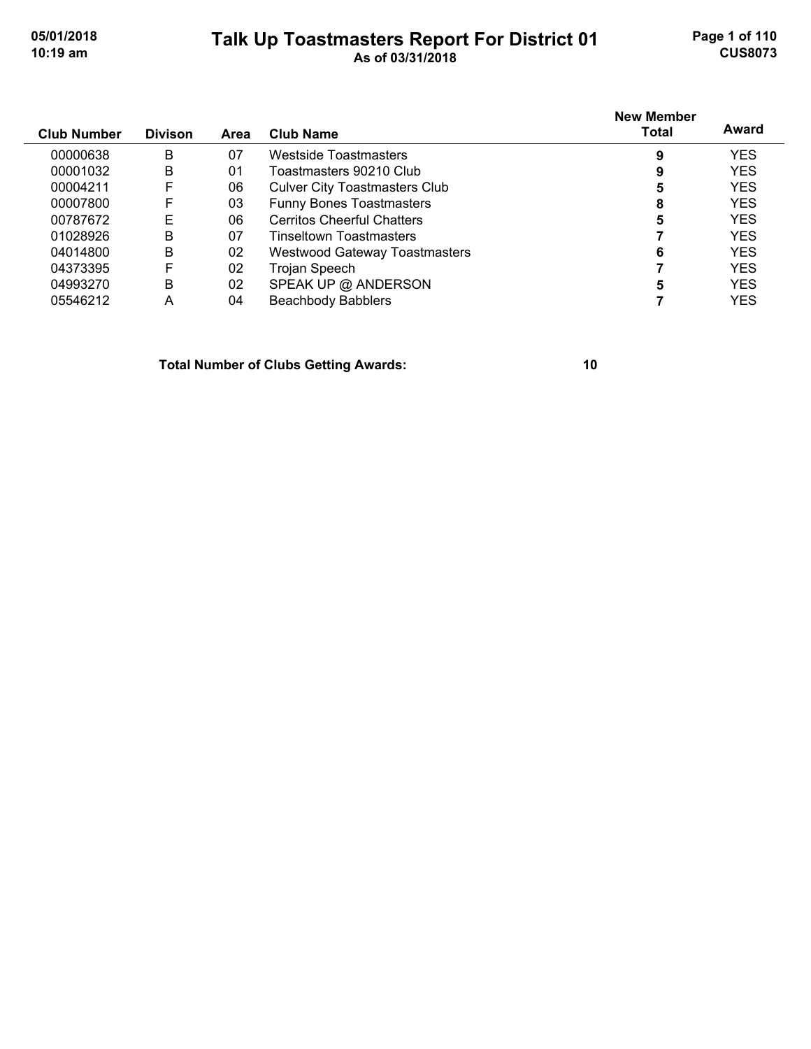#### **Talk Up Toastmasters Report For District 01 05/01/2018 Page 1 of 110 10:19 am As of 03/31/2018 CUS8073**

| <b>Club Number</b> | <b>Divison</b> | Area | Club Name                            | <b>New Member</b><br>Total | Award      |
|--------------------|----------------|------|--------------------------------------|----------------------------|------------|
| 00000638           | B              | 07   | Westside Toastmasters                | 9                          | <b>YES</b> |
| 00001032           | B              | 01   | Toastmasters 90210 Club              | 9                          | <b>YES</b> |
| 00004211           | F              | 06   | <b>Culver City Toastmasters Club</b> | 5                          | <b>YES</b> |
| 00007800           | F              | 03   | <b>Funny Bones Toastmasters</b>      | 8                          | <b>YES</b> |
| 00787672           | Е              | 06   | <b>Cerritos Cheerful Chatters</b>    | 5                          | <b>YES</b> |
| 01028926           | B              | 07   | <b>Tinseltown Toastmasters</b>       |                            | <b>YES</b> |
| 04014800           | B              | 02   | <b>Westwood Gateway Toastmasters</b> | 6                          | <b>YES</b> |
| 04373395           | F              | 02   | Trojan Speech                        |                            | <b>YES</b> |
| 04993270           | B              | 02   | SPEAK UP @ ANDERSON                  | 5                          | <b>YES</b> |
| 05546212           | А              | 04   | <b>Beachbody Babblers</b>            |                            | YES        |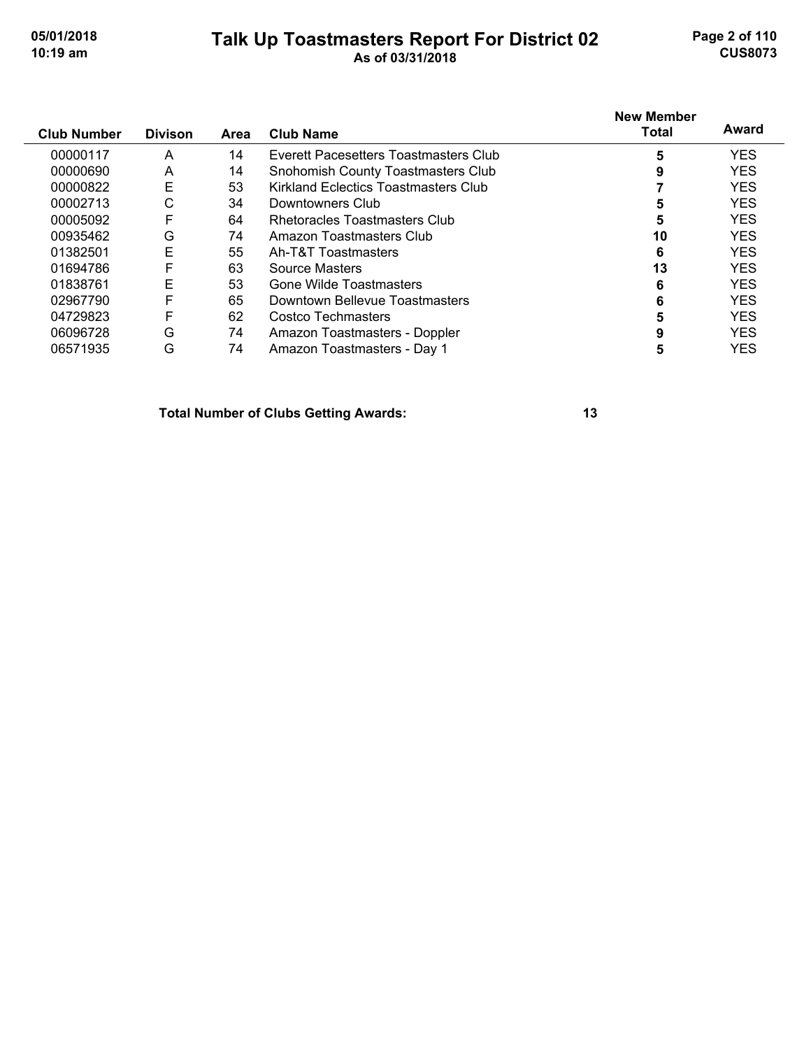#### **Talk Up Toastmasters Report For District 02 05/01/2018 Page 2 of 110 10:19 am As of 03/31/2018 CUS8073**

|                    |                |      |                                       | <b>New Member</b> |            |
|--------------------|----------------|------|---------------------------------------|-------------------|------------|
| <b>Club Number</b> | <b>Divison</b> | Area | <b>Club Name</b>                      | <b>Total</b>      | Award      |
| 00000117           | A              | 14   | Everett Pacesetters Toastmasters Club | 5                 | <b>YES</b> |
| 00000690           | A              | 14   | Snohomish County Toastmasters Club    |                   | <b>YES</b> |
| 00000822           | E              | 53   | Kirkland Eclectics Toastmasters Club  |                   | <b>YES</b> |
| 00002713           | С              | 34   | Downtowners Club                      | 5                 | <b>YES</b> |
| 00005092           | F              | 64   | Rhetoracles Toastmasters Club         | 5                 | <b>YES</b> |
| 00935462           | G              | 74   | Amazon Toastmasters Club              | 10                | <b>YES</b> |
| 01382501           | Е              | 55   | Ah-T&T Toastmasters                   | 6                 | <b>YES</b> |
| 01694786           | F              | 63   | Source Masters                        | 13                | <b>YES</b> |
| 01838761           | E              | 53   | Gone Wilde Toastmasters               | 6                 | <b>YES</b> |
| 02967790           | F              | 65   | Downtown Bellevue Toastmasters        | 6                 | <b>YES</b> |
| 04729823           | F              | 62   | Costco Techmasters                    |                   | <b>YES</b> |
| 06096728           | G              | 74   | Amazon Toastmasters - Doppler         | 9                 | <b>YES</b> |
| 06571935           | G              | 74   | Amazon Toastmasters - Day 1           | 5                 | <b>YES</b> |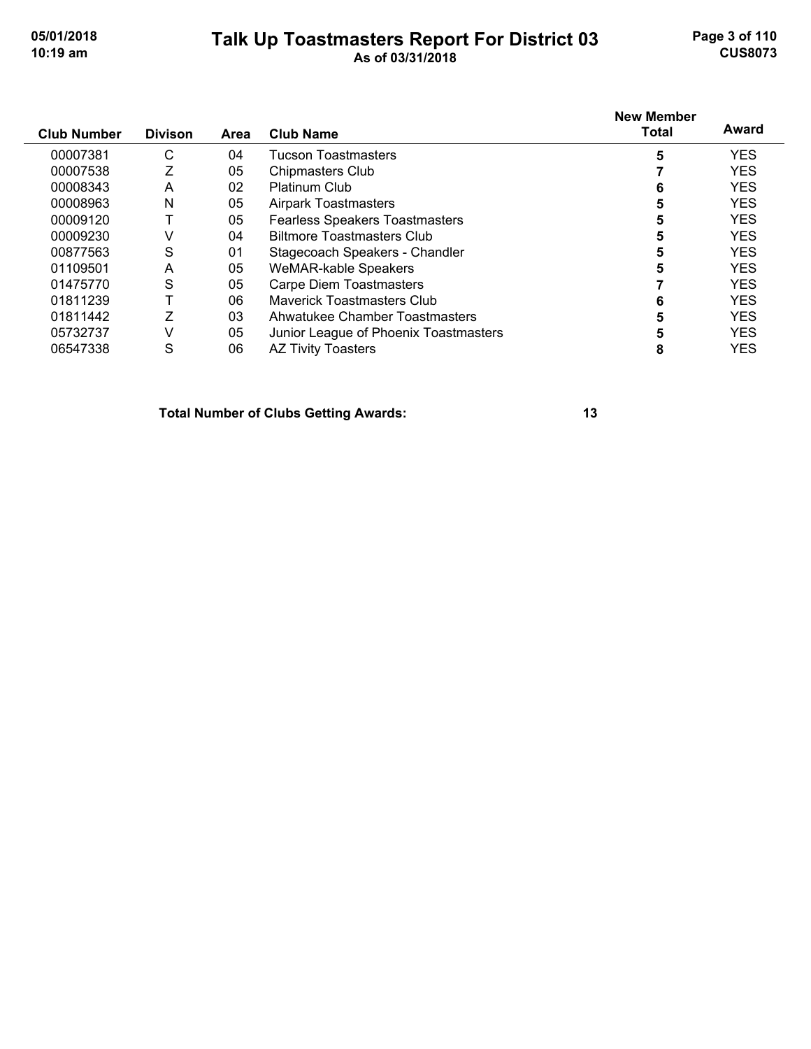#### **Talk Up Toastmasters Report For District 03 05/01/2018 Page 3 of 110 10:19 am As of 03/31/2018 CUS8073**

| <b>Club Number</b> | <b>Divison</b> | Area | <b>Club Name</b>                      | <b>New Member</b><br><b>Total</b> | Award      |
|--------------------|----------------|------|---------------------------------------|-----------------------------------|------------|
| 00007381           | C              | 04   | <b>Tucson Toastmasters</b>            | 5                                 | <b>YES</b> |
| 00007538           | Z              | 05   | <b>Chipmasters Club</b>               |                                   | <b>YES</b> |
| 00008343           | A              | 02   | <b>Platinum Club</b>                  | 6                                 | <b>YES</b> |
| 00008963           | N              | 05   | <b>Airpark Toastmasters</b>           | 5                                 | <b>YES</b> |
| 00009120           |                | 05   | <b>Fearless Speakers Toastmasters</b> | 5                                 | <b>YES</b> |
| 00009230           | ٧              | 04   | <b>Biltmore Toastmasters Club</b>     | 5                                 | <b>YES</b> |
| 00877563           | S              | 01   | Stagecoach Speakers - Chandler        | 5                                 | <b>YES</b> |
| 01109501           | A              | 05   | <b>WeMAR-kable Speakers</b>           | 5                                 | <b>YES</b> |
| 01475770           | S              | 05   | Carpe Diem Toastmasters               |                                   | <b>YES</b> |
| 01811239           |                | 06   | Maverick Toastmasters Club            | 6                                 | <b>YES</b> |
| 01811442           | Z              | 03   | Ahwatukee Chamber Toastmasters        | 5                                 | <b>YES</b> |
| 05732737           | V              | 05   | Junior League of Phoenix Toastmasters | 5                                 | <b>YES</b> |
| 06547338           | S              | 06   | <b>AZ Tivity Toasters</b>             | 8                                 | <b>YES</b> |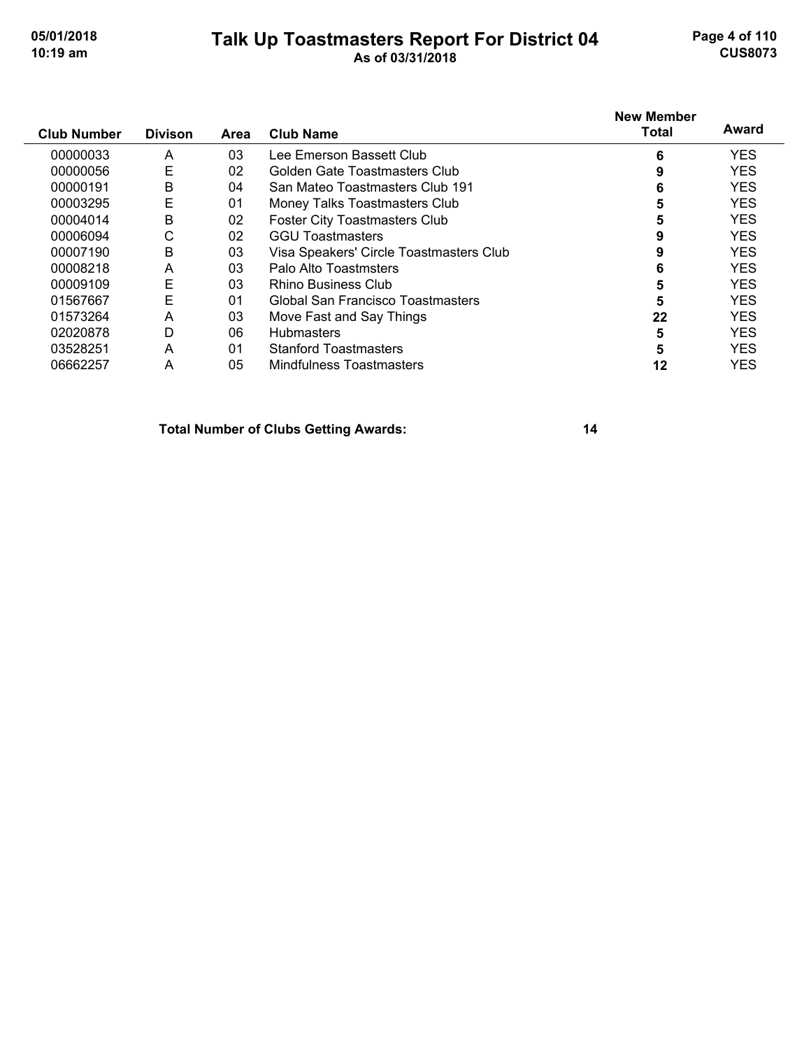#### **Talk Up Toastmasters Report For District 04 05/01/2018 Page 4 of 110 10:19 am As of 03/31/2018 CUS8073**

|                    |                |      |                                         | <b>New Member</b> | Award      |
|--------------------|----------------|------|-----------------------------------------|-------------------|------------|
| <b>Club Number</b> | <b>Divison</b> | Area | <b>Club Name</b>                        | <b>Total</b>      |            |
| 00000033           | A              | 03   | Lee Emerson Bassett Club                | 6                 | <b>YES</b> |
| 00000056           | E              | 02   | Golden Gate Toastmasters Club           | 9                 | <b>YES</b> |
| 00000191           | B              | 04   | San Mateo Toastmasters Club 191         | 6                 | <b>YES</b> |
| 00003295           | E              | 01   | Money Talks Toastmasters Club           | 5                 | <b>YES</b> |
| 00004014           | B              | 02   | <b>Foster City Toastmasters Club</b>    | 5                 | <b>YES</b> |
| 00006094           | С              | 02   | <b>GGU Toastmasters</b>                 |                   | <b>YES</b> |
| 00007190           | B              | 03   | Visa Speakers' Circle Toastmasters Club | 9                 | <b>YES</b> |
| 00008218           | A              | 03   | Palo Alto Toastmsters                   | 6                 | <b>YES</b> |
| 00009109           | E              | 03   | Rhino Business Club                     | 5                 | <b>YES</b> |
| 01567667           | E              | 01   | Global San Francisco Toastmasters       | 5                 | <b>YES</b> |
| 01573264           | A              | 03   | Move Fast and Say Things                | 22                | <b>YES</b> |
| 02020878           | D              | 06   | <b>Hubmasters</b>                       | 5                 | <b>YES</b> |
| 03528251           | A              | 01   | <b>Stanford Toastmasters</b>            | 5                 | <b>YES</b> |
| 06662257           | A              | 05   | Mindfulness Toastmasters                | 12                | <b>YES</b> |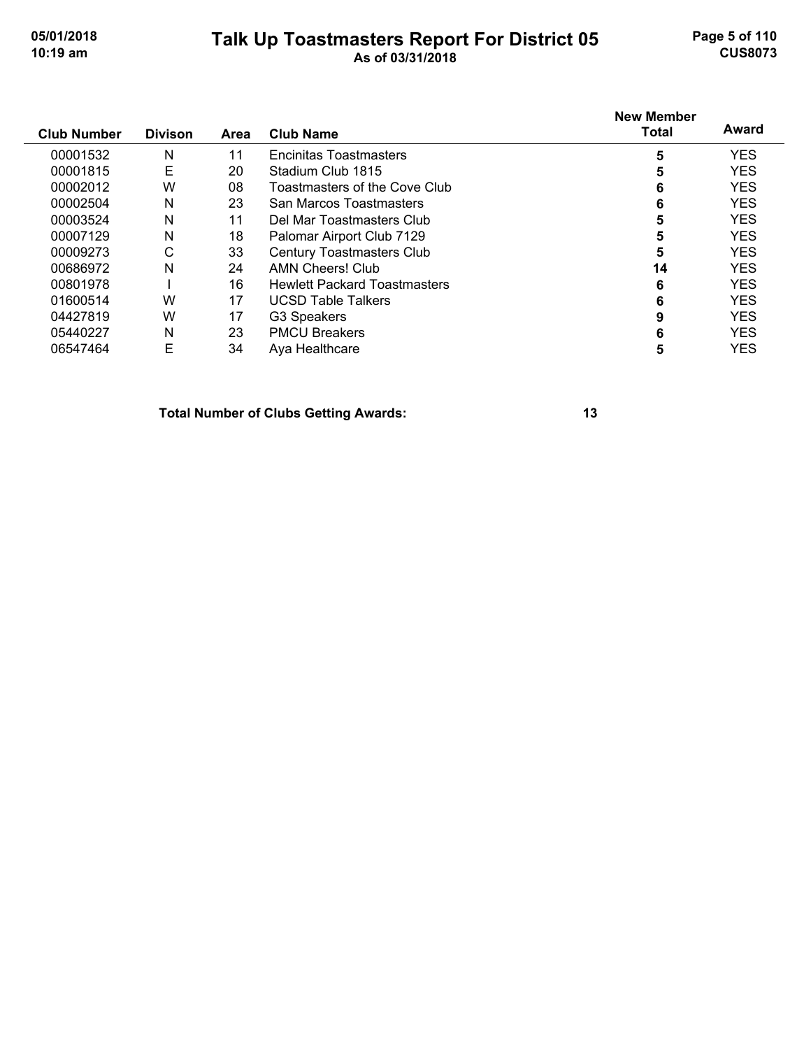#### **Talk Up Toastmasters Report For District 05 05/01/2018 Page 5 of 110 10:19 am As of 03/31/2018 CUS8073**

| <b>Club Number</b> | <b>Divison</b> | Area | <b>Club Name</b>                    | <b>New Member</b><br><b>Total</b> | Award      |
|--------------------|----------------|------|-------------------------------------|-----------------------------------|------------|
|                    |                |      |                                     |                                   |            |
| 00001532           | Ν              | 11   | <b>Encinitas Toastmasters</b>       | 5                                 | <b>YES</b> |
| 00001815           | Е              | 20   | Stadium Club 1815                   | 5                                 | <b>YES</b> |
| 00002012           | W              | 08   | Toastmasters of the Cove Club       | 6                                 | <b>YES</b> |
| 00002504           | N              | 23   | San Marcos Toastmasters             | 6                                 | <b>YES</b> |
| 00003524           | Ν              | 11   | Del Mar Toastmasters Club           | 5                                 | <b>YES</b> |
| 00007129           | Ν              | 18   | Palomar Airport Club 7129           | 5                                 | <b>YES</b> |
| 00009273           | C              | 33   | <b>Century Toastmasters Club</b>    | 5                                 | <b>YES</b> |
| 00686972           | N              | 24   | AMN Cheers! Club                    | 14                                | <b>YES</b> |
| 00801978           |                | 16   | <b>Hewlett Packard Toastmasters</b> | 6                                 | <b>YES</b> |
| 01600514           | W              | 17   | <b>UCSD Table Talkers</b>           | 6                                 | <b>YES</b> |
| 04427819           | W              | 17   | G3 Speakers                         | 9                                 | <b>YES</b> |
| 05440227           | Ν              | 23   | <b>PMCU Breakers</b>                | 6                                 | <b>YES</b> |
| 06547464           | E              | 34   | Ava Healthcare                      | 5                                 | <b>YES</b> |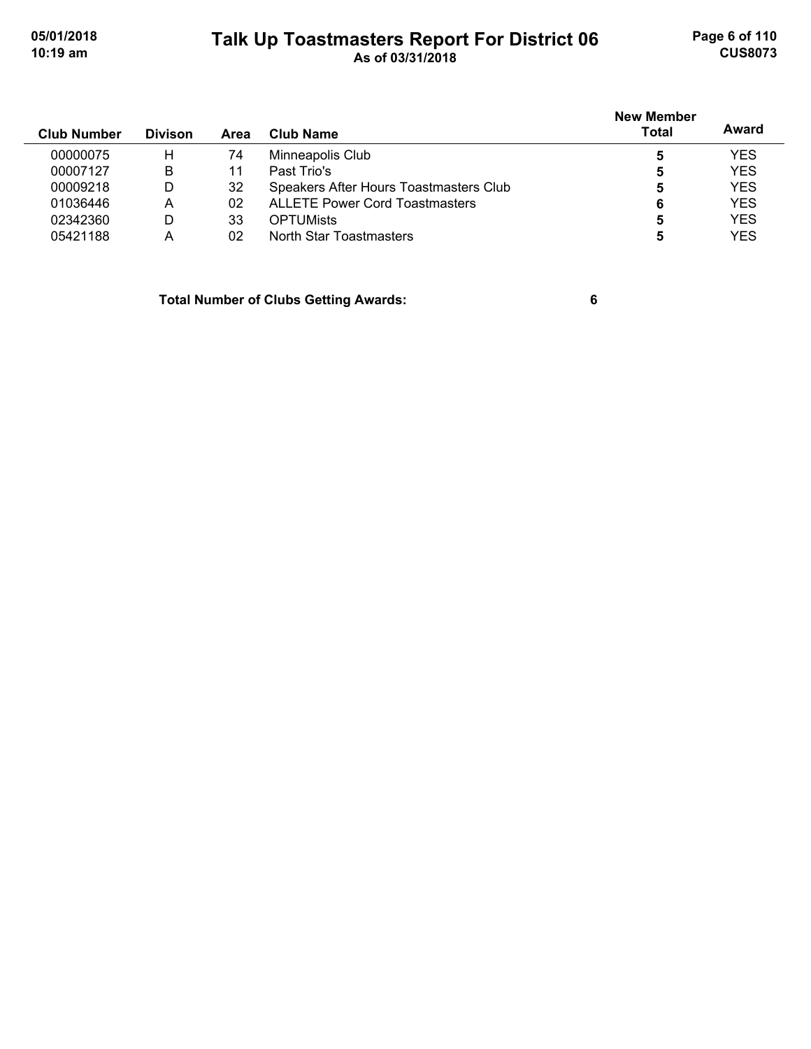# **Talk Up Toastmasters Report For District 06 05/01/2018 Page 6 of 110 10:19 am As of 03/31/2018 CUS8073**

| <b>Club Number</b> | <b>Divison</b> | Area | Club Name                              | <b>New Member</b><br><b>Total</b> | Award      |
|--------------------|----------------|------|----------------------------------------|-----------------------------------|------------|
| 00000075           | н              | 74   | Minneapolis Club                       | 5                                 | <b>YES</b> |
| 00007127           | B              |      | Past Trio's                            | 5                                 | <b>YES</b> |
| 00009218           | D              | 32   | Speakers After Hours Toastmasters Club | 5                                 | <b>YES</b> |
| 01036446           | A              | 02   | <b>ALLETE Power Cord Toastmasters</b>  | 6                                 | <b>YES</b> |
| 02342360           | D              | 33   | <b>OPTUMists</b>                       | 5                                 | <b>YES</b> |
| 05421188           | А              | 02   | North Star Toastmasters                |                                   | <b>YES</b> |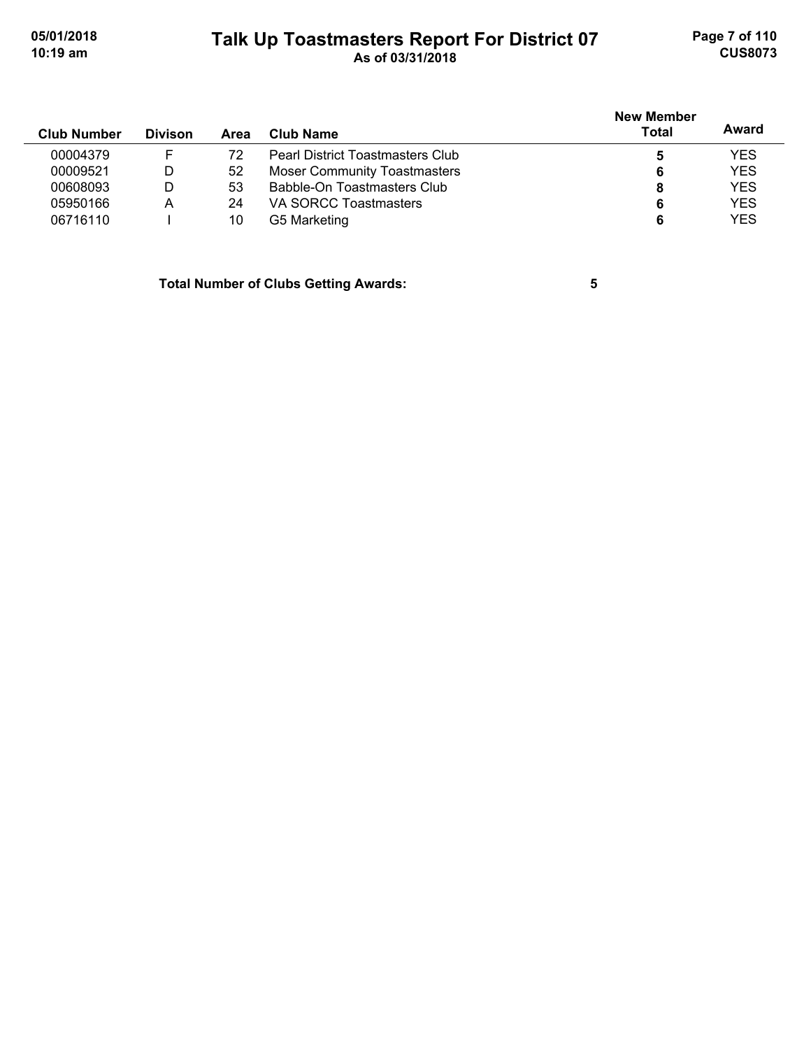# **Talk Up Toastmasters Report For District 07 05/01/2018 Page 7 of 110 10:19 am As of 03/31/2018 CUS8073**

| <b>Club Number</b> | <b>Divison</b> | Area | Club Name                               | <b>New Member</b><br>Total | Award      |
|--------------------|----------------|------|-----------------------------------------|----------------------------|------------|
| 00004379           |                | 72   | <b>Pearl District Toastmasters Club</b> | 5                          | <b>YES</b> |
| 00009521           | D              | 52   | <b>Moser Community Toastmasters</b>     | 6                          | <b>YES</b> |
| 00608093           | D              | 53   | Babble-On Toastmasters Club             | 8                          | <b>YES</b> |
| 05950166           | Α              | 24   | VA SORCC Toastmasters                   | 6                          | <b>YES</b> |
| 06716110           |                | 10   | G5 Marketing                            | 6                          | <b>YES</b> |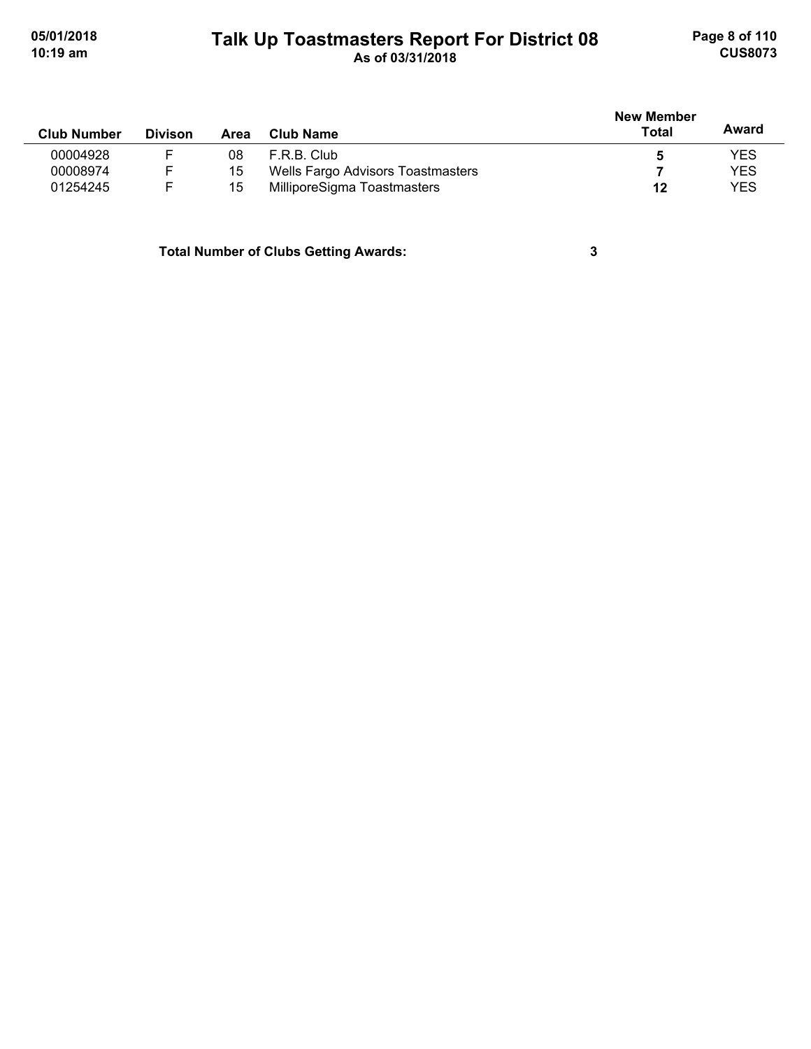# **Talk Up Toastmasters Report For District 08 05/01/2018 Page 8 of 110 10:19 am As of 03/31/2018 CUS8073**

|                    |                |      |                                   | <b>New Member</b> |            |
|--------------------|----------------|------|-----------------------------------|-------------------|------------|
| <b>Club Number</b> | <b>Divison</b> | Area | Club Name                         | Total             | Award      |
| 00004928           |                | 08   | F.R.B. Club                       |                   | <b>YES</b> |
| 00008974           |                | 15   | Wells Fargo Advisors Toastmasters |                   | <b>YES</b> |
| 01254245           |                | 15   | MilliporeSigma Toastmasters       | 12                | <b>YES</b> |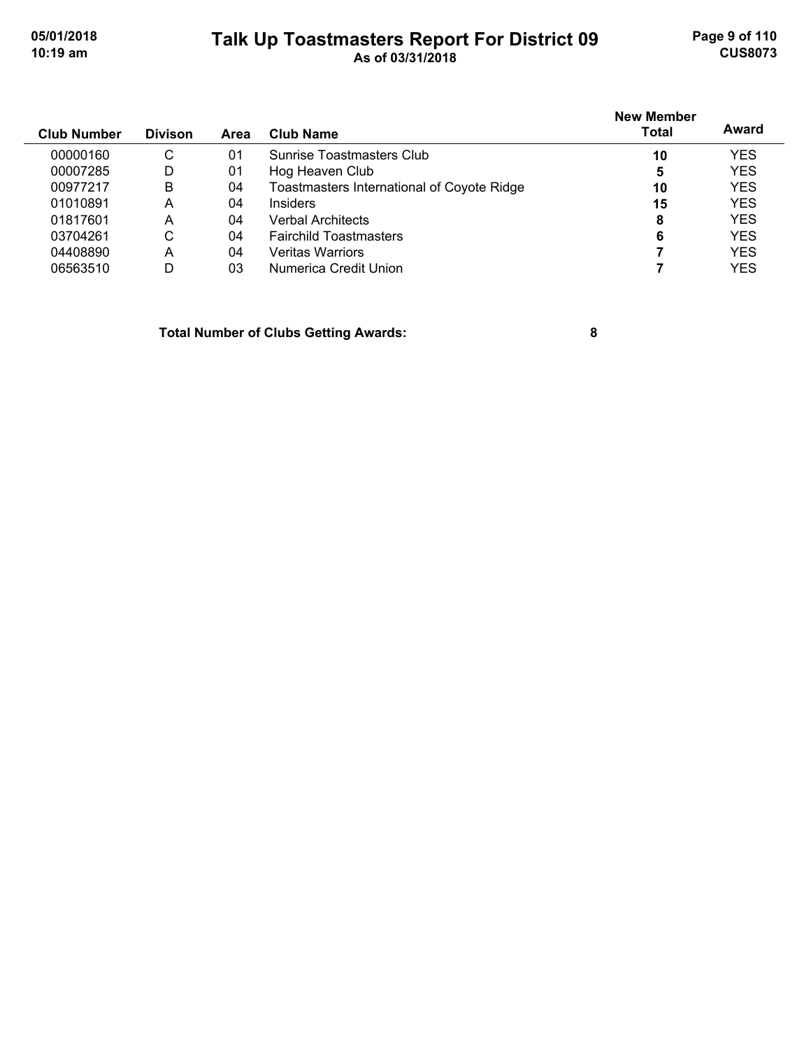#### **Talk Up Toastmasters Report For District 09 05/01/2018 Page 9 of 110 10:19 am As of 03/31/2018 CUS8073**

**Club Number Divison Club Name New Member Total Award Area** 00000160 C 01 Sunrise Toastmasters Club **10** YES 00007285 D 01 Hog Heaven Club<br>
00977217 B 04 Toastmasters International of Covote Ridge **10** 10 YES 00977217 B 04 Toastmasters International of Coyote Ridge **10** YES 01010891 A 04 Insiders **15** YES 01817601 A 04 Verbal Architects **8** YES 03704261 C 04 Fairchild Toastmasters **6** YES 04408890 A 04 Veritas Warriors **7** YES 06563510 D 03 Numerica Credit Union **7** YES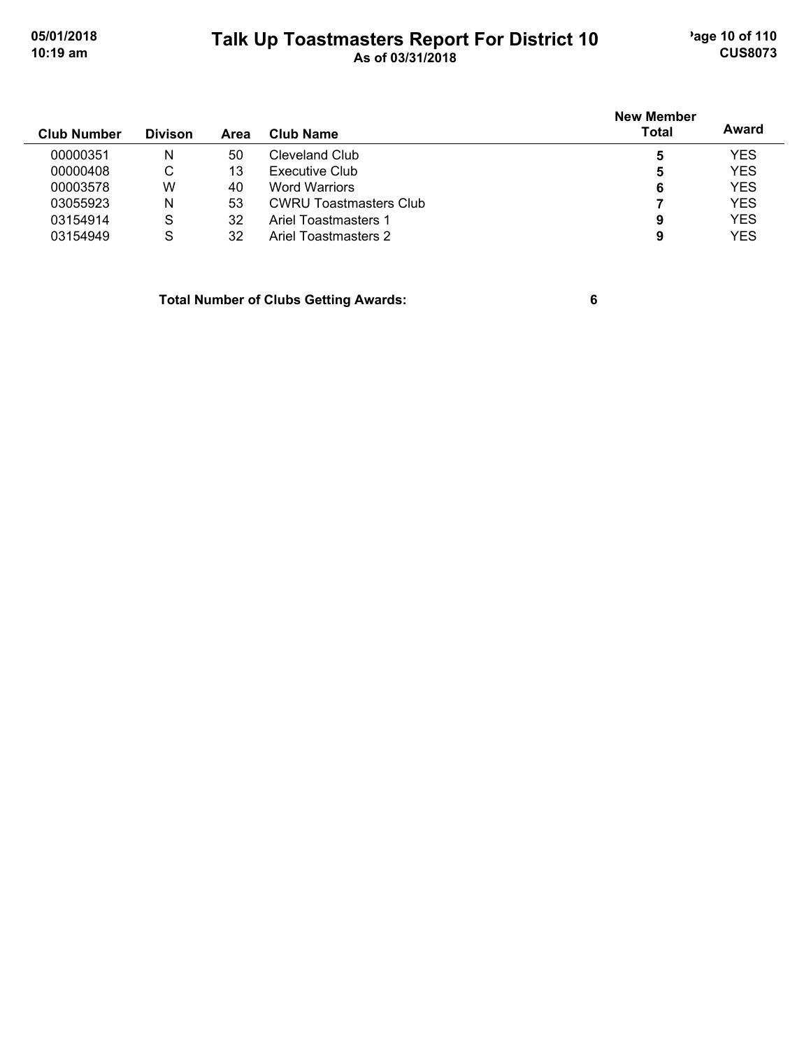# **Talk Up Toastmasters Report For District 10** age 10 of 110 **10:19 am As of 03/31/2018 CUS8073**

|                    |                |      |                               | <b>New Member</b> |            |  |
|--------------------|----------------|------|-------------------------------|-------------------|------------|--|
| <b>Club Number</b> | <b>Divison</b> | Area | Club Name                     | <b>Total</b>      | Award      |  |
| 00000351           | N              | 50   | Cleveland Club                | 5                 | <b>YES</b> |  |
| 00000408           | C              | 13   | Executive Club                | 5                 | <b>YES</b> |  |
| 00003578           | W              | 40   | <b>Word Warriors</b>          | 6                 | <b>YES</b> |  |
| 03055923           | N              | 53   | <b>CWRU Toastmasters Club</b> |                   | <b>YES</b> |  |
| 03154914           | S              | 32   | Ariel Toastmasters 1          | 9                 | <b>YES</b> |  |
| 03154949           | S              | 32   | Ariel Toastmasters 2          | 9                 | <b>YES</b> |  |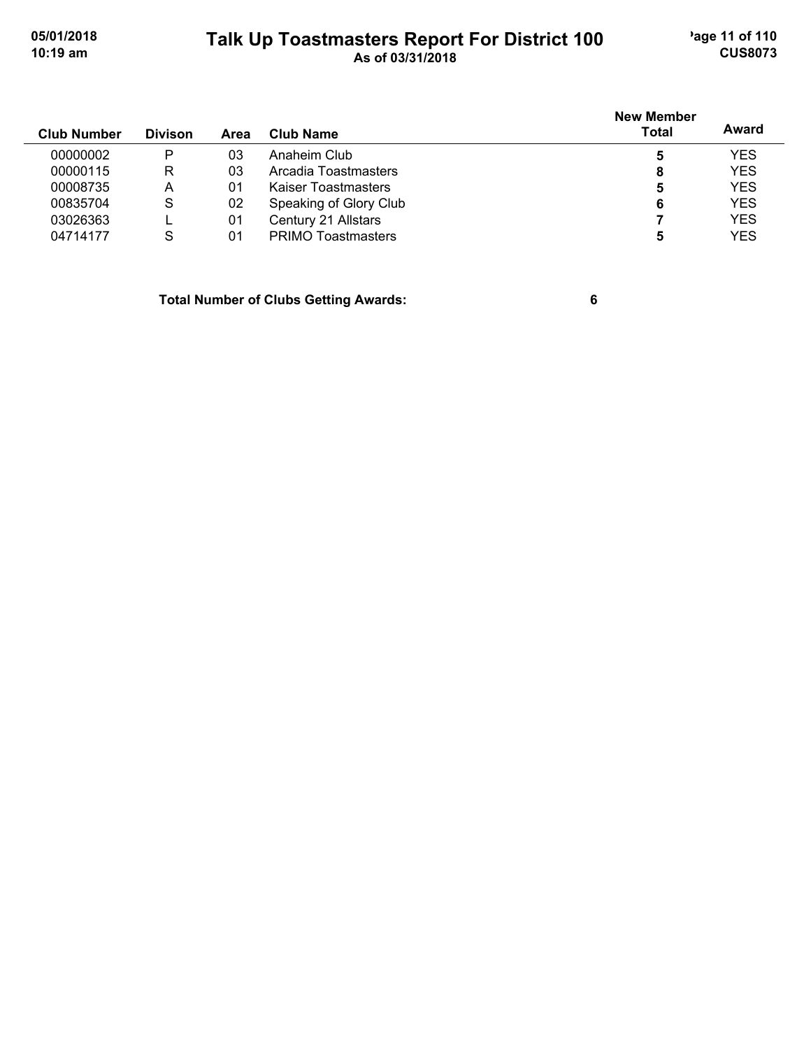# **Talk Up Toastmasters Report For District 100** age 11 of 110<br> **Contains the Contains Structure 100 10:19 am As of 03/31/2018 CUS8073**

| <b>Club Number</b> | <b>Divison</b> | Area | Club Name                 | <b>New Member</b><br><b>Total</b> | Award      |
|--------------------|----------------|------|---------------------------|-----------------------------------|------------|
| 00000002           | P              | 03   | Anaheim Club              | 5                                 | <b>YES</b> |
| 00000115           | R              | 03   | Arcadia Toastmasters      | 8                                 | <b>YES</b> |
| 00008735           | Α              | 01   | Kaiser Toastmasters       | 5                                 | <b>YES</b> |
| 00835704           | S              | 02   | Speaking of Glory Club    | 6                                 | <b>YES</b> |
| 03026363           |                | 01   | Century 21 Allstars       |                                   | <b>YES</b> |
| 04714177           | S              | 01   | <b>PRIMO Toastmasters</b> | 5                                 | <b>YES</b> |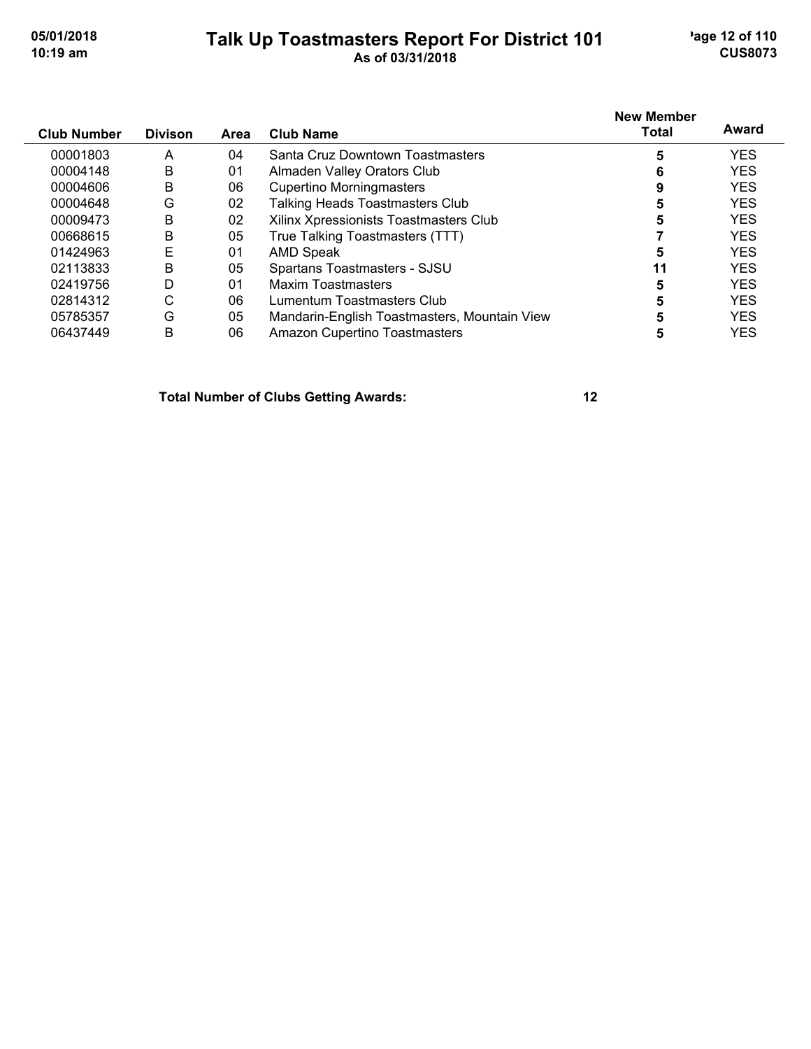#### **Talk Up Toastmasters Report For District 101** age 12 of 110 **10:19 am As of 03/31/2018 CUS8073**

| <b>Club Number</b> | <b>Divison</b> | <b>Area</b>    | Club Name                                    | <b>New Member</b><br><b>Total</b> | Award      |
|--------------------|----------------|----------------|----------------------------------------------|-----------------------------------|------------|
| 00001803           | A              | 04             | Santa Cruz Downtown Toastmasters             | 5                                 | <b>YES</b> |
| 00004148           | B              | 01             | Almaden Valley Orators Club                  | 6                                 | <b>YES</b> |
| 00004606           | B              | 06             | <b>Cupertino Morningmasters</b>              | 9                                 | <b>YES</b> |
| 00004648           | G              | 02             | <b>Talking Heads Toastmasters Club</b>       | 5                                 | <b>YES</b> |
| 00009473           | B              | 02             | Xilinx Xpressionists Toastmasters Club       | 5                                 | <b>YES</b> |
| 00668615           | B              | 05             | True Talking Toastmasters (TTT)              |                                   | <b>YES</b> |
| 01424963           | E              | 01             | AMD Speak                                    | 5                                 | <b>YES</b> |
| 02113833           | B              | 05             | Spartans Toastmasters - SJSU                 | 11                                | <b>YES</b> |
| 02419756           | D              | 0 <sub>1</sub> | <b>Maxim Toastmasters</b>                    | 5                                 | <b>YES</b> |
| 02814312           | С              | 06             | Lumentum Toastmasters Club                   | 5                                 | <b>YES</b> |
| 05785357           | G              | 05             | Mandarin-English Toastmasters, Mountain View |                                   | <b>YES</b> |
| 06437449           | B              | 06             | <b>Amazon Cupertino Toastmasters</b>         | 5                                 | <b>YES</b> |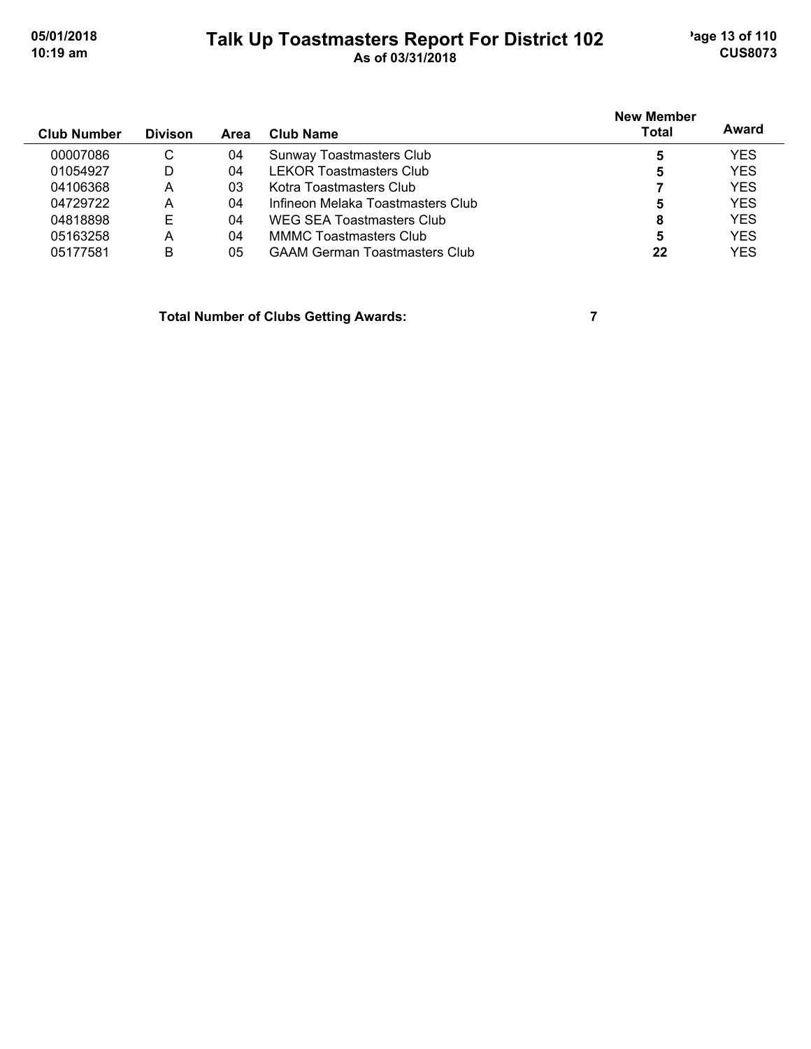# **Talk Up Toastmasters Report For District 102** age 13 of 110 **10:19 am As of 03/31/2018 CUS8073**

| <b>Club Number</b> | <b>Divison</b> | Area | Club Name                            | <b>New Member</b><br><b>Total</b> | Award      |
|--------------------|----------------|------|--------------------------------------|-----------------------------------|------------|
| 00007086           | C              | 04   | <b>Sunway Toastmasters Club</b>      | 5                                 | <b>YES</b> |
| 01054927           | D              | 04   | <b>LEKOR Toastmasters Club</b>       | 5                                 | <b>YES</b> |
| 04106368           | A              | 03   | Kotra Toastmasters Club              |                                   | <b>YES</b> |
| 04729722           | A              | 04   | Infineon Melaka Toastmasters Club    | 5                                 | <b>YES</b> |
| 04818898           | Е              | 04   | WEG SEA Toastmasters Club            | 8                                 | <b>YES</b> |
| 05163258           | A              | 04   | <b>MMMC Toastmasters Club</b>        | 5                                 | <b>YES</b> |
| 05177581           | B              | 05   | <b>GAAM German Toastmasters Club</b> | 22                                | <b>YES</b> |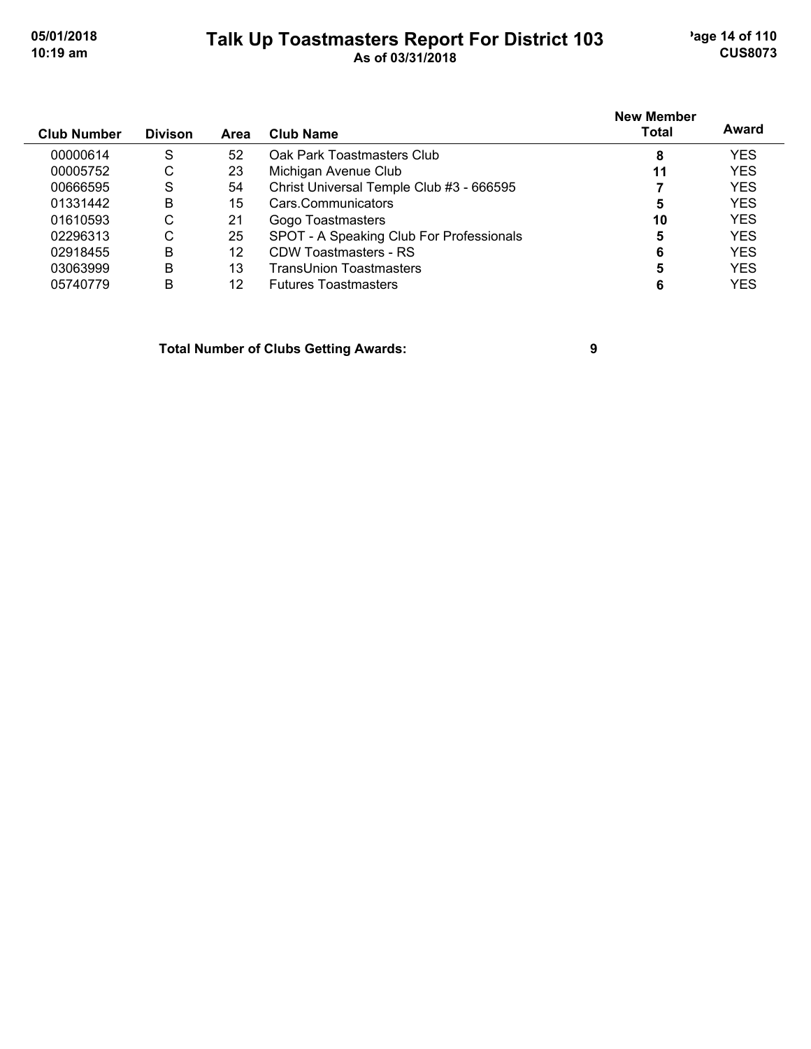# **Talk Up Toastmasters Report For District 103** age 14 of 110

| UJIU IIZU I U | Taik Up Toastmasters Report For District 103 | $70001 + 01110$ |
|---------------|----------------------------------------------|-----------------|
| 10:19 am      | As of 03/31/2018                             | <b>CUS8073</b>  |
|               |                                              |                 |

| <b>Club Number</b> | <b>Divison</b> | Area | <b>Club Name</b>                         | <b>New Member</b><br><b>Total</b> | Award      |
|--------------------|----------------|------|------------------------------------------|-----------------------------------|------------|
| 00000614           | S              | 52   | Oak Park Toastmasters Club               | 8                                 | <b>YES</b> |
| 00005752           | С              | 23   | Michigan Avenue Club                     | 11                                | <b>YES</b> |
| 00666595           | S              | 54   | Christ Universal Temple Club #3 - 666595 |                                   | <b>YES</b> |
| 01331442           | B              | 15   | Cars.Communicators                       | 5                                 | <b>YES</b> |
| 01610593           | С              | 21   | Gogo Toastmasters                        | 10                                | <b>YES</b> |
| 02296313           | С              | 25   | SPOT - A Speaking Club For Professionals | 5                                 | <b>YES</b> |
| 02918455           | B              | 12   | <b>CDW Toastmasters - RS</b>             | 6                                 | <b>YES</b> |
| 03063999           | B              | 13   | TransUnion Toastmasters                  | 5                                 | <b>YES</b> |
| 05740779           | B              | 12   | <b>Futures Toastmasters</b>              |                                   | YES        |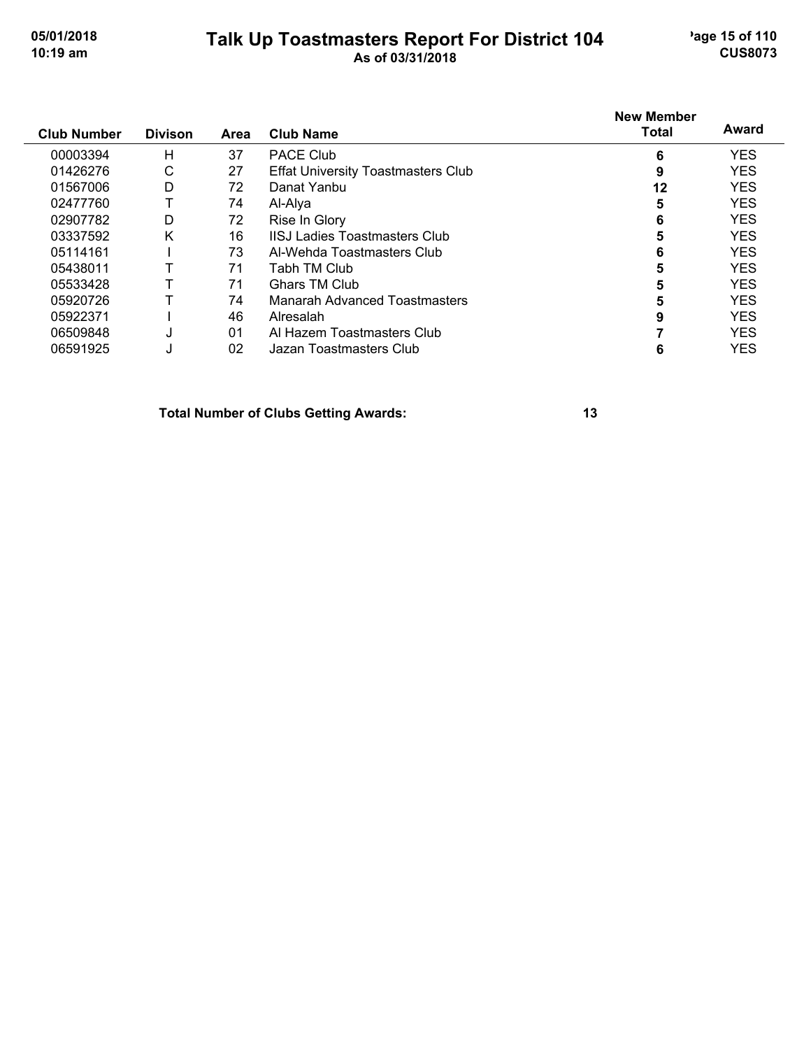### **Talk Up Toastmasters Report For District 104** age 15 of 110 **10:19 am As of 03/31/2018 CUS8073**

# **New Member Total Award**

| <b>Club Number</b> | <b>Divison</b> | Area | <b>Club Name</b>                          | Total | Award      |
|--------------------|----------------|------|-------------------------------------------|-------|------------|
| 00003394           | н              | 37   | PACE Club                                 | 6     | <b>YES</b> |
| 01426276           | С              | 27   | <b>Effat University Toastmasters Club</b> | 9     | <b>YES</b> |
| 01567006           | D              | 72   | Danat Yanbu                               | 12    | <b>YES</b> |
| 02477760           |                | 74   | Al-Alya                                   | 5     | <b>YES</b> |
| 02907782           | D              | 72   | Rise In Glory                             | 6     | <b>YES</b> |
| 03337592           | Κ              | 16   | <b>IISJ Ladies Toastmasters Club</b>      | 5     | <b>YES</b> |
| 05114161           |                | 73   | Al-Wehda Toastmasters Club                | 6     | <b>YES</b> |
| 05438011           |                | 71   | Tabh TM Club                              | 5     | <b>YES</b> |
| 05533428           |                | 71   | Ghars TM Club                             | 5     | <b>YES</b> |
| 05920726           |                | 74   | Manarah Advanced Toastmasters             | 5     | <b>YES</b> |
| 05922371           |                | 46   | Alresalah                                 | 9     | <b>YES</b> |
| 06509848           | J              | 01   | Al Hazem Toastmasters Club                |       | <b>YES</b> |
| 06591925           | J              | 02   | Jazan Toastmasters Club                   | 6     | <b>YES</b> |
|                    |                |      |                                           |       |            |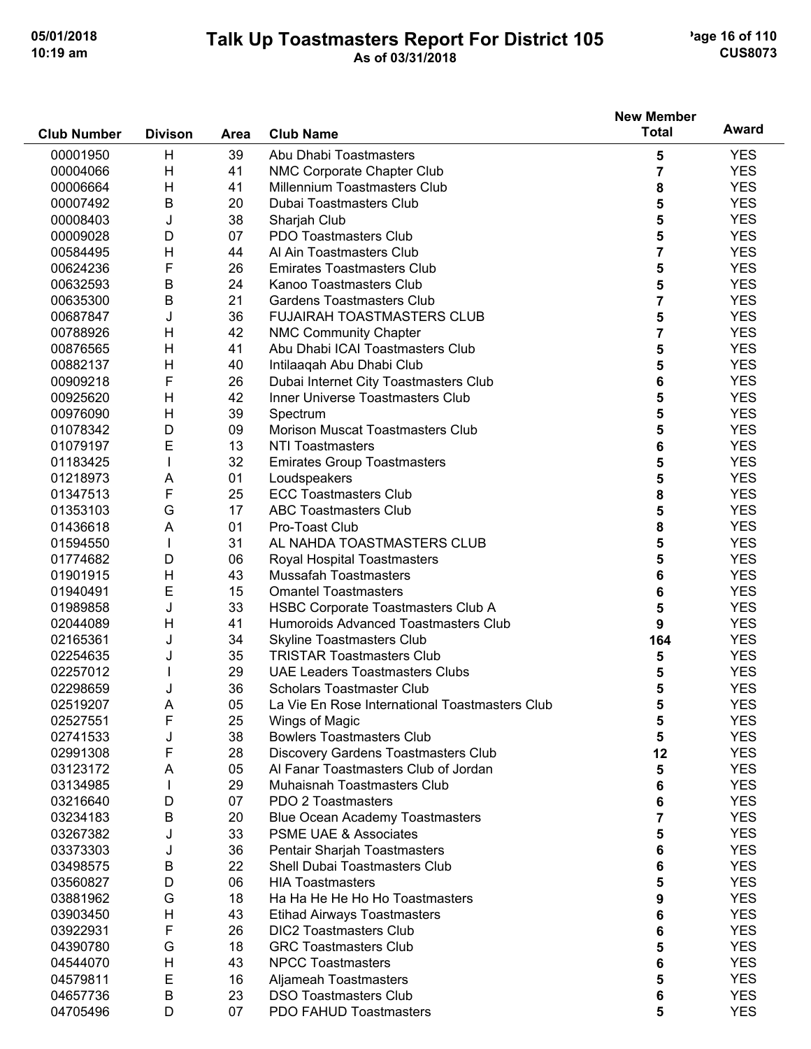#### **Talk Up Toastmasters Report For District 105** age 16 of 110 **10:19 am As of 03/31/2018 CUS8073**

|                    |                |      |                                                | <b>New Member</b>       | Award      |
|--------------------|----------------|------|------------------------------------------------|-------------------------|------------|
| <b>Club Number</b> | <b>Divison</b> | Area | <b>Club Name</b>                               | <b>Total</b>            |            |
| 00001950           | H              | 39   | Abu Dhabi Toastmasters                         | 5                       | <b>YES</b> |
| 00004066           | H              | 41   | NMC Corporate Chapter Club                     | $\overline{\mathbf{7}}$ | <b>YES</b> |
| 00006664           | H              | 41   | Millennium Toastmasters Club                   | 8                       | <b>YES</b> |
| 00007492           | B              | 20   | Dubai Toastmasters Club                        | 5                       | <b>YES</b> |
| 00008403           | J              | 38   | Sharjah Club                                   | 5                       | <b>YES</b> |
| 00009028           | D              | 07   | PDO Toastmasters Club                          | 5                       | <b>YES</b> |
| 00584495           | H              | 44   | Al Ain Toastmasters Club                       | 7                       | <b>YES</b> |
| 00624236           | F              | 26   | <b>Emirates Toastmasters Club</b>              | 5                       | <b>YES</b> |
| 00632593           | Β              | 24   | Kanoo Toastmasters Club                        | 5                       | <b>YES</b> |
| 00635300           | Β              | 21   | <b>Gardens Toastmasters Club</b>               | 7                       | <b>YES</b> |
| 00687847           | J              | 36   | <b>FUJAIRAH TOASTMASTERS CLUB</b>              | 5                       | <b>YES</b> |
| 00788926           | H              | 42   | <b>NMC Community Chapter</b>                   | 7                       | <b>YES</b> |
| 00876565           | H              | 41   | Abu Dhabi ICAI Toastmasters Club               | 5                       | <b>YES</b> |
| 00882137           | H              | 40   | Intilaaqah Abu Dhabi Club                      | 5                       | <b>YES</b> |
| 00909218           | F              | 26   | Dubai Internet City Toastmasters Club          | 6                       | <b>YES</b> |
| 00925620           | H              | 42   | Inner Universe Toastmasters Club               | 5                       | <b>YES</b> |
| 00976090           | H              | 39   | Spectrum                                       | 5                       | <b>YES</b> |
| 01078342           | D              | 09   | <b>Morison Muscat Toastmasters Club</b>        | 5                       | <b>YES</b> |
| 01079197           | E              | 13   | <b>NTI Toastmasters</b>                        | 6                       | <b>YES</b> |
| 01183425           |                | 32   | <b>Emirates Group Toastmasters</b>             | 5                       | <b>YES</b> |
| 01218973           | Α              | 01   | Loudspeakers                                   | 5                       | <b>YES</b> |
| 01347513           | F              | 25   | <b>ECC Toastmasters Club</b>                   | 8                       | <b>YES</b> |
| 01353103           | G              | 17   | <b>ABC Toastmasters Club</b>                   | 5                       | <b>YES</b> |
| 01436618           | A              | 01   | Pro-Toast Club                                 | 8                       | <b>YES</b> |
| 01594550           |                | 31   | AL NAHDA TOASTMASTERS CLUB                     | 5                       | <b>YES</b> |
| 01774682           | D              | 06   | Royal Hospital Toastmasters                    | 5                       | <b>YES</b> |
| 01901915           | H              | 43   | <b>Mussafah Toastmasters</b>                   | 6                       | <b>YES</b> |
| 01940491           | E              | 15   | <b>Omantel Toastmasters</b>                    | 6                       | <b>YES</b> |
| 01989858           | J              | 33   | HSBC Corporate Toastmasters Club A             | 5                       | <b>YES</b> |
| 02044089           | H              | 41   | Humoroids Advanced Toastmasters Club           | 9                       | <b>YES</b> |
| 02165361           | J              | 34   | <b>Skyline Toastmasters Club</b>               | 164                     | <b>YES</b> |
| 02254635           | J              | 35   | <b>TRISTAR Toastmasters Club</b>               | 5                       | <b>YES</b> |
| 02257012           |                | 29   | <b>UAE Leaders Toastmasters Clubs</b>          | 5                       | <b>YES</b> |
| 02298659           | J              | 36   | <b>Scholars Toastmaster Club</b>               | 5                       | <b>YES</b> |
| 02519207           | A              | 05   | La Vie En Rose International Toastmasters Club | 5                       | YES        |
| 02527551           | F              | 25   | Wings of Magic                                 | 5                       | <b>YES</b> |
| 02741533           | J              | 38   | <b>Bowlers Toastmasters Club</b>               | 5                       | <b>YES</b> |
| 02991308           | F              | 28   | Discovery Gardens Toastmasters Club            | 12                      | <b>YES</b> |
| 03123172           | Α              | 05   | Al Fanar Toastmasters Club of Jordan           | 5                       | <b>YES</b> |
| 03134985           |                | 29   | Muhaisnah Toastmasters Club                    | 6                       | <b>YES</b> |
| 03216640           | D              | 07   | PDO 2 Toastmasters                             | 6                       | <b>YES</b> |
| 03234183           | Β              | 20   | <b>Blue Ocean Academy Toastmasters</b>         | 7                       | <b>YES</b> |
| 03267382           | J              | 33   | <b>PSME UAE &amp; Associates</b>               | 5                       | <b>YES</b> |
| 03373303           | J              | 36   | Pentair Sharjah Toastmasters                   | 6                       | <b>YES</b> |
| 03498575           | Β              | 22   | Shell Dubai Toastmasters Club                  | 6                       | <b>YES</b> |
| 03560827           | D              | 06   | <b>HIA Toastmasters</b>                        | 5                       | <b>YES</b> |
| 03881962           | G              | 18   | Ha Ha He He Ho Ho Toastmasters                 | 9                       | <b>YES</b> |
| 03903450           | Η              | 43   | <b>Etihad Airways Toastmasters</b>             | 6                       | <b>YES</b> |
| 03922931           | F              | 26   | <b>DIC2 Toastmasters Club</b>                  | 6                       | <b>YES</b> |
| 04390780           | G              | 18   | <b>GRC Toastmasters Club</b>                   | 5                       | <b>YES</b> |
| 04544070           | H              | 43   | <b>NPCC Toastmasters</b>                       | 6                       | <b>YES</b> |
| 04579811           | Е              | 16   | Aljameah Toastmasters                          | 5                       | <b>YES</b> |
| 04657736           | $\sf B$        | 23   | <b>DSO Toastmasters Club</b>                   | 6                       | <b>YES</b> |
| 04705496           | D              | 07   | PDO FAHUD Toastmasters                         | 5                       | <b>YES</b> |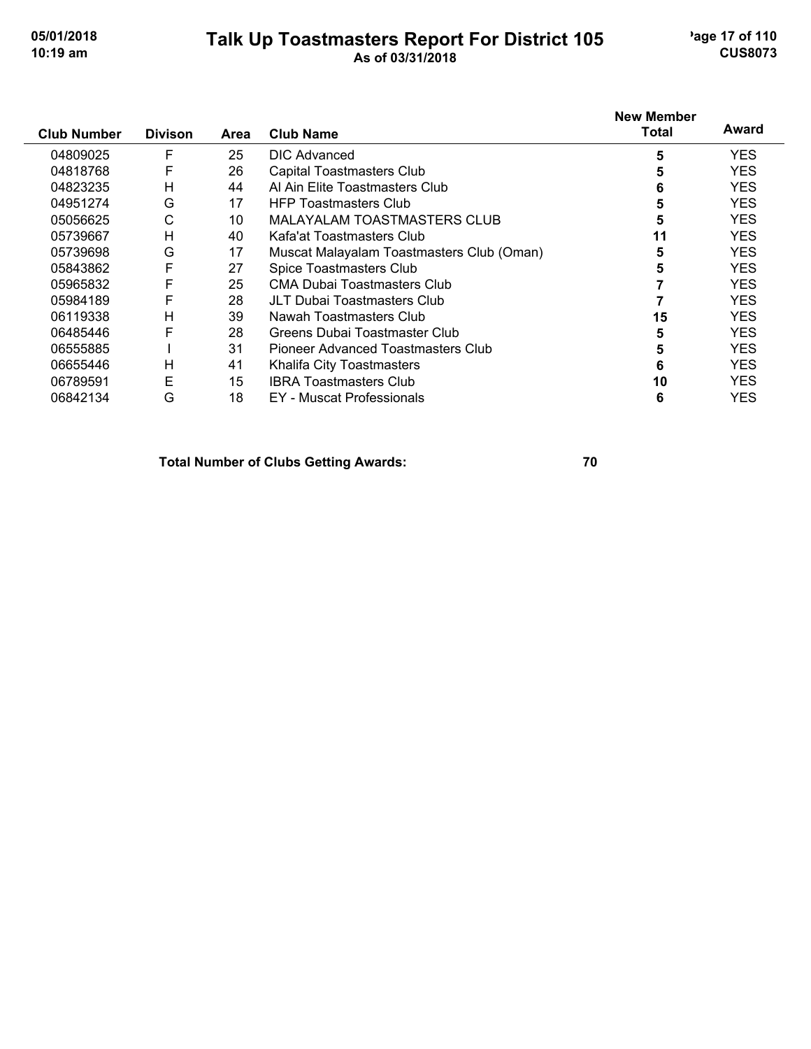### **Talk Up Toastmasters Report For District 105** age 17 of 110 **10:19 am As of 03/31/2018 CUS8073**

| <b>Club Number</b> | <b>Divison</b> | Area | <b>Club Name</b>                          | <b>New Member</b><br>Total | Award      |
|--------------------|----------------|------|-------------------------------------------|----------------------------|------------|
| 04809025           | F              | 25   | DIC Advanced                              | 5                          | <b>YES</b> |
| 04818768           | F              | 26   | Capital Toastmasters Club                 | 5                          | YES.       |
| 04823235           | Н              | 44   | Al Ain Elite Toastmasters Club            | 6                          | <b>YES</b> |
| 04951274           | G              | 17   | <b>HFP Toastmasters Club</b>              | 5                          | <b>YES</b> |
| 05056625           | С              | 10   | <b>MALAYALAM TOASTMASTERS CLUB</b>        | 5                          | <b>YES</b> |
| 05739667           | Н              | 40   | Kafa'at Toastmasters Club                 | 11                         | <b>YES</b> |
| 05739698           | G              | 17   | Muscat Malayalam Toastmasters Club (Oman) | 5                          | <b>YES</b> |
| 05843862           | F              | 27   | Spice Toastmasters Club                   | 5                          | <b>YES</b> |
| 05965832           | F              | 25   | CMA Dubai Toastmasters Club               |                            | <b>YES</b> |
| 05984189           | F              | 28   | JLT Dubai Toastmasters Club               |                            | <b>YES</b> |
| 06119338           | Н              | 39   | Nawah Toastmasters Club                   | 15                         | <b>YES</b> |
| 06485446           | F              | 28   | Greens Dubai Toastmaster Club             | 5                          | <b>YES</b> |
| 06555885           |                | 31   | Pioneer Advanced Toastmasters Club        | 5                          | <b>YES</b> |
| 06655446           | Н              | 41   | Khalifa City Toastmasters                 | 6                          | <b>YES</b> |
| 06789591           | E              | 15   | <b>IBRA Toastmasters Club</b>             | 10                         | <b>YES</b> |
| 06842134           | G              | 18   | <b>EY</b> - Muscat Professionals          | 6                          | YES        |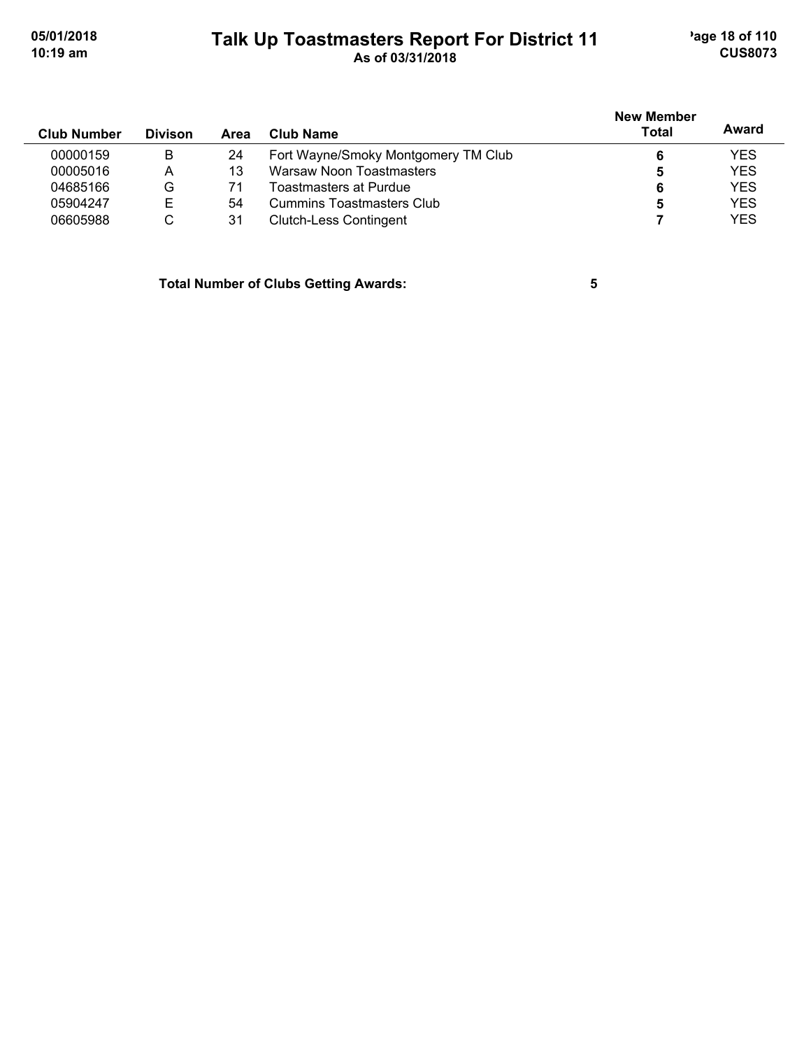# **Talk Up Toastmasters Report For District 11** age 18 of 110 **10:19 am As of 03/31/2018 CUS8073**

| <b>Club Number</b> | <b>Divison</b> | Area | Club Name                           | <b>New Member</b><br>Total | Award      |
|--------------------|----------------|------|-------------------------------------|----------------------------|------------|
| 00000159           | В              | 24   | Fort Wayne/Smoky Montgomery TM Club |                            | <b>YES</b> |
| 00005016           | А              | 13   | Warsaw Noon Toastmasters            | 5                          | <b>YES</b> |
| 04685166           | G              |      | Toastmasters at Purdue              | 6                          | <b>YES</b> |
| 05904247           | F              | 54   | Cummins Toastmasters Club           | 5                          | <b>YES</b> |
| 06605988           | С              | 31   | <b>Clutch-Less Contingent</b>       |                            | <b>YES</b> |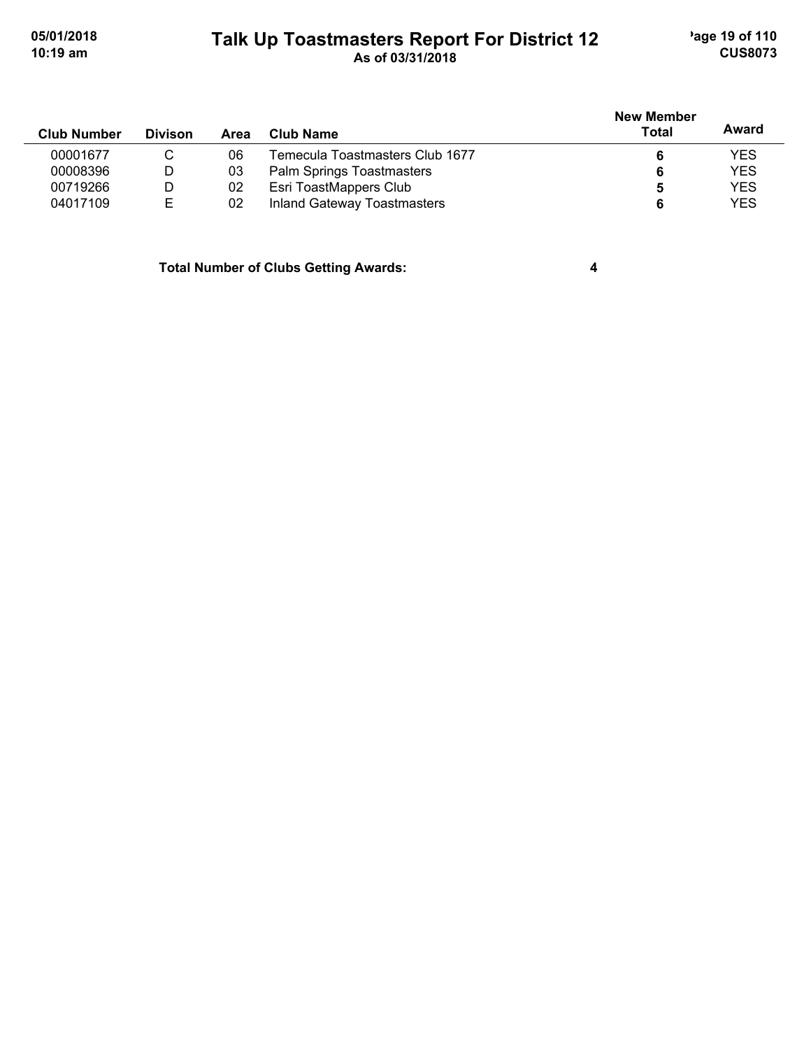# **Talk Up Toastmasters Report For District 12** age 19 of 110 **10:19 am As of 03/31/2018 CUS8073**

| <b>Club Number</b> | <b>Divison</b> | Area | Club Name                          | <b>New Member</b><br>Total | Award      |
|--------------------|----------------|------|------------------------------------|----------------------------|------------|
| 00001677           | С              | 06   | Temecula Toastmasters Club 1677    | 6                          | <b>YES</b> |
| 00008396           | D              | 03   | Palm Springs Toastmasters          | 6                          | <b>YES</b> |
| 00719266           | D              | 02   | Esri ToastMappers Club             | 5                          | <b>YES</b> |
| 04017109           | Е              | 02   | <b>Inland Gateway Toastmasters</b> | 6                          | <b>YES</b> |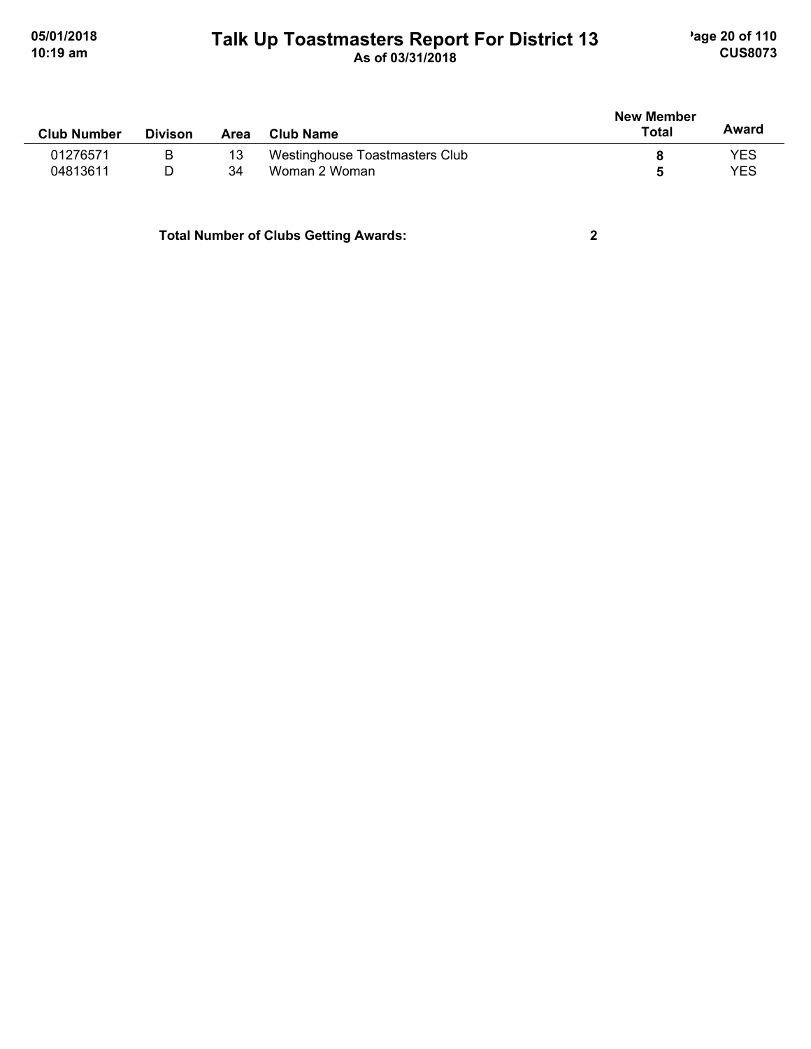#### **Talk Up Toastmasters Report For District 13** age 20 of 110 **10:19 am As of 03/31/2018 CUS8073**

| <b>Club Number</b> | <b>Divison</b> | Area | <b>Club Name</b>               | <b>New Member</b><br>Total | Award |
|--------------------|----------------|------|--------------------------------|----------------------------|-------|
| 01276571           | B              |      | Westinghouse Toastmasters Club |                            | YES   |
| 04813611           | D              | 34   | Woman 2 Woman                  |                            | YES   |
|                    |                |      |                                |                            |       |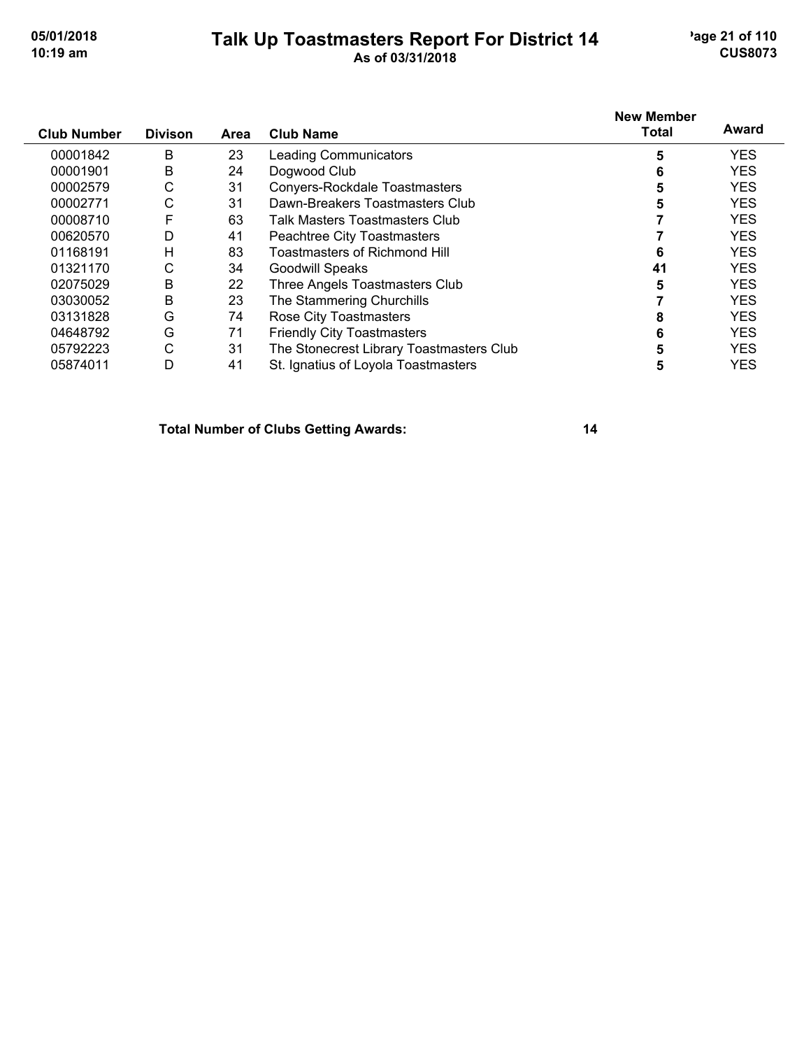#### **Talk Up Toastmasters Report For District 14** age 21 of 110 **10:19 am As of 03/31/2018 CUS8073**

| <b>Club Number</b> | <b>Divison</b> | Area | <b>Club Name</b>                         | <b>New Member</b><br><b>Total</b> | Award      |
|--------------------|----------------|------|------------------------------------------|-----------------------------------|------------|
| 00001842           | B              | 23   | <b>Leading Communicators</b>             | 5                                 | <b>YES</b> |
| 00001901           | B              | 24   | Dogwood Club                             | 6                                 | <b>YES</b> |
| 00002579           | С              | 31   | Convers-Rockdale Toastmasters            | 5                                 | <b>YES</b> |
| 00002771           | С              | 31   | Dawn-Breakers Toastmasters Club          | 5                                 | <b>YES</b> |
| 00008710           | F              | 63   | Talk Masters Toastmasters Club           |                                   | <b>YES</b> |
| 00620570           | D              | 41   | Peachtree City Toastmasters              |                                   | <b>YES</b> |
| 01168191           | Н              | 83   | <b>Toastmasters of Richmond Hill</b>     | 6                                 | <b>YES</b> |
| 01321170           | С              | 34   | <b>Goodwill Speaks</b>                   | 41                                | <b>YES</b> |
| 02075029           | B              | 22   | Three Angels Toastmasters Club           | 5                                 | <b>YES</b> |
| 03030052           | B              | 23   | The Stammering Churchills                |                                   | <b>YES</b> |
| 03131828           | G              | 74   | Rose City Toastmasters                   | 8                                 | <b>YES</b> |
| 04648792           | G              | 71   | <b>Friendly City Toastmasters</b>        | 6                                 | <b>YES</b> |
| 05792223           | С              | 31   | The Stonecrest Library Toastmasters Club | 5                                 | <b>YES</b> |
| 05874011           | D              | 41   | St. Ignatius of Loyola Toastmasters      | 5                                 | <b>YES</b> |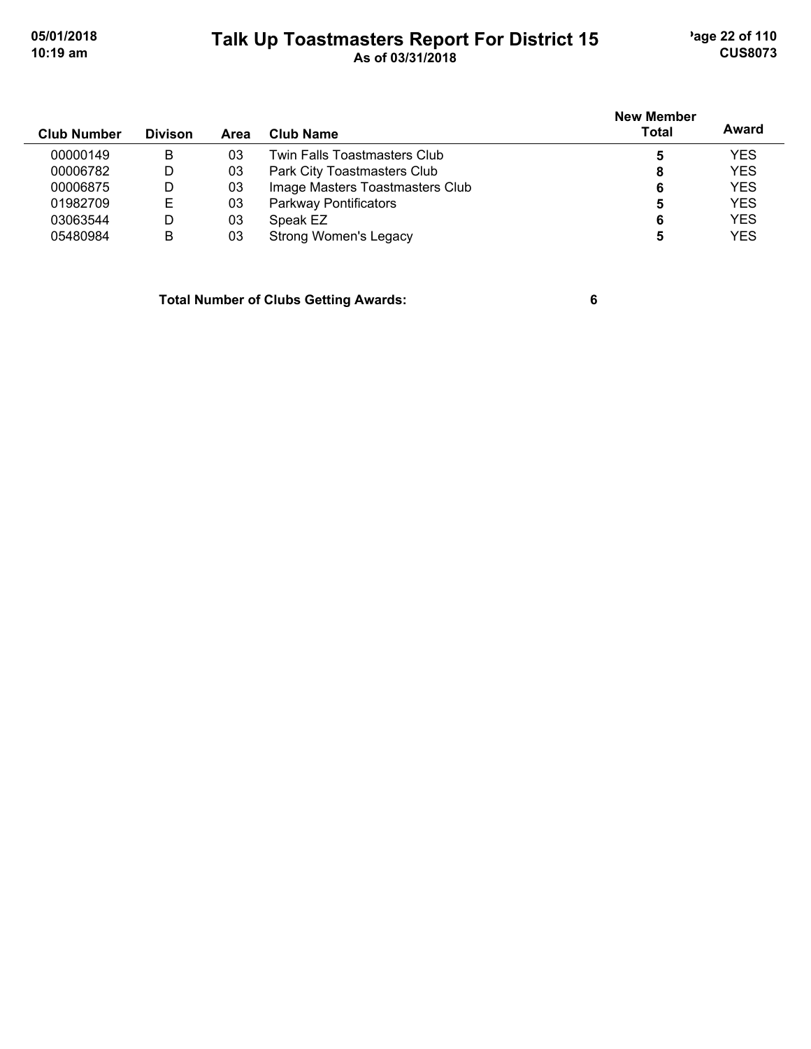# **Talk Up Toastmasters Report For District 15** age 22 of 110 **10:19 am As of 03/31/2018 CUS8073**

| <b>Club Number</b> | <b>Divison</b> | Area | Club Name                       | <b>New Member</b><br><b>Total</b> | Award      |
|--------------------|----------------|------|---------------------------------|-----------------------------------|------------|
| 00000149           | B              | 03   | Twin Falls Toastmasters Club    | 5                                 | <b>YES</b> |
| 00006782           | D              | 03   | Park City Toastmasters Club     | 8                                 | <b>YES</b> |
| 00006875           | D              | 03   | Image Masters Toastmasters Club | 6                                 | <b>YES</b> |
| 01982709           | E              | 03   | Parkway Pontificators           | 5                                 | <b>YES</b> |
| 03063544           | D              | 03   | Speak EZ                        | 6                                 | <b>YES</b> |
| 05480984           | B              | 03   | Strong Women's Legacy           |                                   | <b>YES</b> |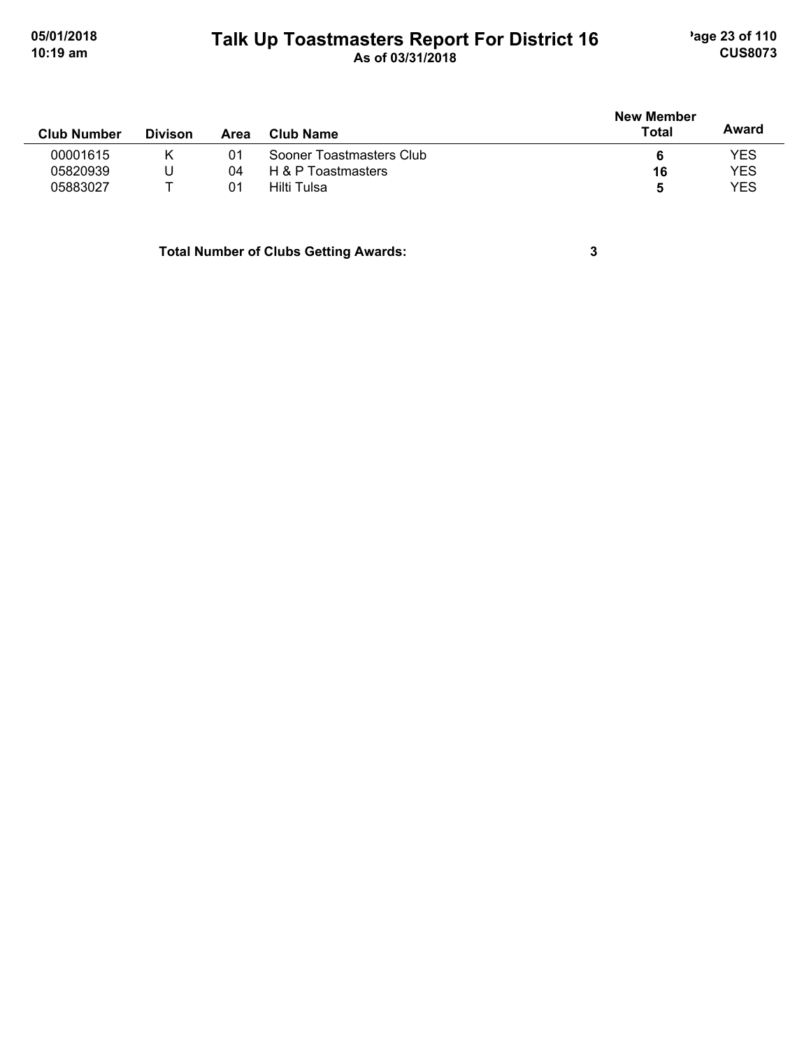# **Talk Up Toastmasters Report For District 16** age 23 of 110 **10:19 am As of 03/31/2018 CUS8073**

|                    |                |      |                          | <b>New Member</b> |            |
|--------------------|----------------|------|--------------------------|-------------------|------------|
| <b>Club Number</b> | <b>Divison</b> | Area | Club Name                | <b>Total</b>      | Award      |
| 00001615           |                | 01   | Sooner Toastmasters Club |                   | <b>YES</b> |
| 05820939           | U              | 04   | H & P Toastmasters       | 16                | <b>YES</b> |
| 05883027           |                | 01   | Hilti Tulsa              | 5                 | <b>YES</b> |
|                    |                |      |                          |                   |            |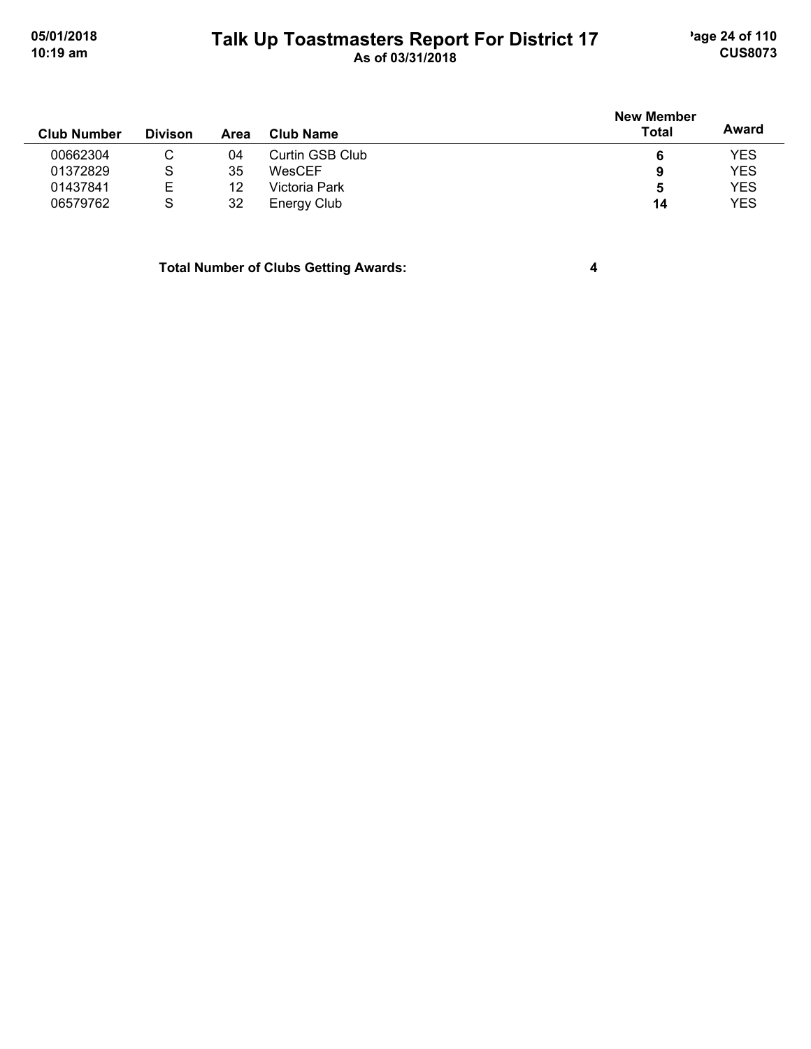# **Talk Up Toastmasters Report For District 17** age 24 of 110 **10:19 am As of 03/31/2018 CUS8073**

|                    |                |      |                  | <b>New Member</b> |            |
|--------------------|----------------|------|------------------|-------------------|------------|
| <b>Club Number</b> | <b>Divison</b> | Area | <b>Club Name</b> | <b>Total</b>      | Award      |
| 00662304           | С              | 04   | Curtin GSB Club  | 6                 | <b>YES</b> |
| 01372829           | S              | 35   | WesCEF           | 9                 | <b>YES</b> |
| 01437841           | Е              | 12   | Victoria Park    | 5                 | <b>YES</b> |
| 06579762           | S              | 32   | Energy Club      | 14                | <b>YES</b> |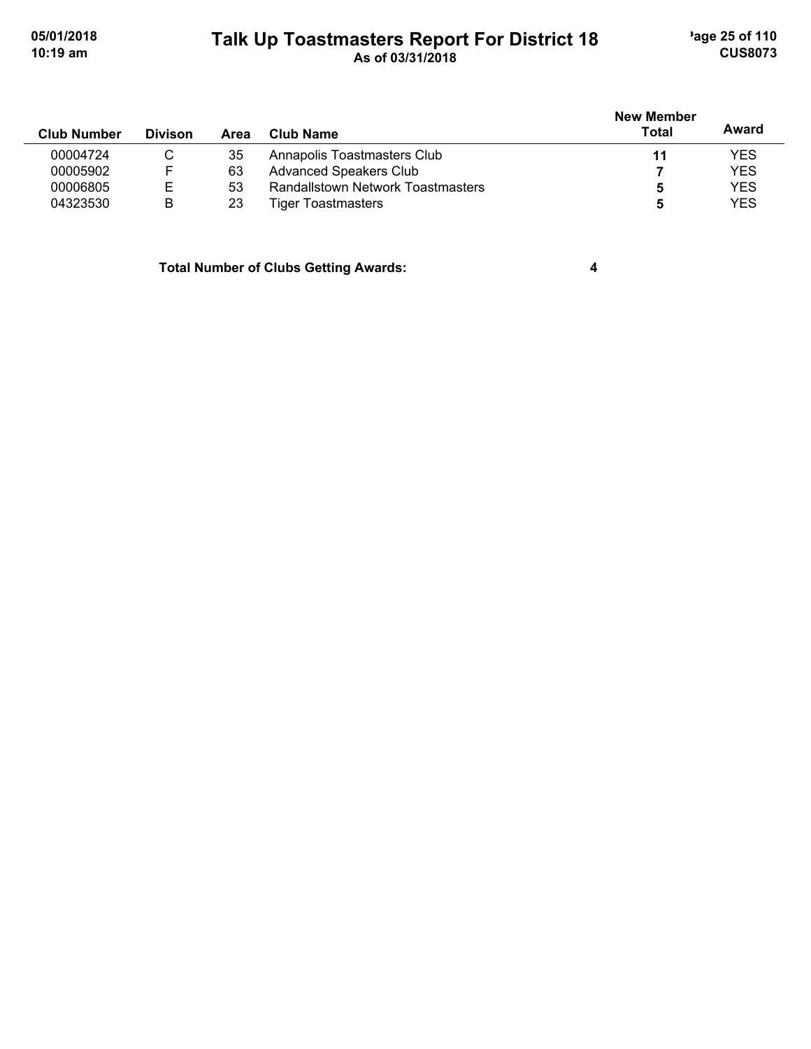# **Talk Up Toastmasters Report For District 18** age 25 of 110 **10:19 am As of 03/31/2018 CUS8073**

| <b>Club Number</b> | <b>Divison</b> | Area | Club Name                                | <b>New Member</b><br><b>Total</b> | Award      |
|--------------------|----------------|------|------------------------------------------|-----------------------------------|------------|
| 00004724           | C              | 35   | Annapolis Toastmasters Club              | 11                                | <b>YES</b> |
| 00005902           |                | 63   | <b>Advanced Speakers Club</b>            |                                   | <b>YES</b> |
| 00006805           | Е              | 53   | <b>Randallstown Network Toastmasters</b> | 5                                 | <b>YES</b> |
| 04323530           | B              | 23   | <b>Tiger Toastmasters</b>                | b                                 | <b>YES</b> |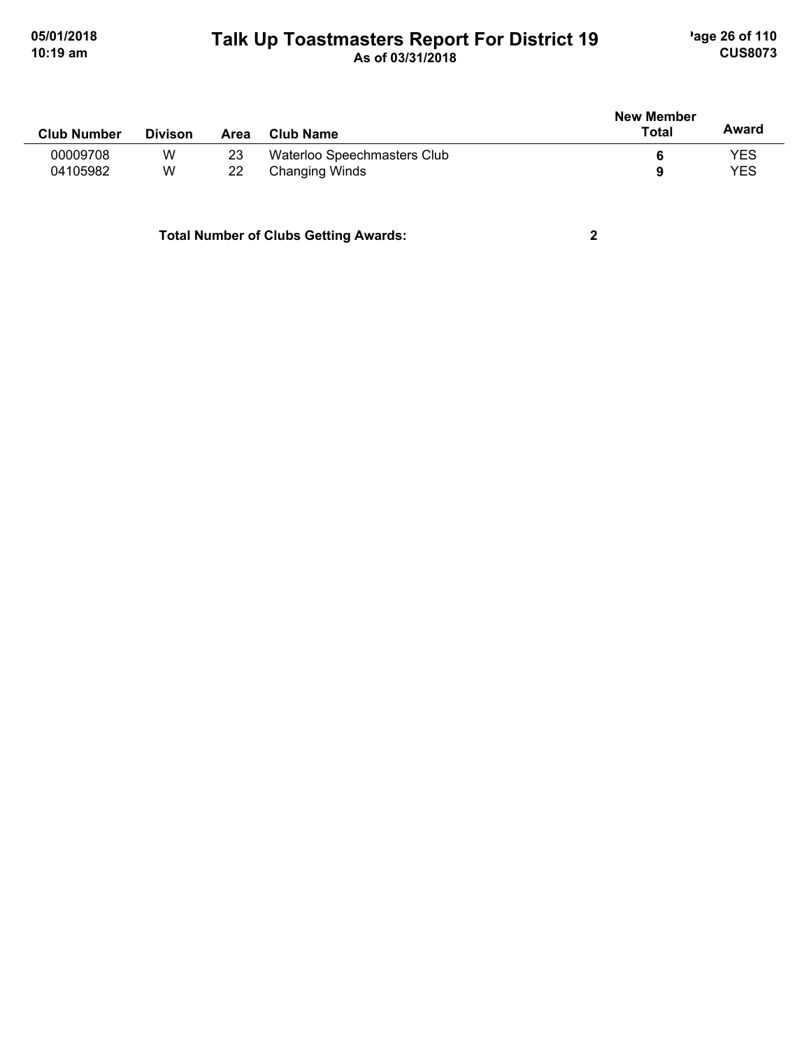### **Talk Up Toastmasters Report For District 19** age 26 of 110 **10:19 am As of 03/31/2018 CUS8073**

| <b>Club Number</b> | <b>Divison</b> | Area | <b>Club Name</b>            | <b>New Member</b><br>Total | Award      |
|--------------------|----------------|------|-----------------------------|----------------------------|------------|
| 00009708           | W              | 23   | Waterloo Speechmasters Club |                            | <b>YES</b> |
| 04105982           | W              | 22   | Changing Winds              | a                          | <b>YES</b> |
|                    |                |      |                             |                            |            |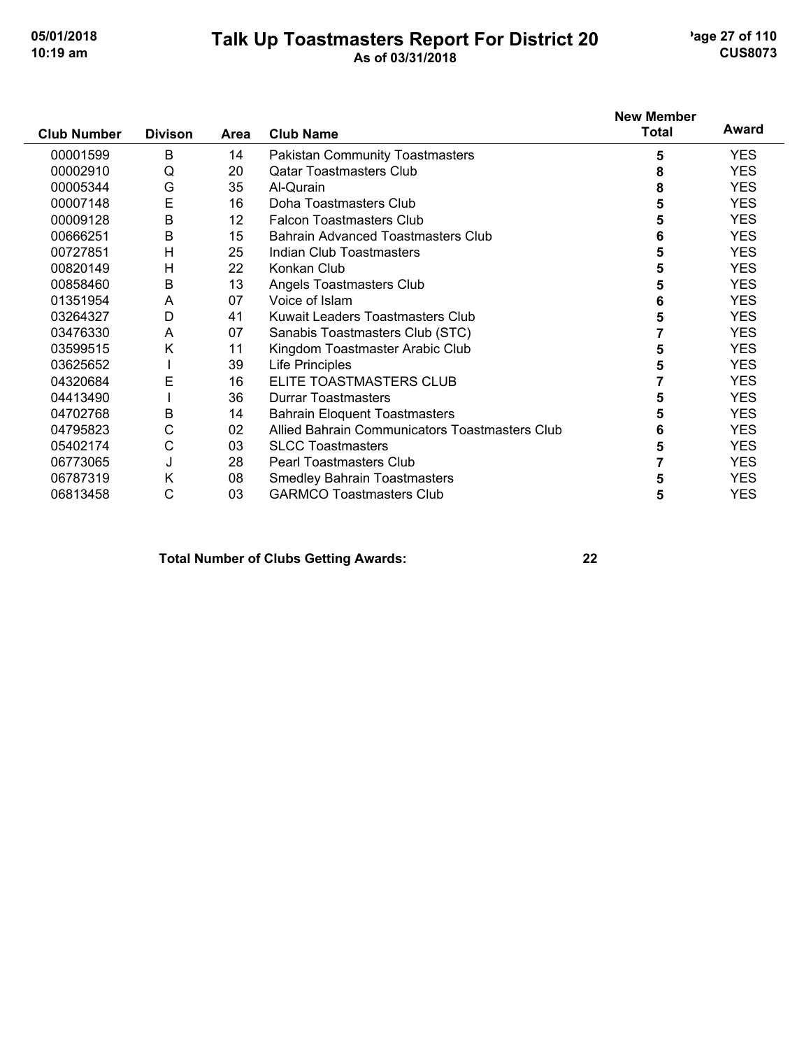#### **Talk Up Toastmasters Report For District 20** age 27 of 110 **10:19 am As of 03/31/2018 CUS8073**

|                    |                |      |                                                | <b>New Member</b> |            |
|--------------------|----------------|------|------------------------------------------------|-------------------|------------|
| <b>Club Number</b> | <b>Divison</b> | Area | <b>Club Name</b>                               | <b>Total</b>      | Award      |
| 00001599           | B              | 14   | <b>Pakistan Community Toastmasters</b>         | 5                 | <b>YES</b> |
| 00002910           | Q              | 20   | <b>Qatar Toastmasters Club</b>                 | 8                 | <b>YES</b> |
| 00005344           | G              | 35   | Al-Qurain                                      | 8                 | <b>YES</b> |
| 00007148           | E              | 16   | Doha Toastmasters Club                         | 5                 | <b>YES</b> |
| 00009128           | B              | 12   | <b>Falcon Toastmasters Club</b>                | 5                 | <b>YES</b> |
| 00666251           | B              | 15   | <b>Bahrain Advanced Toastmasters Club</b>      | 6                 | <b>YES</b> |
| 00727851           | H              | 25   | Indian Club Toastmasters                       | 5                 | <b>YES</b> |
| 00820149           | Н              | 22   | Konkan Club                                    | 5                 | <b>YES</b> |
| 00858460           | $\mathsf B$    | 13   | Angels Toastmasters Club                       | 5                 | <b>YES</b> |
| 01351954           | A              | 07   | Voice of Islam                                 | 6                 | <b>YES</b> |
| 03264327           | D              | 41   | Kuwait Leaders Toastmasters Club               | 5                 | <b>YES</b> |
| 03476330           | A              | 07   | Sanabis Toastmasters Club (STC)                |                   | <b>YES</b> |
| 03599515           | Κ              | 11   | Kingdom Toastmaster Arabic Club                | 5                 | <b>YES</b> |
| 03625652           |                | 39   | <b>Life Principles</b>                         | 5                 | <b>YES</b> |
| 04320684           | E              | 16   | ELITE TOASTMASTERS CLUB                        |                   | <b>YES</b> |
| 04413490           |                | 36   | <b>Durrar Toastmasters</b>                     | 5                 | <b>YES</b> |
| 04702768           | B              | 14   | <b>Bahrain Eloquent Toastmasters</b>           | 5                 | <b>YES</b> |
| 04795823           | С              | 02   | Allied Bahrain Communicators Toastmasters Club | 6                 | <b>YES</b> |
| 05402174           | С              | 03   | <b>SLCC Toastmasters</b>                       | 5                 | <b>YES</b> |
| 06773065           | J              | 28   | <b>Pearl Toastmasters Club</b>                 |                   | <b>YES</b> |
| 06787319           | Κ              | 08   | <b>Smedley Bahrain Toastmasters</b>            | 5                 | <b>YES</b> |
| 06813458           | С              | 03   | <b>GARMCO Toastmasters Club</b>                | 5                 | <b>YES</b> |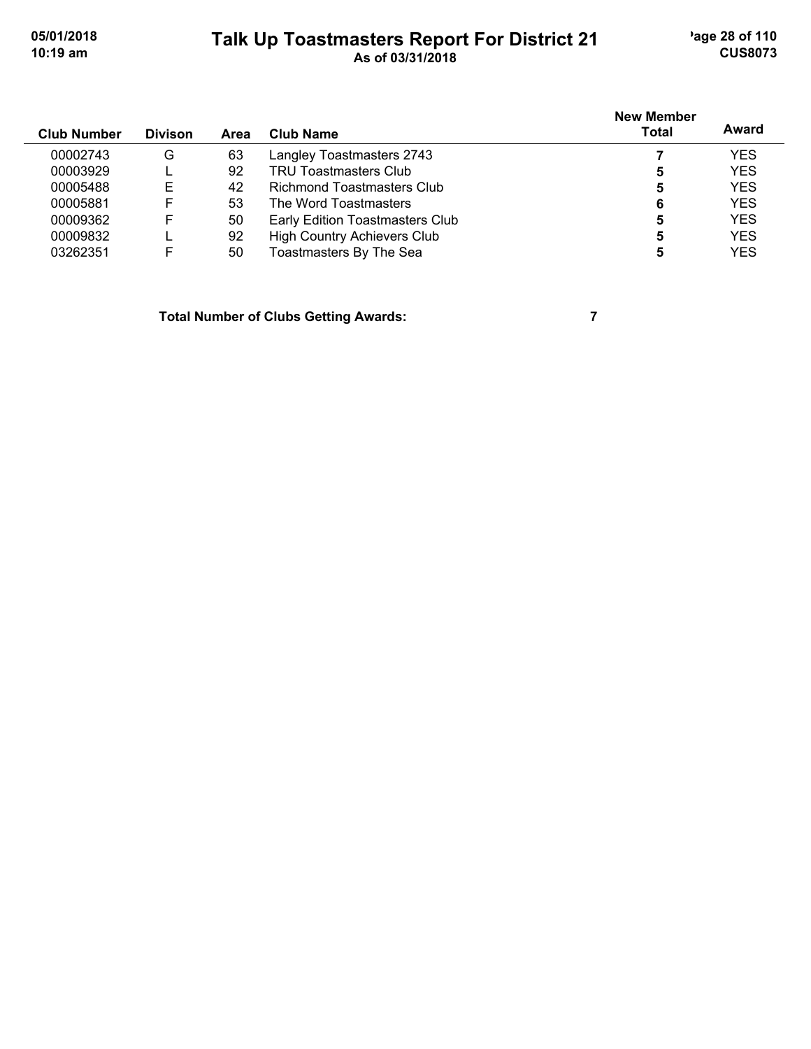## **Talk Up Toastmasters Report For District 21** age 28 of 110 **10:19 am As of 03/31/2018 CUS8073**

| <b>Club Number</b> | <b>Divison</b> | Area | Club Name                          | <b>New Member</b><br>Total | Award      |
|--------------------|----------------|------|------------------------------------|----------------------------|------------|
| 00002743           | G              | 63   | Langley Toastmasters 2743          |                            | <b>YES</b> |
| 00003929           |                | 92   | <b>TRU Toastmasters Club</b>       | 5                          | <b>YES</b> |
| 00005488           | Е              | 42   | Richmond Toastmasters Club         | 5                          | <b>YES</b> |
| 00005881           | F              | 53   | The Word Toastmasters              | 6                          | <b>YES</b> |
| 00009362           | F              | 50   | Early Edition Toastmasters Club    | 5                          | <b>YES</b> |
| 00009832           |                | 92   | <b>High Country Achievers Club</b> | 5                          | <b>YES</b> |
| 03262351           | F              | 50   | Toastmasters By The Sea            | 5                          | <b>YES</b> |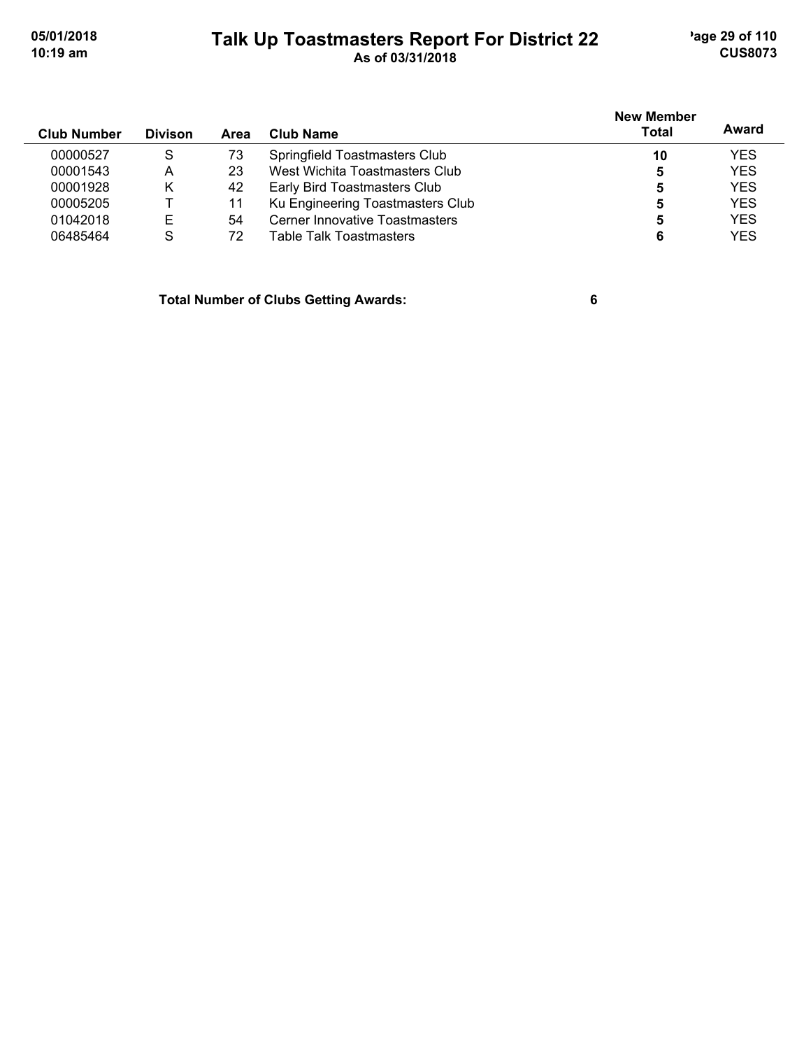#### **Talk Up Toastmasters Report For District 22** age 29 of 110 **10:19 am As of 03/31/2018 CUS8073**

**Club Number Divison Club Name New Member Total Award Area** 00000527 S 73 Springfield Toastmasters Club **10** YES 00001543 A 23 West Wichita Toastmasters Club **5** YES Early Bird Toastmasters Club **5** 00005205 T 11 Ku Engineering Toastmasters Club<br>
01042018 E 54 Cerner Innovative Toastmasters **5** 5 YES 01042018 E 54 Cerner Innovative Toastmasters **5** YES 06485464 S 72 Table Talk Toastmasters **6** YES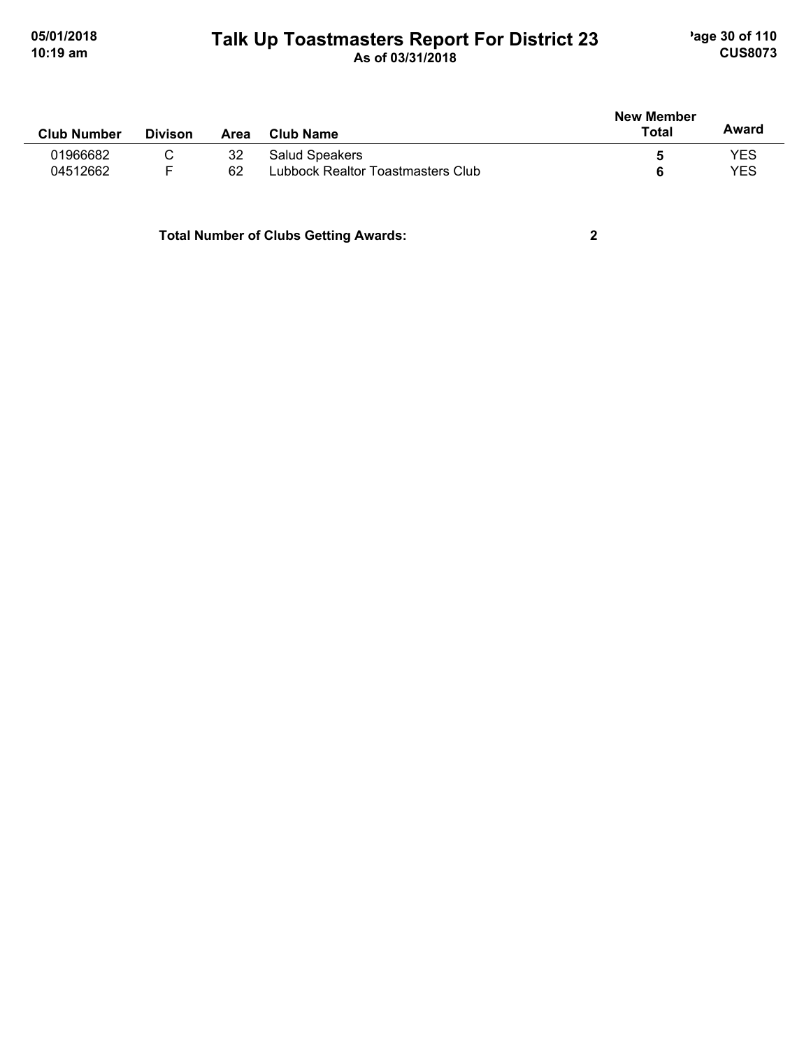# **Talk Up Toastmasters Report For District 23** age 30 of 110 **10:19 am As of 03/31/2018 CUS8073**

|                    |                |      |                                   | <b>New Member</b> |       |  |
|--------------------|----------------|------|-----------------------------------|-------------------|-------|--|
| <b>Club Number</b> | <b>Divison</b> | Area | <b>Club Name</b>                  | Total             | Award |  |
| 01966682           |                | 32   | Salud Speakers                    |                   | YES   |  |
| 04512662           |                | 62   | Lubbock Realtor Toastmasters Club |                   | YES   |  |
|                    |                |      |                                   |                   |       |  |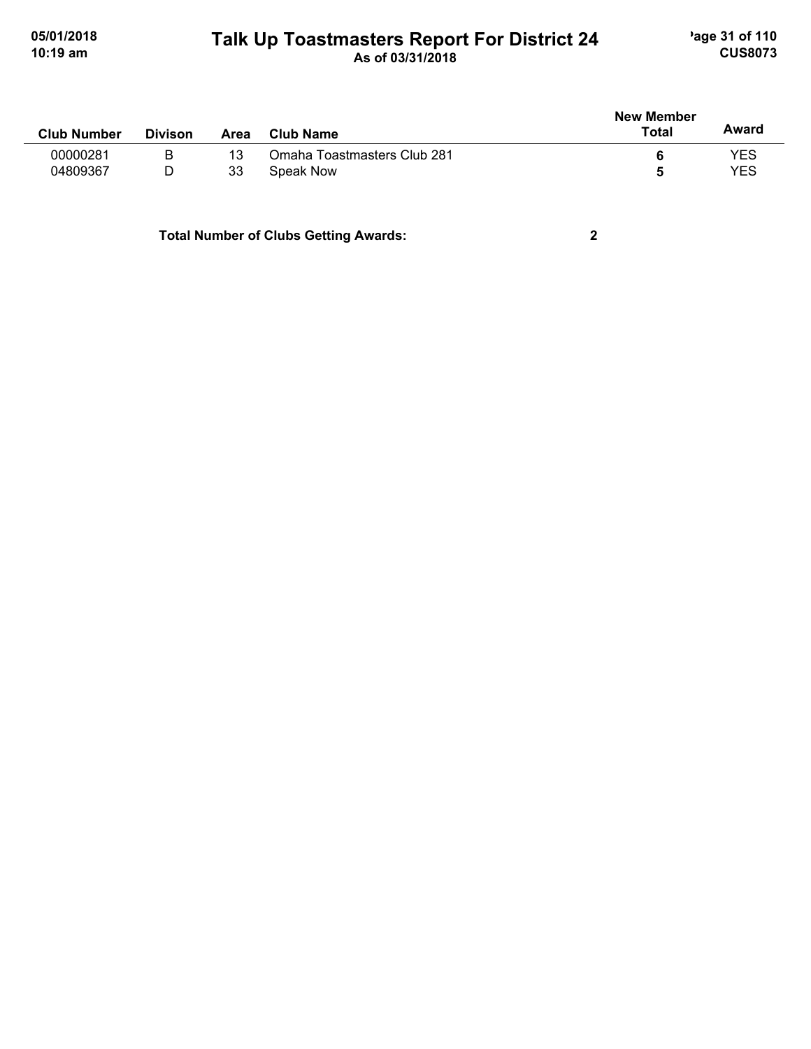#### **Talk Up Toastmasters Report For District 24** age 31 of 110 **10:19 am As of 03/31/2018 CUS8073**

| <b>Club Number</b> | <b>Divison</b> | Area | <b>Club Name</b>            | <b>New Member</b><br>Total | Award      |
|--------------------|----------------|------|-----------------------------|----------------------------|------------|
| 00000281           | B              | 13   | Omaha Toastmasters Club 281 |                            | YES        |
| 04809367           | D              | 33   | Speak Now                   |                            | <b>YES</b> |
|                    |                |      |                             |                            |            |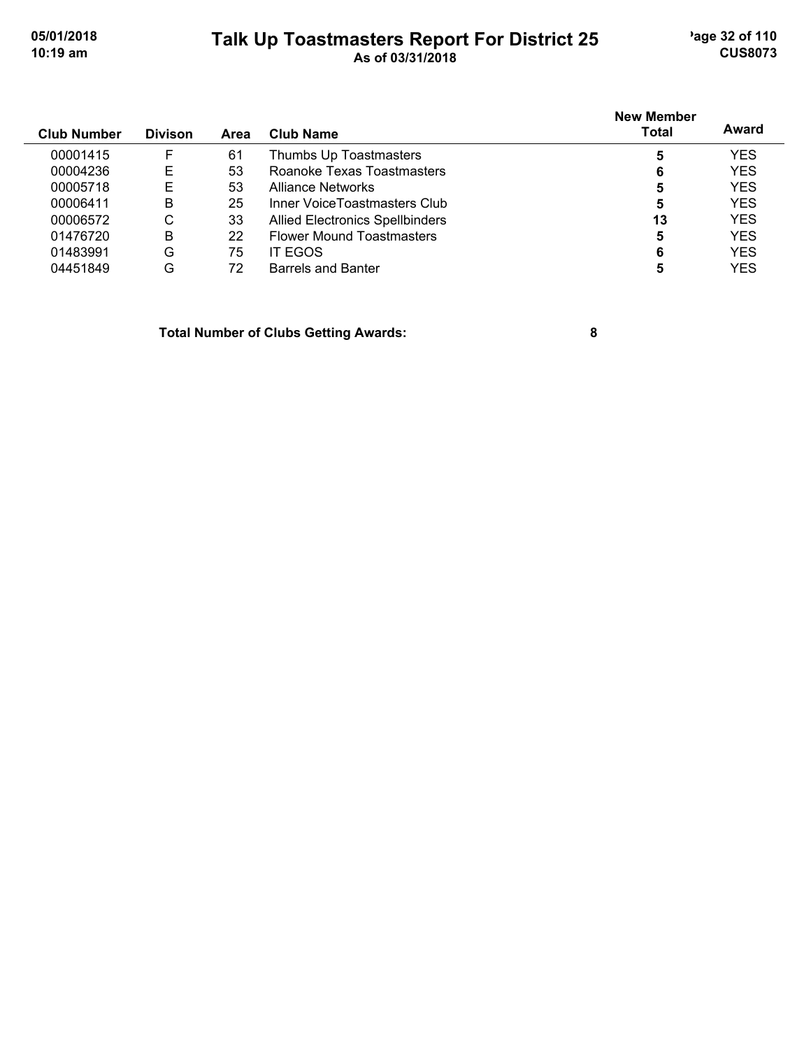#### **Talk Up Toastmasters Report For District 25** age 32 of 110 **10:19 am As of 03/31/2018 CUS8073**

|                    |                |             |                                        | <b>New Member</b> | Award      |
|--------------------|----------------|-------------|----------------------------------------|-------------------|------------|
| <b>Club Number</b> | <b>Divison</b> | <b>Area</b> | <b>Club Name</b>                       | <b>Total</b>      |            |
| 00001415           | F              | 61          | Thumbs Up Toastmasters                 | 5                 | <b>YES</b> |
| 00004236           | Е              | 53          | Roanoke Texas Toastmasters             | 6                 | <b>YES</b> |
| 00005718           | Е              | 53          | Alliance Networks                      | 5                 | <b>YES</b> |
| 00006411           | B              | 25          | Inner VoiceToastmasters Club           | 5                 | <b>YES</b> |
| 00006572           | С              | 33          | <b>Allied Electronics Spellbinders</b> | 13                | <b>YES</b> |
| 01476720           | B              | 22          | <b>Flower Mound Toastmasters</b>       | 5                 | <b>YES</b> |
| 01483991           | G              | 75          | IT EGOS                                | 6                 | <b>YES</b> |
| 04451849           | G              | 72          | <b>Barrels and Banter</b>              |                   | YES        |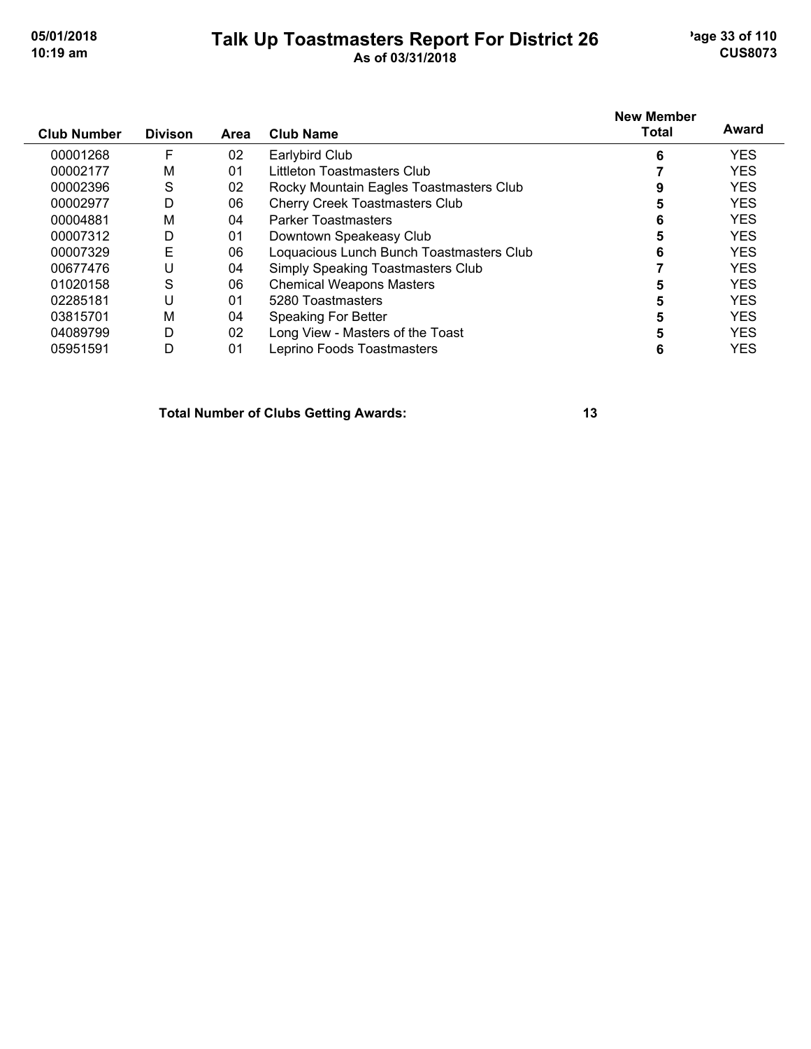#### **Talk Up Toastmasters Report For District 26** age 33 of 110 **10:19 am As of 03/31/2018 CUS8073**

| <b>Club Number</b> | <b>Divison</b> | Area | <b>Club Name</b>                         | <b>New Member</b><br>Total | Award      |
|--------------------|----------------|------|------------------------------------------|----------------------------|------------|
| 00001268           | F              | 02   | Earlybird Club                           | 6                          | <b>YES</b> |
| 00002177           | M              | 01   | Littleton Toastmasters Club              |                            | <b>YES</b> |
| 00002396           | S              | 02   | Rocky Mountain Eagles Toastmasters Club  |                            | <b>YES</b> |
| 00002977           | D              | 06   | <b>Cherry Creek Toastmasters Club</b>    | 5                          | <b>YES</b> |
| 00004881           | M              | 04   | <b>Parker Toastmasters</b>               | 6                          | <b>YES</b> |
| 00007312           | D              | 01   | Downtown Speakeasy Club                  | 5                          | <b>YES</b> |
| 00007329           | Е              | 06   | Loquacious Lunch Bunch Toastmasters Club | 6                          | <b>YES</b> |
| 00677476           |                | 04   | Simply Speaking Toastmasters Club        |                            | <b>YES</b> |
| 01020158           | S              | 06   | <b>Chemical Weapons Masters</b>          | 5                          | <b>YES</b> |
| 02285181           | U              | 01   | 5280 Toastmasters                        | 5                          | <b>YES</b> |
| 03815701           | M              | 04   | <b>Speaking For Better</b>               |                            | <b>YES</b> |
| 04089799           | D              | 02   | Long View - Masters of the Toast         | 5                          | <b>YES</b> |
| 05951591           | D              | 01   | Leprino Foods Toastmasters               | 6                          | <b>YES</b> |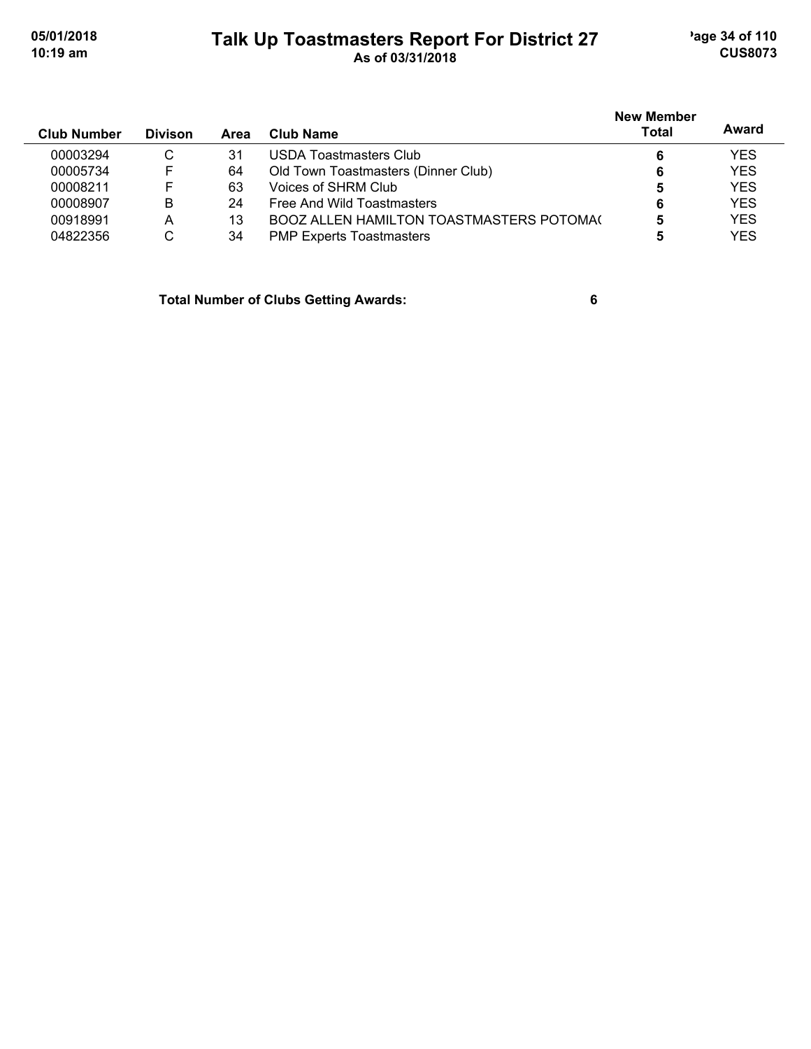### **Talk Up Toastmasters Report For District 27** age 34 of 110 **10:19 am As of 03/31/2018 CUS8073**

| <b>Club Number</b> | <b>Divison</b> | Area | <b>Club Name</b>                                | <b>New Member</b><br><b>Total</b> | Award      |
|--------------------|----------------|------|-------------------------------------------------|-----------------------------------|------------|
| 00003294           | C              | 31   | USDA Toastmasters Club                          | 6                                 | <b>YES</b> |
| 00005734           | F              | 64   | Old Town Toastmasters (Dinner Club)             | 6                                 | <b>YES</b> |
| 00008211           | F              | 63   | Voices of SHRM Club                             | 5                                 | <b>YES</b> |
| 00008907           | B              | 24   | Free And Wild Toastmasters                      | 6                                 | <b>YES</b> |
| 00918991           | А              | 13   | <b>BOOZ ALLEN HAMILTON TOASTMASTERS POTOMAL</b> |                                   | <b>YES</b> |
| 04822356           | C              | 34   | <b>PMP Experts Toastmasters</b>                 | 5                                 | <b>YES</b> |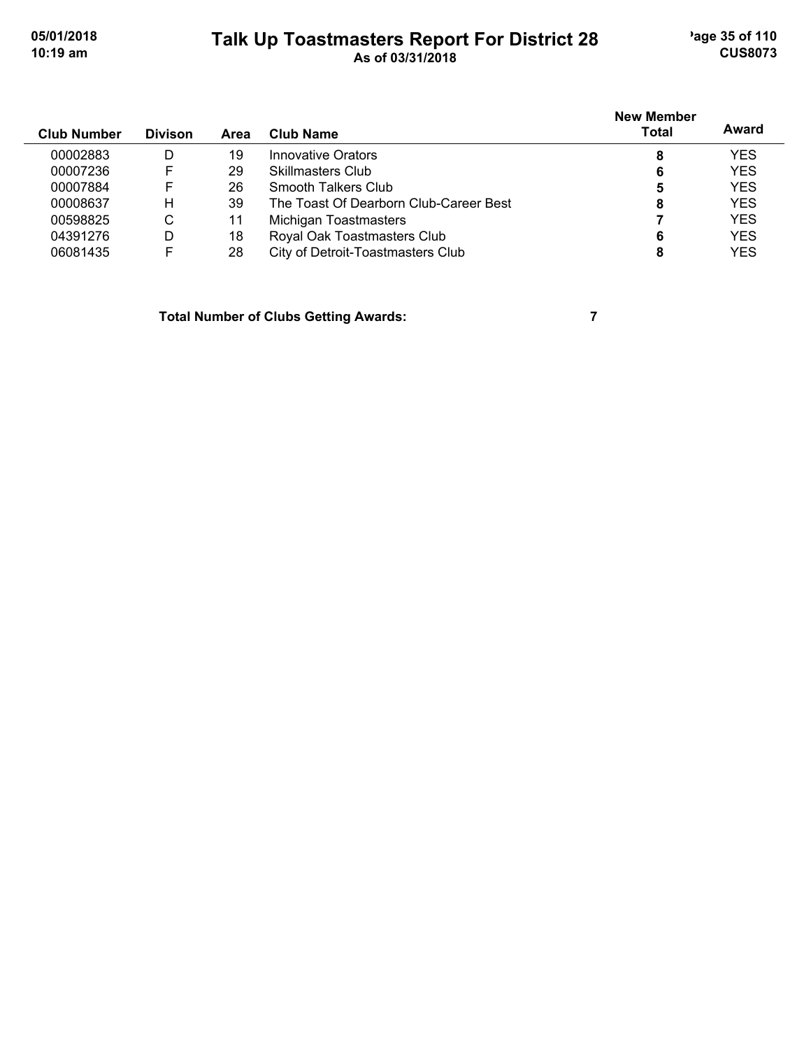# **Talk Up Toastmasters Report For District 28** age 35 of 110 **10:19 am As of 03/31/2018 CUS8073**

| <b>Club Number</b> | <b>Divison</b> | Area | Club Name                              | <b>New Member</b><br>Total | Award      |
|--------------------|----------------|------|----------------------------------------|----------------------------|------------|
| 00002883           | D              | 19   | Innovative Orators                     |                            | <b>YES</b> |
| 00007236           | F              | 29   | Skillmasters Club                      | 6                          | <b>YES</b> |
| 00007884           | F              | 26   | Smooth Talkers Club                    |                            | <b>YES</b> |
| 00008637           | н              | 39   | The Toast Of Dearborn Club-Career Best | 8                          | <b>YES</b> |
| 00598825           | C              | 11   | Michigan Toastmasters                  |                            | <b>YES</b> |
| 04391276           | D              | 18   | Royal Oak Toastmasters Club            | 6                          | <b>YES</b> |
| 06081435           | F              | 28   | City of Detroit-Toastmasters Club      | 8                          | <b>YES</b> |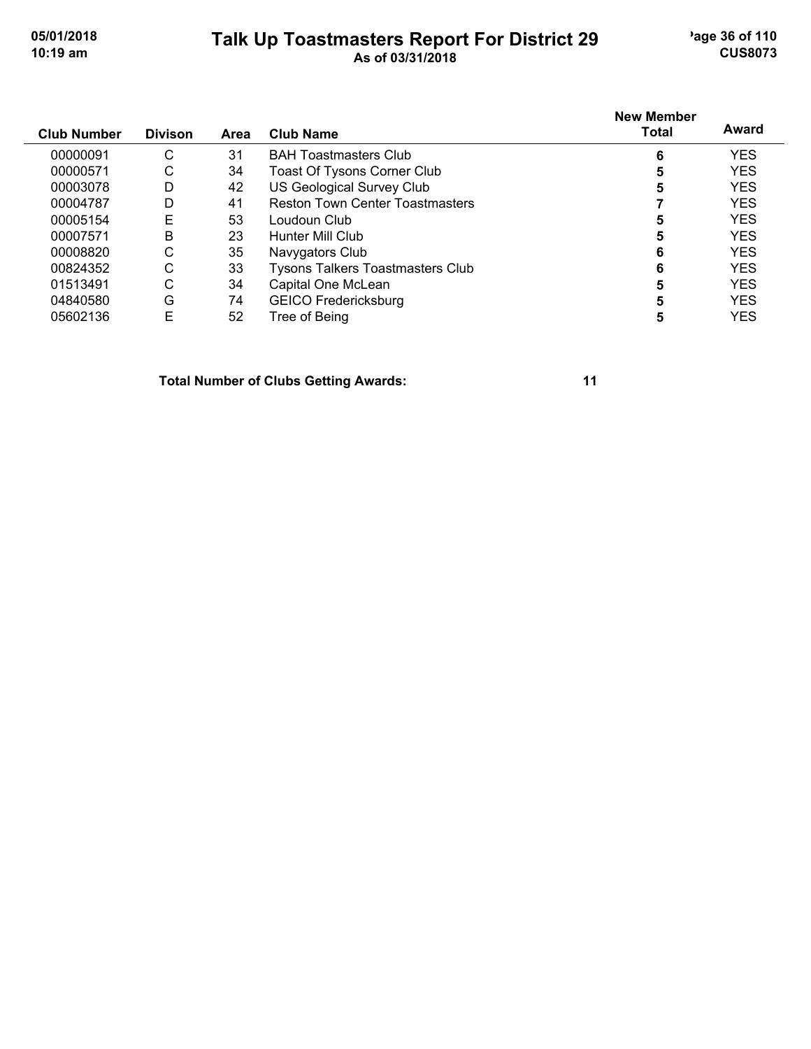#### **Talk Up Toastmasters Report For District 29** age 36 of 110 **10:19 am As of 03/31/2018 CUS8073**

| <b>Club Number</b> | <b>Divison</b> | Area | Club Name                               | <b>New Member</b><br><b>Total</b> | Award      |
|--------------------|----------------|------|-----------------------------------------|-----------------------------------|------------|
| 00000091           | С              | 31   | <b>BAH Toastmasters Club</b>            | 6                                 | <b>YES</b> |
| 00000571           | С              | 34   | Toast Of Tysons Corner Club             | 5                                 | <b>YES</b> |
| 00003078           | D              | 42   | <b>US Geological Survey Club</b>        | 5                                 | <b>YES</b> |
| 00004787           | D              | 41   | <b>Reston Town Center Toastmasters</b>  |                                   | <b>YES</b> |
| 00005154           | E              | 53   | Loudoun Club                            | 5                                 | <b>YES</b> |
| 00007571           | B              | 23   | Hunter Mill Club                        | 5                                 | <b>YES</b> |
| 00008820           | С              | 35   | Navygators Club                         | 6                                 | <b>YES</b> |
| 00824352           | С              | 33   | <b>Tysons Talkers Toastmasters Club</b> | 6                                 | <b>YES</b> |
| 01513491           | С              | 34   | Capital One McLean                      | 5                                 | <b>YES</b> |
| 04840580           | G              | 74   | <b>GEICO Fredericksburg</b>             | 5                                 | <b>YES</b> |
| 05602136           | E              | 52   | Tree of Being                           | 5                                 | <b>YES</b> |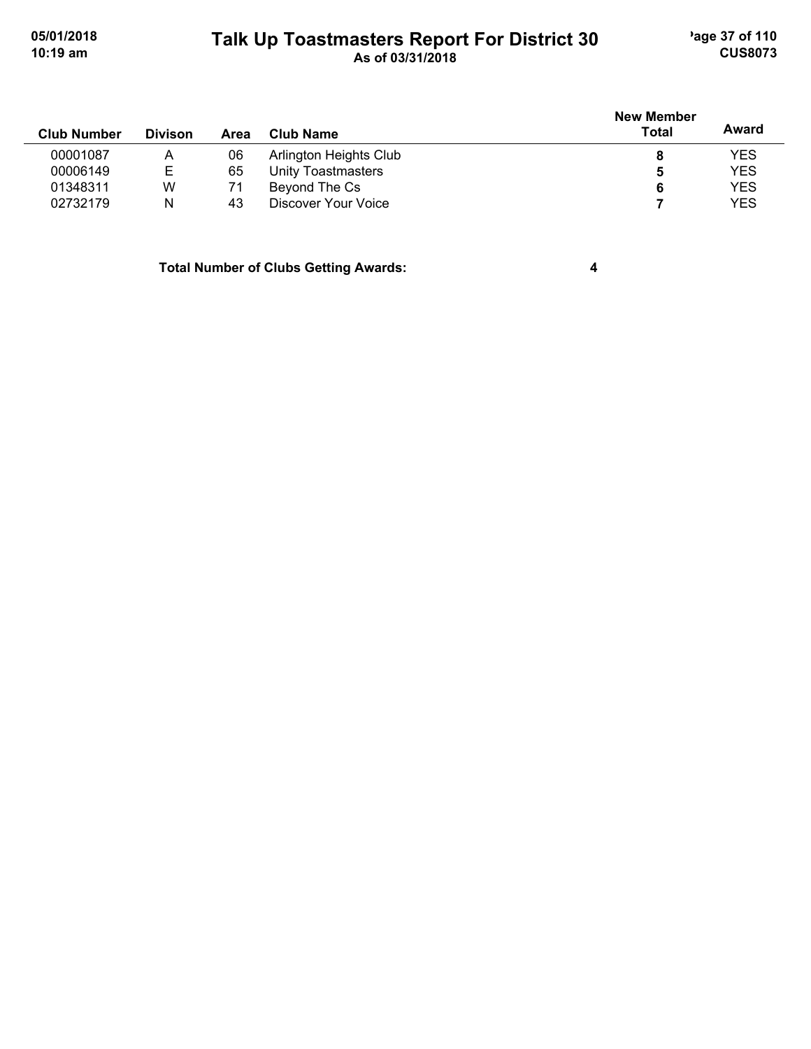### **Talk Up Toastmasters Report For District 30** age 37 of 110 **10:19 am As of 03/31/2018 CUS8073**

|                    |                |      |                        | <b>New Member</b> |            |
|--------------------|----------------|------|------------------------|-------------------|------------|
| <b>Club Number</b> | <b>Divison</b> | Area | Club Name              | <b>Total</b>      | Award      |
| 00001087           | Α              | 06   | Arlington Heights Club | 8                 | <b>YES</b> |
| 00006149           | Е              | 65   | Unity Toastmasters     | 5                 | <b>YES</b> |
| 01348311           | W              | 71   | Beyond The Cs          | 6                 | <b>YES</b> |
| 02732179           | N              | 43   | Discover Your Voice    |                   | <b>YES</b> |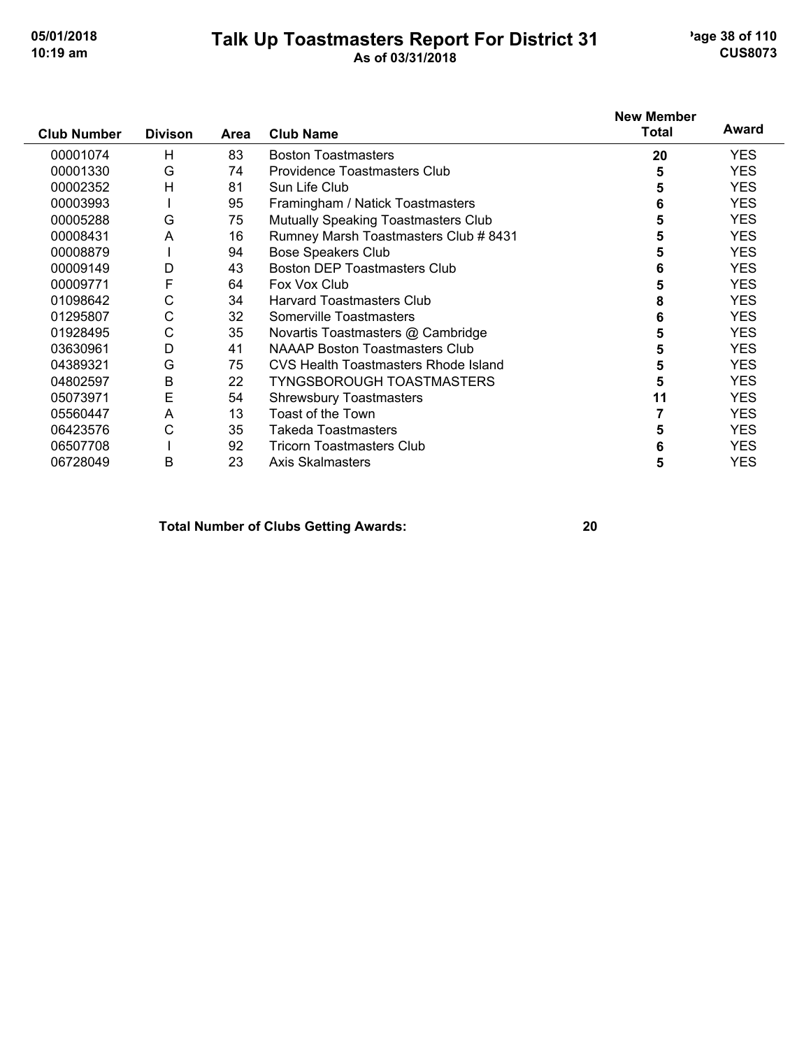#### **Talk Up Toastmasters Report For District 31** age 38 of 110 **10:19 am As of 03/31/2018 CUS8073**

|                    |                |      |                                             | <b>New Member</b><br><b>Total</b> | Award      |
|--------------------|----------------|------|---------------------------------------------|-----------------------------------|------------|
| <b>Club Number</b> | <b>Divison</b> | Area | <b>Club Name</b>                            |                                   |            |
| 00001074           | Н              | 83   | <b>Boston Toastmasters</b>                  | 20                                | <b>YES</b> |
| 00001330           | G              | 74   | Providence Toastmasters Club                | 5                                 | <b>YES</b> |
| 00002352           | H              | 81   | Sun Life Club                               | 5                                 | <b>YES</b> |
| 00003993           |                | 95   | Framingham / Natick Toastmasters            | 6                                 | <b>YES</b> |
| 00005288           | G              | 75   | <b>Mutually Speaking Toastmasters Club</b>  | 5                                 | <b>YES</b> |
| 00008431           | A              | 16   | Rumney Marsh Toastmasters Club # 8431       | 5                                 | <b>YES</b> |
| 00008879           |                | 94   | <b>Bose Speakers Club</b>                   | 5                                 | <b>YES</b> |
| 00009149           | D              | 43   | Boston DEP Toastmasters Club                | 6                                 | <b>YES</b> |
| 00009771           | F              | 64   | Fox Vox Club                                | 5                                 | <b>YES</b> |
| 01098642           | С              | 34   | <b>Harvard Toastmasters Club</b>            | 8                                 | <b>YES</b> |
| 01295807           | С              | 32   | Somerville Toastmasters                     | 6                                 | <b>YES</b> |
| 01928495           | C              | 35   | Novartis Toastmasters @ Cambridge           | 5                                 | <b>YES</b> |
| 03630961           | D              | 41   | <b>NAAAP Boston Toastmasters Club</b>       | 5                                 | <b>YES</b> |
| 04389321           | G              | 75   | <b>CVS Health Toastmasters Rhode Island</b> | 5                                 | <b>YES</b> |
| 04802597           | Β              | 22   | <b>TYNGSBOROUGH TOASTMASTERS</b>            | 5                                 | <b>YES</b> |
| 05073971           | Е              | 54   | <b>Shrewsbury Toastmasters</b>              | 11                                | <b>YES</b> |
| 05560447           | A              | 13   | Toast of the Town                           |                                   | <b>YES</b> |
| 06423576           | С              | 35   | Takeda Toastmasters                         | 5                                 | <b>YES</b> |
| 06507708           |                | 92   | <b>Tricorn Toastmasters Club</b>            | 6                                 | <b>YES</b> |
| 06728049           | B              | 23   | <b>Axis Skalmasters</b>                     | 5                                 | <b>YES</b> |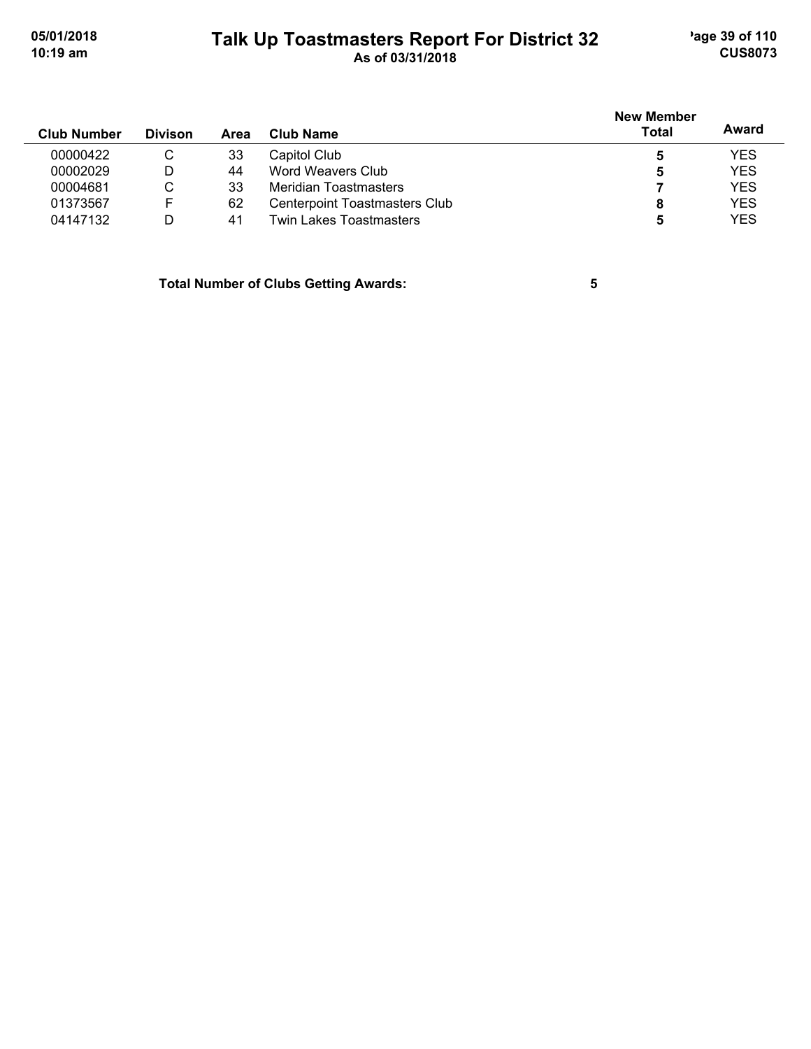### **Talk Up Toastmasters Report For District 32** age 39 of 110 **10:19 am As of 03/31/2018 CUS8073**

| <b>Club Number</b> | <b>Divison</b> | Area | Club Name                     | <b>New Member</b><br><b>Total</b> | Award      |
|--------------------|----------------|------|-------------------------------|-----------------------------------|------------|
| 00000422           | C              | 33   | Capitol Club                  | 5                                 | <b>YES</b> |
| 00002029           | D              | 44   | Word Weavers Club             | 5                                 | <b>YES</b> |
| 00004681           | С              | 33   | Meridian Toastmasters         |                                   | <b>YES</b> |
| 01373567           | F              | 62   | Centerpoint Toastmasters Club | 8                                 | <b>YES</b> |
| 04147132           | D              | 41   | Twin Lakes Toastmasters       | 5                                 | <b>YES</b> |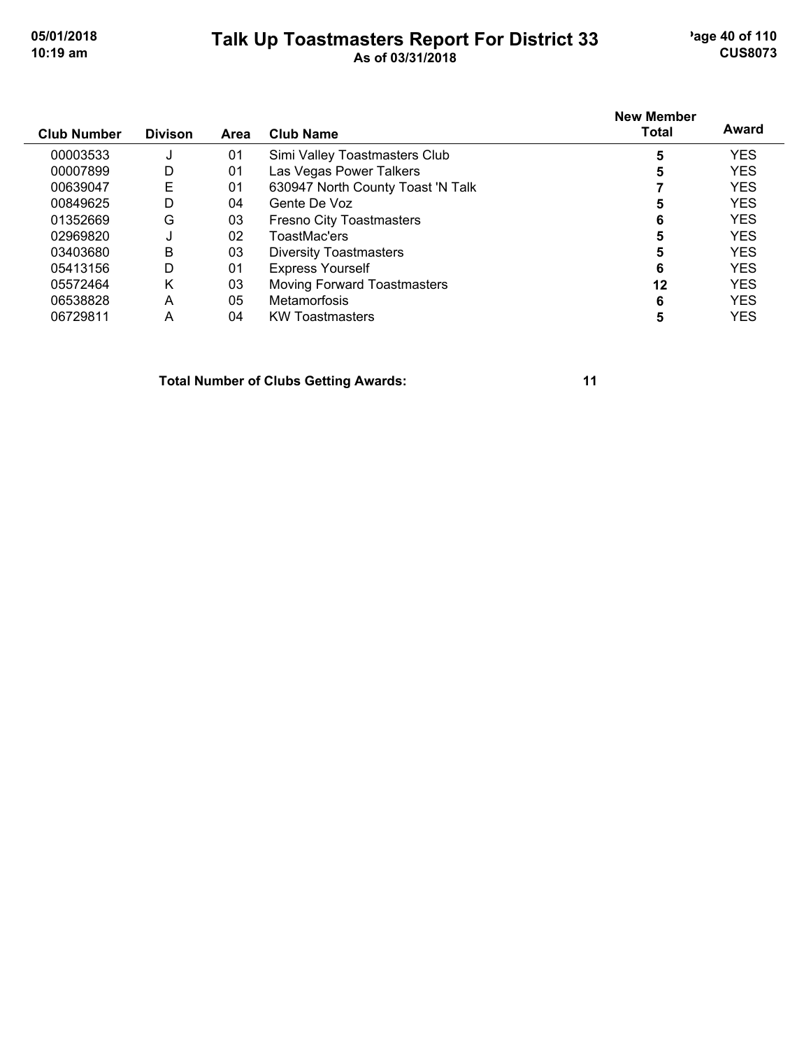#### **Talk Up Toastmasters Report For District 33** age 40 of 110 **10:19 am As of 03/31/2018 CUS8073**

| <b>Club Number</b> | <b>Divison</b> | Area | Club Name                          | <b>New Member</b><br><b>Total</b> | Award      |
|--------------------|----------------|------|------------------------------------|-----------------------------------|------------|
| 00003533           | s.             | 01   | Simi Valley Toastmasters Club      | 5                                 | <b>YES</b> |
| 00007899           | D              | 01   | Las Vegas Power Talkers            | 5                                 | <b>YES</b> |
| 00639047           | Е              | 01   | 630947 North County Toast 'N Talk  |                                   | <b>YES</b> |
| 00849625           | D              | 04   | Gente De Voz                       | 5                                 | <b>YES</b> |
| 01352669           | G              | 03   | <b>Fresno City Toastmasters</b>    | 6                                 | <b>YES</b> |
| 02969820           |                | 02   | ToastMac'ers                       | 5                                 | <b>YES</b> |
| 03403680           | B              | 03   | <b>Diversity Toastmasters</b>      | 5                                 | <b>YES</b> |
| 05413156           | D              | 01   | <b>Express Yourself</b>            | 6                                 | <b>YES</b> |
| 05572464           | Κ              | 03   | <b>Moving Forward Toastmasters</b> | 12                                | <b>YES</b> |
| 06538828           | A              | 05   | <b>Metamorfosis</b>                | 6                                 | <b>YES</b> |
| 06729811           | A              | 04   | <b>KW Toastmasters</b>             | 5                                 | YES        |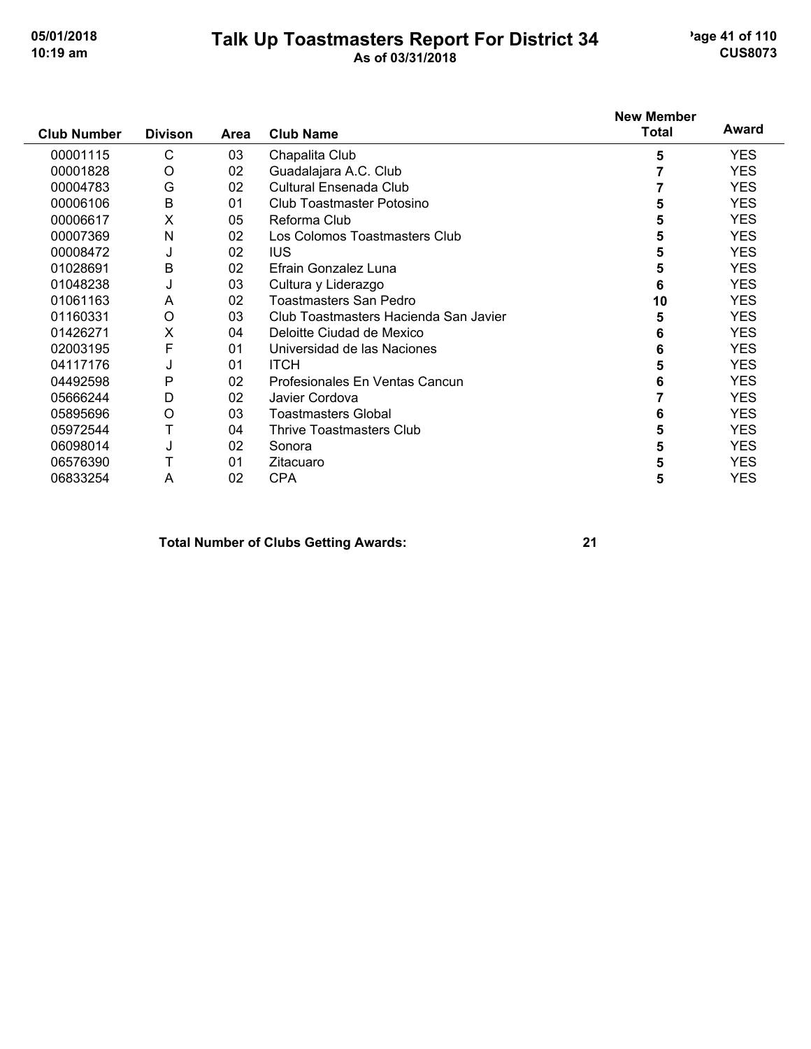#### **Talk Up Toastmasters Report For District 34** age 41 of 110 **10:19 am As of 03/31/2018 CUS8073**

|                    |                |      |                                       | <b>New Member</b> |            |
|--------------------|----------------|------|---------------------------------------|-------------------|------------|
| <b>Club Number</b> | <b>Divison</b> | Area | <b>Club Name</b>                      | <b>Total</b>      | Award      |
| 00001115           | C              | 03   | Chapalita Club                        | 5                 | YES.       |
| 00001828           | O              | 02   | Guadalajara A.C. Club                 |                   | <b>YES</b> |
| 00004783           | G              | 02   | Cultural Ensenada Club                |                   | <b>YES</b> |
| 00006106           | B              | 01   | Club Toastmaster Potosino             | 5                 | <b>YES</b> |
| 00006617           | X              | 05   | Reforma Club                          | 5                 | <b>YES</b> |
| 00007369           | Ν              | 02   | Los Colomos Toastmasters Club         | 5                 | <b>YES</b> |
| 00008472           | J              | 02   | <b>IUS</b>                            | 5                 | <b>YES</b> |
| 01028691           | B              | 02   | Efrain Gonzalez Luna                  | 5                 | <b>YES</b> |
| 01048238           | J              | 03   | Cultura y Liderazgo                   | 6                 | <b>YES</b> |
| 01061163           | A              | 02   | Toastmasters San Pedro                | 10                | <b>YES</b> |
| 01160331           | $\circ$        | 03   | Club Toastmasters Hacienda San Javier | 5                 | <b>YES</b> |
| 01426271           | Χ              | 04   | Deloitte Ciudad de Mexico             | 6                 | <b>YES</b> |
| 02003195           | F              | 01   | Universidad de las Naciones           | 6                 | <b>YES</b> |
| 04117176           | J              | 01   | <b>ITCH</b>                           | 5                 | <b>YES</b> |
| 04492598           | P              | 02   | Profesionales En Ventas Cancun        | 6                 | <b>YES</b> |
| 05666244           | D              | 02   | Javier Cordova                        |                   | <b>YES</b> |
| 05895696           | O              | 03   | <b>Toastmasters Global</b>            | 6                 | <b>YES</b> |
| 05972544           | Т              | 04   | <b>Thrive Toastmasters Club</b>       | 5                 | <b>YES</b> |
| 06098014           | J              | 02   | Sonora                                | 5                 | <b>YES</b> |
| 06576390           |                | 01   | Zitacuaro                             | 5                 | YES.       |
| 06833254           | A              | 02   | <b>CPA</b>                            | 5                 | <b>YES</b> |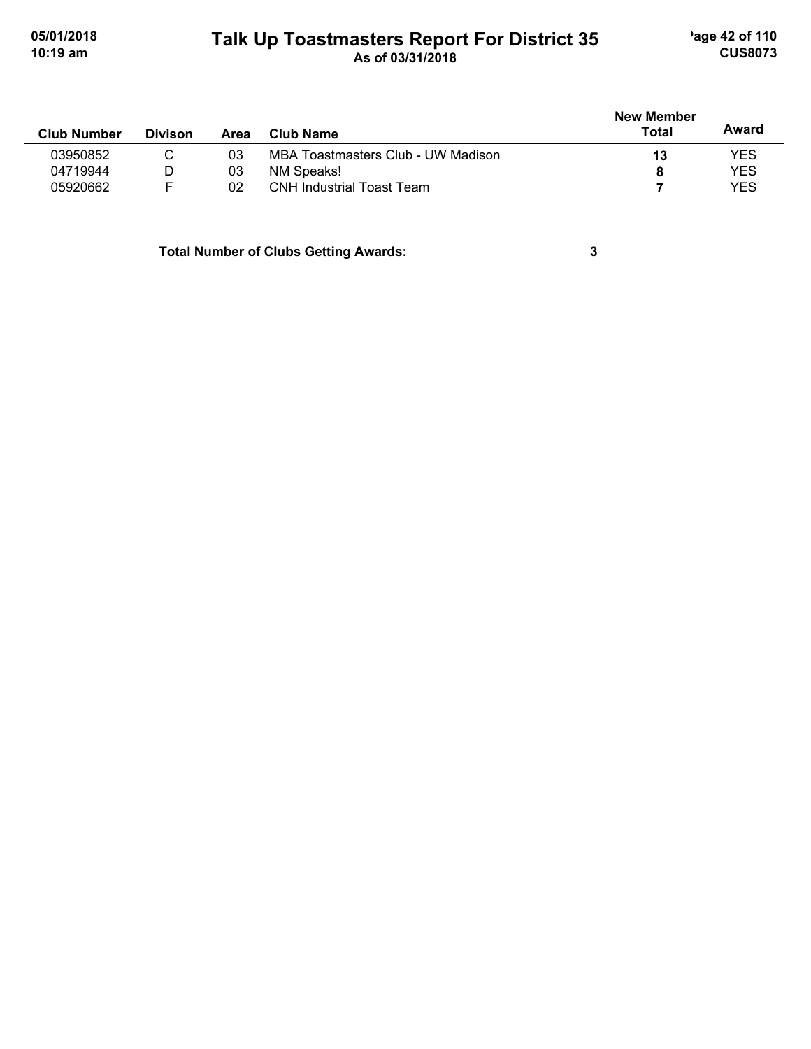#### **Talk Up Toastmasters Report For District 35** age 42 of 110 **10:19 am As of 03/31/2018 CUS8073**

|                    |                |      |                                    | <b>New Member</b> |            |
|--------------------|----------------|------|------------------------------------|-------------------|------------|
| <b>Club Number</b> | <b>Divison</b> | Area | <b>Club Name</b>                   | Total             | Award      |
| 03950852           |                | 03   | MBA Toastmasters Club - UW Madison | 13                | <b>YES</b> |
| 04719944           | D              | 03   | NM Speaks!                         | 8                 | <b>YES</b> |
| 05920662           | F              | 02   | <b>CNH Industrial Toast Team</b>   |                   | <b>YES</b> |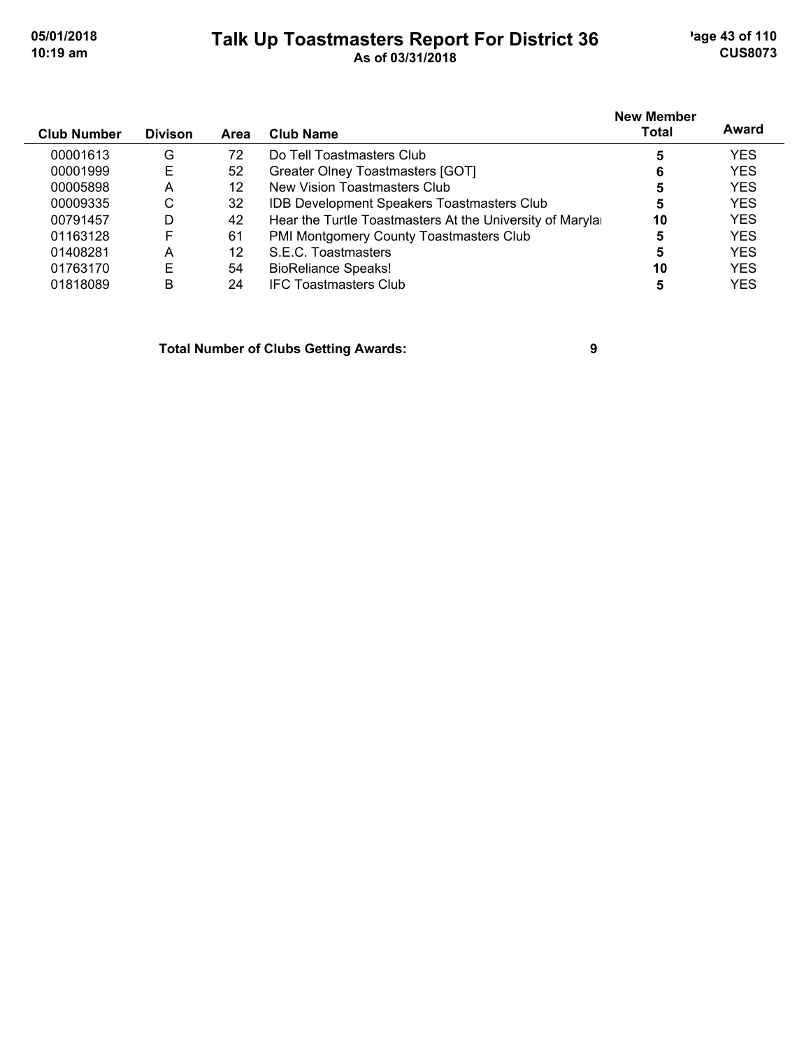#### **Talk Up Toastmasters Report For District 36** age 43 of 110 **10:19 am As of 03/31/2018 CUS8073**

| <b>Club Number</b> | <b>Divison</b> | Area | <b>Club Name</b>                                         | <b>New Member</b><br><b>Total</b> | Award      |
|--------------------|----------------|------|----------------------------------------------------------|-----------------------------------|------------|
| 00001613           | G              | 72   | Do Tell Toastmasters Club                                | 5                                 | <b>YES</b> |
| 00001999           | E              | 52   | Greater Olney Toastmasters [GOT]                         | 6                                 | <b>YES</b> |
| 00005898           | A              | 12   | New Vision Toastmasters Club                             | 5                                 | <b>YES</b> |
| 00009335           | C              | 32   | <b>IDB Development Speakers Toastmasters Club</b>        | 5                                 | <b>YES</b> |
| 00791457           | D              | 42   | Hear the Turtle Toastmasters At the University of Maryla | 10                                | <b>YES</b> |
| 01163128           | F              | 61   | PMI Montgomery County Toastmasters Club                  | 5                                 | <b>YES</b> |
| 01408281           | А              | 12   | S.E.C. Toastmasters                                      | 5                                 | <b>YES</b> |
| 01763170           | E              | 54   | <b>BioReliance Speaks!</b>                               | 10                                | <b>YES</b> |
| 01818089           | в              | 24   | <b>IFC Toastmasters Club</b>                             | 5                                 | YES        |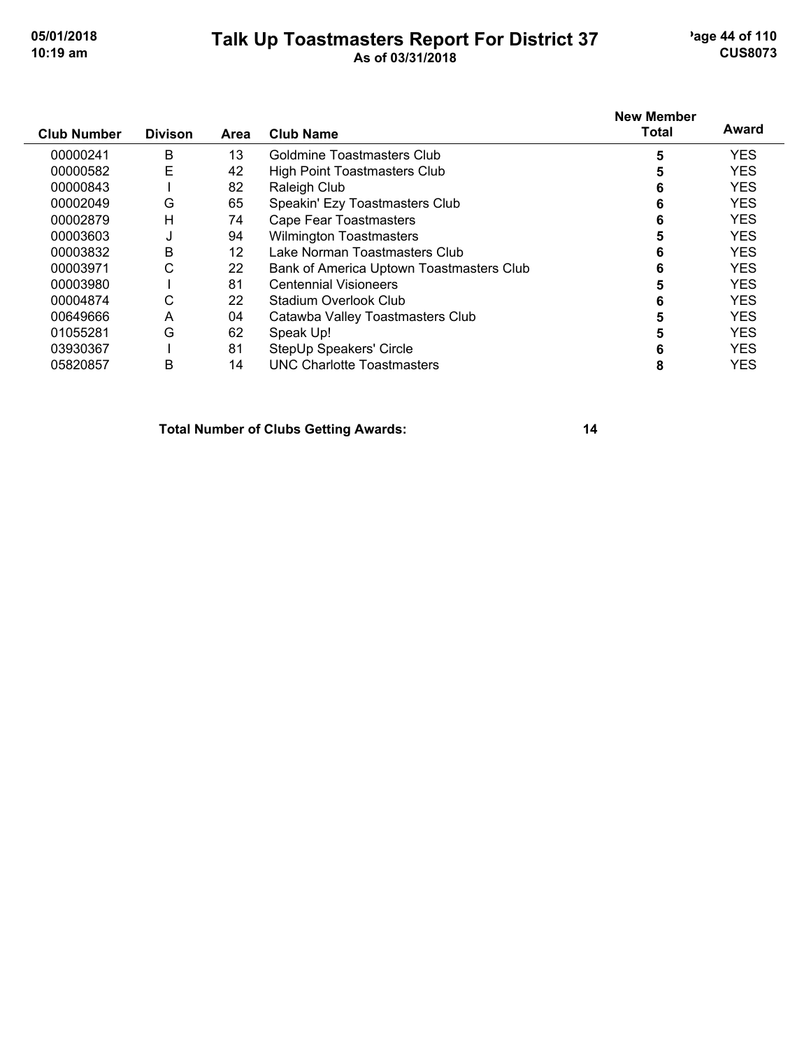#### **Talk Up Toastmasters Report For District 37** age 44 of 110 **10:19 am As of 03/31/2018 CUS8073**

|                    |                |      |                                          | <b>New Member</b> | Award      |
|--------------------|----------------|------|------------------------------------------|-------------------|------------|
| <b>Club Number</b> | <b>Divison</b> | Area | <b>Club Name</b>                         | <b>Total</b>      |            |
| 00000241           | B              | 13   | Goldmine Toastmasters Club               | 5                 | <b>YES</b> |
| 00000582           | E              | 42   | High Point Toastmasters Club             | 5                 | <b>YES</b> |
| 00000843           |                | 82   | Raleigh Club                             | 6                 | <b>YES</b> |
| 00002049           | G              | 65   | Speakin' Ezy Toastmasters Club           | 6                 | <b>YES</b> |
| 00002879           | Н              | 74   | Cape Fear Toastmasters                   | 6                 | <b>YES</b> |
| 00003603           | J              | 94   | <b>Wilmington Toastmasters</b>           | 5                 | <b>YES</b> |
| 00003832           | B              | 12   | Lake Norman Toastmasters Club            | 6                 | <b>YES</b> |
| 00003971           | С              | 22   | Bank of America Uptown Toastmasters Club | 6                 | <b>YES</b> |
| 00003980           |                | 81   | <b>Centennial Visioneers</b>             |                   | <b>YES</b> |
| 00004874           | С              | 22   | Stadium Overlook Club                    | 6                 | <b>YES</b> |
| 00649666           | A              | 04   | Catawba Valley Toastmasters Club         | 5                 | <b>YES</b> |
| 01055281           | G              | 62   | Speak Up!                                | 5                 | <b>YES</b> |
| 03930367           |                | 81   | StepUp Speakers' Circle                  | 6                 | <b>YES</b> |
| 05820857           | B              | 14   | <b>UNC Charlotte Toastmasters</b>        | 8                 | <b>YES</b> |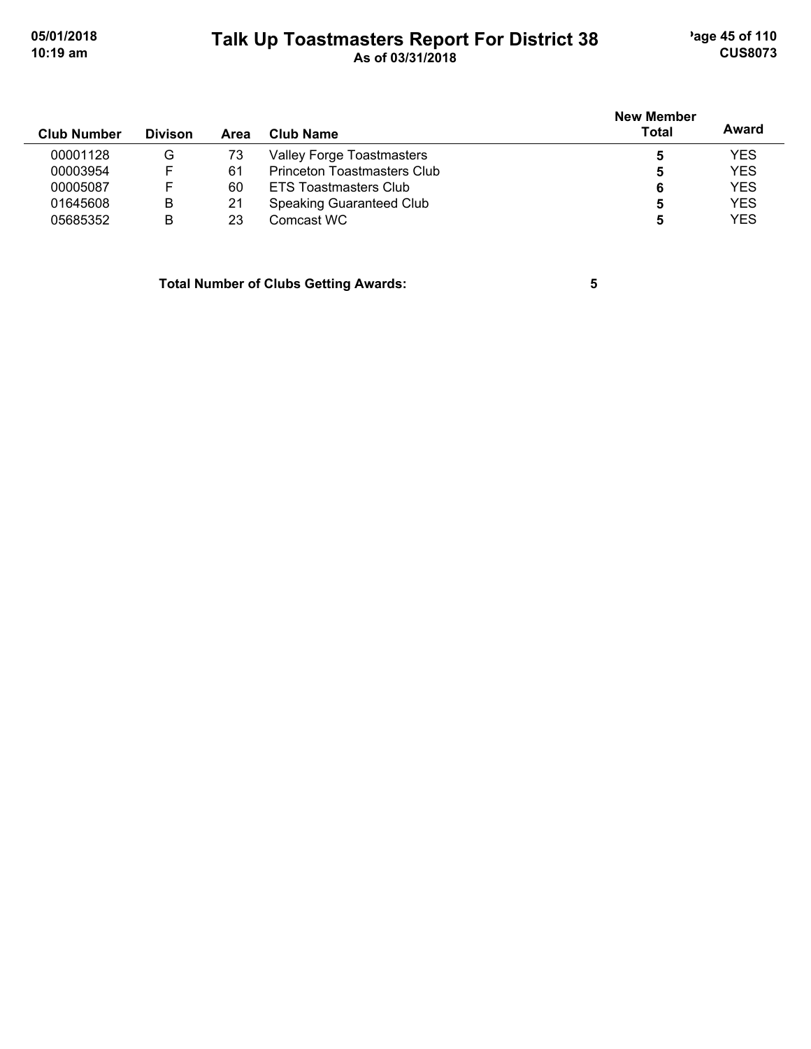### **Talk Up Toastmasters Report For District 38** age 45 of 110 **10:19 am As of 03/31/2018 CUS8073**

| <b>Club Number</b> | <b>Divison</b> | Area | Club Name                   | New Member<br><b>Total</b> | Award      |
|--------------------|----------------|------|-----------------------------|----------------------------|------------|
| 00001128           | G              | 73   | Valley Forge Toastmasters   | 5                          | <b>YES</b> |
| 00003954           | F.             | 61   | Princeton Toastmasters Club | 5                          | <b>YES</b> |
| 00005087           |                | 60   | ETS Toastmasters Club       | 6                          | <b>YES</b> |
| 01645608           | В              | 21   | Speaking Guaranteed Club    | 5                          | <b>YES</b> |
| 05685352           | в              | 23   | Comcast WC                  | 5                          | <b>YES</b> |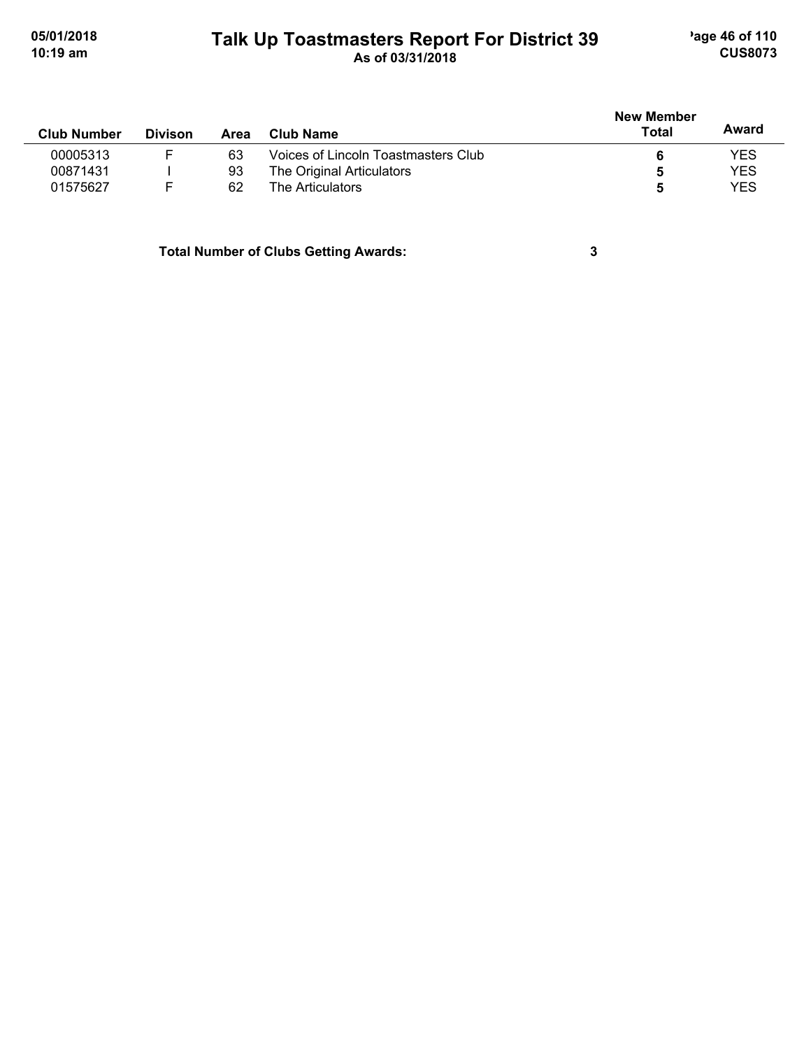### **Talk Up Toastmasters Report For District 39** age 46 of 110 **10:19 am As of 03/31/2018 CUS8073**

|                    |                |      |                                     | <b>New Member</b> |            |
|--------------------|----------------|------|-------------------------------------|-------------------|------------|
| <b>Club Number</b> | <b>Divison</b> | Area | Club Name                           | Total             | Award      |
| 00005313           |                | 63   | Voices of Lincoln Toastmasters Club |                   | <b>YES</b> |
| 00871431           |                | 93   | The Original Articulators           | 5                 | <b>YES</b> |
| 01575627           |                | 62   | The Articulators                    |                   | <b>YES</b> |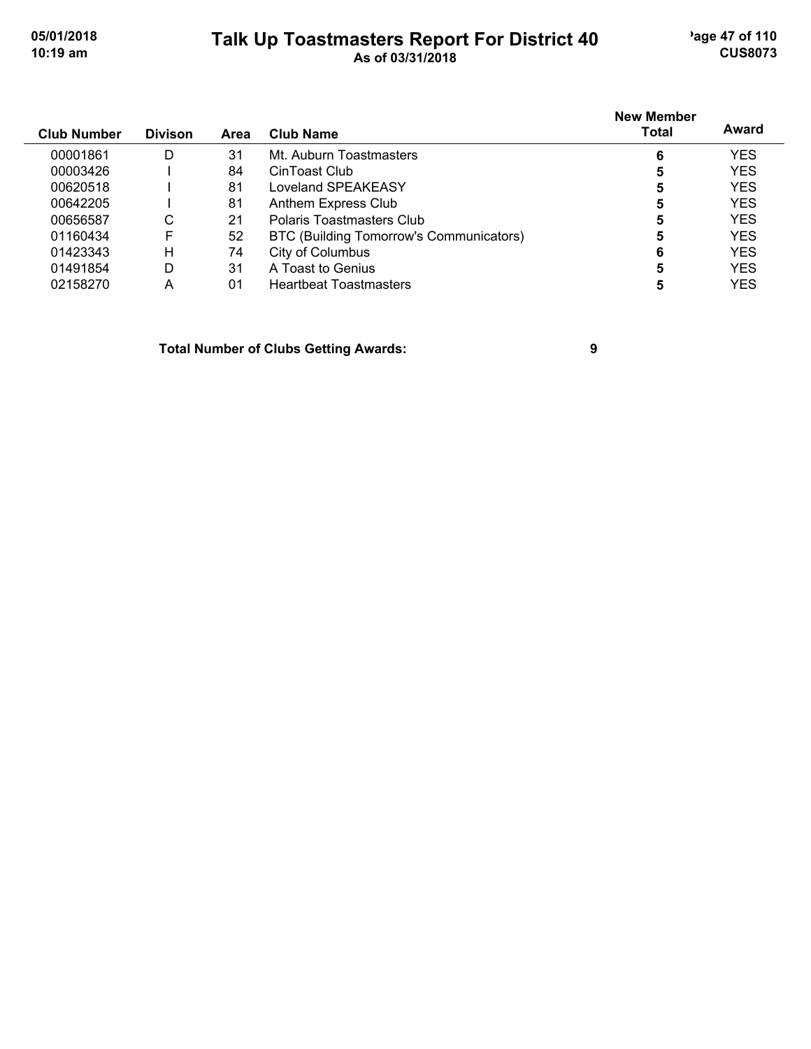#### **Talk Up Toastmasters Report For District 40** age 47 of 110 **10:19 am As of 03/31/2018 CUS8073**

| <b>Club Number</b> | <b>Divison</b> | <b>Area</b> | Club Name                               | <b>New Member</b><br>Total | Award      |
|--------------------|----------------|-------------|-----------------------------------------|----------------------------|------------|
| 00001861           | D              | 31          | Mt. Auburn Toastmasters                 | 6                          | <b>YES</b> |
| 00003426           |                | 84          | CinToast Club                           | 5                          | <b>YES</b> |
| 00620518           |                | 81          | Loveland SPEAKEASY                      | 5                          | <b>YES</b> |
| 00642205           |                | 81          | Anthem Express Club                     | 5                          | <b>YES</b> |
| 00656587           | С              | 21          | Polaris Toastmasters Club               | 5                          | <b>YES</b> |
| 01160434           | F              | 52          | BTC (Building Tomorrow's Communicators) | 5                          | <b>YES</b> |
| 01423343           | н              | 74          | City of Columbus                        | 6                          | <b>YES</b> |
| 01491854           | D              | 31          | A Toast to Genius                       | 5                          | <b>YES</b> |
| 02158270           | А              | 01          | <b>Heartbeat Toastmasters</b>           |                            | YES        |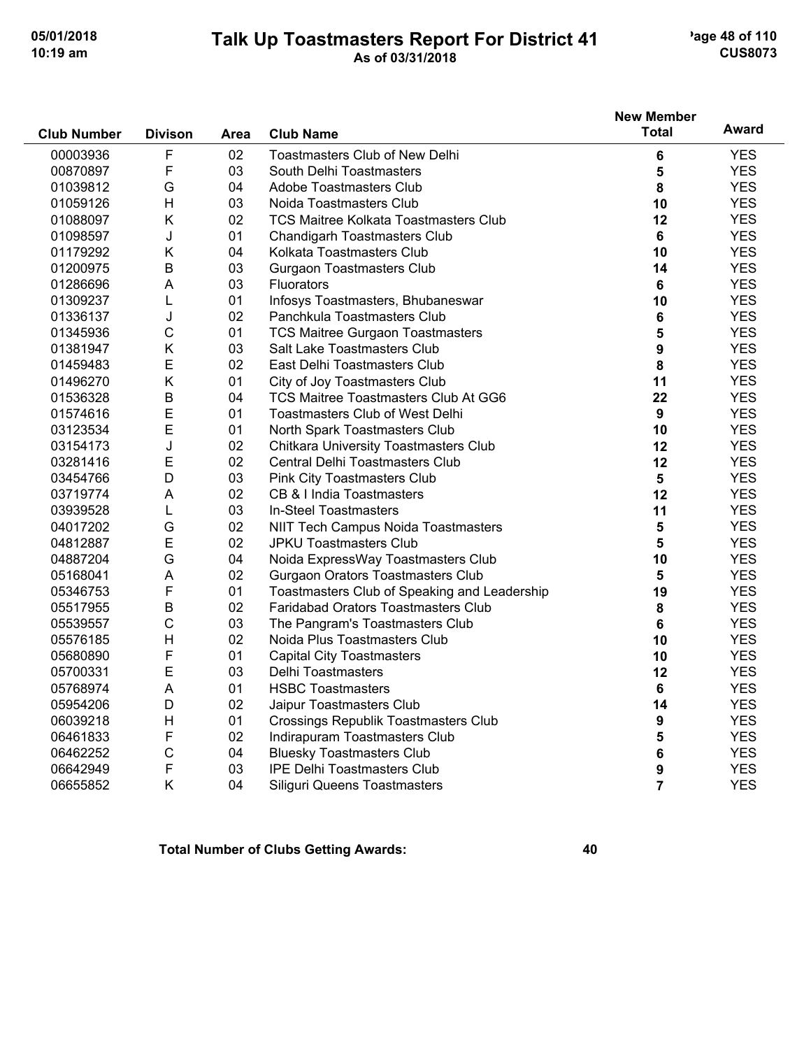#### **Talk Up Toastmasters Report For District 41** age 48 of 110 **10:19 am As of 03/31/2018 CUS8073**

|                    |                |      |                                              | <b>New Member</b> |            |
|--------------------|----------------|------|----------------------------------------------|-------------------|------------|
| <b>Club Number</b> | <b>Divison</b> | Area | <b>Club Name</b>                             | <b>Total</b>      | Award      |
| 00003936           | F              | 02   | <b>Toastmasters Club of New Delhi</b>        | 6                 | <b>YES</b> |
| 00870897           | F              | 03   | South Delhi Toastmasters                     | 5                 | <b>YES</b> |
| 01039812           | G              | 04   | Adobe Toastmasters Club                      | 8                 | <b>YES</b> |
| 01059126           | H              | 03   | Noida Toastmasters Club                      | 10                | <b>YES</b> |
| 01088097           | K              | 02   | <b>TCS Maitree Kolkata Toastmasters Club</b> | 12                | <b>YES</b> |
| 01098597           | J              | 01   | <b>Chandigarh Toastmasters Club</b>          | 6                 | <b>YES</b> |
| 01179292           | Κ              | 04   | Kolkata Toastmasters Club                    | 10                | <b>YES</b> |
| 01200975           | B              | 03   | <b>Gurgaon Toastmasters Club</b>             | 14                | <b>YES</b> |
| 01286696           | A              | 03   | Fluorators                                   | $6\phantom{1}$    | <b>YES</b> |
| 01309237           | L              | 01   | Infosys Toastmasters, Bhubaneswar            | 10                | <b>YES</b> |
| 01336137           | J              | 02   | Panchkula Toastmasters Club                  | 6                 | <b>YES</b> |
| 01345936           | C              | 01   | <b>TCS Maitree Gurgaon Toastmasters</b>      | 5                 | <b>YES</b> |
| 01381947           | Κ              | 03   | Salt Lake Toastmasters Club                  | 9                 | <b>YES</b> |
| 01459483           | E              | 02   | East Delhi Toastmasters Club                 | 8                 | <b>YES</b> |
| 01496270           | Κ              | 01   | City of Joy Toastmasters Club                | 11                | <b>YES</b> |
| 01536328           | B              | 04   | TCS Maitree Toastmasters Club At GG6         | 22                | <b>YES</b> |
| 01574616           | E              | 01   | Toastmasters Club of West Delhi              | 9                 | <b>YES</b> |
| 03123534           | E              | 01   | North Spark Toastmasters Club                | 10                | <b>YES</b> |
| 03154173           | J              | 02   | Chitkara University Toastmasters Club        | 12                | <b>YES</b> |
| 03281416           | E              | 02   | Central Delhi Toastmasters Club              | 12                | <b>YES</b> |
| 03454766           | D              | 03   | Pink City Toastmasters Club                  | 5                 | <b>YES</b> |
| 03719774           | A              | 02   | CB & I India Toastmasters                    | 12                | <b>YES</b> |
| 03939528           | Г              | 03   | In-Steel Toastmasters                        | 11                | <b>YES</b> |
| 04017202           | G              | 02   | NIIT Tech Campus Noida Toastmasters          | 5                 | <b>YES</b> |
| 04812887           | E              | 02   | <b>JPKU Toastmasters Club</b>                | 5                 | <b>YES</b> |
| 04887204           | G              | 04   | Noida ExpressWay Toastmasters Club           | 10                | <b>YES</b> |
| 05168041           | A              | 02   | Gurgaon Orators Toastmasters Club            | 5                 | <b>YES</b> |
| 05346753           | F              | 01   | Toastmasters Club of Speaking and Leadership | 19                | <b>YES</b> |
| 05517955           | B              | 02   | Faridabad Orators Toastmasters Club          | 8                 | <b>YES</b> |
| 05539557           | C              | 03   | The Pangram's Toastmasters Club              | $6\phantom{1}$    | <b>YES</b> |
| 05576185           | $\overline{H}$ | 02   | Noida Plus Toastmasters Club                 | 10                | <b>YES</b> |
| 05680890           | F              | 01   | <b>Capital City Toastmasters</b>             | 10                | <b>YES</b> |
| 05700331           | E              | 03   | <b>Delhi Toastmasters</b>                    | 12                | <b>YES</b> |
| 05768974           | A              | 01   | <b>HSBC Toastmasters</b>                     | 6                 | <b>YES</b> |
| 05954206           | D              | 02   | Jaipur Toastmasters Club                     | 14                | <b>YES</b> |
| 06039218           | H              | 01   | <b>Crossings Republik Toastmasters Club</b>  | 9                 | <b>YES</b> |
| 06461833           | F              | 02   | Indirapuram Toastmasters Club                | 5                 | <b>YES</b> |
| 06462252           | C              | 04   | <b>Bluesky Toastmasters Club</b>             | 6                 | <b>YES</b> |
| 06642949           | F              | 03   | <b>IPE Delhi Toastmasters Club</b>           | 9                 | <b>YES</b> |
| 06655852           | Κ              | 04   | Siliguri Queens Toastmasters                 | $\overline{7}$    | <b>YES</b> |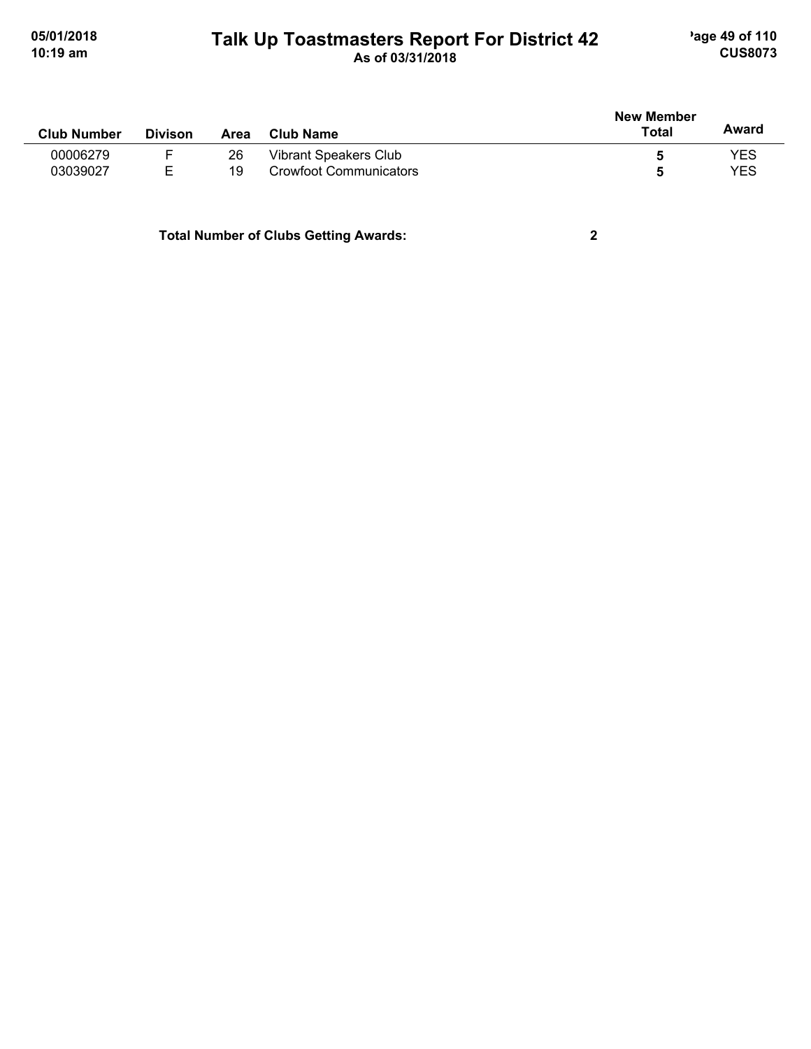#### **Talk Up Toastmasters Report For District 42** age 49 of 110 **10:19 am As of 03/31/2018 CUS8073**

| <b>Club Number</b> | <b>Divison</b> | Area | <b>Club Name</b>       | <b>New Member</b><br><b>Total</b> | Award |
|--------------------|----------------|------|------------------------|-----------------------------------|-------|
| 00006279           |                | 26   | Vibrant Speakers Club  | O                                 | YES   |
| 03039027           | E.             | 19   | Crowfoot Communicators | 5                                 | YES   |
|                    |                |      |                        |                                   |       |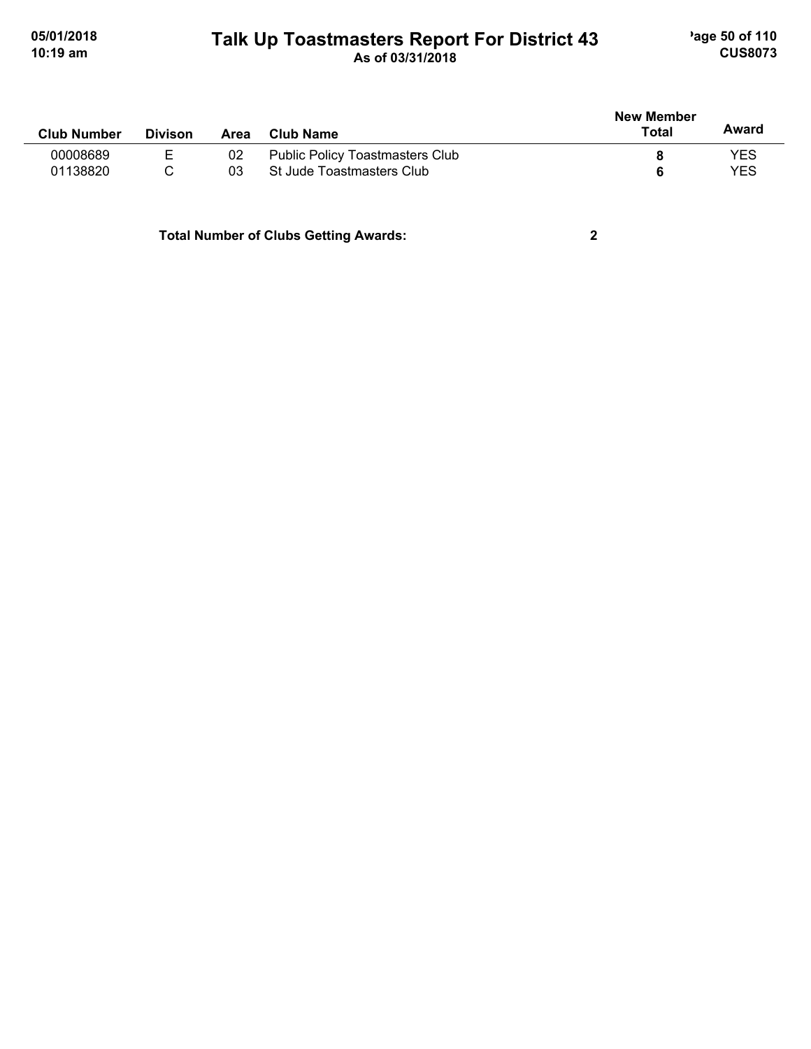#### **Talk Up Toastmasters Report For District 43** age 50 of 110 **10:19 am As of 03/31/2018 CUS8073**

| <b>Divison</b> | Area | Club Name                              | <b>New Member</b><br>Total | Award      |
|----------------|------|----------------------------------------|----------------------------|------------|
| Е.             | 02   | <b>Public Policy Toastmasters Club</b> |                            | YES        |
|                | 03   | St Jude Toastmasters Club              |                            | <b>YES</b> |
|                |      |                                        |                            |            |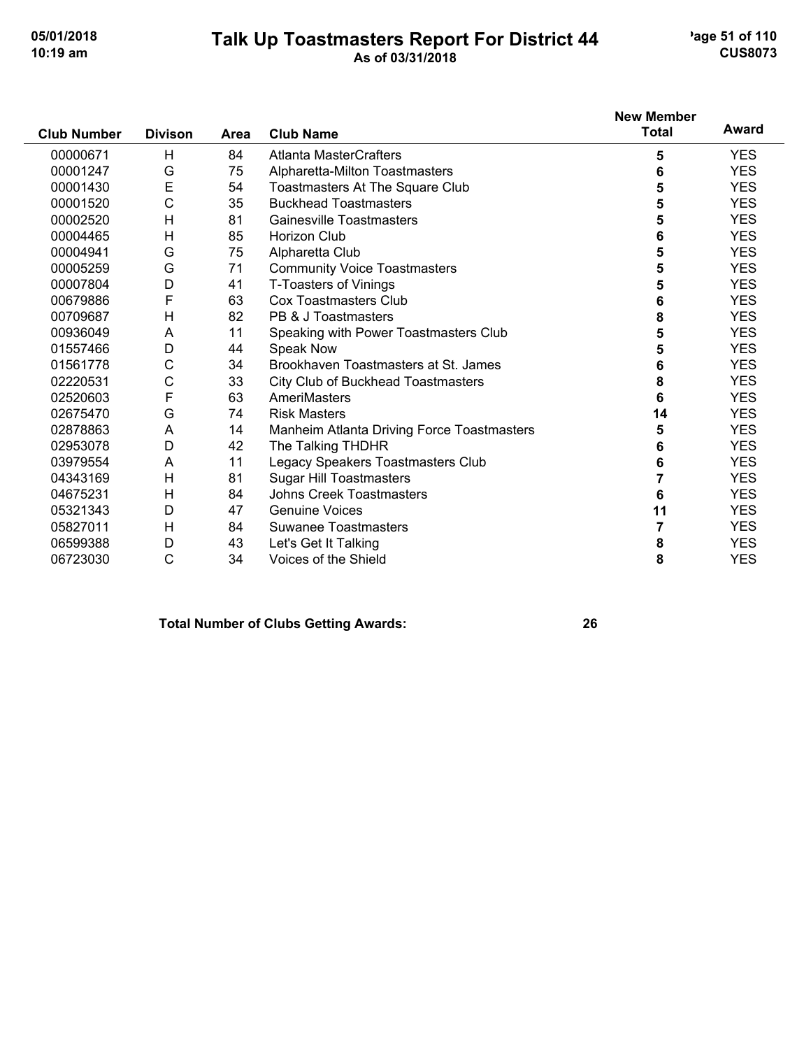#### **Talk Up Toastmasters Report For District 44** age 51 of 110 **10:19 am As of 03/31/2018 CUS8073**

|                    |                |             |                                            | <b>New Member</b> |            |
|--------------------|----------------|-------------|--------------------------------------------|-------------------|------------|
| <b>Club Number</b> | <b>Divison</b> | <b>Area</b> | <b>Club Name</b>                           | <b>Total</b>      | Award      |
| 00000671           | H              | 84          | <b>Atlanta MasterCrafters</b>              | 5                 | <b>YES</b> |
| 00001247           | G              | 75          | Alpharetta-Milton Toastmasters             | 6                 | <b>YES</b> |
| 00001430           | E              | 54          | Toastmasters At The Square Club            | 5                 | <b>YES</b> |
| 00001520           | C              | 35          | <b>Buckhead Toastmasters</b>               | 5                 | <b>YES</b> |
| 00002520           | H              | 81          | Gainesville Toastmasters                   | 5                 | <b>YES</b> |
| 00004465           | H              | 85          | Horizon Club                               | 6                 | <b>YES</b> |
| 00004941           | G              | 75          | Alpharetta Club                            | 5                 | <b>YES</b> |
| 00005259           | G              | 71          | <b>Community Voice Toastmasters</b>        | 5                 | <b>YES</b> |
| 00007804           | D              | 41          | T-Toasters of Vinings                      | 5                 | <b>YES</b> |
| 00679886           | F              | 63          | Cox Toastmasters Club                      | 6                 | <b>YES</b> |
| 00709687           | H              | 82          | PB & J Toastmasters                        | 8                 | <b>YES</b> |
| 00936049           | A              | 11          | Speaking with Power Toastmasters Club      | 5                 | <b>YES</b> |
| 01557466           | D              | 44          | Speak Now                                  | 5                 | <b>YES</b> |
| 01561778           | C              | 34          | Brookhaven Toastmasters at St. James       | 6                 | <b>YES</b> |
| 02220531           | C              | 33          | City Club of Buckhead Toastmasters         | 8                 | <b>YES</b> |
| 02520603           | F              | 63          | AmeriMasters                               | 6                 | <b>YES</b> |
| 02675470           | G              | 74          | <b>Risk Masters</b>                        | 14                | <b>YES</b> |
| 02878863           | A              | 14          | Manheim Atlanta Driving Force Toastmasters | 5                 | <b>YES</b> |
| 02953078           | D              | 42          | The Talking THDHR                          | 6                 | <b>YES</b> |
| 03979554           | A              | 11          | Legacy Speakers Toastmasters Club          | 6                 | <b>YES</b> |
| 04343169           | H              | 81          | <b>Sugar Hill Toastmasters</b>             | 7                 | <b>YES</b> |
| 04675231           | H              | 84          | <b>Johns Creek Toastmasters</b>            | 6                 | <b>YES</b> |
| 05321343           | D              | 47          | <b>Genuine Voices</b>                      | 11                | <b>YES</b> |
| 05827011           | H              | 84          | <b>Suwanee Toastmasters</b>                | 7                 | <b>YES</b> |
| 06599388           | D              | 43          | Let's Get It Talking                       | 8                 | <b>YES</b> |
| 06723030           | C              | 34          | Voices of the Shield                       | 8                 | <b>YES</b> |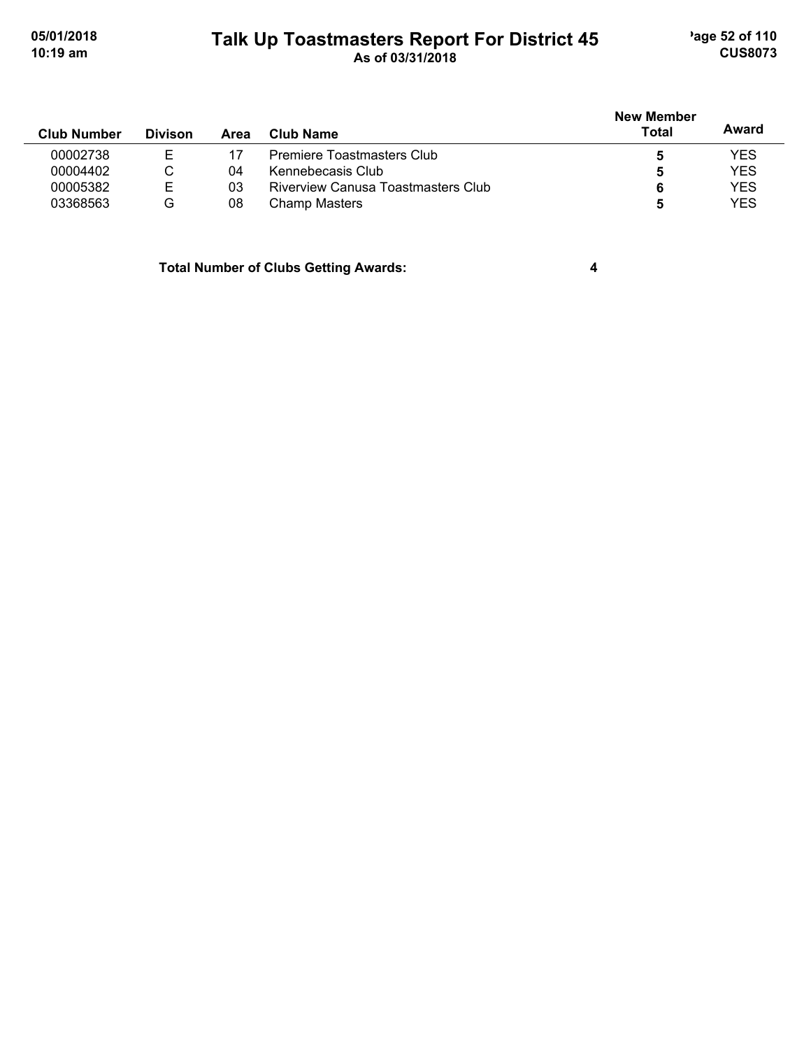#### **Talk Up Toastmasters Report For District 45** age 52 of 110 **10:19 am As of 03/31/2018 CUS8073**

|                    |                |      |                                    | <b>New Member</b> |            |
|--------------------|----------------|------|------------------------------------|-------------------|------------|
| <b>Club Number</b> | <b>Divison</b> | Area | Club Name                          | Total             | Award      |
| 00002738           |                |      | Premiere Toastmasters Club         |                   | <b>YES</b> |
| 00004402           | С              | 04   | Kennebecasis Club                  | 5                 | <b>YES</b> |
| 00005382           | Е              | 03   | Riverview Canusa Toastmasters Club |                   | <b>YES</b> |
| 03368563           | G              | 08   | Champ Masters                      |                   | <b>YES</b> |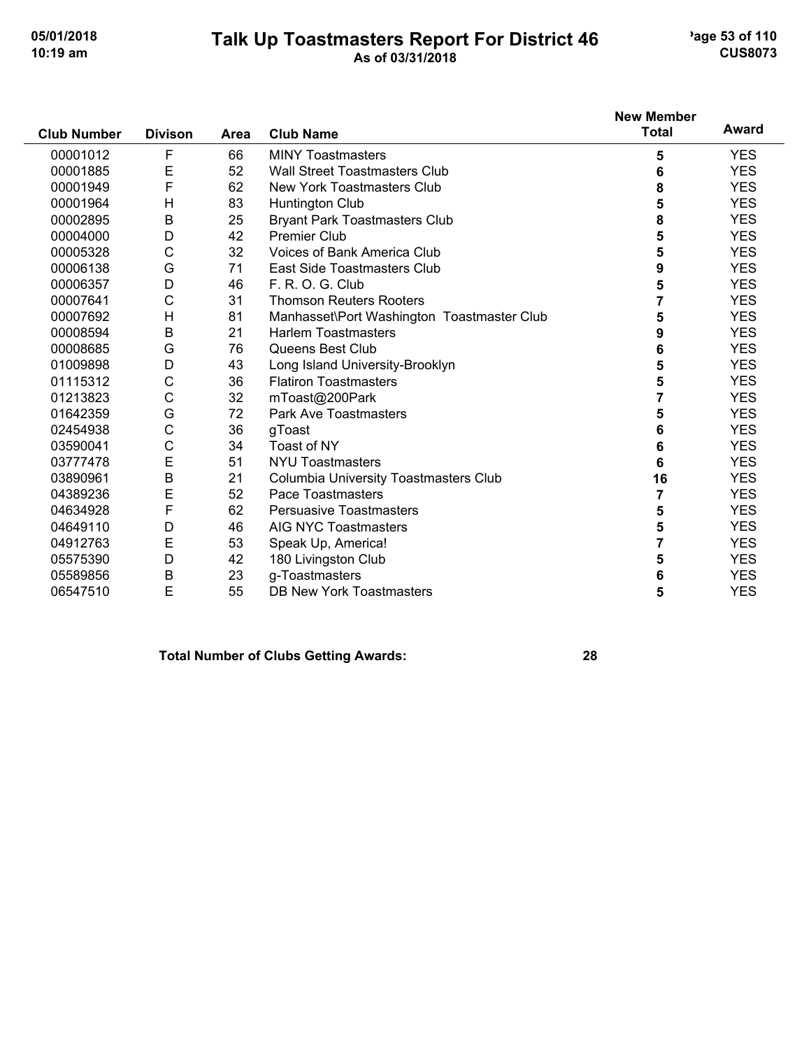#### **Talk Up Toastmasters Report For District 46** age 53 of 110 **10:19 am As of 03/31/2018 CUS8073**

|                    |                |      |                                            | <b>New Member</b><br><b>Total</b> | Award      |
|--------------------|----------------|------|--------------------------------------------|-----------------------------------|------------|
| <b>Club Number</b> | <b>Divison</b> | Area | <b>Club Name</b>                           |                                   |            |
| 00001012           | F              | 66   | <b>MINY Toastmasters</b>                   | 5                                 | <b>YES</b> |
| 00001885           | E              | 52   | <b>Wall Street Toastmasters Club</b>       | 6                                 | <b>YES</b> |
| 00001949           | F              | 62   | New York Toastmasters Club                 | 8                                 | <b>YES</b> |
| 00001964           | H              | 83   | Huntington Club                            | 5                                 | <b>YES</b> |
| 00002895           | B              | 25   | <b>Bryant Park Toastmasters Club</b>       | 8                                 | <b>YES</b> |
| 00004000           | D              | 42   | <b>Premier Club</b>                        | 5                                 | <b>YES</b> |
| 00005328           | C              | 32   | <b>Voices of Bank America Club</b>         | 5                                 | <b>YES</b> |
| 00006138           | G              | 71   | East Side Toastmasters Club                | 9                                 | <b>YES</b> |
| 00006357           | D              | 46   | F. R. O. G. Club                           | 5                                 | <b>YES</b> |
| 00007641           | $\mathsf{C}$   | 31   | <b>Thomson Reuters Rooters</b>             | 7                                 | <b>YES</b> |
| 00007692           | H              | 81   | Manhasset\Port Washington Toastmaster Club | 5                                 | <b>YES</b> |
| 00008594           | B              | 21   | <b>Harlem Toastmasters</b>                 | 9                                 | <b>YES</b> |
| 00008685           | G              | 76   | Queens Best Club                           | 6                                 | <b>YES</b> |
| 01009898           | D              | 43   | Long Island University-Brooklyn            | 5                                 | <b>YES</b> |
| 01115312           | $\mathsf C$    | 36   | <b>Flatiron Toastmasters</b>               | 5                                 | <b>YES</b> |
| 01213823           | C              | 32   | mToast@200Park                             | 7                                 | <b>YES</b> |
| 01642359           | G              | 72   | Park Ave Toastmasters                      | 5                                 | <b>YES</b> |
| 02454938           | $\mathsf C$    | 36   | gToast                                     | 6                                 | <b>YES</b> |
| 03590041           | $\mathsf{C}$   | 34   | Toast of NY                                | 6                                 | <b>YES</b> |
| 03777478           | $\mathsf E$    | 51   | <b>NYU Toastmasters</b>                    | 6                                 | <b>YES</b> |
| 03890961           | B              | 21   | Columbia University Toastmasters Club      | 16                                | <b>YES</b> |
| 04389236           | E              | 52   | Pace Toastmasters                          | 7                                 | <b>YES</b> |
| 04634928           | F              | 62   | <b>Persuasive Toastmasters</b>             | 5                                 | <b>YES</b> |
| 04649110           | D              | 46   | <b>AIG NYC Toastmasters</b>                | 5                                 | <b>YES</b> |
| 04912763           | Ε              | 53   | Speak Up, America!                         | 7                                 | <b>YES</b> |
| 05575390           | D              | 42   | 180 Livingston Club                        | 5                                 | <b>YES</b> |
| 05589856           | B              | 23   | g-Toastmasters                             | 6                                 | <b>YES</b> |
| 06547510           | E              | 55   | <b>DB New York Toastmasters</b>            | 5                                 | <b>YES</b> |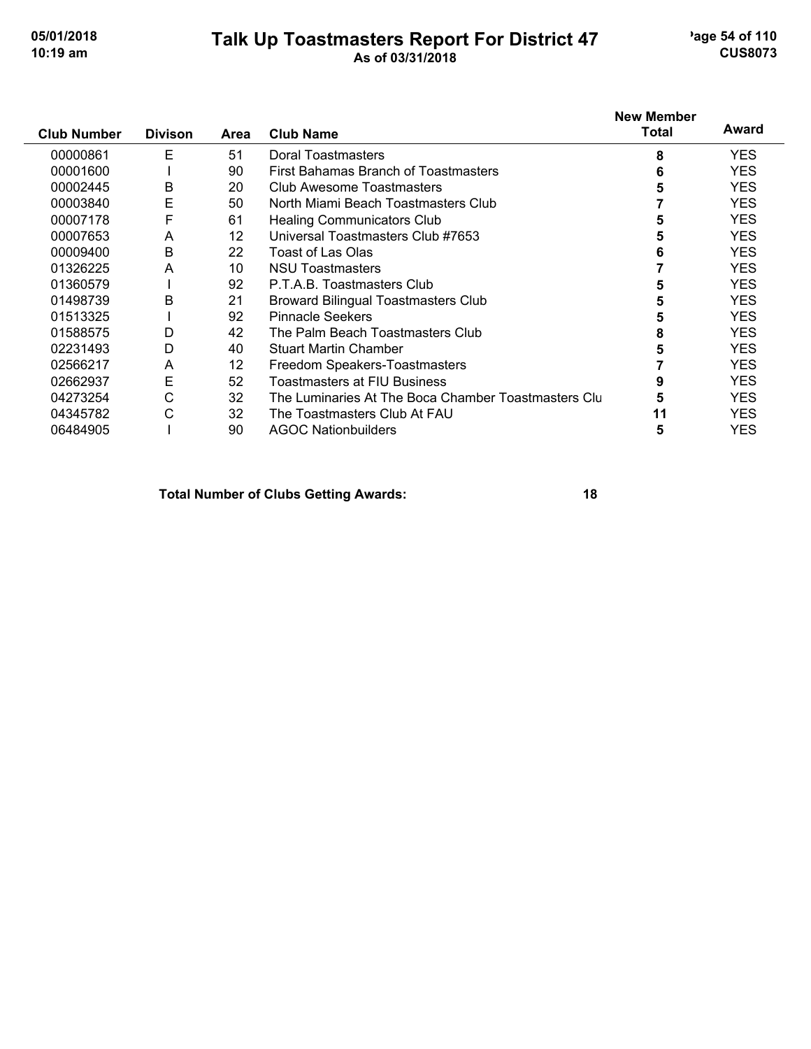#### **Talk Up Toastmasters Report For District 47** age 54 of 110 **10:19 am As of 03/31/2018 CUS8073**

| <b>Club Number</b> | <b>Divison</b> | Area | <b>Club Name</b>                                    | <b>New Member</b><br><b>Total</b> | Award      |
|--------------------|----------------|------|-----------------------------------------------------|-----------------------------------|------------|
| 00000861           | E              | 51   | Doral Toastmasters                                  | 8                                 | <b>YES</b> |
| 00001600           |                | 90   | First Bahamas Branch of Toastmasters                | 6                                 | <b>YES</b> |
| 00002445           | B              | 20   | Club Awesome Toastmasters                           | 5                                 | <b>YES</b> |
| 00003840           | E              | 50   | North Miami Beach Toastmasters Club                 |                                   | <b>YES</b> |
| 00007178           | F              | 61   | <b>Healing Communicators Club</b>                   | 5                                 | <b>YES</b> |
| 00007653           | A              | 12   | Universal Toastmasters Club #7653                   | 5                                 | <b>YES</b> |
| 00009400           | B              | 22   | Toast of Las Olas                                   |                                   | <b>YES</b> |
| 01326225           | A              | 10   | <b>NSU Toastmasters</b>                             |                                   | <b>YES</b> |
| 01360579           |                | 92   | P.T.A.B. Toastmasters Club                          |                                   | <b>YES</b> |
| 01498739           | B              | 21   | <b>Broward Bilingual Toastmasters Club</b>          | 5                                 | <b>YES</b> |
| 01513325           |                | 92   | <b>Pinnacle Seekers</b>                             | 5                                 | <b>YES</b> |
| 01588575           | D              | 42   | The Palm Beach Toastmasters Club                    | 8                                 | <b>YES</b> |
| 02231493           | D              | 40   | <b>Stuart Martin Chamber</b>                        | 5                                 | <b>YES</b> |
| 02566217           | A              | 12   | Freedom Speakers-Toastmasters                       |                                   | <b>YES</b> |
| 02662937           | Е              | 52   | Toastmasters at FIU Business                        |                                   | <b>YES</b> |
| 04273254           | С              | 32   | The Luminaries At The Boca Chamber Toastmasters Clu |                                   | <b>YES</b> |
| 04345782           | C              | 32   | The Toastmasters Club At FAU                        | 11                                | <b>YES</b> |
| 06484905           |                | 90   | <b>AGOC Nationbuilders</b>                          | 5                                 | <b>YES</b> |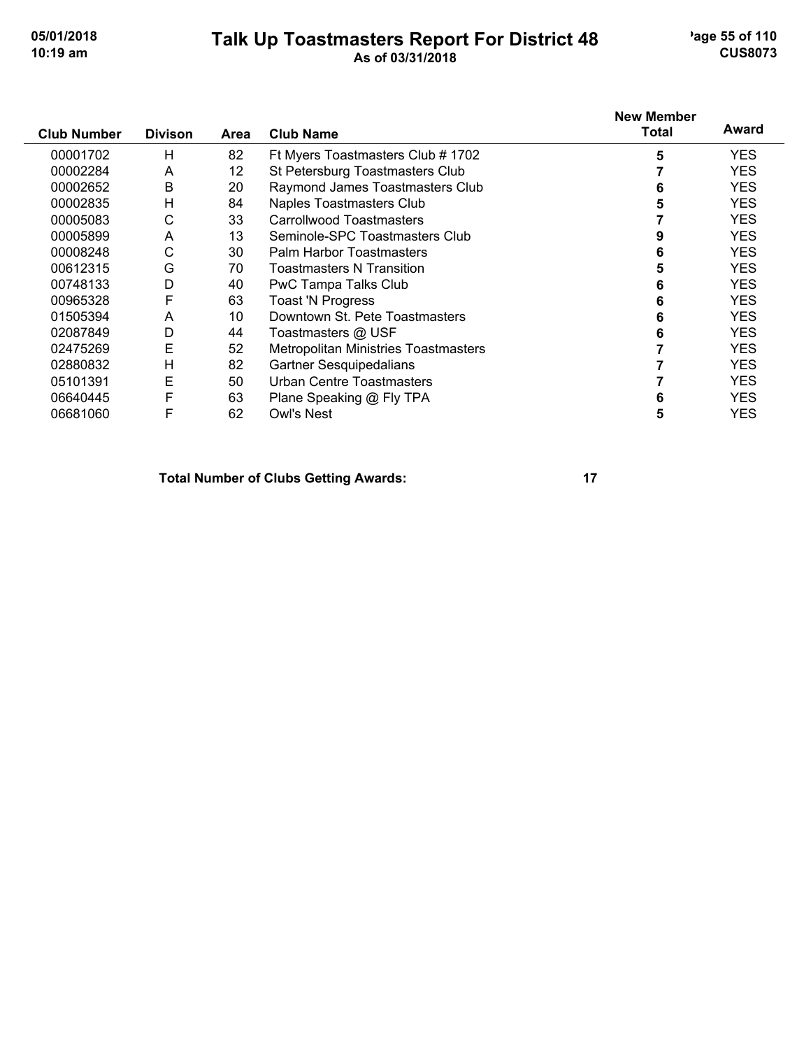#### **Talk Up Toastmasters Report For District 48** age 55 of 110 **10:19 am As of 03/31/2018 CUS8073**

| <b>Club Number</b> | <b>Divison</b> | Area | <b>Club Name</b>                     | <b>New Member</b><br><b>Total</b> | Award      |
|--------------------|----------------|------|--------------------------------------|-----------------------------------|------------|
| 00001702           | Н              | 82   | Ft Myers Toastmasters Club # 1702    | 5                                 | <b>YES</b> |
| 00002284           | A              | 12   | St Petersburg Toastmasters Club      |                                   | <b>YES</b> |
| 00002652           | B              | 20   | Raymond James Toastmasters Club      | 6                                 | <b>YES</b> |
| 00002835           | H              | 84   | Naples Toastmasters Club             | 5                                 | <b>YES</b> |
| 00005083           | С              | 33   | <b>Carrollwood Toastmasters</b>      |                                   | <b>YES</b> |
| 00005899           | A              | 13   | Seminole-SPC Toastmasters Club       |                                   | <b>YES</b> |
| 00008248           | С              | 30   | Palm Harbor Toastmasters             | 6                                 | <b>YES</b> |
| 00612315           | G              | 70   | <b>Toastmasters N Transition</b>     |                                   | <b>YES</b> |
| 00748133           | D              | 40   | PwC Tampa Talks Club                 | 6                                 | <b>YES</b> |
| 00965328           | F              | 63   | <b>Toast 'N Progress</b>             | 6                                 | <b>YES</b> |
| 01505394           | A              | 10   | Downtown St. Pete Toastmasters       |                                   | <b>YES</b> |
| 02087849           | D              | 44   | Toastmasters @ USF                   |                                   | <b>YES</b> |
| 02475269           | E              | 52   | Metropolitan Ministries Toastmasters |                                   | <b>YES</b> |
| 02880832           | H              | 82   | <b>Gartner Sesquipedalians</b>       |                                   | <b>YES</b> |
| 05101391           | Ε              | 50   | Urban Centre Toastmasters            |                                   | <b>YES</b> |
| 06640445           | F              | 63   | Plane Speaking @ Fly TPA             | 6                                 | <b>YES</b> |
| 06681060           | F              | 62   | <b>Owl's Nest</b>                    | 5                                 | YES        |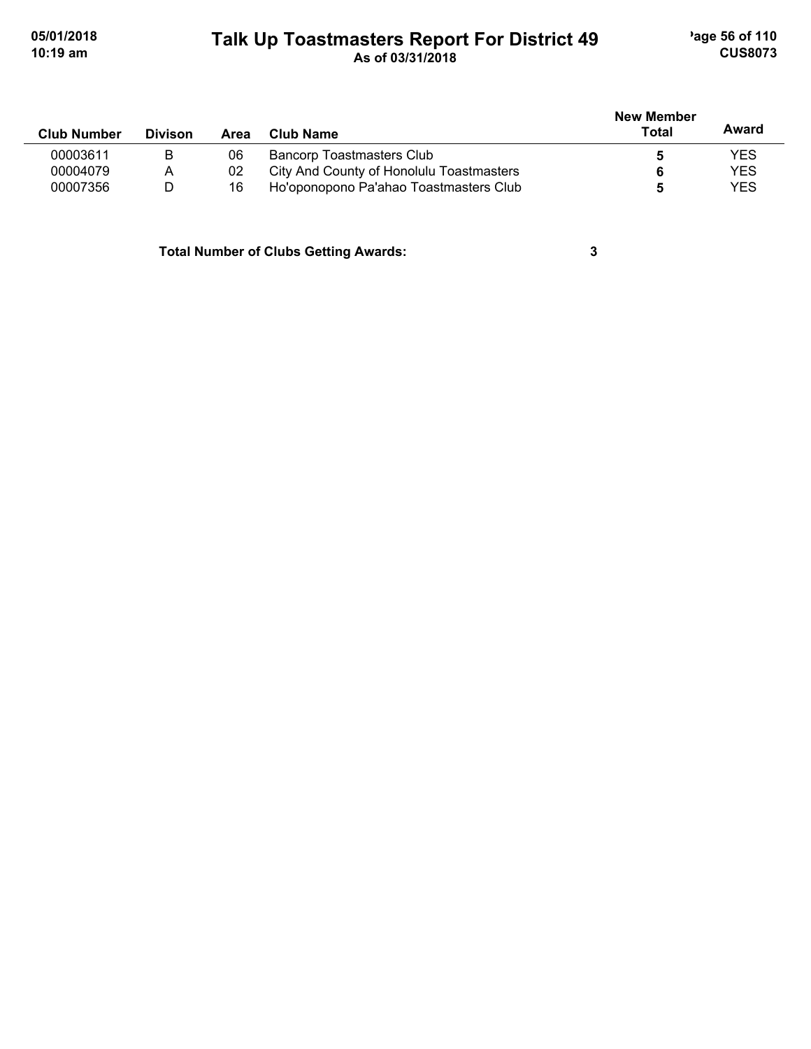#### **Talk Up Toastmasters Report For District 49** age 56 of 110 **10:19 am As of 03/31/2018 CUS8073**

|                    |                |      |                                          | <b>New Member</b> |            |  |
|--------------------|----------------|------|------------------------------------------|-------------------|------------|--|
| <b>Club Number</b> | <b>Divison</b> | Area | Club Name                                | Total             | Award      |  |
| 00003611           | в              | 06   | <b>Bancorp Toastmasters Club</b>         |                   | <b>YES</b> |  |
| 00004079           | A              | 02   | City And County of Honolulu Toastmasters |                   | <b>YES</b> |  |
| 00007356           | D              | 16   | Ho'oponopono Pa'ahao Toastmasters Club   |                   | <b>YES</b> |  |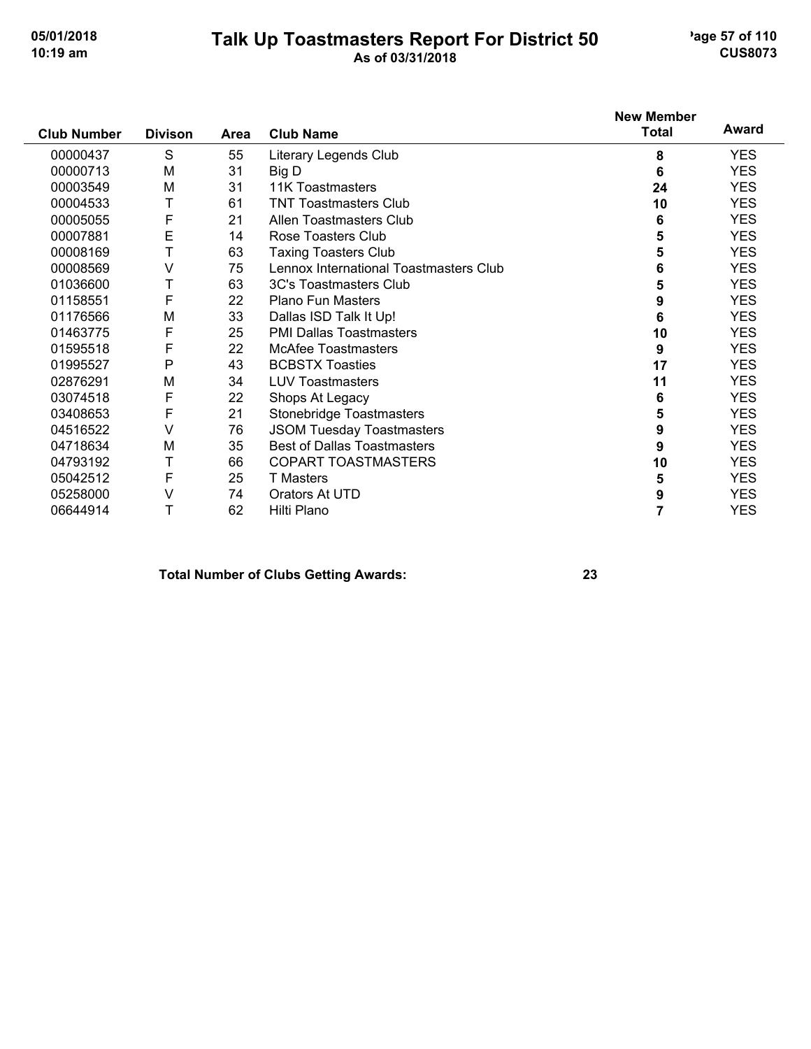#### **Talk Up Toastmasters Report For District 50** age 57 of 110 **10:19 am As of 03/31/2018 CUS8073**

|                    |                |      |                                        | <b>New Member</b> |            |
|--------------------|----------------|------|----------------------------------------|-------------------|------------|
| <b>Club Number</b> | <b>Divison</b> | Area | <b>Club Name</b>                       | <b>Total</b>      | Award      |
| 00000437           | S              | 55   | Literary Legends Club                  | 8                 | <b>YES</b> |
| 00000713           | M              | 31   | Big D                                  | 6                 | <b>YES</b> |
| 00003549           | M              | 31   | <b>11K Toastmasters</b>                | 24                | <b>YES</b> |
| 00004533           | T              | 61   | <b>TNT Toastmasters Club</b>           | 10                | <b>YES</b> |
| 00005055           | F              | 21   | Allen Toastmasters Club                | 6                 | <b>YES</b> |
| 00007881           | E              | 14   | Rose Toasters Club                     | 5                 | <b>YES</b> |
| 00008169           | Τ              | 63   | <b>Taxing Toasters Club</b>            | 5                 | <b>YES</b> |
| 00008569           | V              | 75   | Lennox International Toastmasters Club | 6                 | <b>YES</b> |
| 01036600           | T              | 63   | 3C's Toastmasters Club                 | 5                 | <b>YES</b> |
| 01158551           | F              | 22   | <b>Plano Fun Masters</b>               | 9                 | <b>YES</b> |
| 01176566           | M              | 33   | Dallas ISD Talk It Up!                 | 6                 | <b>YES</b> |
| 01463775           | F              | 25   | <b>PMI Dallas Toastmasters</b>         | 10                | <b>YES</b> |
| 01595518           | F              | 22   | <b>McAfee Toastmasters</b>             | 9                 | <b>YES</b> |
| 01995527           | $\mathsf{P}$   | 43   | <b>BCBSTX Toasties</b>                 | 17                | <b>YES</b> |
| 02876291           | M              | 34   | <b>LUV Toastmasters</b>                | 11                | <b>YES</b> |
| 03074518           | F              | 22   | Shops At Legacy                        | 6                 | <b>YES</b> |
| 03408653           | F              | 21   | Stonebridge Toastmasters               | 5                 | <b>YES</b> |
| 04516522           | V              | 76   | <b>JSOM Tuesday Toastmasters</b>       | 9                 | <b>YES</b> |
| 04718634           | M              | 35   | <b>Best of Dallas Toastmasters</b>     | 9                 | <b>YES</b> |
| 04793192           | Т              | 66   | COPART TOASTMASTERS                    | 10                | <b>YES</b> |
| 05042512           | F              | 25   | <b>T</b> Masters                       | 5                 | <b>YES</b> |
| 05258000           | V              | 74   | Orators At UTD                         | 9                 | <b>YES</b> |
| 06644914           | Т              | 62   | Hilti Plano                            |                   | <b>YES</b> |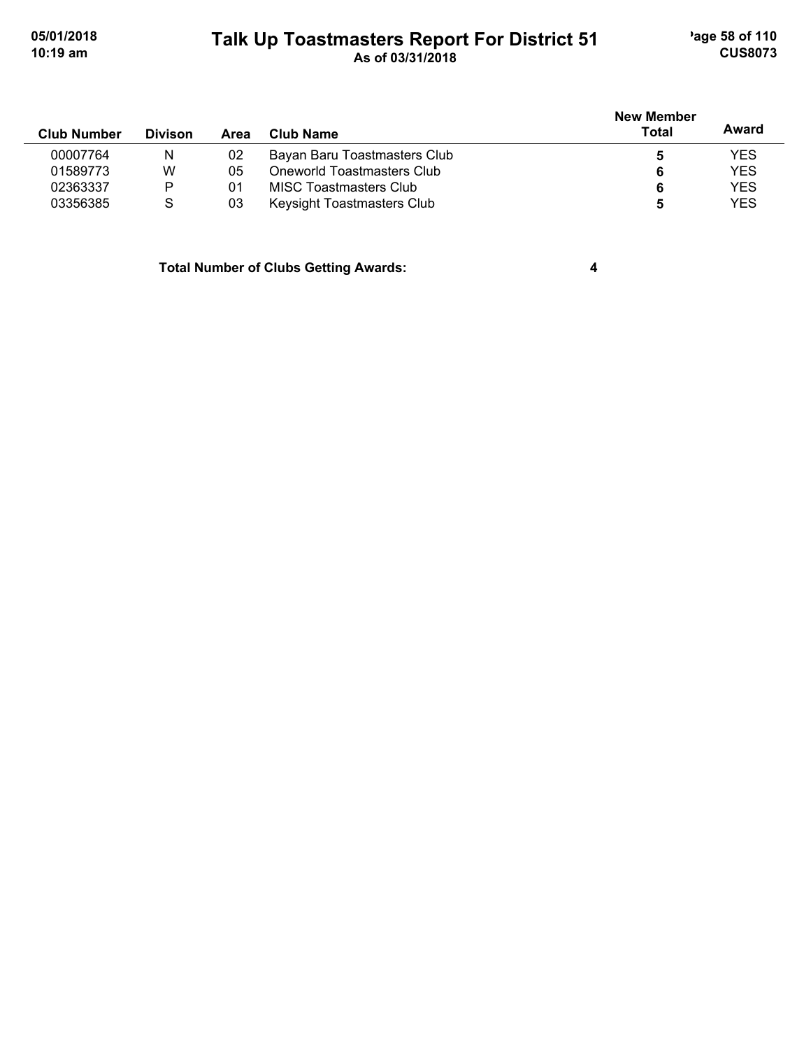### **Talk Up Toastmasters Report For District 51** age 58 of 110 **10:19 am As of 03/31/2018 CUS8073**

| <b>Club Number</b> | <b>Divison</b> | Area | Club Name                     | <b>New Member</b><br>Total | Award      |
|--------------------|----------------|------|-------------------------------|----------------------------|------------|
| 00007764           | N              | 02   | Bayan Baru Toastmasters Club  |                            | YES        |
| 01589773           | W              | 05   | Oneworld Toastmasters Club    | 6                          | <b>YES</b> |
| 02363337           | Þ              | -01  | <b>MISC Toastmasters Club</b> | 6                          | <b>YES</b> |
| 03356385           | S              | 03   | Keysight Toastmasters Club    | 5                          | YES        |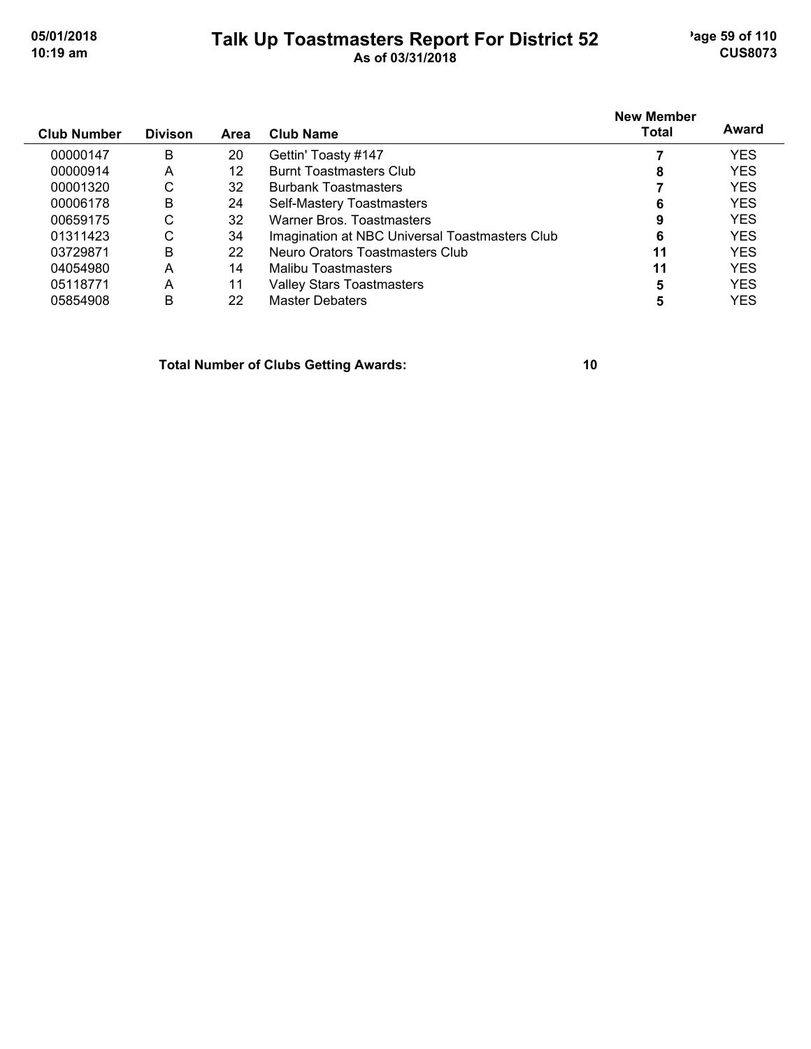#### **Talk Up Toastmasters Report For District 52** age 59 of 110 **10:19 am As of 03/31/2018 CUS8073**

| <b>Club Number</b> | <b>Divison</b> | Area | Club Name                                      | <b>New Member</b><br><b>Total</b> | Award      |
|--------------------|----------------|------|------------------------------------------------|-----------------------------------|------------|
| 00000147           | B              | 20   | Gettin' Toasty #147                            |                                   | <b>YES</b> |
| 00000914           | А              | 12   | <b>Burnt Toastmasters Club</b>                 | 8                                 | <b>YES</b> |
| 00001320           | С              | 32   | <b>Burbank Toastmasters</b>                    |                                   | <b>YES</b> |
| 00006178           | B              | 24   | Self-Mastery Toastmasters                      | 6                                 | <b>YES</b> |
| 00659175           | С              | 32   | Warner Bros, Toastmasters                      | 9                                 | <b>YES</b> |
| 01311423           | С              | 34   | Imagination at NBC Universal Toastmasters Club | 6                                 | <b>YES</b> |
| 03729871           | B              | 22   | Neuro Orators Toastmasters Club                | 11                                | <b>YES</b> |
| 04054980           | A              | 14   | Malibu Toastmasters                            | 11                                | <b>YES</b> |
| 05118771           | A              | 11   | Valley Stars Toastmasters                      | 5                                 | <b>YES</b> |
| 05854908           | B              | 22   | <b>Master Debaters</b>                         |                                   | YES        |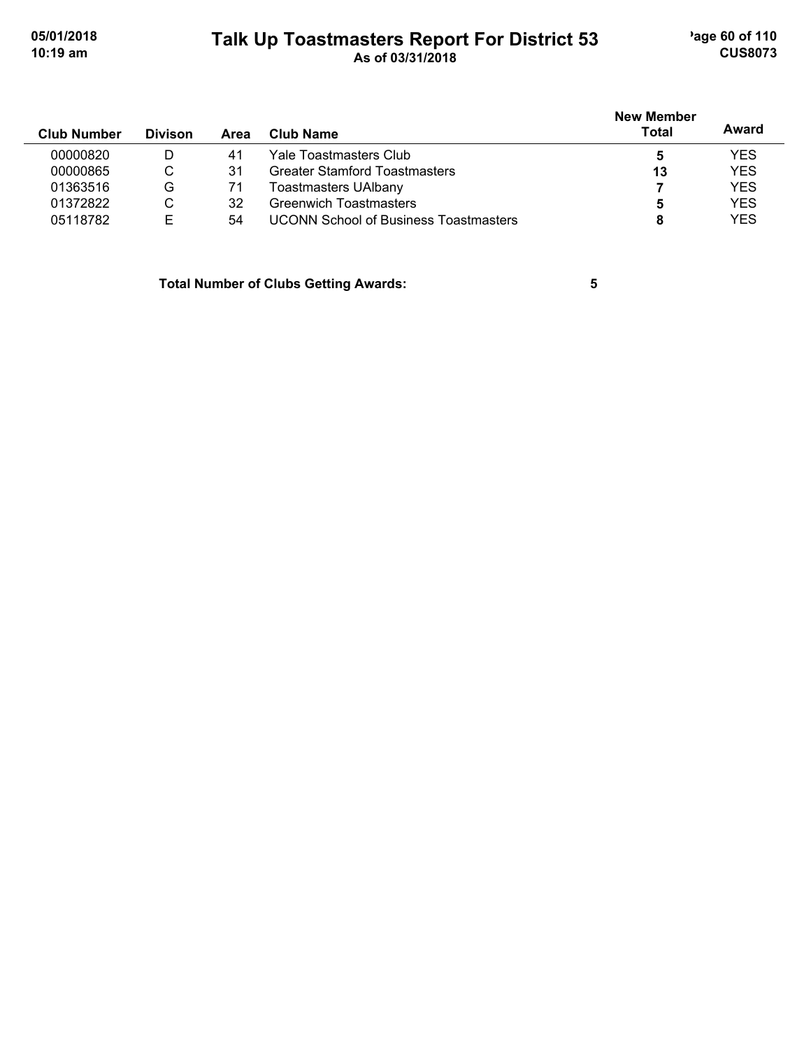#### **Talk Up Toastmasters Report For District 53** age 60 of 110 **10:19 am As of 03/31/2018 CUS8073**

| <b>Club Number</b> | <b>Divison</b> | Area | Club Name                                    | <b>New Member</b><br><b>Total</b> | Award      |
|--------------------|----------------|------|----------------------------------------------|-----------------------------------|------------|
| 00000820           | D              | 41   | Yale Toastmasters Club.                      | 5                                 | <b>YES</b> |
| 00000865           | C              | 31   | <b>Greater Stamford Toastmasters</b>         | 13                                | <b>YES</b> |
| 01363516           | G              | 71   | Toastmasters UAlbany                         |                                   | <b>YES</b> |
| 01372822           | С              | 32   | <b>Greenwich Toastmasters</b>                | 5                                 | <b>YES</b> |
| 05118782           | E              | 54   | <b>UCONN School of Business Toastmasters</b> |                                   | <b>YES</b> |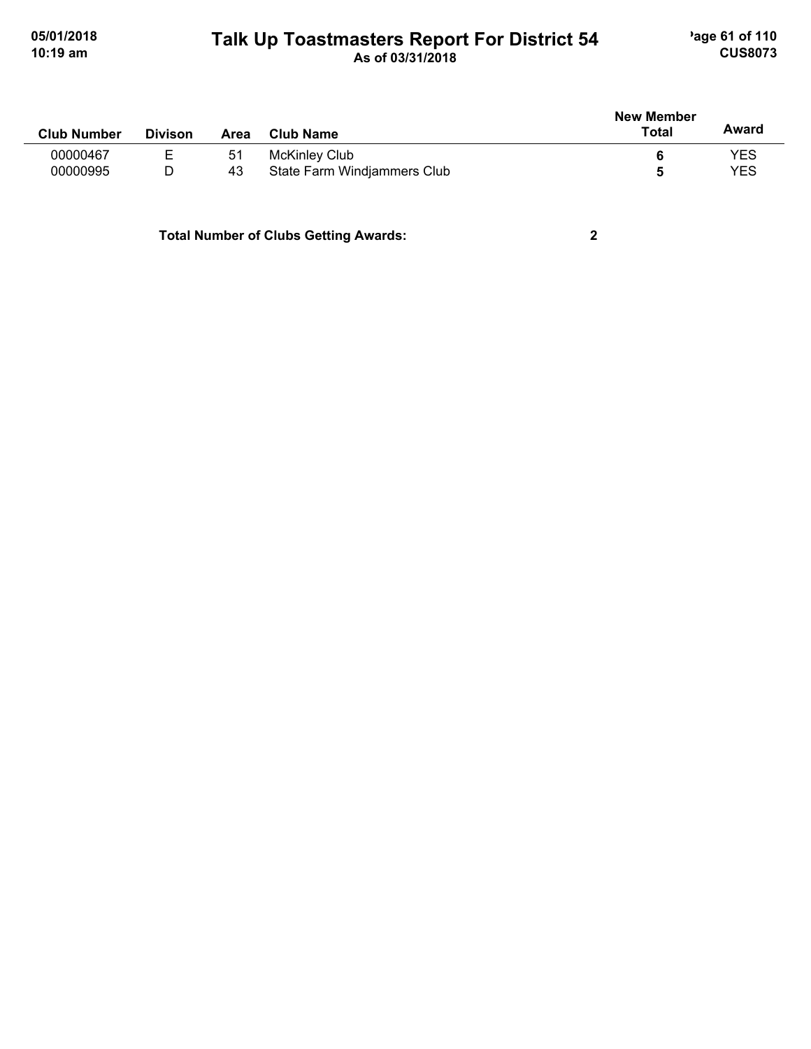#### **Talk Up Toastmasters Report For District 54** age 61 of 110 **10:19 am As of 03/31/2018 CUS8073**

|                    |                |      |                             | <b>New Member</b> |            |
|--------------------|----------------|------|-----------------------------|-------------------|------------|
| <b>Club Number</b> | <b>Divison</b> | Area | Club Name                   | Total             | Award      |
| 00000467           | Е              | -51  | McKinley Club               |                   | <b>YES</b> |
| 00000995           | D              | 43   | State Farm Windjammers Club |                   | YES        |
|                    |                |      |                             |                   |            |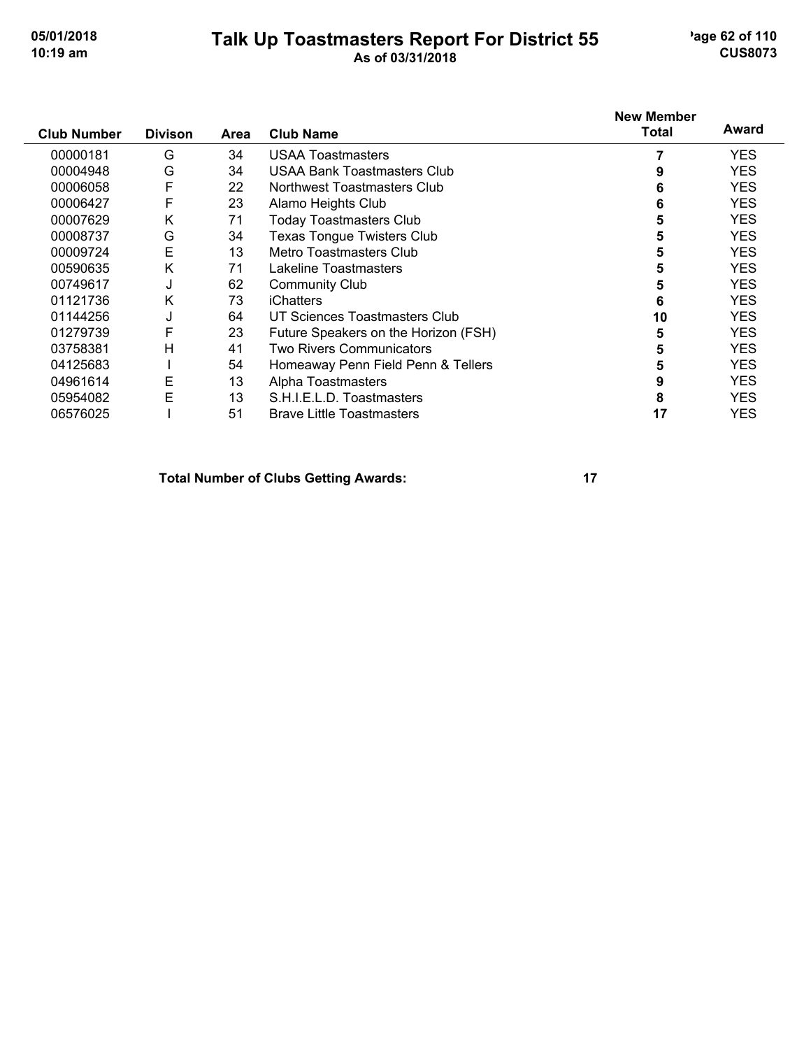# **Talk Up Toastmasters Report For District 55** age 62 of 110

## **10:19 am As of 03/31/2018 CUS8073**

|                    | <b>Divison</b> |      |                                      | <b>New Member</b><br>Total | Award      |
|--------------------|----------------|------|--------------------------------------|----------------------------|------------|
| <b>Club Number</b> |                | Area | <b>Club Name</b>                     |                            |            |
| 00000181           | G              | 34   | <b>USAA Toastmasters</b>             |                            | <b>YES</b> |
| 00004948           | G              | 34   | USAA Bank Toastmasters Club          |                            | <b>YES</b> |
| 00006058           | F              | 22   | Northwest Toastmasters Club          | 6                          | <b>YES</b> |
| 00006427           | F              | 23   | Alamo Heights Club                   | 6                          | <b>YES</b> |
| 00007629           | Κ              | 71   | <b>Today Toastmasters Club</b>       | 5                          | <b>YES</b> |
| 00008737           | G              | 34   | <b>Texas Tongue Twisters Club</b>    | 5                          | <b>YES</b> |
| 00009724           | E              | 13   | Metro Toastmasters Club              |                            | <b>YES</b> |
| 00590635           | Κ              | 71   | Lakeline Toastmasters                |                            | <b>YES</b> |
| 00749617           | J              | 62   | <b>Community Club</b>                |                            | <b>YES</b> |
| 01121736           | Κ              | 73   | <b>iChatters</b>                     | 6                          | <b>YES</b> |
| 01144256           | J              | 64   | UT Sciences Toastmasters Club        | 10                         | <b>YES</b> |
| 01279739           | F              | 23   | Future Speakers on the Horizon (FSH) | 5                          | <b>YES</b> |
| 03758381           | Η              | 41   | <b>Two Rivers Communicators</b>      | 5                          | <b>YES</b> |
| 04125683           |                | 54   | Homeaway Penn Field Penn & Tellers   | 5                          | <b>YES</b> |
| 04961614           | Е              | 13   | Alpha Toastmasters                   | 9                          | <b>YES</b> |
| 05954082           | E              | 13   | S.H.I.E.L.D. Toastmasters            | 8                          | <b>YES</b> |
| 06576025           |                | 51   | <b>Brave Little Toastmasters</b>     | 17                         | YES        |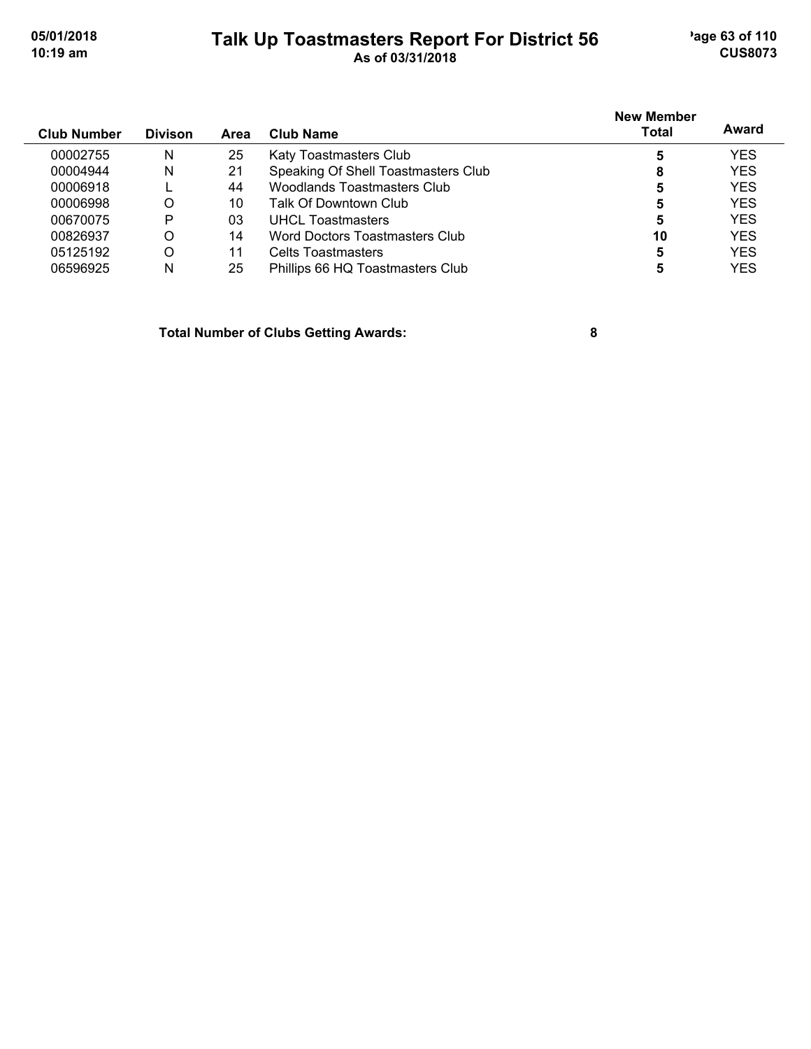#### **Talk Up Toastmasters Report For District 56** age 63 of 110 **10:19 am As of 03/31/2018 CUS8073**

|                    |                |      |                                     | <b>New Member</b> |            |
|--------------------|----------------|------|-------------------------------------|-------------------|------------|
| <b>Club Number</b> | <b>Divison</b> | Area | <b>Club Name</b>                    | Total             | Award      |
| 00002755           | N              | 25   | Katy Toastmasters Club              | 5                 | <b>YES</b> |
| 00004944           | N              | 21   | Speaking Of Shell Toastmasters Club | 8                 | <b>YES</b> |
| 00006918           |                | 44   | Woodlands Toastmasters Club         | 5                 | <b>YES</b> |
| 00006998           | O              | 10   | Talk Of Downtown Club               |                   | <b>YES</b> |
| 00670075           | P              | 03   | <b>UHCL Toastmasters</b>            | 5                 | <b>YES</b> |
| 00826937           | O              | 14   | Word Doctors Toastmasters Club      | 10                | <b>YES</b> |
| 05125192           | O              | 11   | Celts Toastmasters                  | 5                 | <b>YES</b> |
| 06596925           | N              | 25   | Phillips 66 HQ Toastmasters Club    |                   | <b>YES</b> |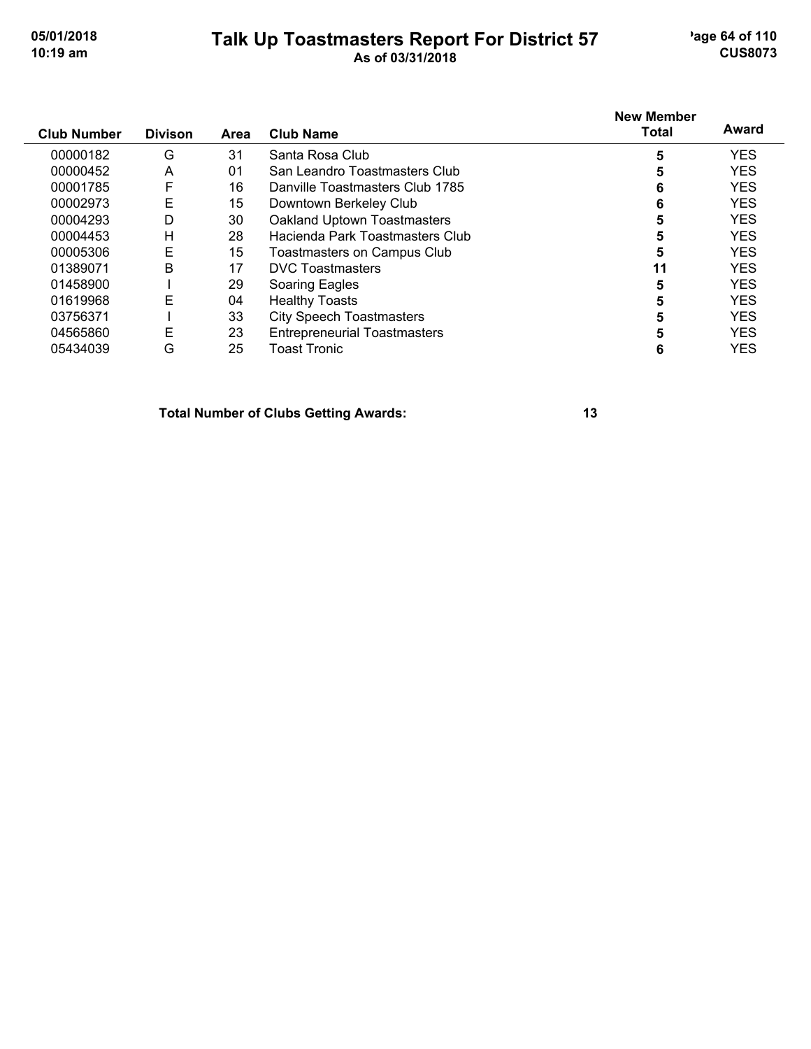#### **Talk Up Toastmasters Report For District 57** age 64 of 110 **10:19 am As of 03/31/2018 CUS8073**

|                    |                |             |                                     | <b>New Member</b> |            |
|--------------------|----------------|-------------|-------------------------------------|-------------------|------------|
| <b>Club Number</b> | <b>Divison</b> | <b>Area</b> | <b>Club Name</b>                    | Total             | Award      |
| 00000182           | G              | 31          | Santa Rosa Club                     | 5                 | <b>YES</b> |
| 00000452           | Α              | 01          | San Leandro Toastmasters Club       |                   | <b>YES</b> |
| 00001785           | F              | 16          | Danville Toastmasters Club 1785     |                   | <b>YES</b> |
| 00002973           | E              | 15          | Downtown Berkeley Club              | 6                 | <b>YES</b> |
| 00004293           | D              | 30          | Oakland Uptown Toastmasters         |                   | <b>YES</b> |
| 00004453           | н              | 28          | Hacienda Park Toastmasters Club     | 5                 | <b>YES</b> |
| 00005306           | Ε              | 15          | <b>Toastmasters on Campus Club</b>  | 5                 | <b>YES</b> |
| 01389071           | B              | 17          | <b>DVC</b> Toastmasters             | 11                | <b>YES</b> |
| 01458900           |                | 29          | Soaring Eagles                      | 5                 | <b>YES</b> |
| 01619968           | E              | 04          | <b>Healthy Toasts</b>               |                   | <b>YES</b> |
| 03756371           |                | 33          | <b>City Speech Toastmasters</b>     | 5                 | <b>YES</b> |
| 04565860           | Е              | 23          | <b>Entrepreneurial Toastmasters</b> |                   | <b>YES</b> |
| 05434039           | G              | 25          | Toast Tronic                        | 6                 | <b>YES</b> |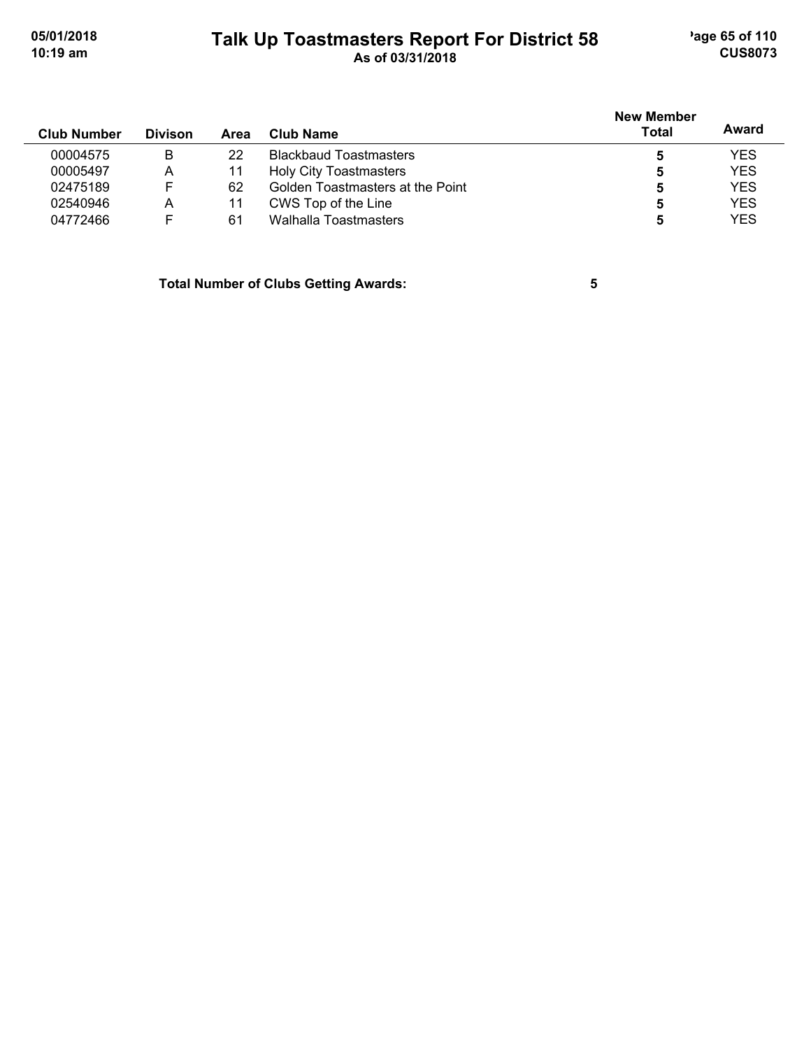### **Talk Up Toastmasters Report For District 58** age 65 of 110 **10:19 am As of 03/31/2018 CUS8073**

| <b>Club Number</b> | <b>Divison</b> | Area | Club Name                        | <b>New Member</b><br><b>Total</b> | Award      |
|--------------------|----------------|------|----------------------------------|-----------------------------------|------------|
| 00004575           | B              | 22   | <b>Blackbaud Toastmasters</b>    | 5                                 | <b>YES</b> |
| 00005497           | A              | 11   | <b>Holy City Toastmasters</b>    | 5                                 | <b>YES</b> |
| 02475189           | F              | 62   | Golden Toastmasters at the Point | 5                                 | <b>YES</b> |
| 02540946           | А              | 11   | CWS Top of the Line              | 5                                 | <b>YES</b> |
| 04772466           |                | 61   | Walhalla Toastmasters            | 5                                 | <b>YES</b> |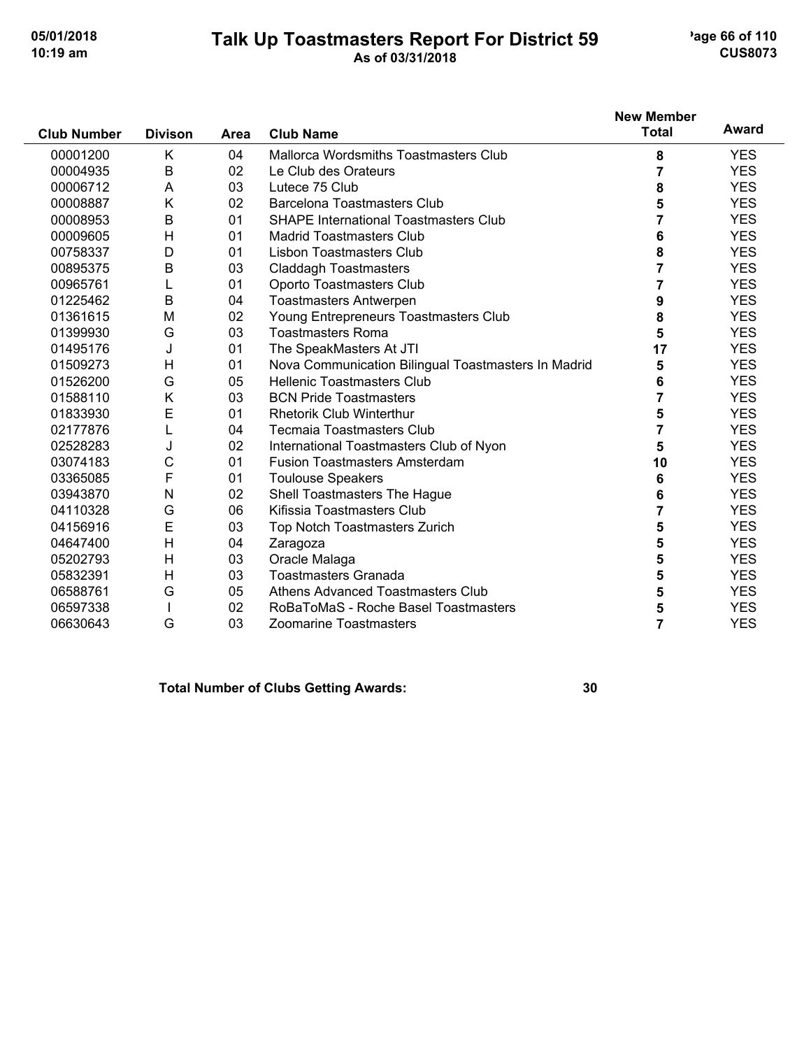#### **Talk Up Toastmasters Report For District 59** age 66 of 110 **10:19 am As of 03/31/2018 CUS8073**

| <b>Club Number</b> | <b>Divison</b> |      | <b>Club Name</b>                                    | <b>New Member</b><br><b>Total</b> | Award      |
|--------------------|----------------|------|-----------------------------------------------------|-----------------------------------|------------|
|                    |                | Area |                                                     |                                   |            |
| 00001200           | K              | 04   | <b>Mallorca Wordsmiths Toastmasters Club</b>        | 8                                 | <b>YES</b> |
| 00004935           | B              | 02   | Le Club des Orateurs                                | 7                                 | <b>YES</b> |
| 00006712           | A              | 03   | Lutece 75 Club                                      | 8                                 | <b>YES</b> |
| 00008887           | K              | 02   | <b>Barcelona Toastmasters Club</b>                  | 5                                 | <b>YES</b> |
| 00008953           | B              | 01   | <b>SHAPE International Toastmasters Club</b>        | 7                                 | <b>YES</b> |
| 00009605           | Н              | 01   | <b>Madrid Toastmasters Club</b>                     | 6                                 | <b>YES</b> |
| 00758337           | D              | 01   | <b>Lisbon Toastmasters Club</b>                     | 8                                 | <b>YES</b> |
| 00895375           | B              | 03   | <b>Claddagh Toastmasters</b>                        | $\overline{7}$                    | <b>YES</b> |
| 00965761           | L              | 01   | Oporto Toastmasters Club                            | 7                                 | <b>YES</b> |
| 01225462           | B              | 04   | <b>Toastmasters Antwerpen</b>                       | 9                                 | <b>YES</b> |
| 01361615           | M              | 02   | Young Entrepreneurs Toastmasters Club               | 8                                 | <b>YES</b> |
| 01399930           | G              | 03   | <b>Toastmasters Roma</b>                            | 5                                 | <b>YES</b> |
| 01495176           | J              | 01   | The SpeakMasters At JTI                             | 17                                | <b>YES</b> |
| 01509273           | н              | 01   | Nova Communication Bilingual Toastmasters In Madrid | 5                                 | <b>YES</b> |
| 01526200           | G              | 05   | <b>Hellenic Toastmasters Club</b>                   | 6                                 | <b>YES</b> |
| 01588110           | Κ              | 03   | <b>BCN Pride Toastmasters</b>                       | 7                                 | <b>YES</b> |
| 01833930           | E              | 01   | <b>Rhetorik Club Winterthur</b>                     | 5                                 | <b>YES</b> |
| 02177876           | L              | 04   | <b>Tecmaia Toastmasters Club</b>                    | 7                                 | <b>YES</b> |
| 02528283           | J              | 02   | International Toastmasters Club of Nyon             | 5                                 | <b>YES</b> |
| 03074183           | C              | 01   | <b>Fusion Toastmasters Amsterdam</b>                | 10                                | <b>YES</b> |
| 03365085           | F              | 01   | <b>Toulouse Speakers</b>                            | 6                                 | <b>YES</b> |
| 03943870           | N              | 02   | Shell Toastmasters The Hague                        | 6                                 | <b>YES</b> |
| 04110328           | G              | 06   | Kifissia Toastmasters Club                          | 7                                 | <b>YES</b> |
| 04156916           | E              | 03   | Top Notch Toastmasters Zurich                       | 5                                 | <b>YES</b> |
| 04647400           | н              | 04   | Zaragoza                                            | 5                                 | <b>YES</b> |
| 05202793           | $\mathsf{H}$   | 03   | Oracle Malaga                                       | 5                                 | <b>YES</b> |
| 05832391           | н              | 03   | <b>Toastmasters Granada</b>                         | 5                                 | <b>YES</b> |
| 06588761           | G              | 05   | Athens Advanced Toastmasters Club                   | 5                                 | <b>YES</b> |
| 06597338           |                | 02   | RoBaToMaS - Roche Basel Toastmasters                | 5                                 | <b>YES</b> |
| 06630643           | G              | 03   | Zoomarine Toastmasters                              | $\overline{7}$                    | <b>YES</b> |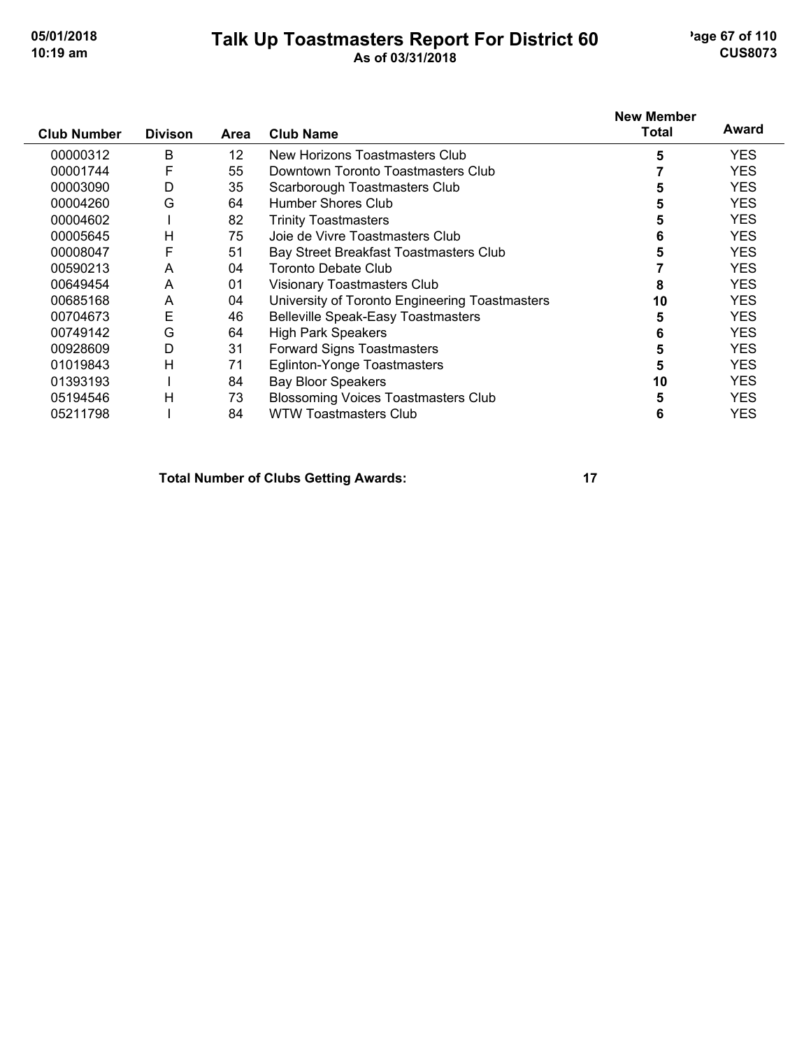#### **Talk Up Toastmasters Report For District 60** age 67 of 110 **10:19 am As of 03/31/2018 CUS8073**

| <b>Club Number</b> | <b>Divison</b> | Area              | <b>Club Name</b>                               | <b>New Member</b><br><b>Total</b> | Award      |
|--------------------|----------------|-------------------|------------------------------------------------|-----------------------------------|------------|
| 00000312           | B              | $12 \overline{ }$ | New Horizons Toastmasters Club                 | 5                                 | <b>YES</b> |
| 00001744           | F              | 55                | Downtown Toronto Toastmasters Club             |                                   | <b>YES</b> |
| 00003090           | D              | 35                | Scarborough Toastmasters Club                  | 5                                 | <b>YES</b> |
| 00004260           | G              | 64                | Humber Shores Club                             | 5                                 | <b>YES</b> |
| 00004602           |                | 82                | <b>Trinity Toastmasters</b>                    | 5                                 | <b>YES</b> |
| 00005645           | н              | 75                | Joie de Vivre Toastmasters Club                | 6                                 | <b>YES</b> |
| 00008047           | F              | 51                | Bay Street Breakfast Toastmasters Club         | 5                                 | <b>YES</b> |
| 00590213           | A              | 04                | <b>Toronto Debate Club</b>                     |                                   | <b>YES</b> |
| 00649454           | A              | 01                | Visionary Toastmasters Club                    |                                   | <b>YES</b> |
| 00685168           | A              | 04                | University of Toronto Engineering Toastmasters | 10                                | <b>YES</b> |
| 00704673           | E              | 46                | <b>Belleville Speak-Easy Toastmasters</b>      |                                   | <b>YES</b> |
| 00749142           | G              | 64                | <b>High Park Speakers</b>                      | 6                                 | <b>YES</b> |
| 00928609           | D              | 31                | <b>Forward Signs Toastmasters</b>              | 5                                 | <b>YES</b> |
| 01019843           | Н              | 71                | Eglinton-Yonge Toastmasters                    | 5                                 | <b>YES</b> |
| 01393193           |                | 84                | <b>Bay Bloor Speakers</b>                      | 10                                | <b>YES</b> |
| 05194546           | Н              | 73                | Blossoming Voices Toastmasters Club            | 5                                 | <b>YES</b> |
| 05211798           |                | 84                | <b>WTW Toastmasters Club</b>                   | 6                                 | <b>YES</b> |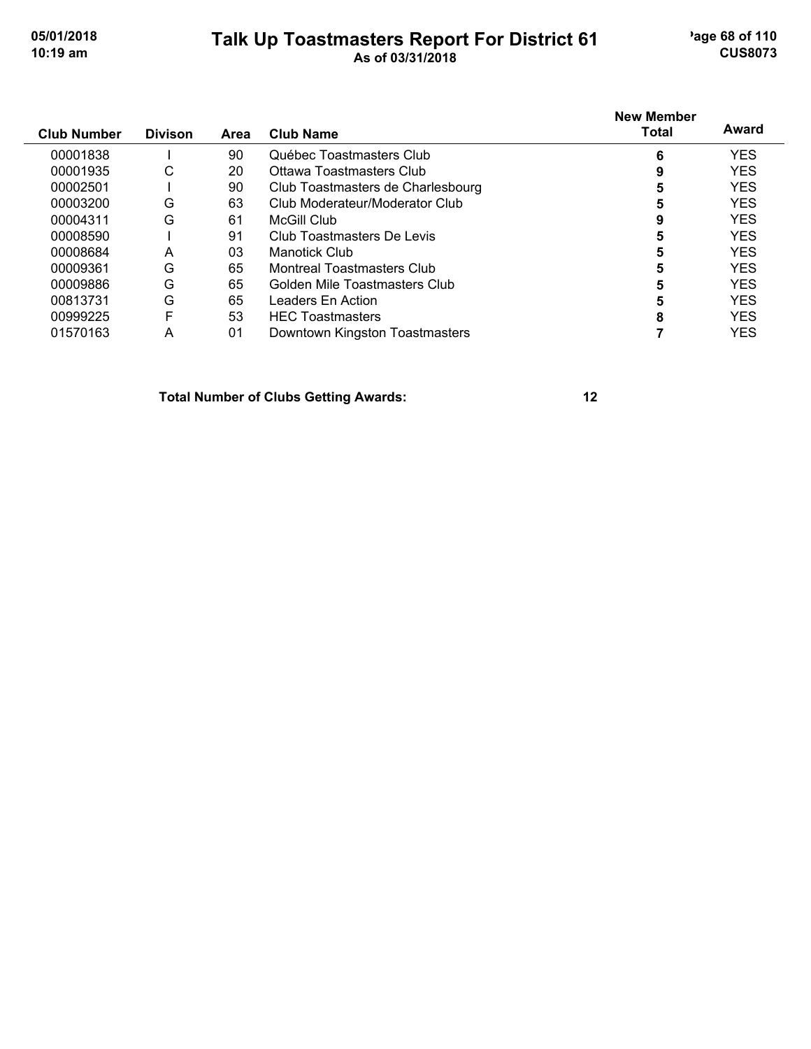#### **Talk Up Toastmasters Report For District 61** age 68 of 110 **10:19 am As of 03/31/2018 CUS8073**

| <b>Club Number</b> | <b>Divison</b> | <b>Area</b> | <b>Club Name</b>                  | <b>New Member</b><br>Total | Award      |
|--------------------|----------------|-------------|-----------------------------------|----------------------------|------------|
|                    |                |             |                                   |                            |            |
| 00001838           |                | 90          | Québec Toastmasters Club          | 6                          | <b>YES</b> |
| 00001935           | С              | 20          | Ottawa Toastmasters Club          | 9                          | <b>YES</b> |
| 00002501           |                | 90          | Club Toastmasters de Charlesbourg |                            | <b>YES</b> |
| 00003200           | G              | 63          | Club Moderateur/Moderator Club    | 5                          | <b>YES</b> |
| 00004311           | G              | 61          | McGill Club                       | 9                          | <b>YES</b> |
| 00008590           |                | 91          | Club Toastmasters De Levis        | 5                          | <b>YES</b> |
| 00008684           | A              | 03          | Manotick Club                     |                            | <b>YES</b> |
| 00009361           | G              | 65          | <b>Montreal Toastmasters Club</b> |                            | <b>YES</b> |
| 00009886           | G              | 65          | Golden Mile Toastmasters Club     |                            | <b>YES</b> |
| 00813731           | G              | 65          | Leaders En Action                 |                            | <b>YES</b> |
| 00999225           | F              | 53          | <b>HEC</b> Toastmasters           | 8                          | <b>YES</b> |
| 01570163           | A              | 01          | Downtown Kingston Toastmasters    |                            | <b>YES</b> |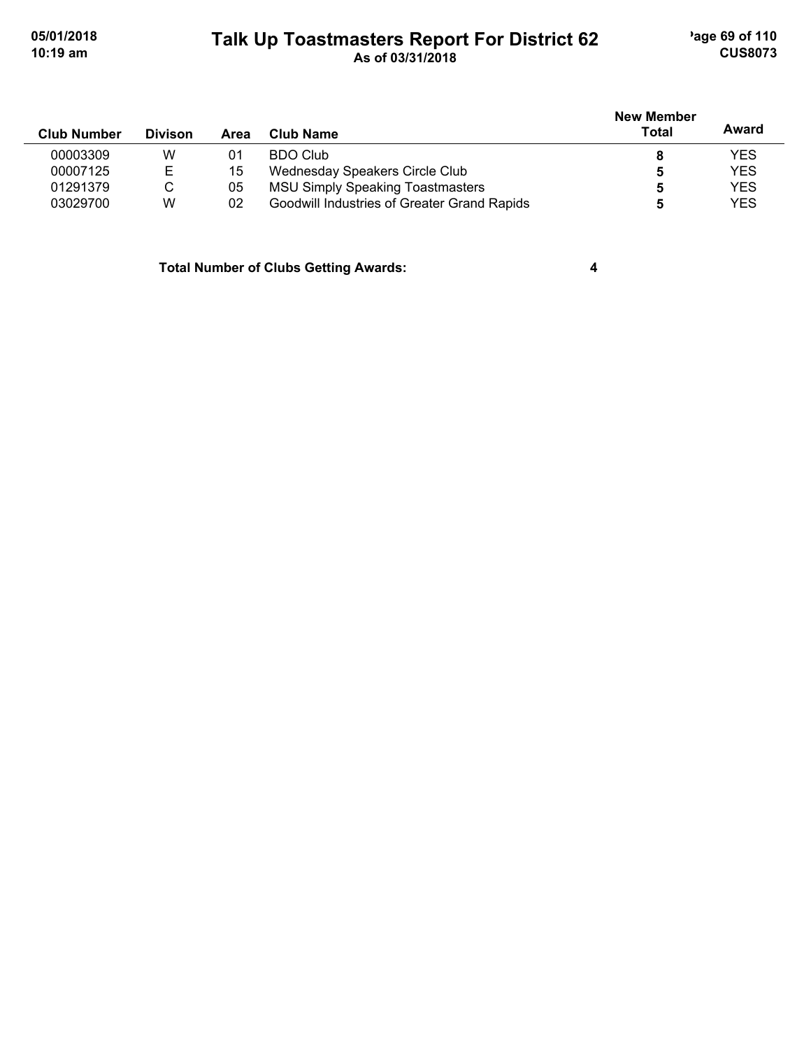#### **Talk Up Toastmasters Report For District 62** age 69 of 110 **10:19 am As of 03/31/2018 CUS8073**

| <b>Club Number</b> | <b>Divison</b> | Area | Club Name                                   | <b>New Member</b><br>Total | Award      |
|--------------------|----------------|------|---------------------------------------------|----------------------------|------------|
| 00003309           | W              | 01   | BDO Club                                    | 8                          | <b>YES</b> |
| 00007125           | Е              | 15   | Wednesday Speakers Circle Club              |                            | <b>YES</b> |
| 01291379           | С              | 05   | <b>MSU Simply Speaking Toastmasters</b>     | Ð                          | <b>YES</b> |
| 03029700           | W              | 02   | Goodwill Industries of Greater Grand Rapids |                            | <b>YES</b> |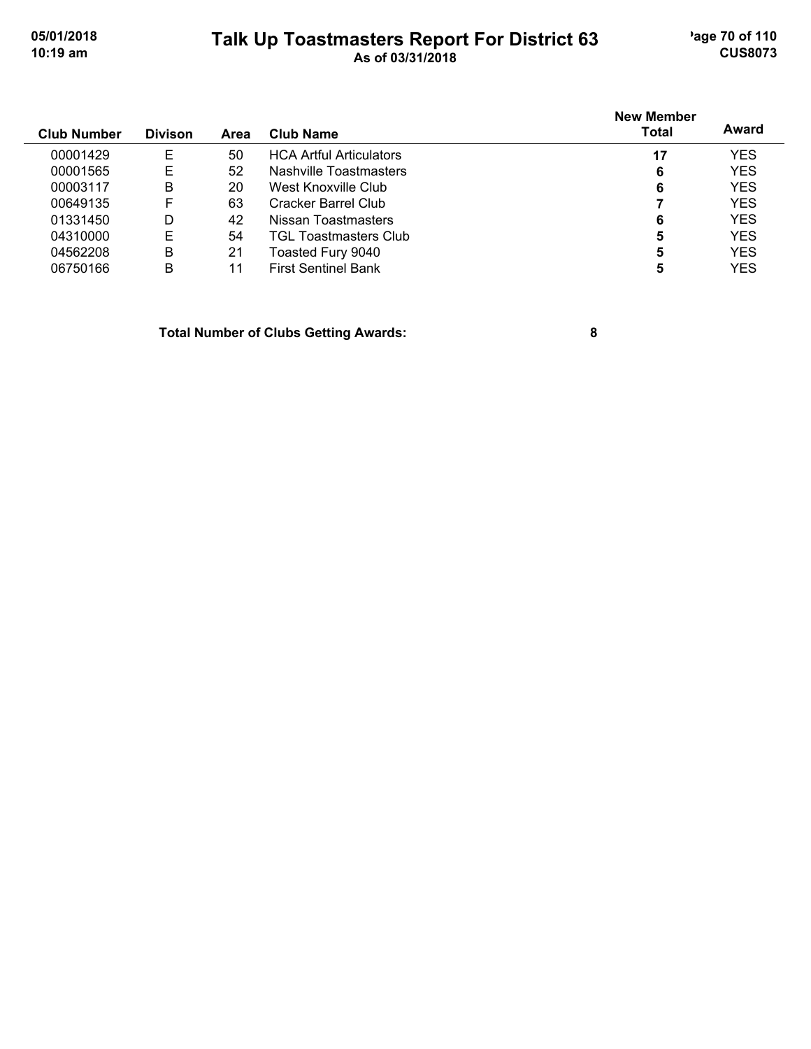#### **Talk Up Toastmasters Report For District 63** age 70 of 110 **10:19 am As of 03/31/2018 CUS8073**

| <b>Club Number</b> | <b>Divison</b> | Area | <b>Club Name</b>               | <b>New Member</b><br><b>Total</b> | Award      |
|--------------------|----------------|------|--------------------------------|-----------------------------------|------------|
| 00001429           | Е              | 50   | <b>HCA Artful Articulators</b> | 17                                | <b>YES</b> |
| 00001565           | Е              | 52   | Nashville Toastmasters         | 6                                 | <b>YES</b> |
| 00003117           | В              | 20   | West Knoxville Club            | 6                                 | <b>YES</b> |
| 00649135           | F              | 63   | Cracker Barrel Club            |                                   | <b>YES</b> |
| 01331450           | D              | 42   | Nissan Toastmasters            | 6                                 | <b>YES</b> |
| 04310000           | Е              | 54   | TGL Toastmasters Club          | 5                                 | <b>YES</b> |
| 04562208           | В              | 21   | Toasted Fury 9040              | 5                                 | <b>YES</b> |
| 06750166           | B              | 11   | <b>First Sentinel Bank</b>     | 5                                 | <b>YES</b> |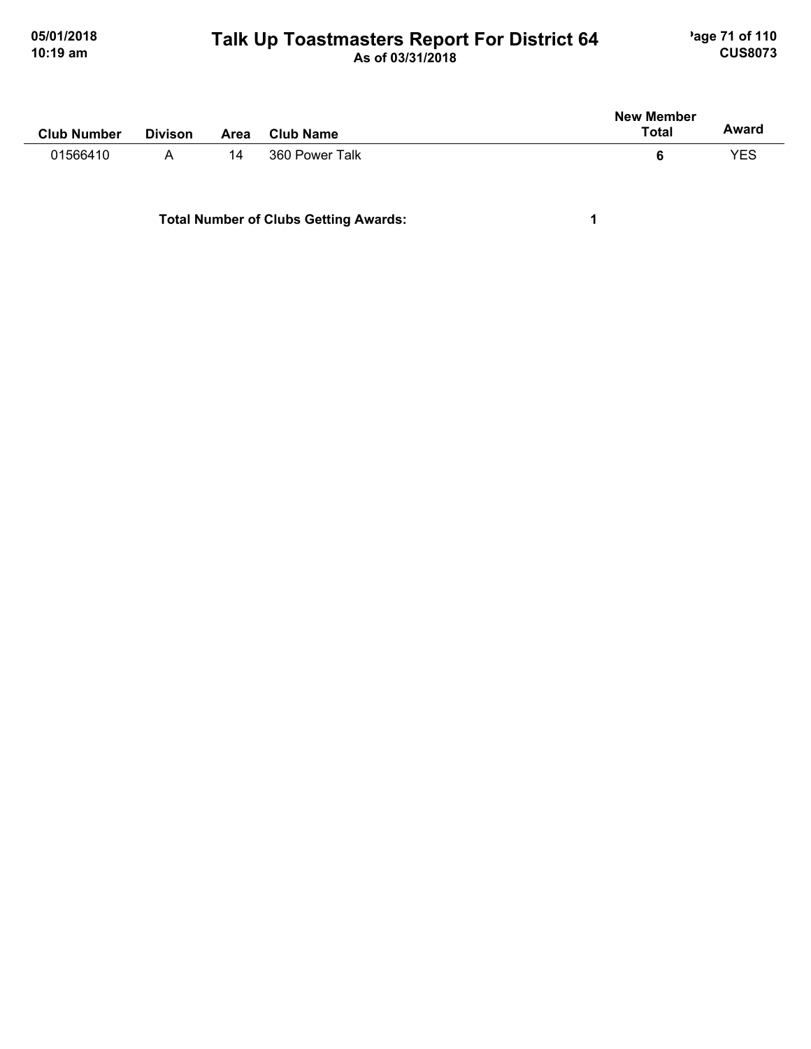#### **Talk Up Toastmasters Report For District 64** age 71 of 110 **10:19 am As of 03/31/2018 CUS8073**

| <b>Club Number</b> | <b>Divison</b> | Area | <b>Club Name</b> | <b>New Member</b><br><b>Total</b> | Award |
|--------------------|----------------|------|------------------|-----------------------------------|-------|
| 01566410           | $\mathsf{A}$   | 14   | 360 Power Talk   | 6                                 | YES   |
|                    |                |      |                  |                                   |       |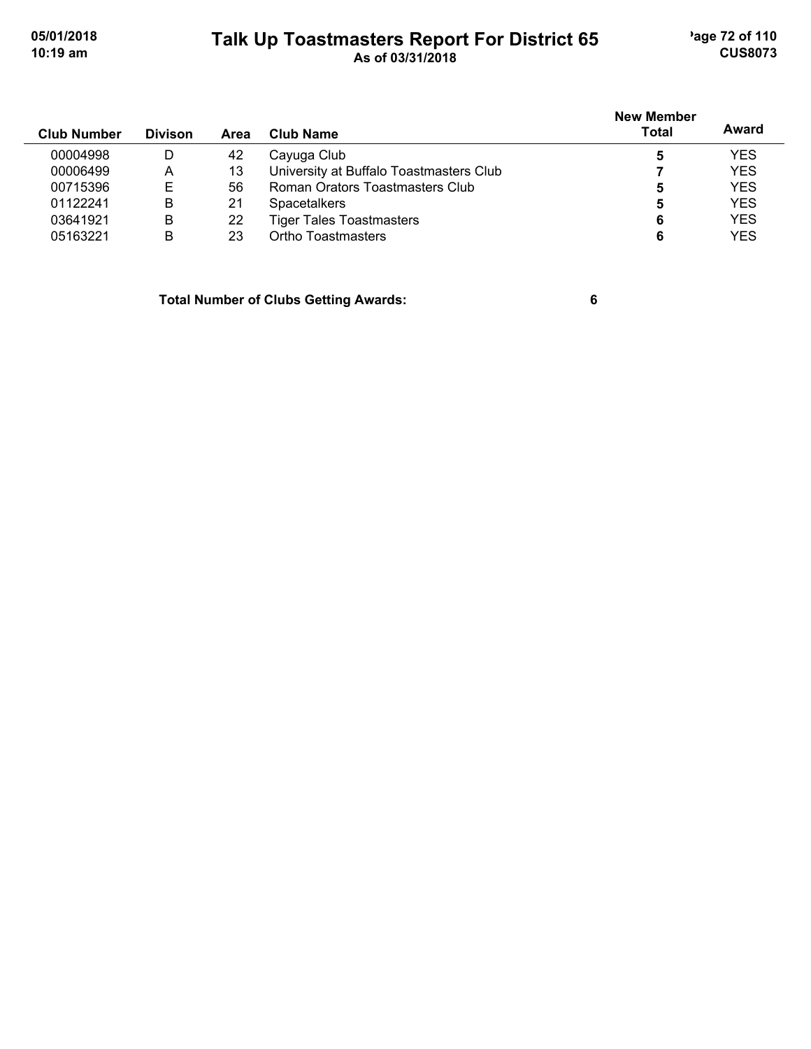#### **Talk Up Toastmasters Report For District 65** age 72 of 110 **10:19 am As of 03/31/2018 CUS8073**

| <b>Club Number</b> | <b>Divison</b> | Area | Club Name                               | <b>New Member</b><br><b>Total</b> | Award      |
|--------------------|----------------|------|-----------------------------------------|-----------------------------------|------------|
| 00004998           | D              | 42   | Cayuga Club                             | 5                                 | <b>YES</b> |
| 00006499           | A              | 13   | University at Buffalo Toastmasters Club |                                   | <b>YES</b> |
| 00715396           | E              | 56   | Roman Orators Toastmasters Club         | 5                                 | <b>YES</b> |
| 01122241           | B              | 21   | <b>Spacetalkers</b>                     | 5                                 | <b>YES</b> |
| 03641921           | B              | 22   | <b>Tiger Tales Toastmasters</b>         | 6                                 | <b>YES</b> |
| 05163221           | B              | 23   | Ortho Toastmasters                      |                                   | <b>YES</b> |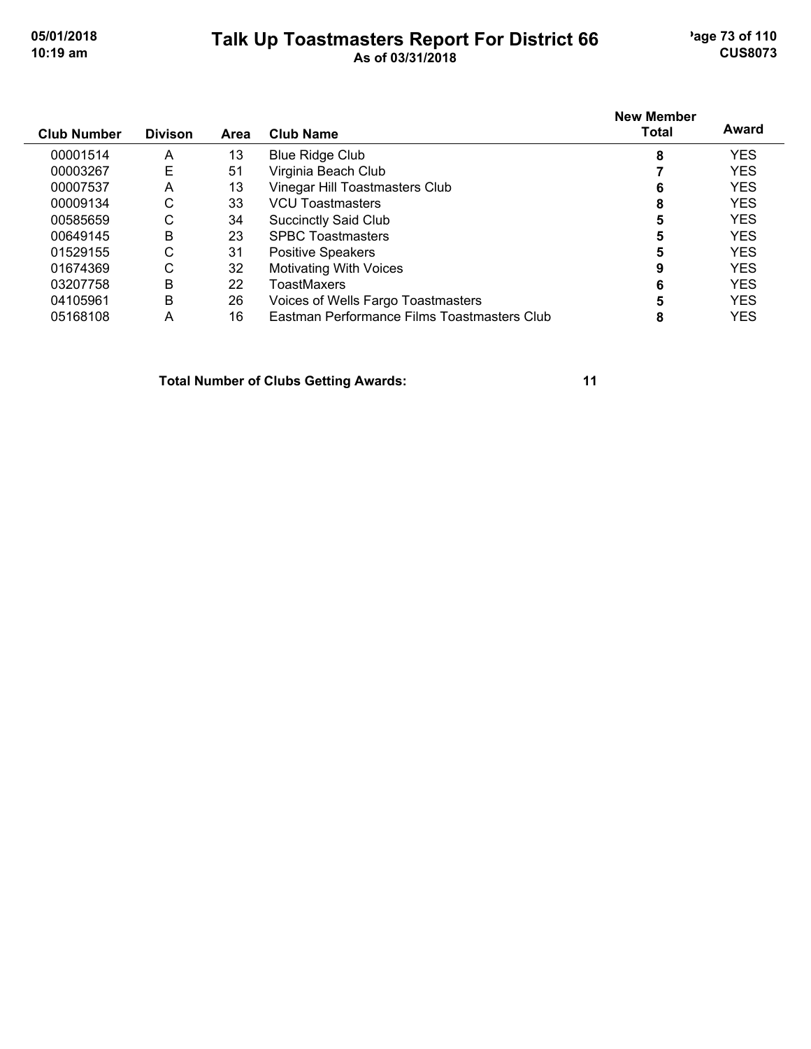## **Talk Up Toastmasters Report For District 66** age 73 of 110 **10:19 am As of 03/31/2018 CUS8073**

|                    |                |      |                                             | <b>New Member</b><br>Total | Award      |
|--------------------|----------------|------|---------------------------------------------|----------------------------|------------|
| <b>Club Number</b> | <b>Divison</b> | Area | <b>Club Name</b>                            |                            |            |
| 00001514           | A              | 13   | <b>Blue Ridge Club</b>                      | 8                          | <b>YES</b> |
| 00003267           | Е              | 51   | Virginia Beach Club                         |                            | <b>YES</b> |
| 00007537           | Α              | 13   | Vinegar Hill Toastmasters Club              | 6                          | <b>YES</b> |
| 00009134           | С              | 33   | <b>VCU Toastmasters</b>                     | 8                          | <b>YES</b> |
| 00585659           | С              | 34   | <b>Succinctly Said Club</b>                 |                            | <b>YES</b> |
| 00649145           | B              | 23   | <b>SPBC Toastmasters</b>                    | 5                          | <b>YES</b> |
| 01529155           | С              | 31   | Positive Speakers                           | 5                          | <b>YES</b> |
| 01674369           | С              | 32   | <b>Motivating With Voices</b>               | 9                          | <b>YES</b> |
| 03207758           | B              | 22   | ToastMaxers                                 | 6                          | <b>YES</b> |
| 04105961           | B              | 26   | Voices of Wells Fargo Toastmasters          | 5                          | <b>YES</b> |
| 05168108           | А              | 16   | Eastman Performance Films Toastmasters Club | 8                          | YES        |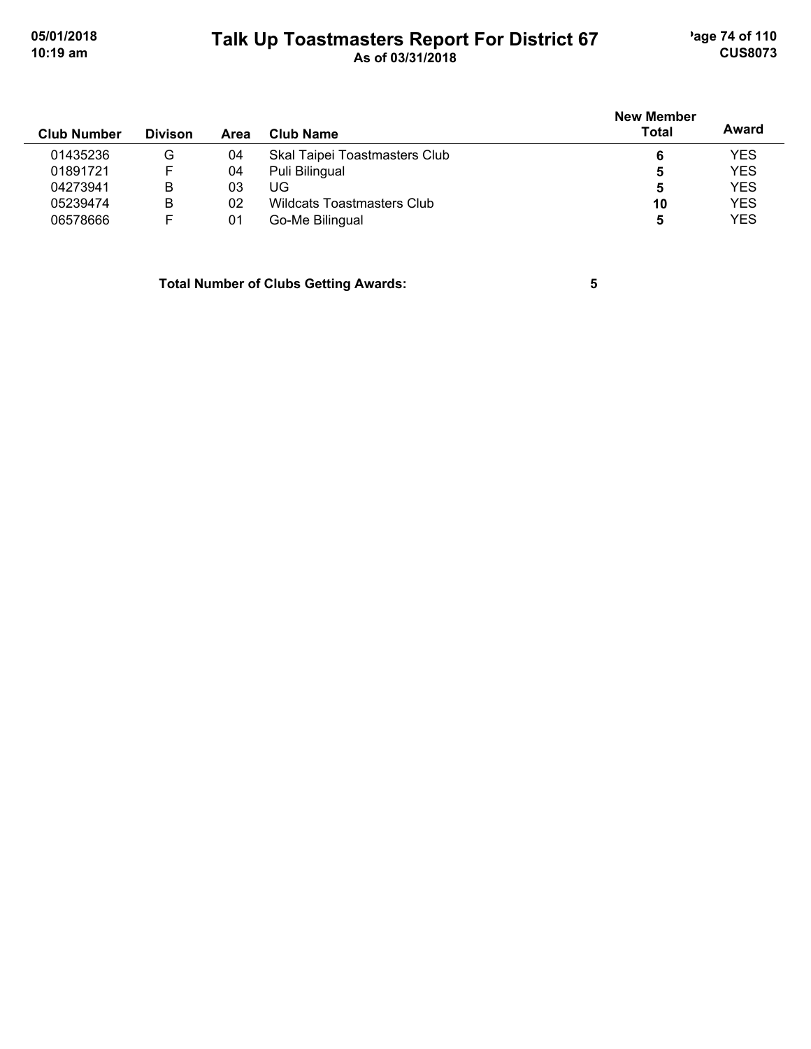# **Talk Up Toastmasters Report For District 67** age 74 of 110 **10:19 am As of 03/31/2018 CUS8073**

| <b>Club Number</b> | <b>Divison</b> | Area | Club Name                     | <b>New Member</b><br><b>Total</b> | Award      |
|--------------------|----------------|------|-------------------------------|-----------------------------------|------------|
| 01435236           | G              | 04   | Skal Taipei Toastmasters Club | 6                                 | <b>YES</b> |
| 01891721           |                | 04   | Puli Bilingual                | 5                                 | <b>YES</b> |
| 04273941           | В              | 03   | UG                            | 5                                 | <b>YES</b> |
| 05239474           | В              | 02   | Wildcats Toastmasters Club    | 10                                | <b>YES</b> |
| 06578666           |                | 01   | Go-Me Bilingual               | 5                                 | <b>YES</b> |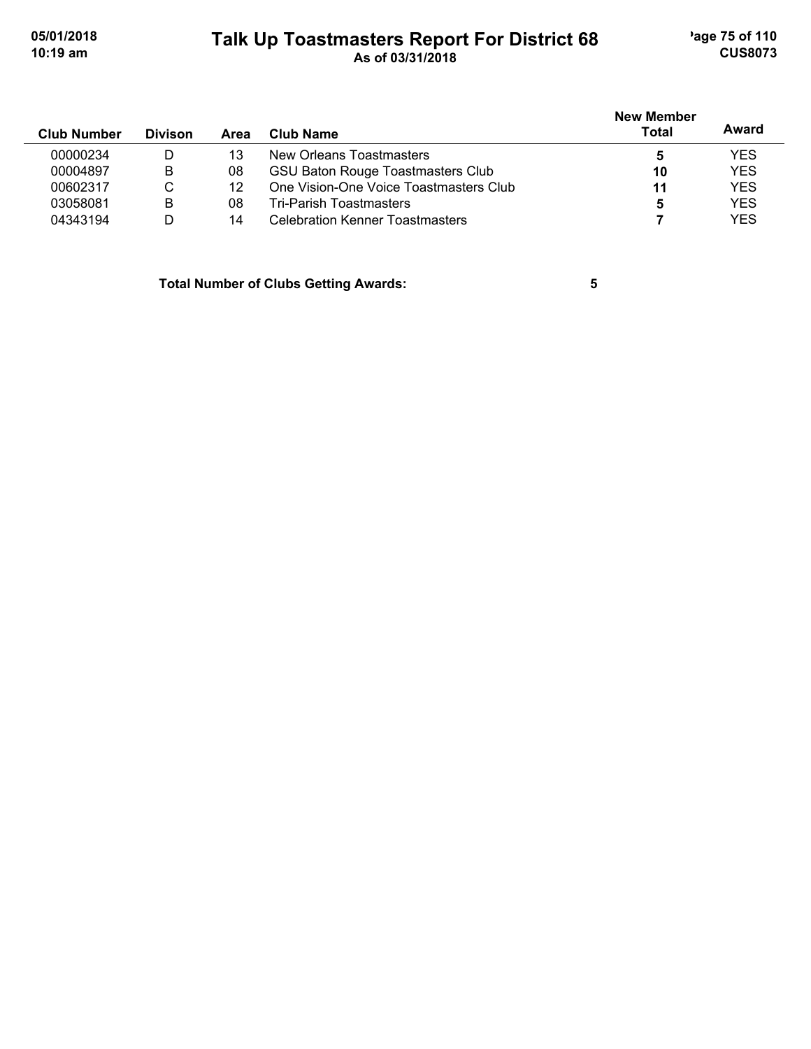# **Talk Up Toastmasters Report For District 68** age 75 of 110 **10:19 am As of 03/31/2018 CUS8073**

| <b>Club Number</b> | <b>Divison</b> | Area | Club Name                                | New Member<br><b>Total</b> | Award      |
|--------------------|----------------|------|------------------------------------------|----------------------------|------------|
| 00000234           | D              | 13   | New Orleans Toastmasters                 | 5                          | <b>YES</b> |
| 00004897           | B              | 08   | <b>GSU Baton Rouge Toastmasters Club</b> | 10                         | <b>YES</b> |
| 00602317           | С              | 12   | One Vision-One Voice Toastmasters Club   | 11                         | <b>YES</b> |
| 03058081           | B              | 08   | Tri-Parish Toastmasters                  | 5                          | <b>YES</b> |
| 04343194           | D              | 14   | Celebration Kenner Toastmasters          |                            | <b>YES</b> |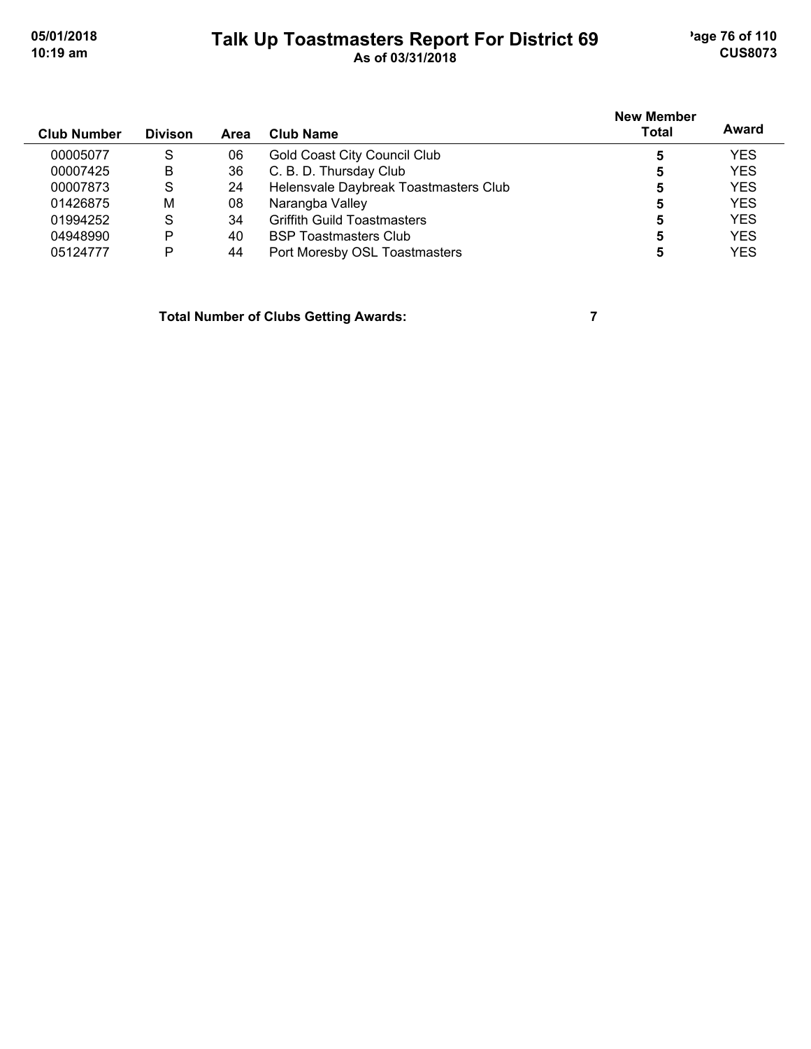## **Talk Up Toastmasters Report For District 69** age 76 of 110 **10:19 am As of 03/31/2018 CUS8073**

| <b>Club Number</b> | <b>Divison</b> | Area | Club Name                             | <b>New Member</b><br>Total | Award      |
|--------------------|----------------|------|---------------------------------------|----------------------------|------------|
| 00005077           | S              | 06   | <b>Gold Coast City Council Club</b>   |                            | <b>YES</b> |
| 00007425           | B              | 36   | C. B. D. Thursday Club                |                            | <b>YES</b> |
| 00007873           | S              | 24   | Helensvale Daybreak Toastmasters Club |                            | <b>YES</b> |
| 01426875           | M              | 08   | Narangba Valley                       |                            | <b>YES</b> |
| 01994252           | S              | 34   | <b>Griffith Guild Toastmasters</b>    | 5                          | <b>YES</b> |
| 04948990           | P              | 40   | <b>BSP Toastmasters Club</b>          |                            | <b>YES</b> |
| 05124777           | P              | 44   | Port Moresby OSL Toastmasters         |                            | <b>YES</b> |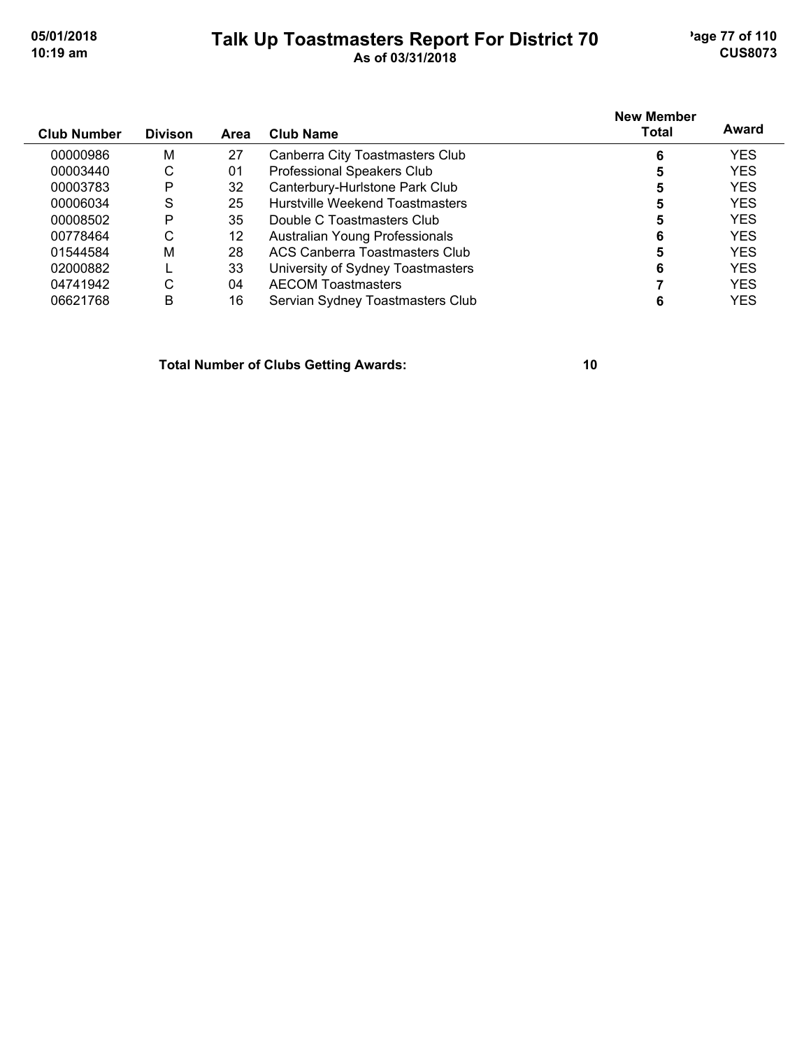## **Talk Up Toastmasters Report For District 70** age 77 of 110 **10:19 am As of 03/31/2018 CUS8073**

| <b>Club Number</b> | <b>Divison</b> | Area | <b>Club Name</b>                  | <b>New Member</b><br><b>Total</b> | Award      |
|--------------------|----------------|------|-----------------------------------|-----------------------------------|------------|
| 00000986           | M              | 27   | Canberra City Toastmasters Club   | 6                                 | <b>YES</b> |
| 00003440           | C              | 01   | Professional Speakers Club        | 5                                 | <b>YES</b> |
| 00003783           | P              | 32   | Canterbury-Hurlstone Park Club    | 5                                 | <b>YES</b> |
| 00006034           | S              | 25   | Hurstville Weekend Toastmasters   | 5                                 | <b>YES</b> |
| 00008502           | P              | 35   | Double C Toastmasters Club        |                                   | <b>YES</b> |
| 00778464           | С              | 12   | Australian Young Professionals    | 6                                 | <b>YES</b> |
| 01544584           | M              | 28   | ACS Canberra Toastmasters Club    | 5                                 | <b>YES</b> |
| 02000882           |                | 33   | University of Sydney Toastmasters | 6                                 | <b>YES</b> |
| 04741942           | С              | 04   | <b>AECOM Toastmasters</b>         |                                   | <b>YES</b> |
| 06621768           | B              | 16   | Servian Sydney Toastmasters Club  |                                   | YES        |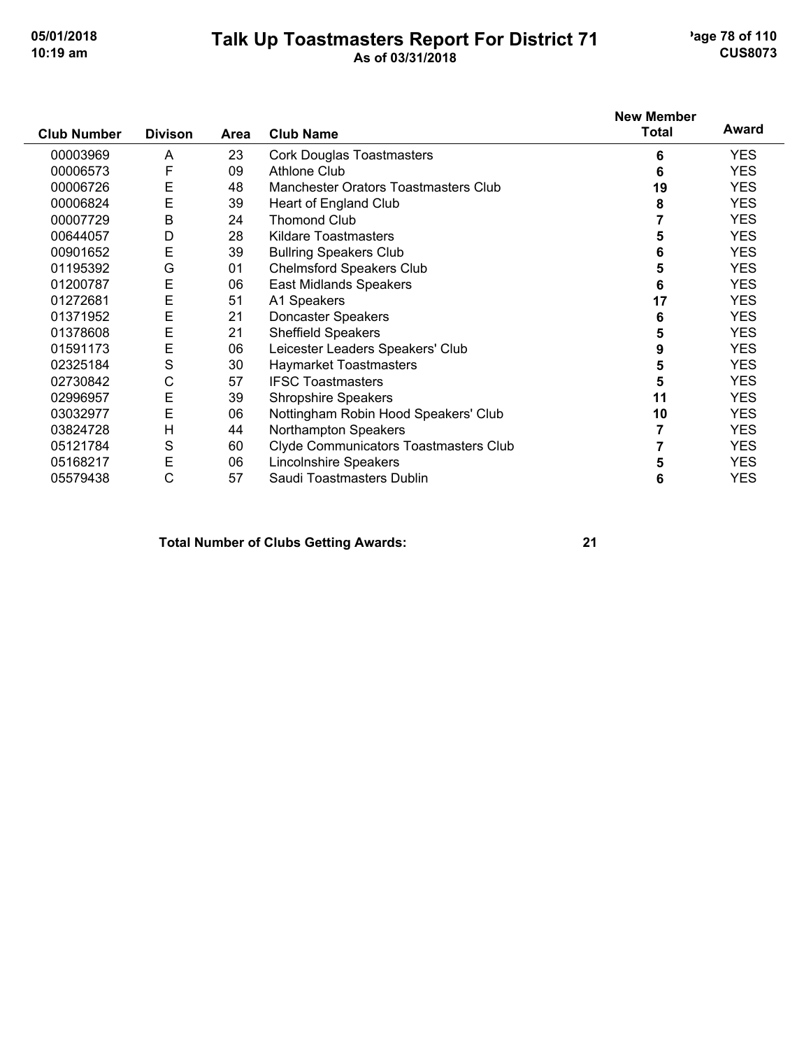#### **Talk Up Toastmasters Report For District 71** age 78 of 110 **10:19 am As of 03/31/2018 CUS8073**

|                    |                |      |                                       | <b>New Member</b> |            |
|--------------------|----------------|------|---------------------------------------|-------------------|------------|
| <b>Club Number</b> | <b>Divison</b> | Area | <b>Club Name</b>                      | <b>Total</b>      | Award      |
| 00003969           | A              | 23   | <b>Cork Douglas Toastmasters</b>      | 6                 | <b>YES</b> |
| 00006573           | F              | 09   | <b>Athlone Club</b>                   | 6                 | <b>YES</b> |
| 00006726           | E              | 48   | Manchester Orators Toastmasters Club  | 19                | <b>YES</b> |
| 00006824           | E              | 39   | Heart of England Club                 | 8                 | <b>YES</b> |
| 00007729           | B              | 24   | <b>Thomond Club</b>                   |                   | <b>YES</b> |
| 00644057           | D              | 28   | Kildare Toastmasters                  | 5                 | <b>YES</b> |
| 00901652           | E              | 39   | <b>Bullring Speakers Club</b>         | 6                 | <b>YES</b> |
| 01195392           | G              | 01   | <b>Chelmsford Speakers Club</b>       | 5                 | <b>YES</b> |
| 01200787           | E              | 06   | East Midlands Speakers                | 6                 | <b>YES</b> |
| 01272681           | Ε              | 51   | A1 Speakers                           | 17                | <b>YES</b> |
| 01371952           | E              | 21   | Doncaster Speakers                    | 6                 | <b>YES</b> |
| 01378608           | E              | 21   | <b>Sheffield Speakers</b>             | 5                 | <b>YES</b> |
| 01591173           | E              | 06   | Leicester Leaders Speakers' Club      | 9                 | <b>YES</b> |
| 02325184           | S              | 30   | Haymarket Toastmasters                | 5                 | <b>YES</b> |
| 02730842           | С              | 57   | <b>IFSC Toastmasters</b>              | 5                 | <b>YES</b> |
| 02996957           | E              | 39   | <b>Shropshire Speakers</b>            | 11                | <b>YES</b> |
| 03032977           | E              | 06   | Nottingham Robin Hood Speakers' Club  | 10                | <b>YES</b> |
| 03824728           | H              | 44   | Northampton Speakers                  |                   | <b>YES</b> |
| 05121784           | S              | 60   | Clyde Communicators Toastmasters Club |                   | <b>YES</b> |
| 05168217           | E              | 06   | <b>Lincolnshire Speakers</b>          | 5                 | <b>YES</b> |
| 05579438           | C              | 57   | Saudi Toastmasters Dublin             | 6                 | <b>YES</b> |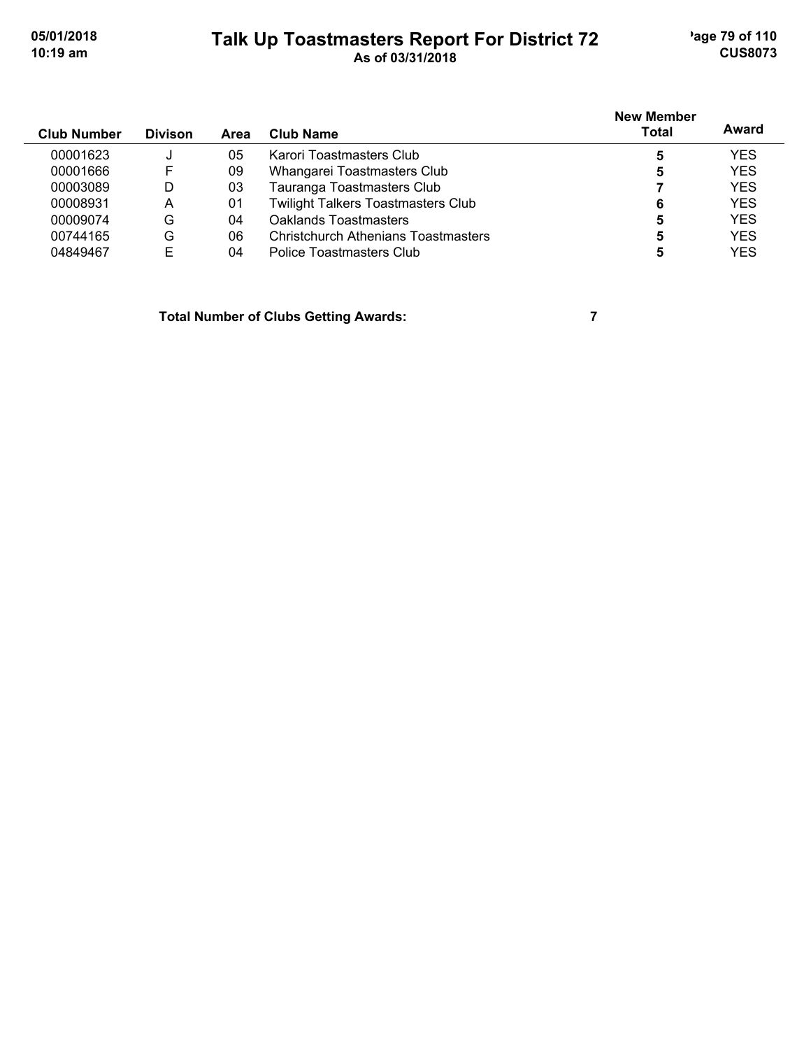# **Talk Up Toastmasters Report For District 72** age 79 of 110 **10:19 am As of 03/31/2018 CUS8073**

| <b>Club Number</b> | <b>Divison</b> | <b>Area</b> | Club Name                                  | <b>New Member</b><br><b>Total</b> | Award      |
|--------------------|----------------|-------------|--------------------------------------------|-----------------------------------|------------|
| 00001623           | J              | 05          | Karori Toastmasters Club                   |                                   | <b>YES</b> |
| 00001666           | F              | 09          | Whangarei Toastmasters Club                | 5                                 | <b>YES</b> |
| 00003089           | D              | 03          | Tauranga Toastmasters Club                 |                                   | <b>YES</b> |
| 00008931           | A              | 01          | <b>Twilight Talkers Toastmasters Club</b>  | 6                                 | <b>YES</b> |
| 00009074           | G              | 04          | Oaklands Toastmasters                      | 5                                 | <b>YES</b> |
| 00744165           | G              | 06          | <b>Christchurch Athenians Toastmasters</b> | 5                                 | <b>YES</b> |
| 04849467           | E              | 04          | Police Toastmasters Club                   |                                   | <b>YES</b> |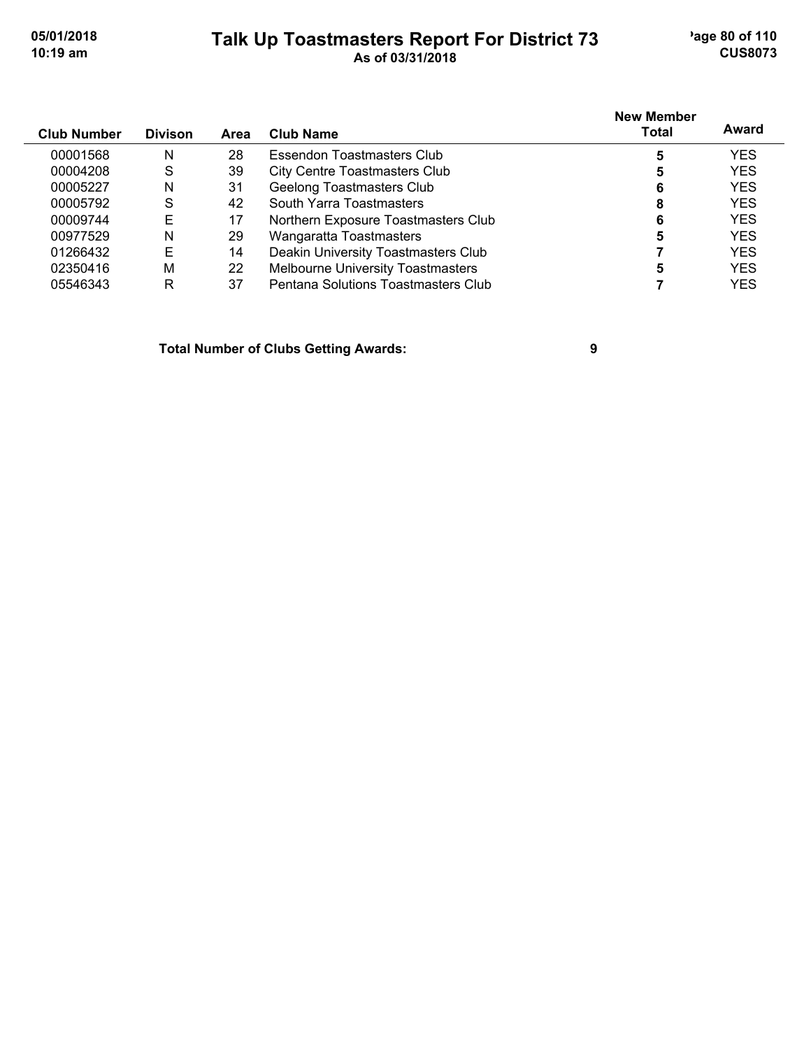## **Talk Up Toastmasters Report For District 73** age 80 of 110 **10:19 am As of 03/31/2018 CUS8073**

| <b>Club Number</b> | <b>Divison</b> | Area | <b>Club Name</b>                     | <b>New Member</b><br>Total | Award      |
|--------------------|----------------|------|--------------------------------------|----------------------------|------------|
| 00001568           | N              | 28   | Essendon Toastmasters Club           | 5                          | <b>YES</b> |
| 00004208           | S              | 39   | <b>City Centre Toastmasters Club</b> | 5                          | <b>YES</b> |
| 00005227           | N              | 31   | <b>Geelong Toastmasters Club</b>     | 6                          | <b>YES</b> |
| 00005792           | S              | 42   | South Yarra Toastmasters             | 8                          | <b>YES</b> |
| 00009744           | Е              | 17   | Northern Exposure Toastmasters Club  | 6                          | <b>YES</b> |
| 00977529           | N              | 29   | Wangaratta Toastmasters              | 5                          | <b>YES</b> |
| 01266432           | Е              | 14   | Deakin University Toastmasters Club  |                            | <b>YES</b> |

02350416 M 22 Melbourne University Toastmasters **5** 5 YES 05546343 R 37 Pentana Solutions Toastmasters Club **7** YES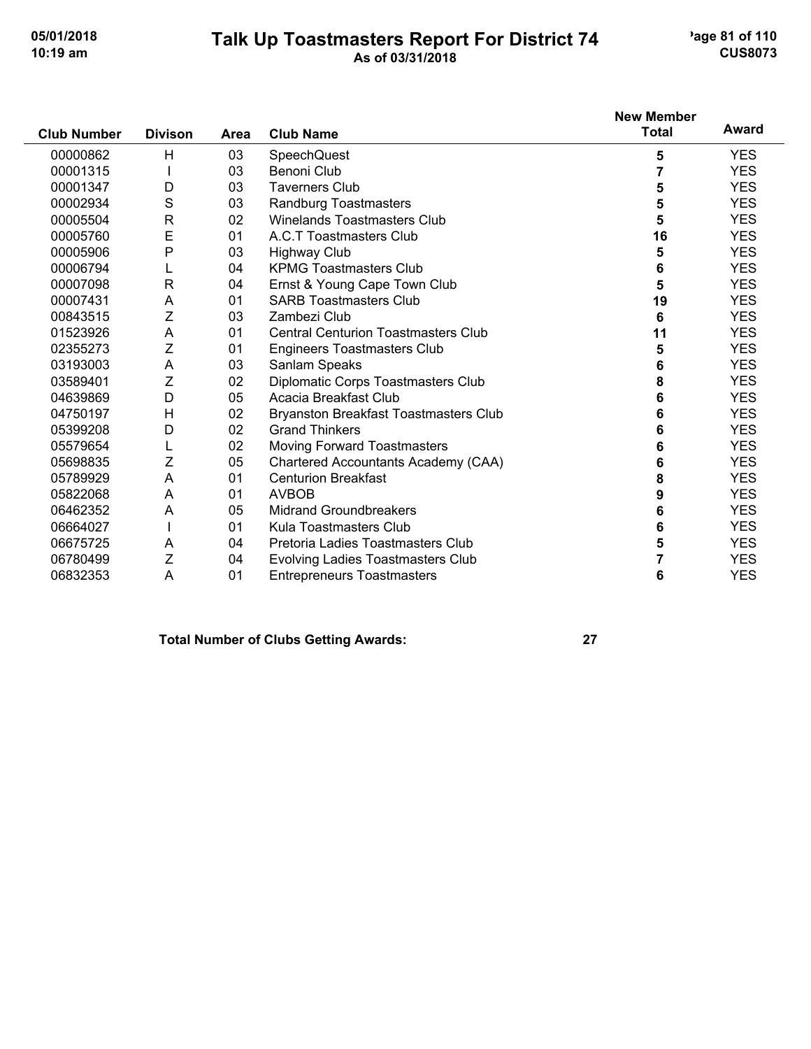## **Talk Up Toastmasters Report For District 74** age 81 of 110 **10:19 am As of 03/31/2018 CUS8073**

| <b>Club Number</b> | <b>Divison</b> |      |                                              | <b>New Member</b><br><b>Total</b> | Award      |
|--------------------|----------------|------|----------------------------------------------|-----------------------------------|------------|
|                    |                | Area | <b>Club Name</b>                             |                                   |            |
| 00000862           | Н              | 03   | SpeechQuest                                  | 5                                 | <b>YES</b> |
| 00001315           |                | 03   | Benoni Club                                  | $\overline{7}$                    | <b>YES</b> |
| 00001347           | D              | 03   | <b>Taverners Club</b>                        | 5                                 | <b>YES</b> |
| 00002934           | S              | 03   | Randburg Toastmasters                        | 5                                 | <b>YES</b> |
| 00005504           | R              | 02   | <b>Winelands Toastmasters Club</b>           | 5                                 | <b>YES</b> |
| 00005760           | E              | 01   | A.C.T Toastmasters Club                      | 16                                | <b>YES</b> |
| 00005906           | P              | 03   | <b>Highway Club</b>                          | 5                                 | <b>YES</b> |
| 00006794           |                | 04   | <b>KPMG Toastmasters Club</b>                | 6                                 | <b>YES</b> |
| 00007098           | $\mathsf{R}$   | 04   | Ernst & Young Cape Town Club                 | 5                                 | <b>YES</b> |
| 00007431           | Α              | 01   | <b>SARB Toastmasters Club</b>                | 19                                | <b>YES</b> |
| 00843515           | Ζ              | 03   | Zambezi Club                                 | 6                                 | <b>YES</b> |
| 01523926           | A              | 01   | <b>Central Centurion Toastmasters Club</b>   | 11                                | <b>YES</b> |
| 02355273           | Ζ              | 01   | <b>Engineers Toastmasters Club</b>           | 5                                 | <b>YES</b> |
| 03193003           | A              | 03   | Sanlam Speaks                                | 6                                 | <b>YES</b> |
| 03589401           | $\mathsf Z$    | 02   | Diplomatic Corps Toastmasters Club           | 8                                 | <b>YES</b> |
| 04639869           | D              | 05   | Acacia Breakfast Club                        | 6                                 | <b>YES</b> |
| 04750197           | H              | 02   | <b>Bryanston Breakfast Toastmasters Club</b> | 6                                 | <b>YES</b> |
| 05399208           | D              | 02   | <b>Grand Thinkers</b>                        | 6                                 | <b>YES</b> |
| 05579654           | L              | 02   | Moving Forward Toastmasters                  | 6                                 | <b>YES</b> |
| 05698835           | Z              | 05   | Chartered Accountants Academy (CAA)          | 6                                 | <b>YES</b> |
| 05789929           | A              | 01   | <b>Centurion Breakfast</b>                   | 8                                 | <b>YES</b> |
| 05822068           | A              | 01   | <b>AVBOB</b>                                 | 9                                 | <b>YES</b> |
| 06462352           | A              | 05   | <b>Midrand Groundbreakers</b>                | 6                                 | <b>YES</b> |
| 06664027           |                | 01   | Kula Toastmasters Club                       | 6                                 | <b>YES</b> |
| 06675725           | A              | 04   | Pretoria Ladies Toastmasters Club            | 5                                 | <b>YES</b> |
| 06780499           | Ζ              | 04   | Evolving Ladies Toastmasters Club            | 7                                 | <b>YES</b> |
| 06832353           | A              | 01   | <b>Entrepreneurs Toastmasters</b>            | 6                                 | <b>YES</b> |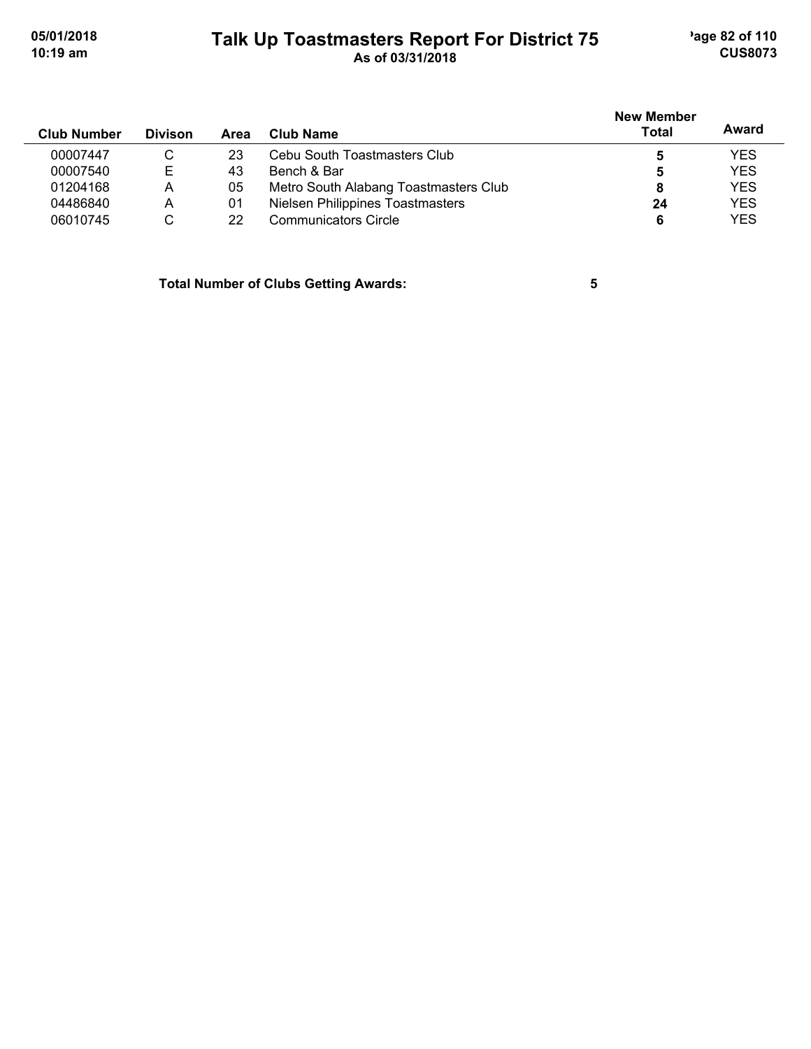# **Talk Up Toastmasters Report For District 75** age 82 of 110 **10:19 am As of 03/31/2018 CUS8073**

|                    |                |      |                                       | <b>New Member</b> |            |
|--------------------|----------------|------|---------------------------------------|-------------------|------------|
| <b>Club Number</b> | <b>Divison</b> | Area | Club Name                             | <b>Total</b>      | Award      |
| 00007447           | C              | 23   | Cebu South Toastmasters Club          | 5                 | <b>YES</b> |
| 00007540           | E              | 43   | Bench & Bar                           | 5                 | <b>YES</b> |
| 01204168           | А              | 05   | Metro South Alabang Toastmasters Club |                   | <b>YES</b> |
| 04486840           | A              | 01   | Nielsen Philippines Toastmasters      | 24                | <b>YES</b> |
| 06010745           | С              | 22   | <b>Communicators Circle</b>           |                   | <b>YES</b> |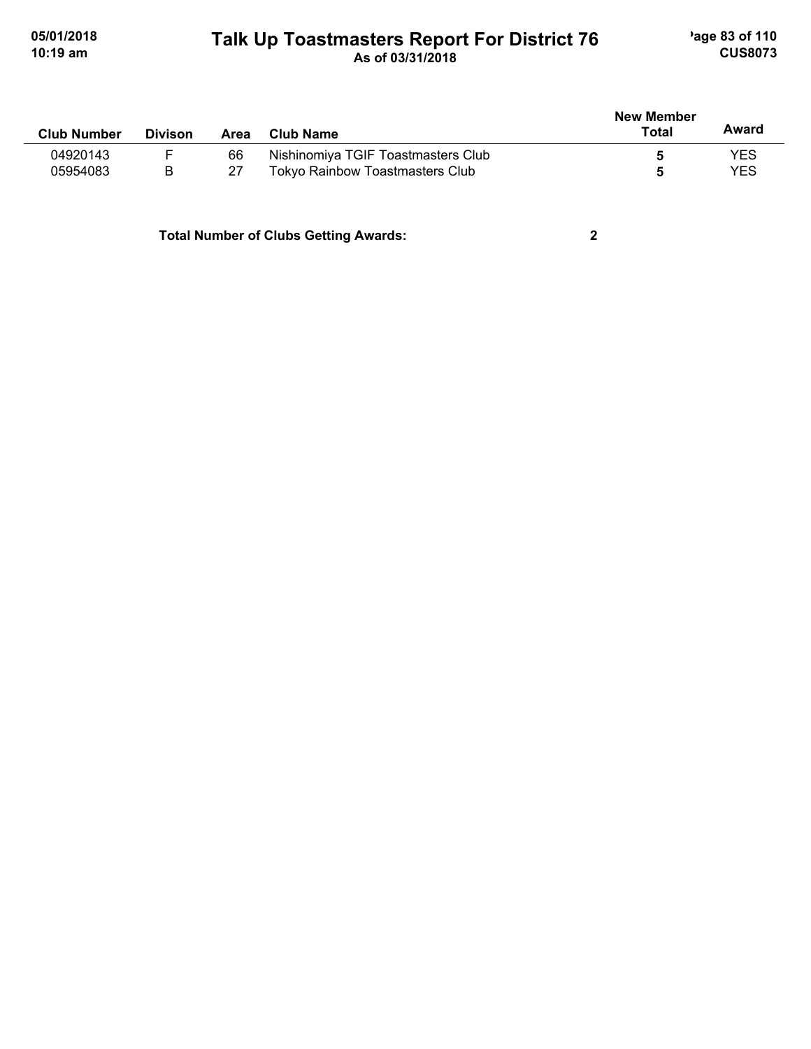## **Talk Up Toastmasters Report For District 76** age 83 of 110 **10:19 am As of 03/31/2018 CUS8073**

| <b>Club Number</b> | <b>Divison</b> | Area | <b>Club Name</b>                       | <b>New Member</b><br>Total | Award      |
|--------------------|----------------|------|----------------------------------------|----------------------------|------------|
| 04920143           |                | 66   | Nishinomiya TGIF Toastmasters Club     |                            | YES        |
| 05954083           | B              | 27   | <b>Tokyo Rainbow Toastmasters Club</b> |                            | <b>YES</b> |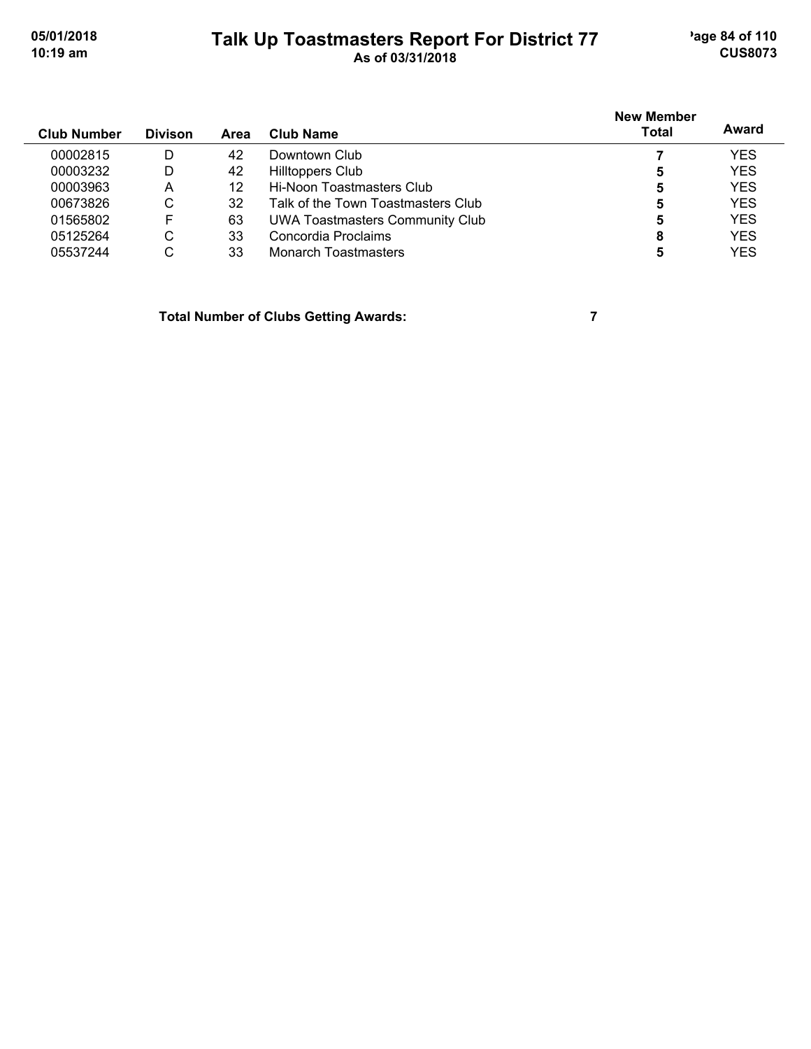# **Talk Up Toastmasters Report For District 77** age 84 of 110 **10:19 am As of 03/31/2018 CUS8073**

| <b>Club Number</b> | <b>Divison</b> | Area | Club Name                              | <b>New Member</b><br><b>Total</b> | Award      |
|--------------------|----------------|------|----------------------------------------|-----------------------------------|------------|
| 00002815           | D              | 42   | Downtown Club                          |                                   | <b>YES</b> |
| 00003232           | D              | 42   | <b>Hilltoppers Club</b>                | 5                                 | <b>YES</b> |
| 00003963           | А              | 12   | Hi-Noon Toastmasters Club              | 5                                 | <b>YES</b> |
| 00673826           | С              | 32   | Talk of the Town Toastmasters Club     | 5                                 | <b>YES</b> |
| 01565802           | F              | 63   | <b>UWA Toastmasters Community Club</b> | 5                                 | <b>YES</b> |
| 05125264           | С              | 33   | Concordia Proclaims                    | 8                                 | <b>YES</b> |
| 05537244           | С              | 33   | <b>Monarch Toastmasters</b>            |                                   | <b>YES</b> |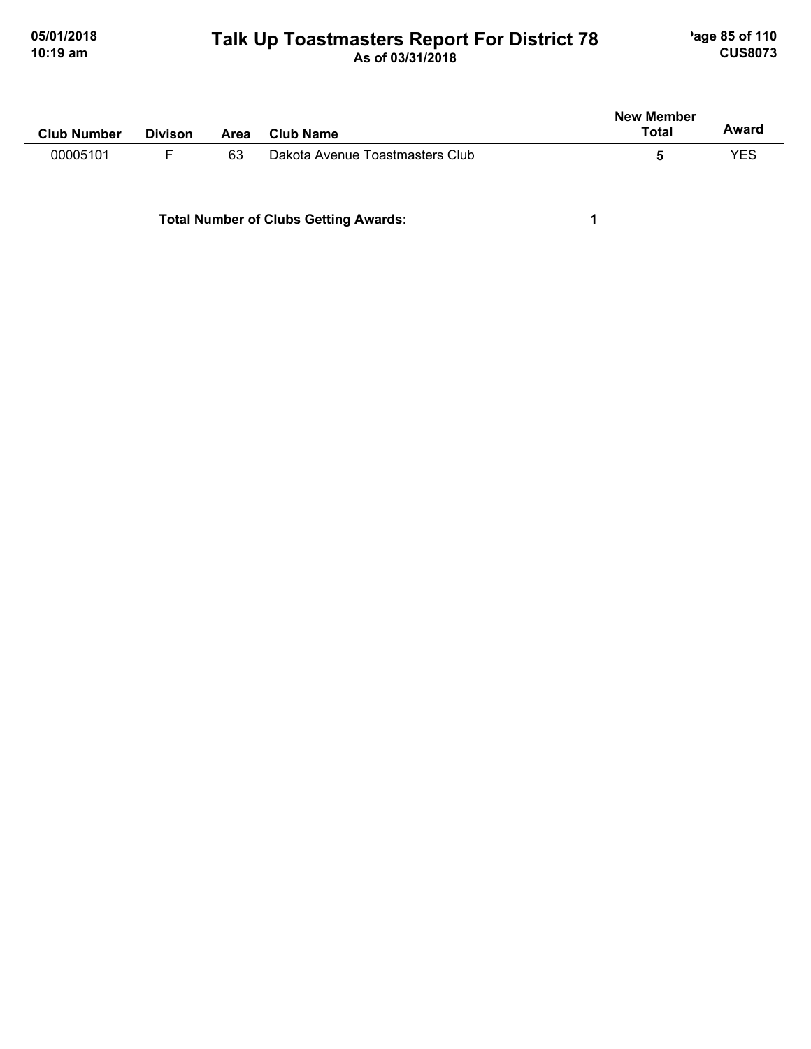## **Talk Up Toastmasters Report For District 78** age 85 of 110 **10:19 am As of 03/31/2018 CUS8073**

| <b>Club Number</b> | <b>Divison</b> | Area | <b>Club Name</b>                | <b>New Member</b><br><b>Total</b> | Award |
|--------------------|----------------|------|---------------------------------|-----------------------------------|-------|
| 00005101           |                | 63   | Dakota Avenue Toastmasters Club |                                   | YES   |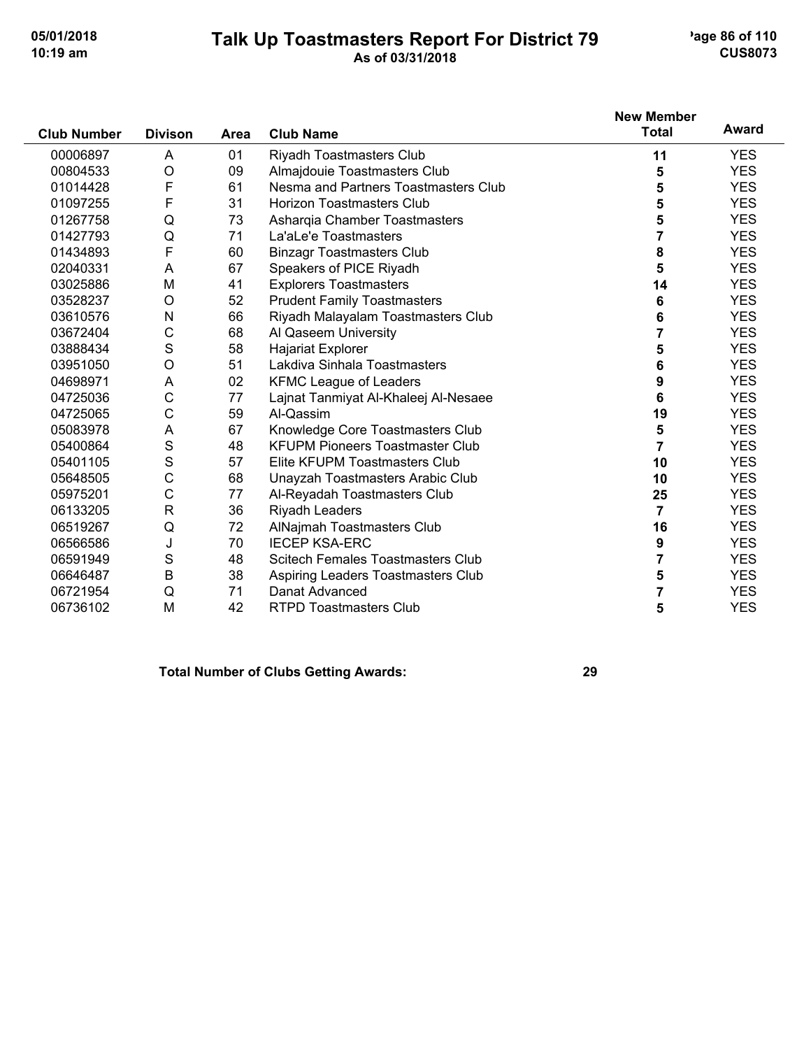### **Talk Up Toastmasters Report For District 79** age 86 of 110 **10:19 am As of 03/31/2018 CUS8073**

|                    |                |             |                                          | <b>New Member</b> |            |
|--------------------|----------------|-------------|------------------------------------------|-------------------|------------|
| <b>Club Number</b> | <b>Divison</b> | <b>Area</b> | <b>Club Name</b>                         | <b>Total</b>      | Award      |
| 00006897           | A              | 01          | Riyadh Toastmasters Club                 | 11                | <b>YES</b> |
| 00804533           | $\circ$        | 09          | Almajdouie Toastmasters Club             | 5                 | <b>YES</b> |
| 01014428           | F              | 61          | Nesma and Partners Toastmasters Club     | 5                 | <b>YES</b> |
| 01097255           | F              | 31          | <b>Horizon Toastmasters Club</b>         | 5                 | <b>YES</b> |
| 01267758           | Q              | 73          | Asharqia Chamber Toastmasters            | 5                 | <b>YES</b> |
| 01427793           | Q              | 71          | La'aLe'e Toastmasters                    | $\overline{7}$    | <b>YES</b> |
| 01434893           | F              | 60          | <b>Binzagr Toastmasters Club</b>         | 8                 | <b>YES</b> |
| 02040331           | A              | 67          | Speakers of PICE Riyadh                  | 5                 | <b>YES</b> |
| 03025886           | M              | 41          | <b>Explorers Toastmasters</b>            | 14                | <b>YES</b> |
| 03528237           | O              | 52          | <b>Prudent Family Toastmasters</b>       | 6                 | <b>YES</b> |
| 03610576           | N              | 66          | Riyadh Malayalam Toastmasters Club       | 6                 | <b>YES</b> |
| 03672404           | C              | 68          | Al Qaseem University                     | $\overline{7}$    | <b>YES</b> |
| 03888434           | S              | 58          | Hajariat Explorer                        | 5                 | <b>YES</b> |
| 03951050           | $\circ$        | 51          | Lakdiva Sinhala Toastmasters             | 6                 | <b>YES</b> |
| 04698971           | A              | 02          | <b>KFMC League of Leaders</b>            | 9                 | <b>YES</b> |
| 04725036           | $\mathsf{C}$   | 77          | Lajnat Tanmiyat Al-Khaleej Al-Nesaee     | 6                 | <b>YES</b> |
| 04725065           | C              | 59          | Al-Qassim                                | 19                | <b>YES</b> |
| 05083978           | A              | 67          | Knowledge Core Toastmasters Club         | 5                 | <b>YES</b> |
| 05400864           | S              | 48          | <b>KFUPM Pioneers Toastmaster Club</b>   | 7                 | <b>YES</b> |
| 05401105           | S              | 57          | Elite KFUPM Toastmasters Club            | 10                | <b>YES</b> |
| 05648505           | С              | 68          | Unayzah Toastmasters Arabic Club         | 10                | <b>YES</b> |
| 05975201           | C              | 77          | Al-Reyadah Toastmasters Club             | 25                | <b>YES</b> |
| 06133205           | $\mathsf{R}$   | 36          | Riyadh Leaders                           | 7                 | <b>YES</b> |
| 06519267           | Q              | 72          | AlNajmah Toastmasters Club               | 16                | <b>YES</b> |
| 06566586           | J              | 70          | <b>IECEP KSA-ERC</b>                     | 9                 | <b>YES</b> |
| 06591949           | S              | 48          | <b>Scitech Females Toastmasters Club</b> | 7                 | <b>YES</b> |
| 06646487           | B              | 38          | Aspiring Leaders Toastmasters Club       | 5                 | <b>YES</b> |
| 06721954           | Q              | 71          | Danat Advanced                           | 7                 | <b>YES</b> |
| 06736102           | M              | 42          | <b>RTPD Toastmasters Club</b>            | 5                 | <b>YES</b> |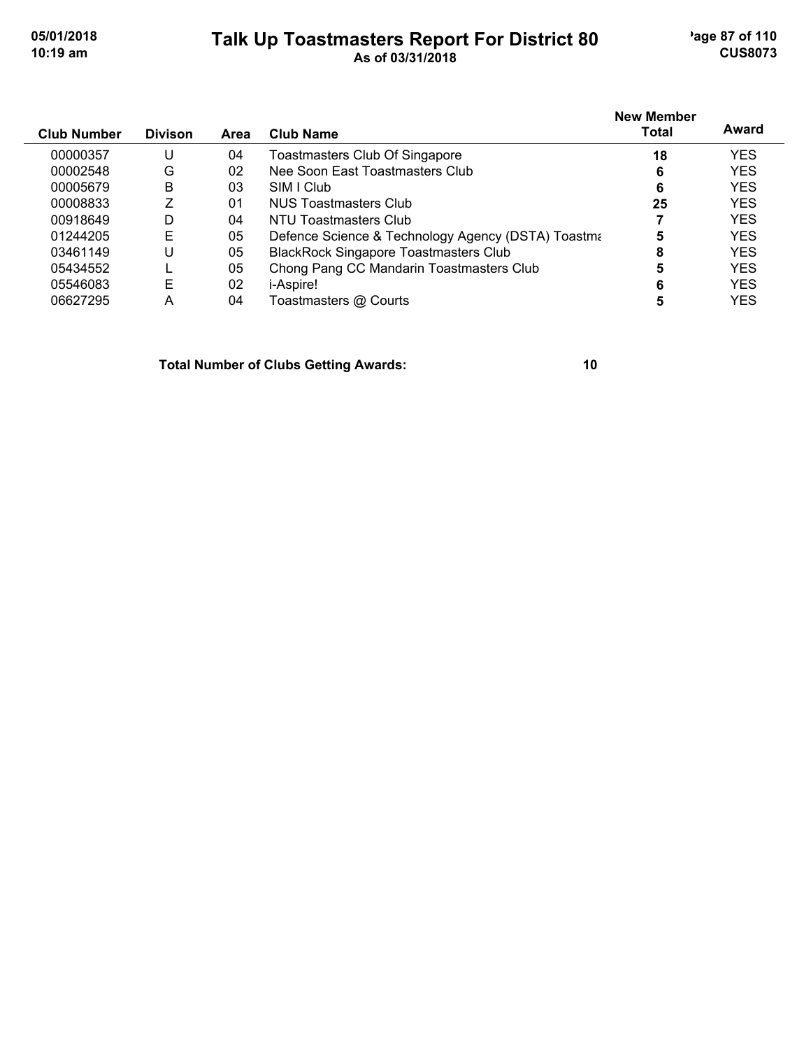$\overline{a}$ 

## **Talk Up Toastmasters Report For District 80** age 87 of 110 **10:19 am As of 03/31/2018 CUS8073**

| <b>Club Number</b> | <b>Divison</b> | Area | <b>Club Name</b>                                   | <b>New Member</b><br><b>Total</b> | Award      |
|--------------------|----------------|------|----------------------------------------------------|-----------------------------------|------------|
| 00000357           | U              | 04   | Toastmasters Club Of Singapore                     | 18                                | <b>YES</b> |
| 00002548           | G              | 02   | Nee Soon East Toastmasters Club                    | 6                                 | <b>YES</b> |
| 00005679           | B              | 03   | SIM LClub                                          | 6                                 | <b>YES</b> |
| 00008833           |                | 01   | NUS Toastmasters Club                              | 25                                | <b>YES</b> |
| 00918649           | D              | 04   | NTU Toastmasters Club                              |                                   | <b>YES</b> |
| 01244205           | Е              | 05   | Defence Science & Technology Agency (DSTA) Toastma | 5                                 | <b>YES</b> |
| 03461149           | U              | 05   | <b>BlackRock Singapore Toastmasters Club</b>       | 8                                 | <b>YES</b> |
| 05434552           |                | 05   | Chong Pang CC Mandarin Toastmasters Club           | 5                                 | <b>YES</b> |
| 05546083           | E              | 02   | <i>i-Aspire!</i>                                   | 6                                 | <b>YES</b> |
| 06627295           | Α              | 04   | Toastmasters @ Courts                              | 5                                 | <b>YES</b> |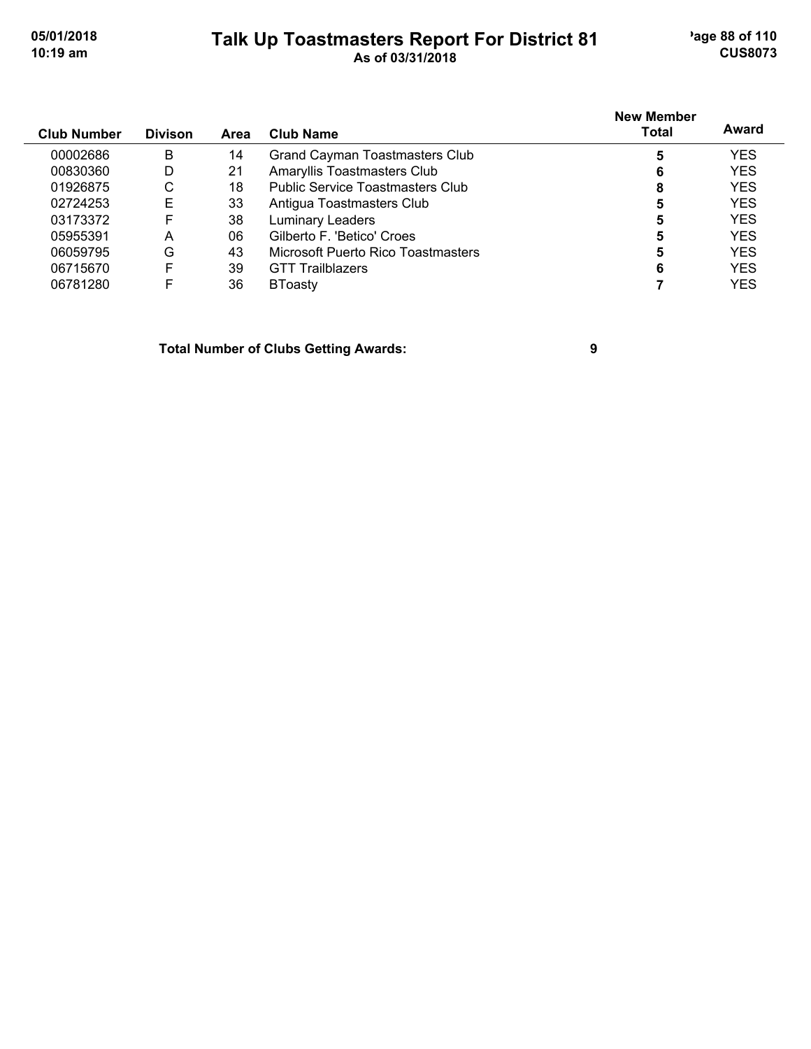## **Talk Up Toastmasters Report For District 81** age 88 of 110 **10:19 am As of 03/31/2018 CUS8073**

| <b>Club Number</b> | <b>Divison</b> | Area | Club Name                               | <b>New Member</b><br><b>Total</b> | Award      |
|--------------------|----------------|------|-----------------------------------------|-----------------------------------|------------|
| 00002686           | B              | 14   | <b>Grand Cayman Toastmasters Club</b>   | 5                                 | <b>YES</b> |
| 00830360           | D              | 21   | Amaryllis Toastmasters Club             | 6                                 | <b>YES</b> |
| 01926875           | С              | 18   | <b>Public Service Toastmasters Club</b> | 8                                 | <b>YES</b> |
| 02724253           | Е              | 33   | Antigua Toastmasters Club               | 5                                 | <b>YES</b> |
| 03173372           | F              | 38   | <b>Luminary Leaders</b>                 | 5                                 | <b>YES</b> |
| 05955391           | A              | 06   | Gilberto F. 'Betico' Croes              | 5                                 | <b>YES</b> |
| 06059795           | G              | 43   | Microsoft Puerto Rico Toastmasters      | 5                                 | <b>YES</b> |
| 06715670           | F              | 39   | <b>GTT Trailblazers</b>                 | 6                                 | <b>YES</b> |
| 06781280           |                | 36   | <b>BToasty</b>                          |                                   | <b>YES</b> |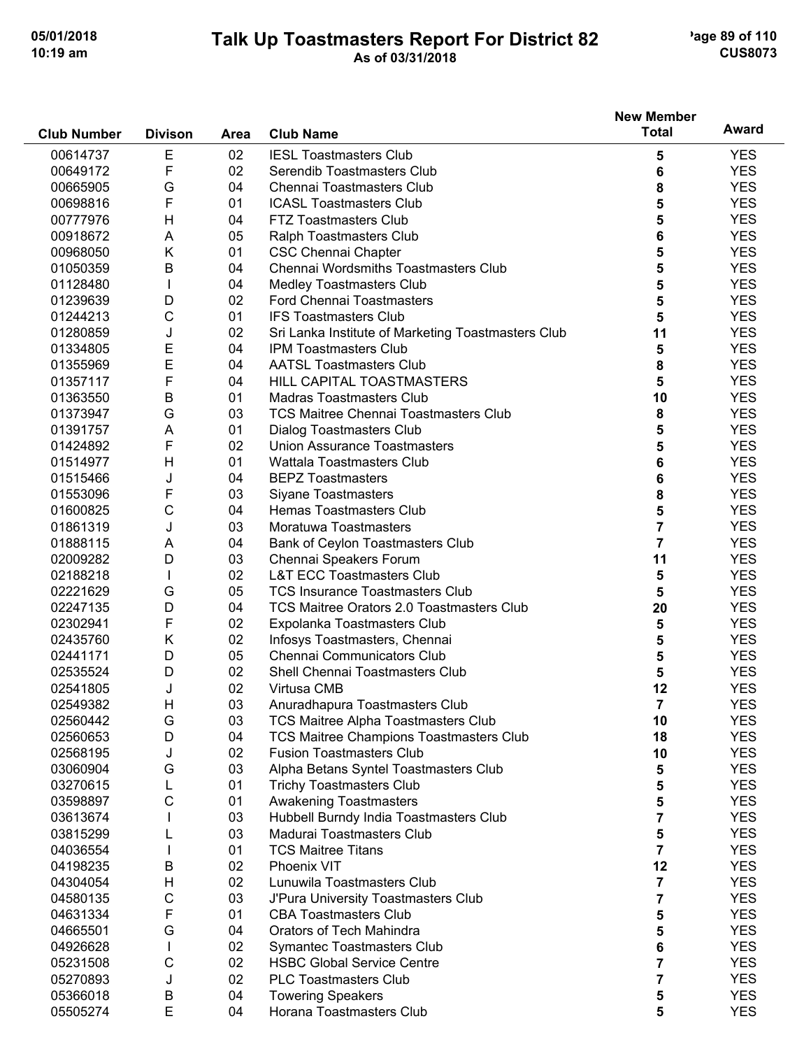## **Talk Up Toastmasters Report For District 82** age 89 of 110 **10:19 am As of 03/31/2018 CUS8073**

|                    |                |      |                                                    | <b>New Member</b>       |            |
|--------------------|----------------|------|----------------------------------------------------|-------------------------|------------|
| <b>Club Number</b> | <b>Divison</b> | Area | <b>Club Name</b>                                   | <b>Total</b>            | Award      |
| 00614737           | $\mathsf E$    | 02   | <b>IESL Toastmasters Club</b>                      | 5                       | <b>YES</b> |
| 00649172           | F              | 02   | Serendib Toastmasters Club                         | 6                       | <b>YES</b> |
| 00665905           | G              | 04   | Chennai Toastmasters Club                          | 8                       | <b>YES</b> |
| 00698816           | F              | 01   | <b>ICASL Toastmasters Club</b>                     | 5                       | <b>YES</b> |
| 00777976           | H              | 04   | FTZ Toastmasters Club                              | 5                       | <b>YES</b> |
| 00918672           | A              | 05   | Ralph Toastmasters Club                            | 6                       | <b>YES</b> |
| 00968050           | Κ              | 01   | <b>CSC Chennai Chapter</b>                         | 5                       | <b>YES</b> |
| 01050359           | B              | 04   | Chennai Wordsmiths Toastmasters Club               | 5                       | <b>YES</b> |
| 01128480           | L              | 04   | <b>Medley Toastmasters Club</b>                    | 5                       | <b>YES</b> |
| 01239639           | D              | 02   | Ford Chennai Toastmasters                          | 5                       | <b>YES</b> |
| 01244213           | C              | 01   | <b>IFS Toastmasters Club</b>                       | 5                       | <b>YES</b> |
| 01280859           | J              | 02   | Sri Lanka Institute of Marketing Toastmasters Club | 11                      | <b>YES</b> |
| 01334805           | Е              | 04   | <b>IPM Toastmasters Club</b>                       | 5                       | <b>YES</b> |
| 01355969           | E              | 04   | <b>AATSL Toastmasters Club</b>                     | 8                       | <b>YES</b> |
| 01357117           | F              | 04   | <b>HILL CAPITAL TOASTMASTERS</b>                   | 5                       | <b>YES</b> |
| 01363550           | B              | 01   | <b>Madras Toastmasters Club</b>                    | 10                      | <b>YES</b> |
| 01373947           | G              | 03   | <b>TCS Maitree Chennai Toastmasters Club</b>       | 8                       | <b>YES</b> |
| 01391757           | A              | 01   | <b>Dialog Toastmasters Club</b>                    | 5                       | <b>YES</b> |
| 01424892           | F              | 02   | <b>Union Assurance Toastmasters</b>                | 5                       | <b>YES</b> |
| 01514977           | H              | 01   | <b>Wattala Toastmasters Club</b>                   | 6                       | <b>YES</b> |
| 01515466           | J              | 04   | <b>BEPZ Toastmasters</b>                           | 6                       | <b>YES</b> |
| 01553096           | F              | 03   | <b>Siyane Toastmasters</b>                         | 8                       | <b>YES</b> |
| 01600825           | $\mathsf C$    | 04   | Hemas Toastmasters Club                            | 5                       | <b>YES</b> |
| 01861319           | J              | 03   | Moratuwa Toastmasters                              | 7                       | <b>YES</b> |
| 01888115           | A              | 04   | Bank of Ceylon Toastmasters Club                   | 7                       | <b>YES</b> |
| 02009282           | D              | 03   | Chennai Speakers Forum                             | 11                      | <b>YES</b> |
| 02188218           | $\mathbf{I}$   | 02   | <b>L&amp;T ECC Toastmasters Club</b>               | 5                       | <b>YES</b> |
| 02221629           | G              | 05   | <b>TCS Insurance Toastmasters Club</b>             | 5                       | <b>YES</b> |
| 02247135           | D              | 04   | TCS Maitree Orators 2.0 Toastmasters Club          | 20                      | <b>YES</b> |
| 02302941           | F              | 02   | Expolanka Toastmasters Club                        | 5                       | <b>YES</b> |
| 02435760           | Κ              | 02   | Infosys Toastmasters, Chennai                      | 5                       | <b>YES</b> |
| 02441171           | D              | 05   | Chennai Communicators Club                         | 5                       | <b>YES</b> |
| 02535524           | D              | 02   | Shell Chennai Toastmasters Club                    | 5                       | <b>YES</b> |
| 02541805           | J              | 02   | Virtusa CMB                                        | 12                      | <b>YES</b> |
| 02549382           | H              | 03   | Anuradhapura Toastmasters Club                     | 7                       | YES        |
| 02560442           | G              | 03   | TCS Maitree Alpha Toastmasters Club                | 10                      | <b>YES</b> |
| 02560653           | D              | 04   | TCS Maitree Champions Toastmasters Club            | 18                      | <b>YES</b> |
| 02568195           | J              | 02   | <b>Fusion Toastmasters Club</b>                    | 10                      | <b>YES</b> |
| 03060904           | G              | 03   | Alpha Betans Syntel Toastmasters Club              | 5                       | <b>YES</b> |
| 03270615           | L              | 01   | <b>Trichy Toastmasters Club</b>                    | 5                       | <b>YES</b> |
| 03598897           | C              | 01   | <b>Awakening Toastmasters</b>                      | 5                       | <b>YES</b> |
| 03613674           |                | 03   | Hubbell Burndy India Toastmasters Club             | 7                       | <b>YES</b> |
| 03815299           |                | 03   | Madurai Toastmasters Club                          | 5                       | <b>YES</b> |
| 04036554           |                | 01   | <b>TCS Maitree Titans</b>                          | $\overline{\mathbf{7}}$ | <b>YES</b> |
| 04198235           | В              | 02   | Phoenix VIT                                        | 12                      | <b>YES</b> |
| 04304054           | H              | 02   | Lunuwila Toastmasters Club                         | 7                       | <b>YES</b> |
| 04580135           | C              | 03   | J'Pura University Toastmasters Club                | 7                       | <b>YES</b> |
| 04631334           | F              | 01   | <b>CBA Toastmasters Club</b>                       | 5                       | <b>YES</b> |
| 04665501           | G              | 04   | <b>Orators of Tech Mahindra</b>                    | 5                       | <b>YES</b> |
| 04926628           | $\mathbf{I}$   | 02   | <b>Symantec Toastmasters Club</b>                  | 6                       | <b>YES</b> |
| 05231508           | $\mathsf C$    | 02   | <b>HSBC Global Service Centre</b>                  | $\overline{\mathbf{7}}$ | <b>YES</b> |
| 05270893           | J              | 02   | <b>PLC Toastmasters Club</b>                       | $\overline{\mathbf{7}}$ | <b>YES</b> |
| 05366018           | B              | 04   | <b>Towering Speakers</b>                           | 5                       | <b>YES</b> |
| 05505274           | E              | 04   | Horana Toastmasters Club                           | 5                       | <b>YES</b> |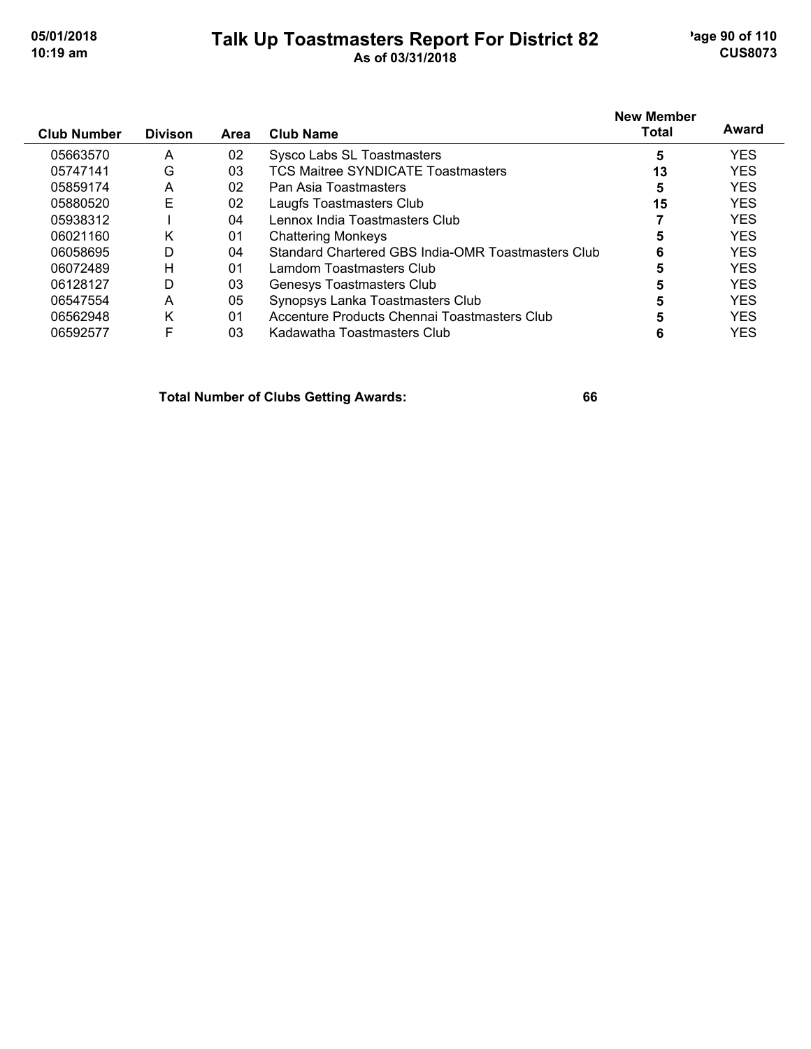## **Talk Up Toastmasters Report For District 82** age 90 of 110 **10:19 am As of 03/31/2018 CUS8073**

| <b>Club Number</b> | <b>Divison</b> | Area           | <b>Club Name</b>                                   | <b>New Member</b><br>Total | Award      |
|--------------------|----------------|----------------|----------------------------------------------------|----------------------------|------------|
| 05663570           | A              | 02             | Sysco Labs SL Toastmasters                         | 5                          | <b>YES</b> |
| 05747141           | G              | 03             | TCS Maitree SYNDICATE Toastmasters                 | 13                         | <b>YES</b> |
| 05859174           | A              | 02             | Pan Asia Toastmasters                              | 5                          | <b>YES</b> |
| 05880520           | Е              | 02             | Laugfs Toastmasters Club                           | 15                         | <b>YES</b> |
| 05938312           |                | 04             | Lennox India Toastmasters Club                     |                            | <b>YES</b> |
| 06021160           | Κ              | 01             | <b>Chattering Monkeys</b>                          | 5                          | <b>YES</b> |
| 06058695           | D              | 04             | Standard Chartered GBS India-OMR Toastmasters Club | 6                          | <b>YES</b> |
| 06072489           | Н              | 01             | Lamdom Toastmasters Club                           |                            | <b>YES</b> |
| 06128127           | D              | 03             | Genesys Toastmasters Club                          |                            | <b>YES</b> |
| 06547554           | A              | 05             | Synopsys Lanka Toastmasters Club                   | 5                          | <b>YES</b> |
| 06562948           | Κ              | 0 <sub>1</sub> | Accenture Products Chennai Toastmasters Club       |                            | <b>YES</b> |
| 06592577           | F              | 03             | Kadawatha Toastmasters Club                        |                            | YES        |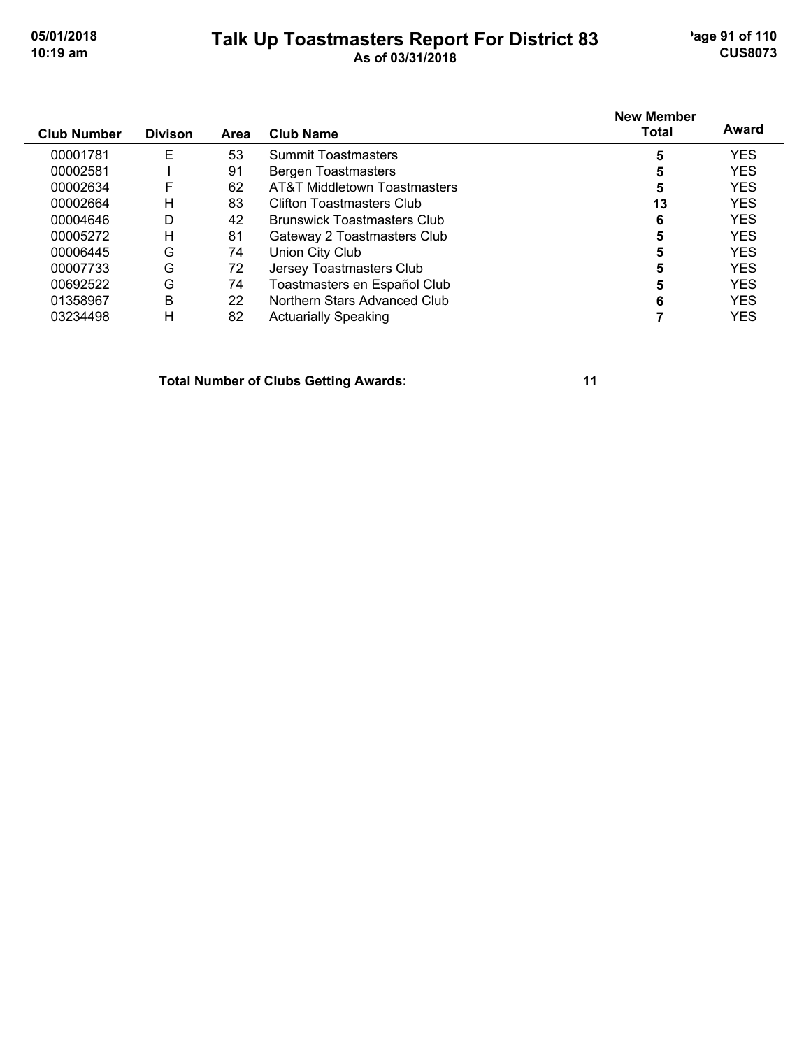## **Talk Up Toastmasters Report For District 83** age 91 of 110 **10:19 am As of 03/31/2018 CUS8073**

| <b>Club Number</b> | <b>Divison</b> | Area | Club Name                          | <b>New Member</b><br>Total | Award      |
|--------------------|----------------|------|------------------------------------|----------------------------|------------|
| 00001781           | Е              | 53   | <b>Summit Toastmasters</b>         | 5                          | <b>YES</b> |
| 00002581           |                | 91   | <b>Bergen Toastmasters</b>         | 5                          | <b>YES</b> |
| 00002634           | F              | 62   | AT&T Middletown Toastmasters       | 5                          | <b>YES</b> |
| 00002664           | H              | 83   | Clifton Toastmasters Club          | 13                         | <b>YES</b> |
| 00004646           | D              | 42   | <b>Brunswick Toastmasters Club</b> | 6                          | <b>YES</b> |
| 00005272           | Н              | 81   | Gateway 2 Toastmasters Club        | 5                          | <b>YES</b> |
| 00006445           | G              | 74   | Union City Club                    | 5                          | <b>YES</b> |
| 00007733           | G              | 72   | Jersey Toastmasters Club           | 5                          | <b>YES</b> |
| 00692522           | G              | 74   | Toastmasters en Español Club       | 5                          | <b>YES</b> |
| 01358967           | B              | 22   | Northern Stars Advanced Club       | 6                          | <b>YES</b> |
| 03234498           | н              | 82   | <b>Actuarially Speaking</b>        |                            | YES        |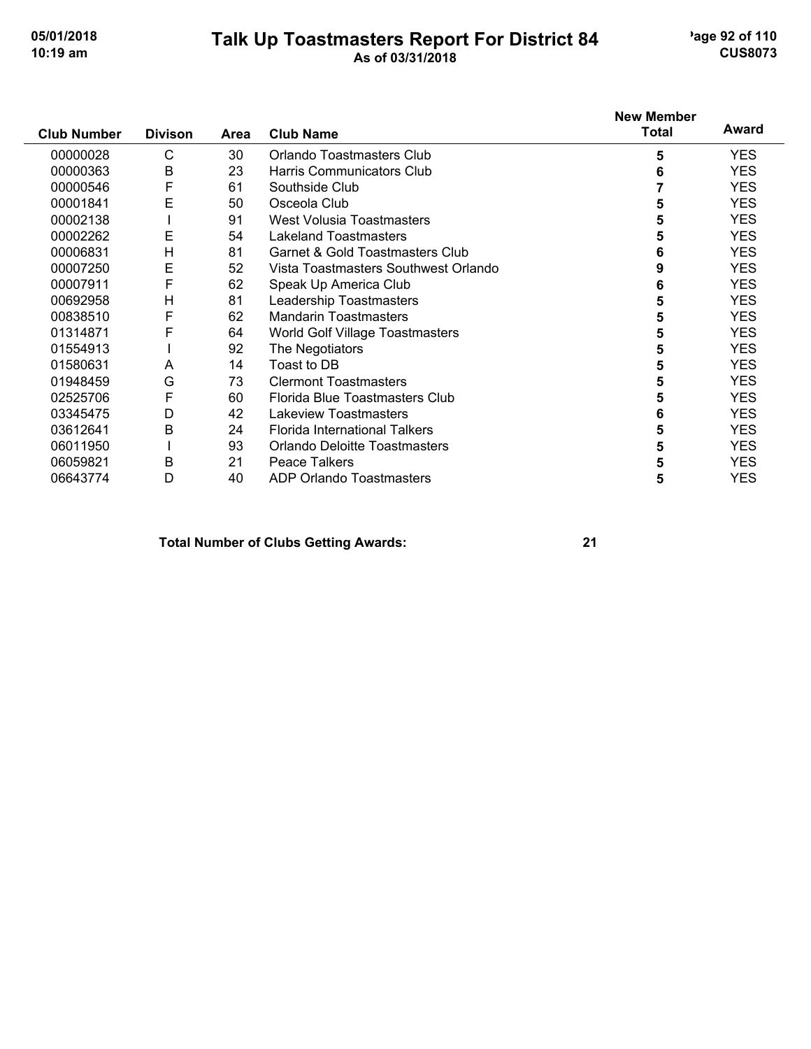## **Talk Up Toastmasters Report For District 84** age 92 of 110 **10:19 am As of 03/31/2018 CUS8073**

|                    |                |             |                                      | <b>New Member</b> |            |
|--------------------|----------------|-------------|--------------------------------------|-------------------|------------|
| <b>Club Number</b> | <b>Divison</b> | <b>Area</b> | <b>Club Name</b>                     | <b>Total</b>      | Award      |
| 00000028           | C              | 30          | Orlando Toastmasters Club            | 5                 | <b>YES</b> |
| 00000363           | B              | 23          | Harris Communicators Club            | 6                 | <b>YES</b> |
| 00000546           | F              | 61          | Southside Club                       |                   | <b>YES</b> |
| 00001841           | E              | 50          | Osceola Club                         | 5                 | <b>YES</b> |
| 00002138           |                | 91          | <b>West Volusia Toastmasters</b>     | 5                 | <b>YES</b> |
| 00002262           | E              | 54          | <b>Lakeland Toastmasters</b>         | 5                 | <b>YES</b> |
| 00006831           | H              | 81          | Garnet & Gold Toastmasters Club      | 6                 | <b>YES</b> |
| 00007250           | E              | 52          | Vista Toastmasters Southwest Orlando | 9                 | <b>YES</b> |
| 00007911           | F              | 62          | Speak Up America Club                | 6                 | <b>YES</b> |
| 00692958           | Н              | 81          | Leadership Toastmasters              | 5                 | <b>YES</b> |
| 00838510           | F              | 62          | <b>Mandarin Toastmasters</b>         | 5                 | <b>YES</b> |
| 01314871           | F              | 64          | World Golf Village Toastmasters      | 5                 | <b>YES</b> |
| 01554913           |                | 92          | The Negotiators                      | 5                 | <b>YES</b> |
| 01580631           | A              | 14          | Toast to DB                          | 5                 | <b>YES</b> |
| 01948459           | G              | 73          | <b>Clermont Toastmasters</b>         | 5                 | <b>YES</b> |
| 02525706           | F              | 60          | Florida Blue Toastmasters Club       | 5                 | <b>YES</b> |
| 03345475           | D              | 42          | <b>Lakeview Toastmasters</b>         | 6                 | <b>YES</b> |
| 03612641           | B              | 24          | Florida International Talkers        | 5                 | <b>YES</b> |
| 06011950           |                | 93          | Orlando Deloitte Toastmasters        | 5                 | <b>YES</b> |
| 06059821           | B              | 21          | <b>Peace Talkers</b>                 | 5                 | <b>YES</b> |
| 06643774           | D              | 40          | ADP Orlando Toastmasters             | 5                 | <b>YES</b> |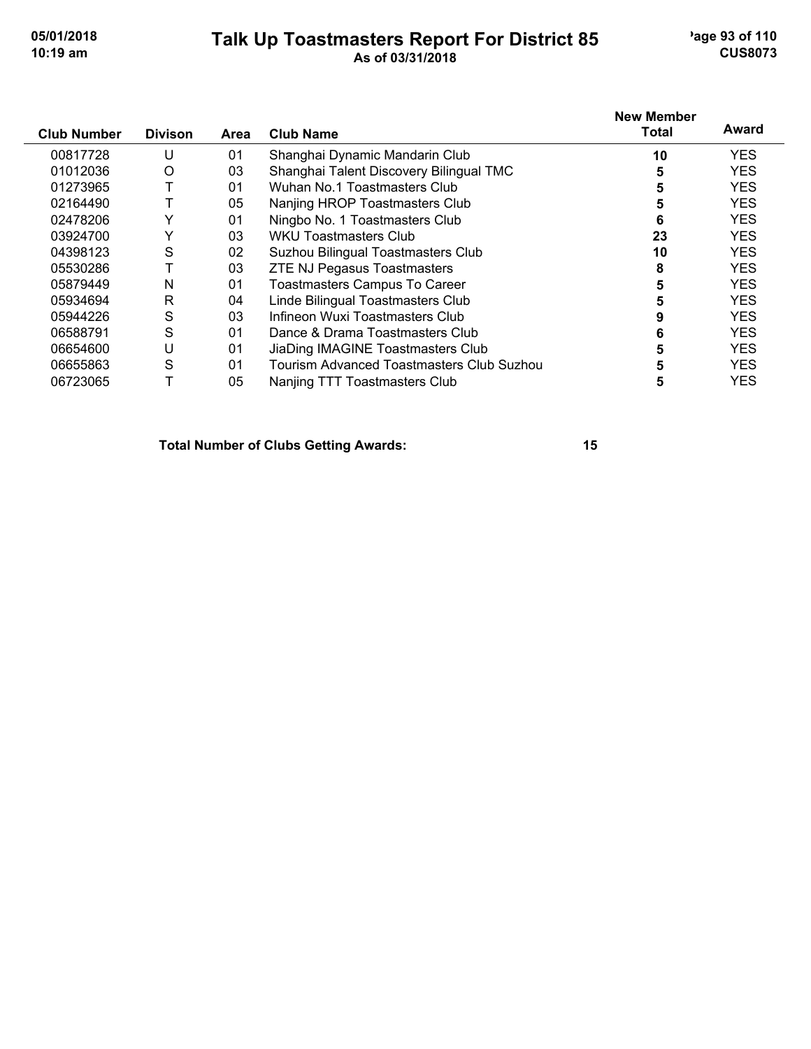## **Talk Up Toastmasters Report For District 85** age 93 of 110 **10:19 am As of 03/31/2018 CUS8073**

| <b>Club Number</b> | <b>Divison</b> | Area | <b>Club Name</b>                          | <b>New Member</b><br>Total | Award      |
|--------------------|----------------|------|-------------------------------------------|----------------------------|------------|
|                    |                |      |                                           |                            |            |
| 00817728           | U              | 01   | Shanghai Dynamic Mandarin Club            | 10                         | <b>YES</b> |
| 01012036           | O              | 03   | Shanghai Talent Discovery Bilingual TMC   | 5                          | <b>YES</b> |
| 01273965           |                | 01   | Wuhan No.1 Toastmasters Club              | 5                          | <b>YES</b> |
| 02164490           |                | 05   | Nanjing HROP Toastmasters Club            | 5                          | <b>YES</b> |
| 02478206           | Y              | 01   | Ningbo No. 1 Toastmasters Club            | 6                          | <b>YES</b> |
| 03924700           | $\checkmark$   | 03   | WKU Toastmasters Club                     | 23                         | <b>YES</b> |
| 04398123           | S              | 02   | Suzhou Bilingual Toastmasters Club        | 10                         | <b>YES</b> |
| 05530286           |                | 03   | <b>ZTE NJ Pegasus Toastmasters</b>        | 8                          | <b>YES</b> |
| 05879449           | N              | 01   | <b>Toastmasters Campus To Career</b>      | 5                          | <b>YES</b> |
| 05934694           | R              | 04   | Linde Bilingual Toastmasters Club         | 5                          | <b>YES</b> |
| 05944226           | S              | 03   | Infineon Wuxi Toastmasters Club           |                            | <b>YES</b> |
| 06588791           | S              | 01   | Dance & Drama Toastmasters Club           | 6                          | <b>YES</b> |
| 06654600           | U              | 01   | JiaDing IMAGINE Toastmasters Club         | 5                          | <b>YES</b> |
| 06655863           | S              | 01   | Tourism Advanced Toastmasters Club Suzhou |                            | <b>YES</b> |
| 06723065           |                | 05   | Nanjing TTT Toastmasters Club             | 5                          | <b>YES</b> |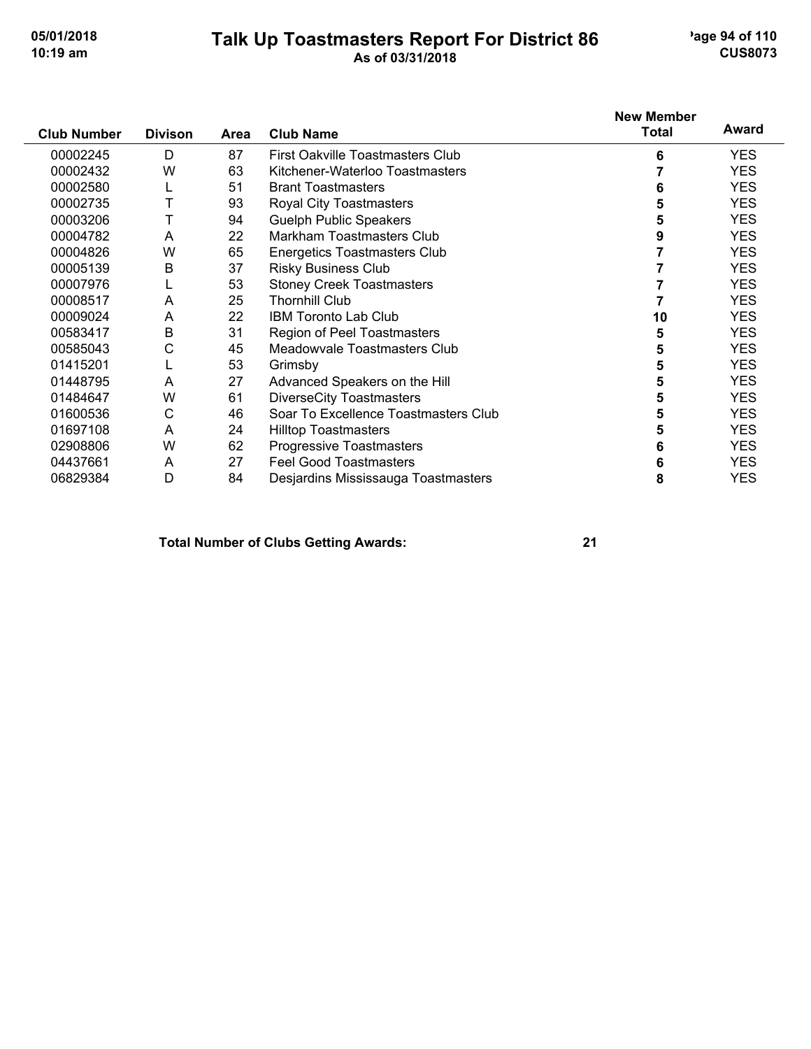### **Talk Up Toastmasters Report For District 86** age 94 of 110 **10:19 am As of 03/31/2018 CUS8073**

|                    |                |      |                                      | <b>New Member</b> |            |
|--------------------|----------------|------|--------------------------------------|-------------------|------------|
| <b>Club Number</b> | <b>Divison</b> | Area | <b>Club Name</b>                     | Total             | Award      |
| 00002245           | D              | 87   | First Oakville Toastmasters Club     | 6                 | <b>YES</b> |
| 00002432           | W              | 63   | Kitchener-Waterloo Toastmasters      |                   | <b>YES</b> |
| 00002580           |                | 51   | <b>Brant Toastmasters</b>            | 6                 | <b>YES</b> |
| 00002735           |                | 93   | Royal City Toastmasters              |                   | <b>YES</b> |
| 00003206           |                | 94   | <b>Guelph Public Speakers</b>        | 5                 | <b>YES</b> |
| 00004782           | A              | 22   | Markham Toastmasters Club            |                   | <b>YES</b> |
| 00004826           | W              | 65   | <b>Energetics Toastmasters Club</b>  |                   | <b>YES</b> |
| 00005139           | В              | 37   | <b>Risky Business Club</b>           |                   | <b>YES</b> |
| 00007976           |                | 53   | <b>Stoney Creek Toastmasters</b>     |                   | <b>YES</b> |
| 00008517           | A              | 25   | <b>Thornhill Club</b>                |                   | <b>YES</b> |
| 00009024           | A              | 22   | <b>IBM Toronto Lab Club</b>          | 10                | <b>YES</b> |
| 00583417           | B              | 31   | <b>Region of Peel Toastmasters</b>   | 5                 | <b>YES</b> |
| 00585043           | С              | 45   | Meadowyale Toastmasters Club         | 5                 | <b>YES</b> |
| 01415201           |                | 53   | Grimsby                              | 5                 | <b>YES</b> |
| 01448795           | A              | 27   | Advanced Speakers on the Hill        | 5                 | <b>YES</b> |
| 01484647           | W              | 61   | <b>DiverseCity Toastmasters</b>      | 5                 | <b>YES</b> |
| 01600536           | С              | 46   | Soar To Excellence Toastmasters Club |                   | <b>YES</b> |
| 01697108           | A              | 24   | <b>Hilltop Toastmasters</b>          | 5                 | <b>YES</b> |
| 02908806           | W              | 62   | <b>Progressive Toastmasters</b>      | 6                 | <b>YES</b> |
| 04437661           | A              | 27   | <b>Feel Good Toastmasters</b>        | 6                 | <b>YES</b> |
| 06829384           | D              | 84   | Desjardins Mississauga Toastmasters  | 8                 | <b>YES</b> |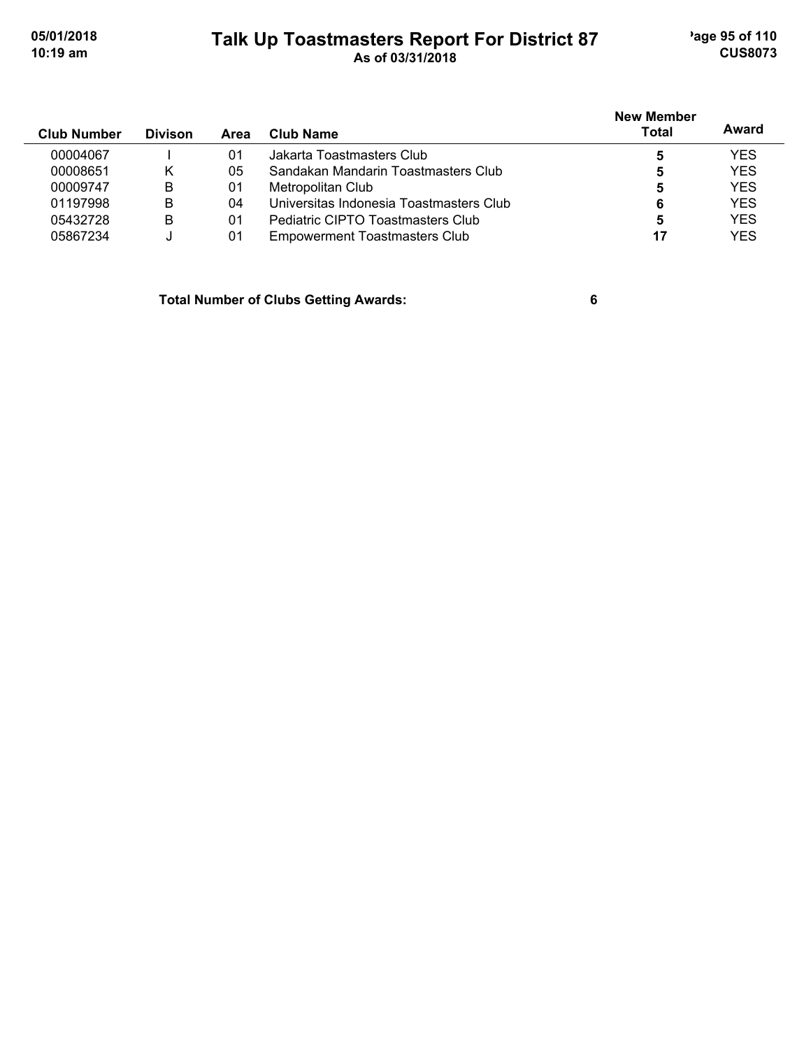# **Talk Up Toastmasters Report For District 87** age 95 of 110 **10:19 am As of 03/31/2018 CUS8073**

| <b>Club Number</b> | <b>Divison</b> | Area | Club Name                               | <b>New Member</b><br>Total | Award      |
|--------------------|----------------|------|-----------------------------------------|----------------------------|------------|
| 00004067           |                | 01   | Jakarta Toastmasters Club               | 5                          | <b>YES</b> |
| 00008651           | κ              | 05   | Sandakan Mandarin Toastmasters Club     | 5                          | <b>YES</b> |
| 00009747           | B              | 01   | Metropolitan Club                       | 5                          | <b>YES</b> |
| 01197998           | B              | 04   | Universitas Indonesia Toastmasters Club | 6                          | <b>YES</b> |
| 05432728           | в              | 01   | Pediatric CIPTO Toastmasters Club       | 5                          | <b>YES</b> |
| 05867234           |                | 01   | Empowerment Toastmasters Club           | 17                         | <b>YES</b> |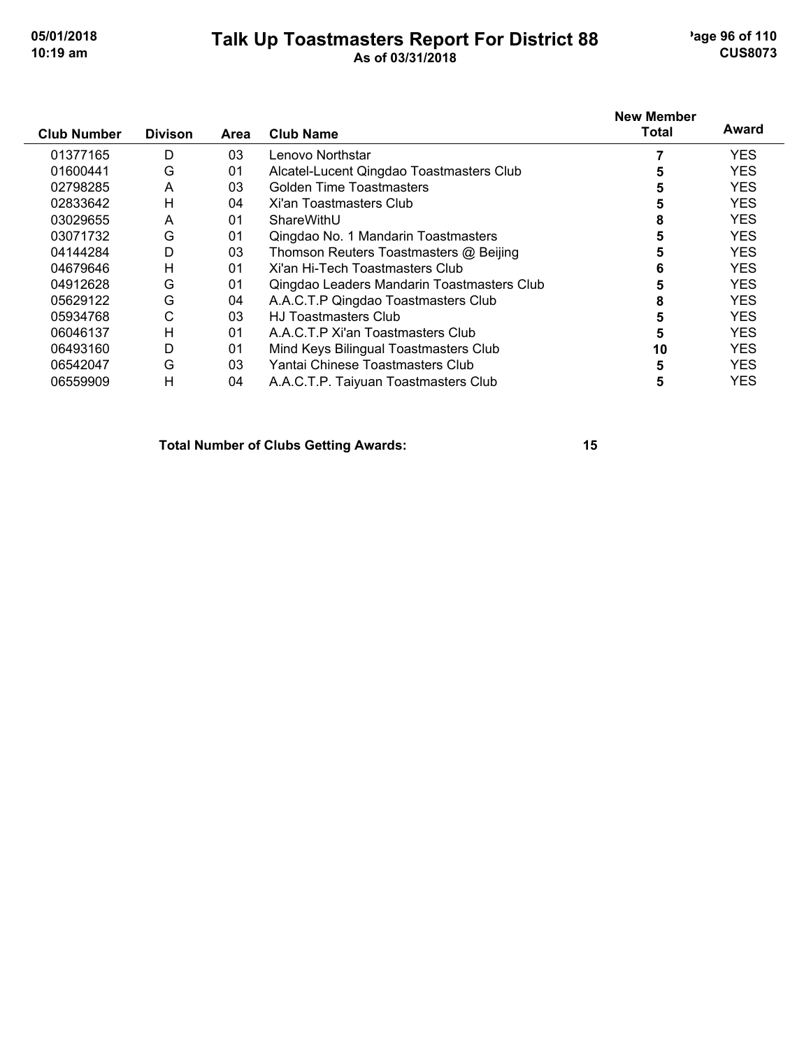## **Talk Up Toastmasters Report For District 88** age 96 of 110 **10:19 am As of 03/31/2018 CUS8073**

| <b>Club Number</b> | <b>Divison</b> | Area | <b>Club Name</b>                           | <b>New Member</b><br>Total | Award      |
|--------------------|----------------|------|--------------------------------------------|----------------------------|------------|
| 01377165           | D              | 03   | Lenovo Northstar                           |                            | <b>YES</b> |
| 01600441           | G              | 01   | Alcatel-Lucent Qingdao Toastmasters Club   |                            | <b>YES</b> |
| 02798285           | A              | 03   | Golden Time Toastmasters                   | 5                          | <b>YES</b> |
| 02833642           | H              | 04   | Xi'an Toastmasters Club                    | 5                          | <b>YES</b> |
| 03029655           | A              | 01   | ShareWithU                                 | 8                          | <b>YES</b> |
| 03071732           | G              | 01   | Qingdao No. 1 Mandarin Toastmasters        | 5                          | <b>YES</b> |
| 04144284           | D              | 03   | Thomson Reuters Toastmasters @ Beijing     | 5                          | <b>YES</b> |
| 04679646           | H              | 01   | Xi'an Hi-Tech Toastmasters Club            | 6                          | <b>YES</b> |
| 04912628           | G              | 01   | Qingdao Leaders Mandarin Toastmasters Club |                            | <b>YES</b> |
| 05629122           | G              | 04   | A.A.C.T.P Qingdao Toastmasters Club        | 8                          | <b>YES</b> |
| 05934768           | C              | 03   | <b>HJ Toastmasters Club</b>                | 5                          | <b>YES</b> |
| 06046137           | H              | 01   | A.A.C.T.P Xi'an Toastmasters Club          | 5                          | <b>YES</b> |
| 06493160           | D              | 01   | Mind Keys Bilingual Toastmasters Club      | 10                         | <b>YES</b> |
| 06542047           | G              | 03   | Yantai Chinese Toastmasters Club           | 5                          | <b>YES</b> |
| 06559909           | H              | 04   | A.A.C.T.P. Taiyuan Toastmasters Club       | 5                          | <b>YES</b> |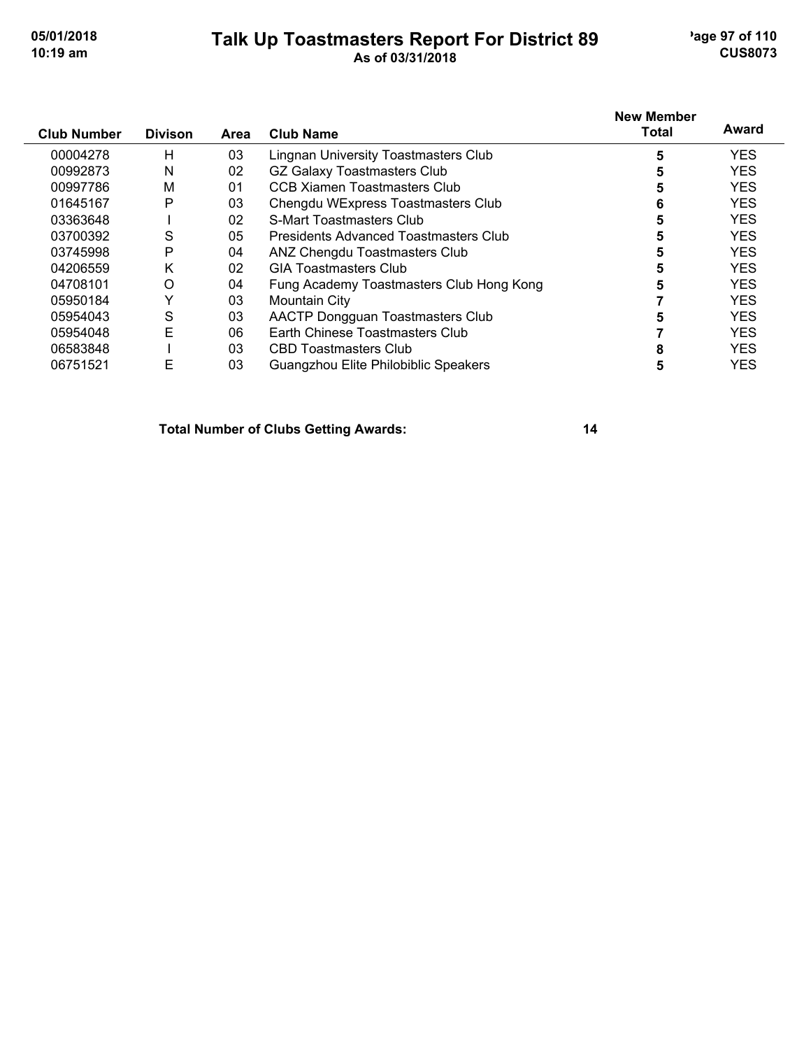## **Talk Up Toastmasters Report For District 89** age 97 of 110 **10:19 am As of 03/31/2018 CUS8073**

|                    |                |      |                                          | <b>New Member</b> |            |
|--------------------|----------------|------|------------------------------------------|-------------------|------------|
| <b>Club Number</b> | <b>Divison</b> | Area | <b>Club Name</b>                         | <b>Total</b>      | Award      |
| 00004278           | Н              | 03   | Lingnan University Toastmasters Club     | 5                 | <b>YES</b> |
| 00992873           | N              | 02   | <b>GZ Galaxy Toastmasters Club</b>       | 5                 | <b>YES</b> |
| 00997786           | M              | 01   | CCB Xiamen Toastmasters Club             | 5                 | <b>YES</b> |
| 01645167           | P              | 03   | Chengdu WExpress Toastmasters Club       | 6                 | <b>YES</b> |
| 03363648           |                | 02   | S-Mart Toastmasters Club                 | 5                 | <b>YES</b> |
| 03700392           | S              | 05   | Presidents Advanced Toastmasters Club    |                   | <b>YES</b> |
| 03745998           | P              | 04   | ANZ Chengdu Toastmasters Club            | 5                 | <b>YES</b> |
| 04206559           | ĸ              | 02   | <b>GIA Toastmasters Club</b>             | 5                 | <b>YES</b> |
| 04708101           | $\Omega$       | 04   | Fung Academy Toastmasters Club Hong Kong | 5                 | <b>YES</b> |
| 05950184           | Y              | 03   | Mountain City                            |                   | <b>YES</b> |
| 05954043           | S              | 03   | AACTP Dongguan Toastmasters Club         | 5                 | <b>YES</b> |
| 05954048           | E              | 06   | Earth Chinese Toastmasters Club          |                   | <b>YES</b> |
| 06583848           |                | 03   | CBD Toastmasters Club                    |                   | <b>YES</b> |
| 06751521           | Е              | 03   | Guangzhou Elite Philobiblic Speakers     | 5                 | <b>YES</b> |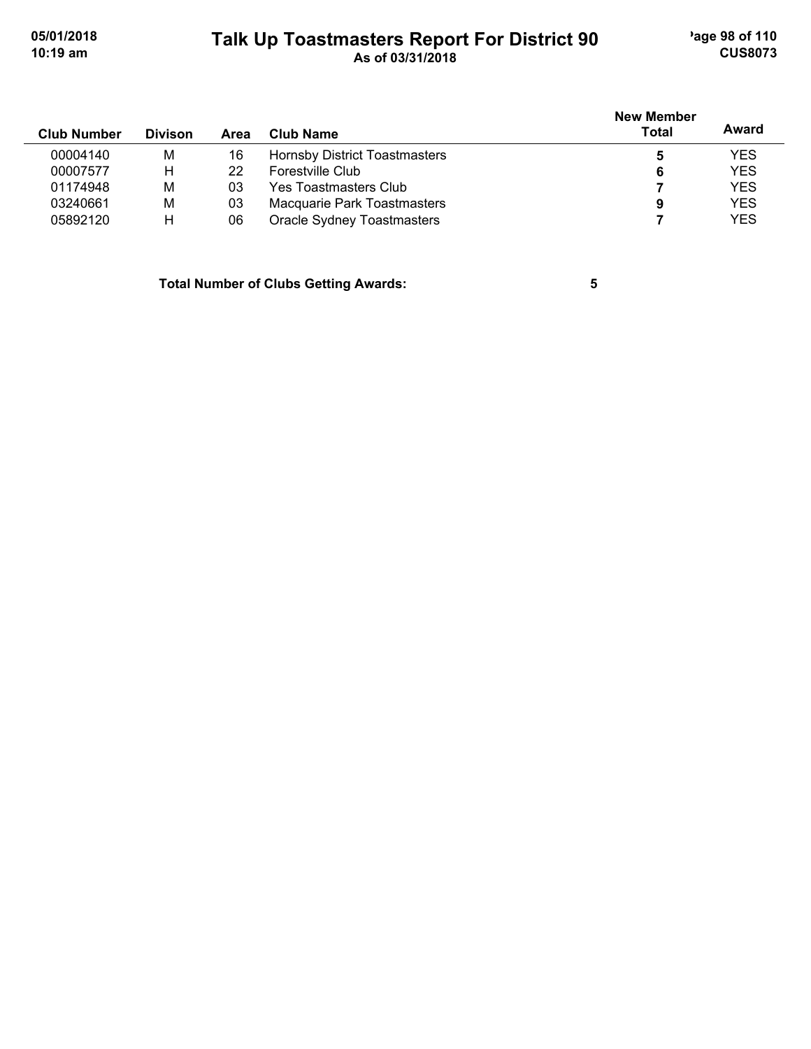# **Talk Up Toastmasters Report For District 90** age 98 of 110 **10:19 am As of 03/31/2018 CUS8073**

| <b>Club Number</b> | <b>Divison</b> | Area | Club Name                            | <b>New Member</b><br>Total | Award      |
|--------------------|----------------|------|--------------------------------------|----------------------------|------------|
| 00004140           | M              | 16   | <b>Hornsby District Toastmasters</b> | 5                          | <b>YES</b> |
| 00007577           | н              | 22   | Forestville Club                     | 6                          | <b>YES</b> |
| 01174948           | M              | 03   | Yes Toastmasters Club                |                            | <b>YES</b> |
| 03240661           | M              | 03   | Macquarie Park Toastmasters          | 9                          | <b>YES</b> |
| 05892120           | н              | 06   | Oracle Sydney Toastmasters           |                            | <b>YES</b> |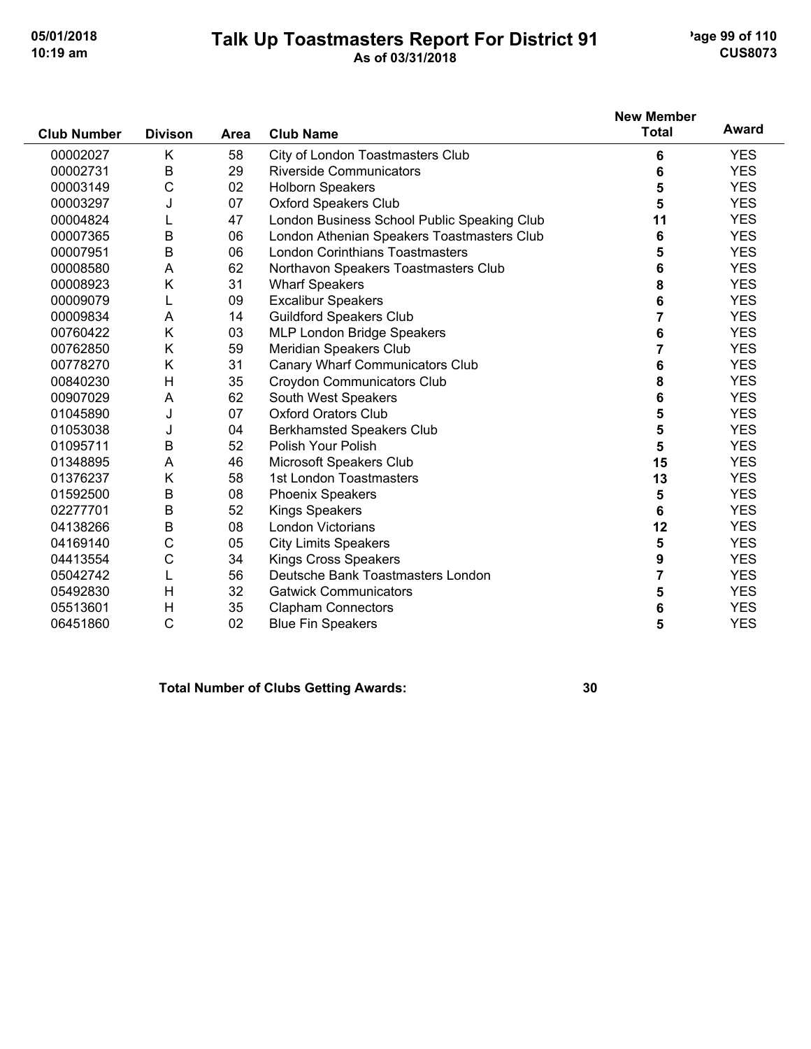## **Talk Up Toastmasters Report For District 91** age 99 of 110 **10:19 am As of 03/31/2018 CUS8073**

| <b>Club Number</b> | <b>Divison</b> | <b>Area</b> | <b>Club Name</b>                            | <b>New Member</b><br><b>Total</b> | Award      |
|--------------------|----------------|-------------|---------------------------------------------|-----------------------------------|------------|
| 00002027           | Κ              | 58          | City of London Toastmasters Club            | 6                                 | <b>YES</b> |
| 00002731           | B              | 29          | <b>Riverside Communicators</b>              | 6                                 | <b>YES</b> |
| 00003149           | C              | 02          | <b>Holborn Speakers</b>                     | 5                                 | <b>YES</b> |
| 00003297           | J              | 07          | <b>Oxford Speakers Club</b>                 | 5                                 | <b>YES</b> |
| 00004824           |                | 47          | London Business School Public Speaking Club | 11                                | <b>YES</b> |
| 00007365           | B              | 06          | London Athenian Speakers Toastmasters Club  | 6                                 | <b>YES</b> |
| 00007951           | B              | 06          | <b>London Corinthians Toastmasters</b>      | 5                                 | <b>YES</b> |
| 00008580           | Α              | 62          | Northavon Speakers Toastmasters Club        | 6                                 | <b>YES</b> |
| 00008923           | Κ              | 31          | <b>Wharf Speakers</b>                       | 8                                 | <b>YES</b> |
| 00009079           | L              | 09          | <b>Excalibur Speakers</b>                   | 6                                 | <b>YES</b> |
| 00009834           | A              | 14          | <b>Guildford Speakers Club</b>              | 7                                 | <b>YES</b> |
| 00760422           | Κ              | 03          | MLP London Bridge Speakers                  | 6                                 | <b>YES</b> |
| 00762850           | Κ              | 59          | Meridian Speakers Club                      | 7                                 | <b>YES</b> |
| 00778270           | Κ              | 31          | Canary Wharf Communicators Club             | 6                                 | <b>YES</b> |
| 00840230           | Н              | 35          | <b>Croydon Communicators Club</b>           | 8                                 | <b>YES</b> |
| 00907029           | A              | 62          | South West Speakers                         | 6                                 | <b>YES</b> |
| 01045890           | J              | 07          | <b>Oxford Orators Club</b>                  | 5                                 | <b>YES</b> |
| 01053038           | J              | 04          | <b>Berkhamsted Speakers Club</b>            | 5                                 | <b>YES</b> |
| 01095711           | B              | 52          | Polish Your Polish                          | 5                                 | <b>YES</b> |
| 01348895           | A              | 46          | Microsoft Speakers Club                     | 15                                | <b>YES</b> |
| 01376237           | Κ              | 58          | 1st London Toastmasters                     | 13                                | <b>YES</b> |
| 01592500           | B              | 08          | <b>Phoenix Speakers</b>                     | 5                                 | <b>YES</b> |
| 02277701           | B              | 52          | <b>Kings Speakers</b>                       | 6                                 | <b>YES</b> |
| 04138266           | B              | 08          | <b>London Victorians</b>                    | 12                                | <b>YES</b> |
| 04169140           | C              | 05          | <b>City Limits Speakers</b>                 | 5                                 | <b>YES</b> |
| 04413554           | C              | 34          | <b>Kings Cross Speakers</b>                 | 9                                 | <b>YES</b> |
| 05042742           | L              | 56          | Deutsche Bank Toastmasters London           | $\overline{7}$                    | <b>YES</b> |
| 05492830           | H              | 32          | <b>Gatwick Communicators</b>                | 5                                 | <b>YES</b> |
| 05513601           | $\mathsf{H}$   | 35          | <b>Clapham Connectors</b>                   | 6                                 | <b>YES</b> |
| 06451860           | C              | 02          | <b>Blue Fin Speakers</b>                    | 5                                 | <b>YES</b> |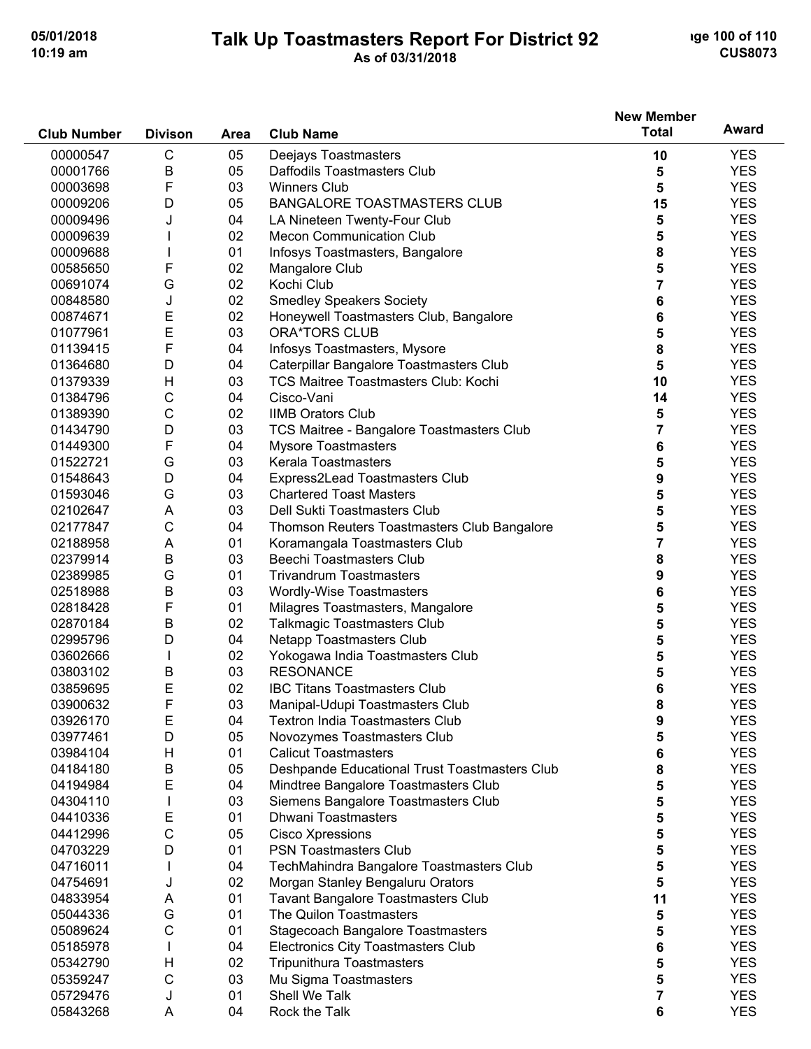## **Talk Up Toastmasters Report For District 92** and the 100 of 110 **10:19 am As of 03/31/2018 CUS8073**

|                    |                |             |                                               | <b>New Member</b> |            |
|--------------------|----------------|-------------|-----------------------------------------------|-------------------|------------|
| <b>Club Number</b> | <b>Divison</b> | <b>Area</b> | <b>Club Name</b>                              | <b>Total</b>      | Award      |
| 00000547           | $\mathsf{C}$   | 05          | Deejays Toastmasters                          | 10                | <b>YES</b> |
| 00001766           | B              | 05          | Daffodils Toastmasters Club                   | 5                 | <b>YES</b> |
| 00003698           | F              | 03          | <b>Winners Club</b>                           | 5                 | <b>YES</b> |
| 00009206           | D              | 05          | <b>BANGALORE TOASTMASTERS CLUB</b>            | 15                | <b>YES</b> |
| 00009496           | J              | 04          | LA Nineteen Twenty-Four Club                  | 5                 | <b>YES</b> |
| 00009639           |                | 02          | <b>Mecon Communication Club</b>               | 5                 | <b>YES</b> |
| 00009688           |                | 01          | Infosys Toastmasters, Bangalore               | 8                 | <b>YES</b> |
| 00585650           | F              | 02          | Mangalore Club                                | 5                 | <b>YES</b> |
| 00691074           | G              | 02          | Kochi Club                                    | 7                 | <b>YES</b> |
| 00848580           | J              | 02          | <b>Smedley Speakers Society</b>               | 6                 | <b>YES</b> |
| 00874671           | Ε              | 02          | Honeywell Toastmasters Club, Bangalore        | 6                 | <b>YES</b> |
| 01077961           | E              | 03          | <b>ORA*TORS CLUB</b>                          | 5                 | <b>YES</b> |
| 01139415           | F              | 04          | Infosys Toastmasters, Mysore                  | 8                 | <b>YES</b> |
| 01364680           | D              | 04          | Caterpillar Bangalore Toastmasters Club       | 5                 | <b>YES</b> |
| 01379339           | H              | 03          | <b>TCS Maitree Toastmasters Club: Kochi</b>   | 10                | <b>YES</b> |
| 01384796           | С              | 04          | Cisco-Vani                                    | 14                | <b>YES</b> |
| 01389390           | $\mathsf C$    | 02          | <b>IIMB Orators Club</b>                      | 5                 | <b>YES</b> |
| 01434790           | D              | 03          | TCS Maitree - Bangalore Toastmasters Club     | 7                 | <b>YES</b> |
| 01449300           | F              | 04          | <b>Mysore Toastmasters</b>                    | 6                 | <b>YES</b> |
| 01522721           | G              | 03          | Kerala Toastmasters                           | 5                 | <b>YES</b> |
| 01548643           | D              | 04          | Express2Lead Toastmasters Club                | 9                 | <b>YES</b> |
| 01593046           | G              | 03          | <b>Chartered Toast Masters</b>                | 5                 | <b>YES</b> |
| 02102647           | A              | 03          | Dell Sukti Toastmasters Club                  | 5                 | <b>YES</b> |
| 02177847           | $\mathsf C$    | 04          | Thomson Reuters Toastmasters Club Bangalore   | 5                 | <b>YES</b> |
| 02188958           | A              | 01          | Koramangala Toastmasters Club                 | 7                 | <b>YES</b> |
| 02379914           | $\mathsf B$    | 03          | <b>Beechi Toastmasters Club</b>               | 8                 | <b>YES</b> |
| 02389985           | G              | 01          | <b>Trivandrum Toastmasters</b>                | 9                 | <b>YES</b> |
| 02518988           | $\mathsf B$    | 03          | Wordly-Wise Toastmasters                      | 6                 | <b>YES</b> |
| 02818428           | F              | 01          | Milagres Toastmasters, Mangalore              | 5                 | <b>YES</b> |
| 02870184           | $\mathsf B$    | 02          | <b>Talkmagic Toastmasters Club</b>            | 5                 | <b>YES</b> |
| 02995796           | D              | 04          | <b>Netapp Toastmasters Club</b>               | 5                 | <b>YES</b> |
| 03602666           |                | 02          | Yokogawa India Toastmasters Club              | 5                 | <b>YES</b> |
| 03803102           | Β              | 03          | <b>RESONANCE</b>                              | 5                 | <b>YES</b> |
| 03859695           | E              | 02          | <b>IBC Titans Toastmasters Club</b>           | 6                 | <b>YES</b> |
| 03900632           | F              | 03          | Manipal-Udupi Toastmasters Club               | 8                 | <b>YES</b> |
| 03926170           | Ε              | 04          | <b>Textron India Toastmasters Club</b>        | 9                 | <b>YES</b> |
| 03977461           | D              | 05          | Novozymes Toastmasters Club                   | 5                 | <b>YES</b> |
| 03984104           | H              | 01          | <b>Calicut Toastmasters</b>                   | 6                 | <b>YES</b> |
| 04184180           | В              | 05          | Deshpande Educational Trust Toastmasters Club | 8                 | <b>YES</b> |
| 04194984           | E              | 04          | Mindtree Bangalore Toastmasters Club          | 5                 | <b>YES</b> |
| 04304110           |                | 03          | Siemens Bangalore Toastmasters Club           | 5                 | <b>YES</b> |
| 04410336           | Ε              | 01          | <b>Dhwani Toastmasters</b>                    | 5                 | <b>YES</b> |
| 04412996           | C              | 05          | <b>Cisco Xpressions</b>                       | 5                 | <b>YES</b> |
| 04703229           | D              | 01          | <b>PSN Toastmasters Club</b>                  | 5                 | <b>YES</b> |
| 04716011           |                | 04          | TechMahindra Bangalore Toastmasters Club      | 5                 | <b>YES</b> |
| 04754691           | J              | 02          | Morgan Stanley Bengaluru Orators              | 5                 | <b>YES</b> |
| 04833954           | A              | 01          | <b>Tavant Bangalore Toastmasters Club</b>     | 11                | <b>YES</b> |
| 05044336           | G              | 01          | The Quilon Toastmasters                       | 5                 | <b>YES</b> |
| 05089624           | $\mathsf{C}$   | 01          | <b>Stagecoach Bangalore Toastmasters</b>      | 5                 | <b>YES</b> |
| 05185978           | I.             | 04          | <b>Electronics City Toastmasters Club</b>     | 6                 | <b>YES</b> |
| 05342790           | H              | 02          | <b>Tripunithura Toastmasters</b>              | 5                 | <b>YES</b> |
| 05359247           | $\mathsf C$    | 03          | Mu Sigma Toastmasters                         | 5                 | <b>YES</b> |
| 05729476           | J              | 01          | Shell We Talk                                 | 7                 | <b>YES</b> |
| 05843268           | Α              | 04          | Rock the Talk                                 | 6                 | <b>YES</b> |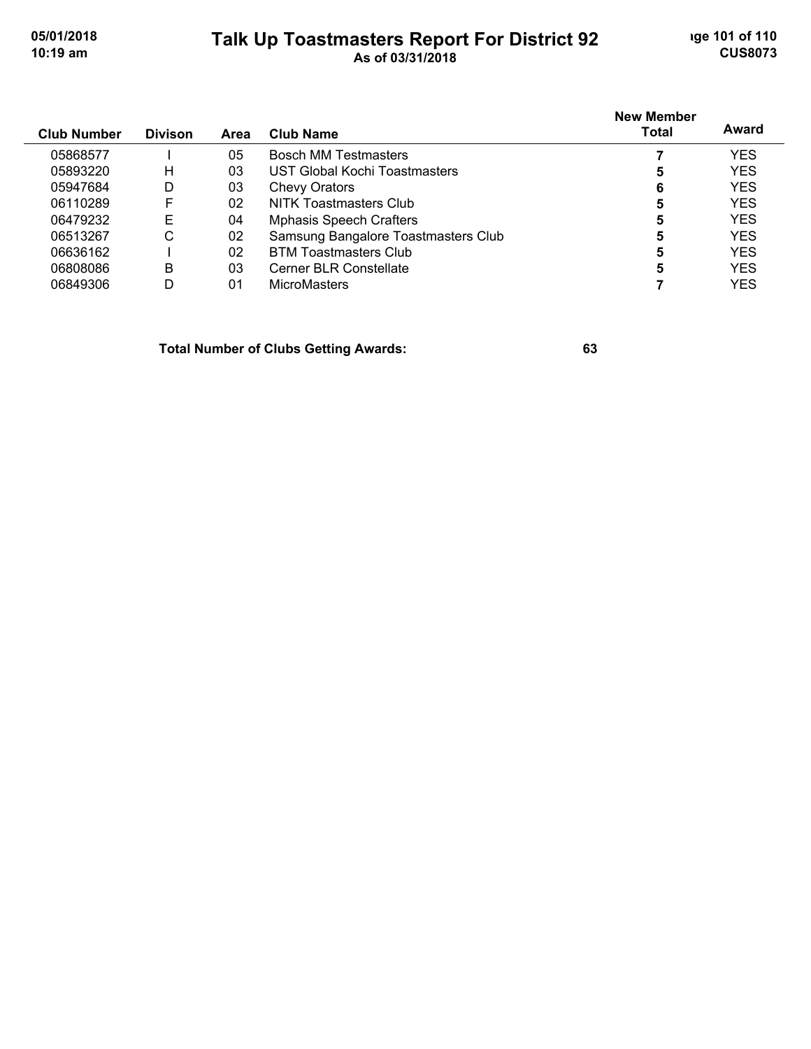## **Talk Up Toastmasters Report For District 92** and the 101 of 110 **10:19 am As of 03/31/2018 CUS8073**

| <b>Club Number</b> | <b>Divison</b> | <b>Area</b> | <b>Club Name</b>                    | <b>New Member</b><br><b>Total</b> | Award      |
|--------------------|----------------|-------------|-------------------------------------|-----------------------------------|------------|
| 05868577           |                | 05          | <b>Bosch MM Testmasters</b>         |                                   | <b>YES</b> |
| 05893220           | н              | 03          | UST Global Kochi Toastmasters       | 5                                 | <b>YES</b> |
| 05947684           | D              | 03          | <b>Chevy Orators</b>                | 6                                 | <b>YES</b> |
| 06110289           | F              | 02          | NITK Toastmasters Club              | 5                                 | <b>YES</b> |
| 06479232           | F              | 04          | <b>Mphasis Speech Crafters</b>      | 5                                 | <b>YES</b> |
| 06513267           | С              | 02          | Samsung Bangalore Toastmasters Club | 5                                 | <b>YES</b> |
| 06636162           |                | 02          | <b>BTM Toastmasters Club</b>        | 5                                 | <b>YES</b> |
| 06808086           | B              | 03          | Cerner BLR Constellate              | 5                                 | <b>YES</b> |
| 06849306           | D              | 01          | <b>MicroMasters</b>                 |                                   | YES        |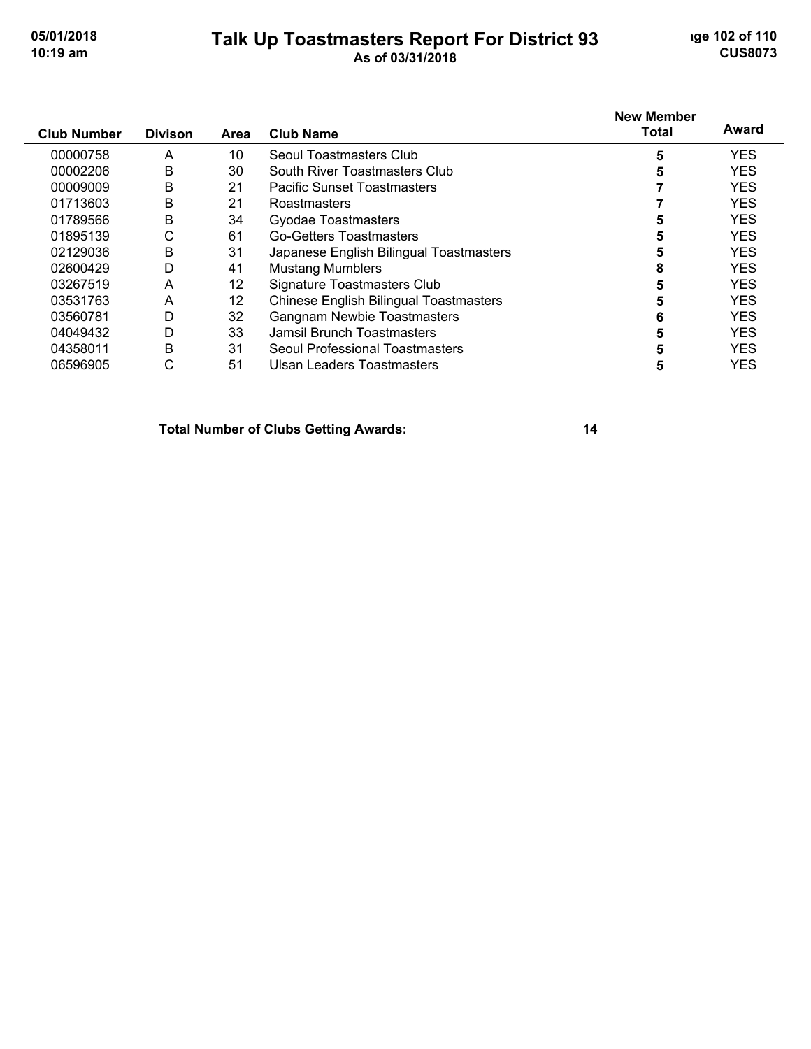#### **Talk Up Toastmasters Report For District 93** and the 102 of 110 **10:19 am As of 03/31/2018 CUS8073**

#### **Club Number Divison Club Name New Member Total Award Area** A 10 Seoul Toastmasters Club **5** YES B 30 South River Toastmasters Club **5** YES B 21 Pacific Sunset Toastmasters **7** YES B 21 Roastmasters **7** YES B 34 Gyodae Toastmasters **5** YES C 61 Go-Getters Toastmasters **5** YES B 31 Japanese English Bilingual Toastmasters **5** YES D 41 Mustang Mumblers **8** YES 03267519 A 12 Signature Toastmasters Club 5 5 YES A 12 Chinese English Bilingual Toastmasters **5** YES D 32 Gangnam Newbie Toastmasters **6** YES D 33 Jamsil Brunch Toastmasters **5** YES B 31 Seoul Professional Toastmasters **5** YES

C 51 Ulsan Leaders Toastmasters **5** YES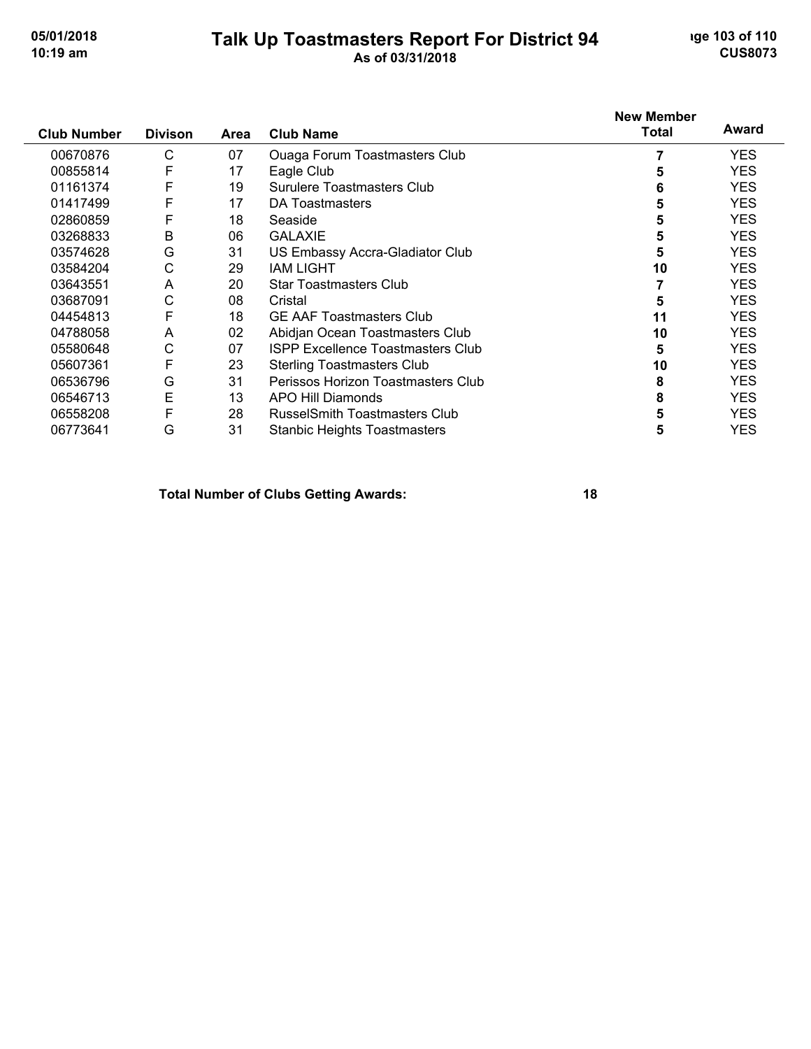## **Talk Up Toastmasters Report For District 94** and the 103 of 110 **10:19 am As of 03/31/2018 CUS8073**

| <b>Club Number</b> | <b>Divison</b> | Area | <b>Club Name</b>                         | <b>New Member</b><br>Total | Award      |
|--------------------|----------------|------|------------------------------------------|----------------------------|------------|
| 00670876           | C              | 07   | <b>Ouaga Forum Toastmasters Club</b>     |                            | <b>YES</b> |
| 00855814           | F              | 17   | Eagle Club                               | 5                          | <b>YES</b> |
| 01161374           | F              | 19   | <b>Surulere Toastmasters Club</b>        | 6                          | <b>YES</b> |
| 01417499           | F              | 17   | DA Toastmasters                          |                            | <b>YES</b> |
| 02860859           | F              | 18   | Seaside                                  | 5                          | <b>YES</b> |
| 03268833           | B              | 06   | <b>GALAXIE</b>                           | 5                          | <b>YES</b> |
| 03574628           | G              | 31   | US Embassy Accra-Gladiator Club          | 5                          | <b>YES</b> |
| 03584204           | С              | 29   | <b>IAM LIGHT</b>                         | 10                         | <b>YES</b> |
| 03643551           | A              | 20   | <b>Star Toastmasters Club</b>            |                            | <b>YES</b> |
| 03687091           | С              | 08   | Cristal                                  | 5                          | <b>YES</b> |
| 04454813           | F              | 18   | <b>GE AAF Toastmasters Club</b>          | 11                         | <b>YES</b> |
| 04788058           | A              | 02   | Abidjan Ocean Toastmasters Club          | 10                         | <b>YES</b> |
| 05580648           | С              | 07   | <b>ISPP Excellence Toastmasters Club</b> | 5                          | <b>YES</b> |
| 05607361           | F              | 23   | <b>Sterling Toastmasters Club</b>        | 10                         | <b>YES</b> |
| 06536796           | G              | 31   | Perissos Horizon Toastmasters Club       | 8                          | <b>YES</b> |
| 06546713           | E              | 13   | <b>APO Hill Diamonds</b>                 | 8                          | <b>YES</b> |
| 06558208           | F              | 28   | <b>RusselSmith Toastmasters Club</b>     | 5                          | <b>YES</b> |
| 06773641           | G              | 31   | <b>Stanbic Heights Toastmasters</b>      | 5                          | <b>YES</b> |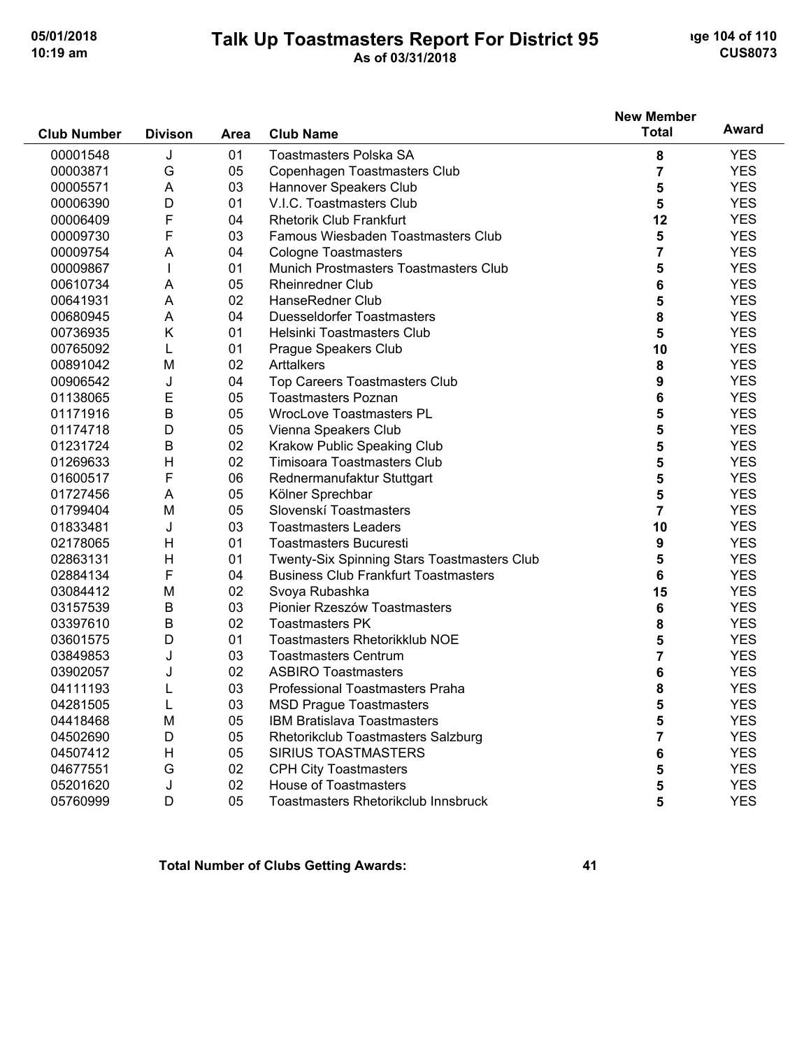### **Talk Up Toastmasters Report For District 95 10:19 am As of 03/31/2018 CUS8073**

|                    |                |             |                                             | <b>New Member</b> |            |
|--------------------|----------------|-------------|---------------------------------------------|-------------------|------------|
| <b>Club Number</b> | <b>Divison</b> | <b>Area</b> | <b>Club Name</b>                            | <b>Total</b>      | Award      |
| 00001548           | J              | 01          | <b>Toastmasters Polska SA</b>               | 8                 | <b>YES</b> |
| 00003871           | G              | 05          | Copenhagen Toastmasters Club                | 7                 | <b>YES</b> |
| 00005571           | A              | 03          | Hannover Speakers Club                      | 5                 | <b>YES</b> |
| 00006390           | D              | 01          | V.I.C. Toastmasters Club                    | 5                 | <b>YES</b> |
| 00006409           | F              | 04          | <b>Rhetorik Club Frankfurt</b>              | 12                | <b>YES</b> |
| 00009730           | F              | 03          | Famous Wiesbaden Toastmasters Club          | 5                 | <b>YES</b> |
| 00009754           | A              | 04          | <b>Cologne Toastmasters</b>                 | 7                 | <b>YES</b> |
| 00009867           |                | 01          | Munich Prostmasters Toastmasters Club       | 5                 | <b>YES</b> |
| 00610734           | A              | 05          | Rheinredner Club                            | 6                 | <b>YES</b> |
| 00641931           | A              | 02          | HanseRedner Club                            | 5                 | <b>YES</b> |
| 00680945           | A              | 04          | <b>Duesseldorfer Toastmasters</b>           | 8                 | <b>YES</b> |
| 00736935           | Κ              | 01          | Helsinki Toastmasters Club                  | 5                 | <b>YES</b> |
| 00765092           | L              | 01          | Prague Speakers Club                        | 10                | <b>YES</b> |
| 00891042           | M              | 02          | Arttalkers                                  | 8                 | <b>YES</b> |
| 00906542           | J              | 04          | <b>Top Careers Toastmasters Club</b>        | 9                 | <b>YES</b> |
| 01138065           | Е              | 05          | <b>Toastmasters Poznan</b>                  | 6                 | <b>YES</b> |
| 01171916           | $\sf B$        | 05          | <b>WrocLove Toastmasters PL</b>             | 5                 | <b>YES</b> |
| 01174718           | D              | 05          | Vienna Speakers Club                        | 5                 | <b>YES</b> |
| 01231724           | B              | 02          | Krakow Public Speaking Club                 | 5                 | <b>YES</b> |
| 01269633           | H              | 02          | Timisoara Toastmasters Club                 | 5                 | <b>YES</b> |
| 01600517           | F              | 06          | Rednermanufaktur Stuttgart                  | 5                 | <b>YES</b> |
| 01727456           | A              | 05          | Kölner Sprechbar                            | 5                 | <b>YES</b> |
| 01799404           | M              | 05          | Slovenskí Toastmasters                      | $\overline{7}$    | <b>YES</b> |
| 01833481           | J              | 03          | <b>Toastmasters Leaders</b>                 | 10                | <b>YES</b> |
| 02178065           | H              | 01          | <b>Toastmasters Bucuresti</b>               | 9                 | <b>YES</b> |
| 02863131           | H              | 01          | Twenty-Six Spinning Stars Toastmasters Club | 5                 | <b>YES</b> |
| 02884134           | F              | 04          | <b>Business Club Frankfurt Toastmasters</b> | 6                 | <b>YES</b> |
| 03084412           | M              | 02          | Svoya Rubashka                              | 15                | <b>YES</b> |
| 03157539           | B              | 03          | Pionier Rzeszów Toastmasters                | 6                 | <b>YES</b> |
| 03397610           | B              | 02          | <b>Toastmasters PK</b>                      | 8                 | <b>YES</b> |
| 03601575           | D              | 01          | Toastmasters Rhetorikklub NOE               | 5                 | <b>YES</b> |
| 03849853           | J              | 03          | <b>Toastmasters Centrum</b>                 | 7                 | <b>YES</b> |
| 03902057           | J              | 02          | <b>ASBIRO Toastmasters</b>                  | 6                 | <b>YES</b> |
| 04111193           |                | 03          | <b>Professional Toastmasters Praha</b>      | 8                 | <b>YES</b> |
| 04281505           |                | 03          | <b>MSD Prague Toastmasters</b>              | 5                 | <b>YES</b> |
| 04418468           | M              | 05          | <b>IBM Bratislava Toastmasters</b>          | 5                 | <b>YES</b> |
| 04502690           | D              | 05          | Rhetorikclub Toastmasters Salzburg          | 7                 | <b>YES</b> |
| 04507412           | H              | 05          | <b>SIRIUS TOASTMASTERS</b>                  | 6                 | <b>YES</b> |
| 04677551           | G              | 02          | <b>CPH City Toastmasters</b>                | 5                 | <b>YES</b> |
| 05201620           | J              | 02          | <b>House of Toastmasters</b>                | 5                 | <b>YES</b> |
| 05760999           | D              | 05          | Toastmasters Rhetorikclub Innsbruck         | 5                 | <b>YES</b> |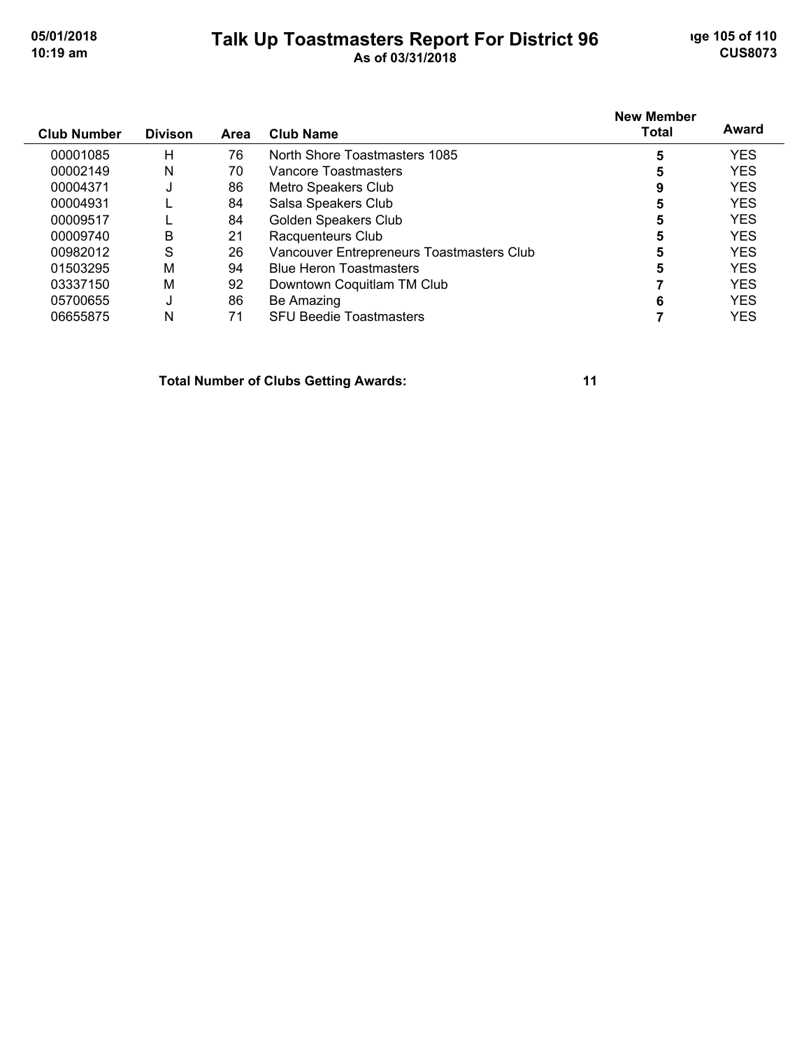## **Talk Up Toastmasters Report For District 96** and the 105 of 110 **10:19 am As of 03/31/2018 CUS8073**

| <b>Club Number</b> | <b>Divison</b> | Area | <b>Club Name</b>                          | <b>New Member</b><br><b>Total</b> | Award      |
|--------------------|----------------|------|-------------------------------------------|-----------------------------------|------------|
| 00001085           | H              | 76   | North Shore Toastmasters 1085             | 5                                 | YES        |
| 00002149           | Ν              | 70   | Vancore Toastmasters                      | 5                                 | <b>YES</b> |
| 00004371           | U              | 86   | Metro Speakers Club                       | 9                                 | <b>YES</b> |
| 00004931           |                | 84   | Salsa Speakers Club                       | 5                                 | <b>YES</b> |
| 00009517           |                | 84   | Golden Speakers Club                      | 5                                 | <b>YES</b> |
| 00009740           | Β              | 21   | Racquenteurs Club                         | 5                                 | <b>YES</b> |
| 00982012           | S              | 26   | Vancouver Entrepreneurs Toastmasters Club | 5                                 | <b>YES</b> |
| 01503295           | M              | 94   | <b>Blue Heron Toastmasters</b>            | 5                                 | <b>YES</b> |
| 03337150           | M              | 92   | Downtown Coquitlam TM Club                |                                   | <b>YES</b> |
| 05700655           | J              | 86   | Be Amazing                                | 6                                 | <b>YES</b> |
| 06655875           | Ν              | 71   | <b>SFU Beedie Toastmasters</b>            |                                   | YES        |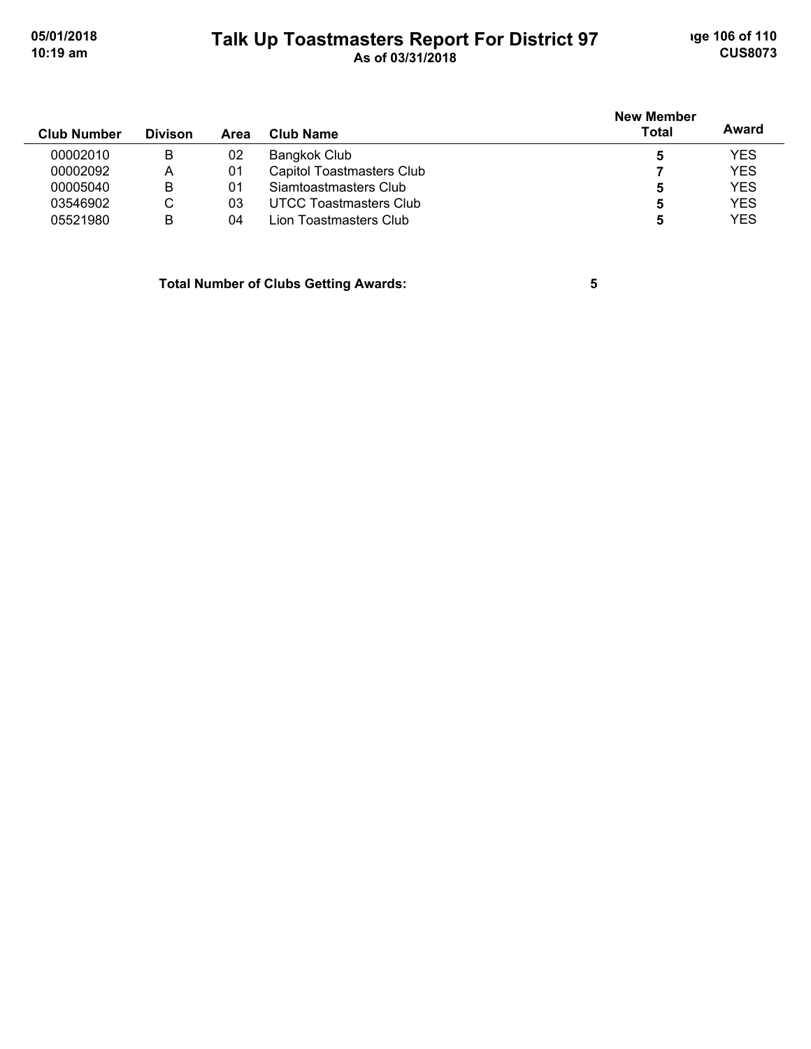# **Talk Up Toastmasters Report For District 97** and the 106 of 110 **10:19 am As of 03/31/2018 CUS8073**

| <b>Club Number</b> | <b>Divison</b> | Area | Club Name                        | <b>New Member</b><br><b>Total</b> | Award      |
|--------------------|----------------|------|----------------------------------|-----------------------------------|------------|
| 00002010           | B              | 02   | Bangkok Club                     | 5                                 | <b>YES</b> |
| 00002092           | А              | 01   | <b>Capitol Toastmasters Club</b> |                                   | <b>YES</b> |
| 00005040           | B              | 01   | Siamtoastmasters Club            | 5                                 | <b>YES</b> |
| 03546902           | С              | 03   | UTCC Toastmasters Club           | 5                                 | <b>YES</b> |
| 05521980           | B              | 04   | Lion Toastmasters Club           | 5                                 | <b>YES</b> |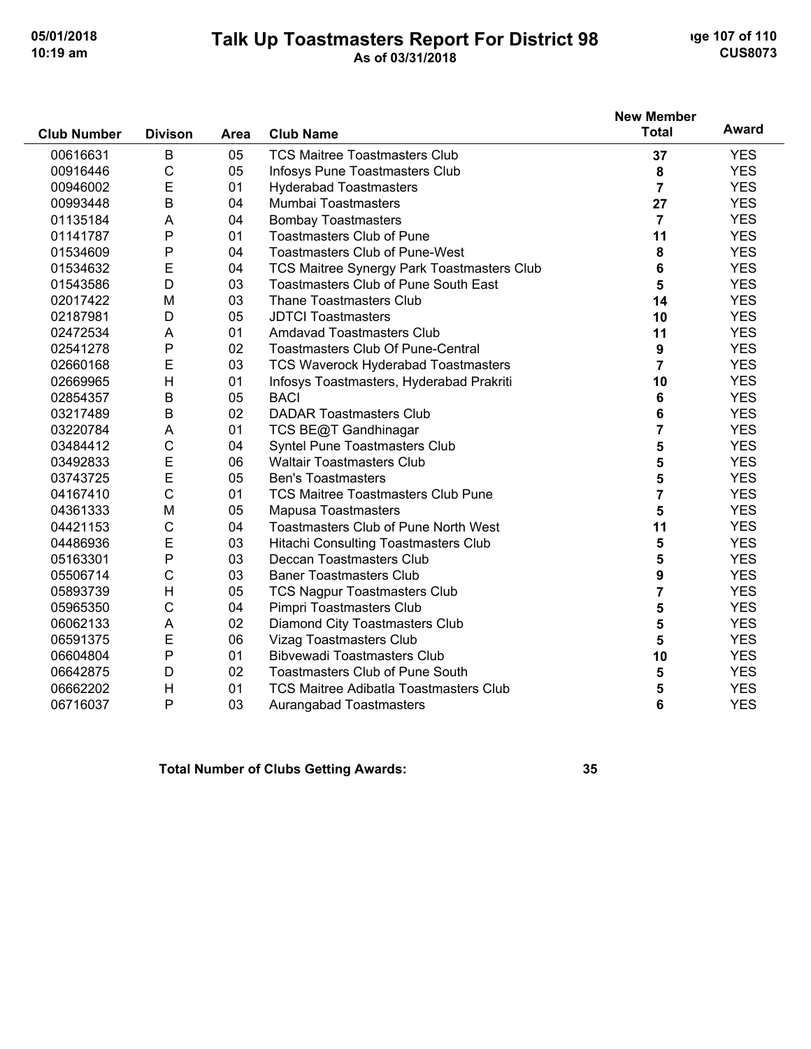## **Talk Up Toastmasters Report For District 98** and the 107 of 110 **10:19 am As of 03/31/2018 CUS8073**

| <b>Club Number</b> | <b>Divison</b> | Area | <b>Club Name</b>                              | <b>New Member</b><br><b>Total</b> | Award      |
|--------------------|----------------|------|-----------------------------------------------|-----------------------------------|------------|
| 00616631           | B              | 05   | <b>TCS Maitree Toastmasters Club</b>          | 37                                | <b>YES</b> |
| 00916446           | $\mathsf{C}$   | 05   | Infosys Pune Toastmasters Club                | 8                                 | <b>YES</b> |
| 00946002           | E              | 01   | <b>Hyderabad Toastmasters</b>                 | $\overline{7}$                    | <b>YES</b> |
| 00993448           | $\mathsf B$    | 04   | Mumbai Toastmasters                           | 27                                | <b>YES</b> |
| 01135184           | A              | 04   | <b>Bombay Toastmasters</b>                    | $\overline{7}$                    | <b>YES</b> |
| 01141787           | P              | 01   | <b>Toastmasters Club of Pune</b>              | 11                                | <b>YES</b> |
| 01534609           | P              | 04   | <b>Toastmasters Club of Pune-West</b>         | 8                                 | <b>YES</b> |
| 01534632           | E              | 04   | TCS Maitree Synergy Park Toastmasters Club    | 6                                 | <b>YES</b> |
| 01543586           | D              | 03   | <b>Toastmasters Club of Pune South East</b>   | 5                                 | <b>YES</b> |
| 02017422           | M              | 03   | <b>Thane Toastmasters Club</b>                | 14                                | <b>YES</b> |
| 02187981           | D              | 05   | <b>JDTCI Toastmasters</b>                     | 10                                | <b>YES</b> |
| 02472534           | A              | 01   | <b>Amdavad Toastmasters Club</b>              | 11                                | <b>YES</b> |
| 02541278           | P              | 02   | <b>Toastmasters Club Of Pune-Central</b>      | $\boldsymbol{9}$                  | <b>YES</b> |
| 02660168           | E              | 03   | <b>TCS Waverock Hyderabad Toastmasters</b>    | $\overline{7}$                    | <b>YES</b> |
| 02669965           | H              | 01   | Infosys Toastmasters, Hyderabad Prakriti      | 10                                | <b>YES</b> |
| 02854357           | B              | 05   | <b>BACI</b>                                   | 6                                 | <b>YES</b> |
| 03217489           | B              | 02   | <b>DADAR Toastmasters Club</b>                | 6                                 | <b>YES</b> |
| 03220784           | A              | 01   | TCS BE@T Gandhinagar                          | $\overline{\mathbf{7}}$           | <b>YES</b> |
| 03484412           | C              | 04   | Syntel Pune Toastmasters Club                 | 5                                 | <b>YES</b> |
| 03492833           | E              | 06   | <b>Waltair Toastmasters Club</b>              | 5                                 | <b>YES</b> |
| 03743725           | E              | 05   | <b>Ben's Toastmasters</b>                     | 5                                 | <b>YES</b> |
| 04167410           | C              | 01   | <b>TCS Maitree Toastmasters Club Pune</b>     | $\overline{\mathbf{7}}$           | <b>YES</b> |
| 04361333           | M              | 05   | <b>Mapusa Toastmasters</b>                    | 5                                 | <b>YES</b> |
| 04421153           | C              | 04   | <b>Toastmasters Club of Pune North West</b>   | 11                                | <b>YES</b> |
| 04486936           | E              | 03   | Hitachi Consulting Toastmasters Club          | 5                                 | <b>YES</b> |
| 05163301           | P              | 03   | Deccan Toastmasters Club                      | 5                                 | <b>YES</b> |
| 05506714           | C              | 03   | <b>Baner Toastmasters Club</b>                | 9                                 | <b>YES</b> |
| 05893739           | H              | 05   | <b>TCS Nagpur Toastmasters Club</b>           | $\overline{7}$                    | <b>YES</b> |
| 05965350           | C              | 04   | Pimpri Toastmasters Club                      | 5                                 | <b>YES</b> |
| 06062133           | A              | 02   | Diamond City Toastmasters Club                | 5                                 | <b>YES</b> |
| 06591375           | E              | 06   | Vizag Toastmasters Club                       | 5                                 | <b>YES</b> |
| 06604804           | P              | 01   | <b>Bibvewadi Toastmasters Club</b>            | 10                                | <b>YES</b> |
| 06642875           | D              | 02   | <b>Toastmasters Club of Pune South</b>        | 5                                 | <b>YES</b> |
| 06662202           | H              | 01   | <b>TCS Maitree Adibatla Toastmasters Club</b> | 5                                 | <b>YES</b> |
| 06716037           | P              | 03   | Aurangabad Toastmasters                       | 6                                 | <b>YES</b> |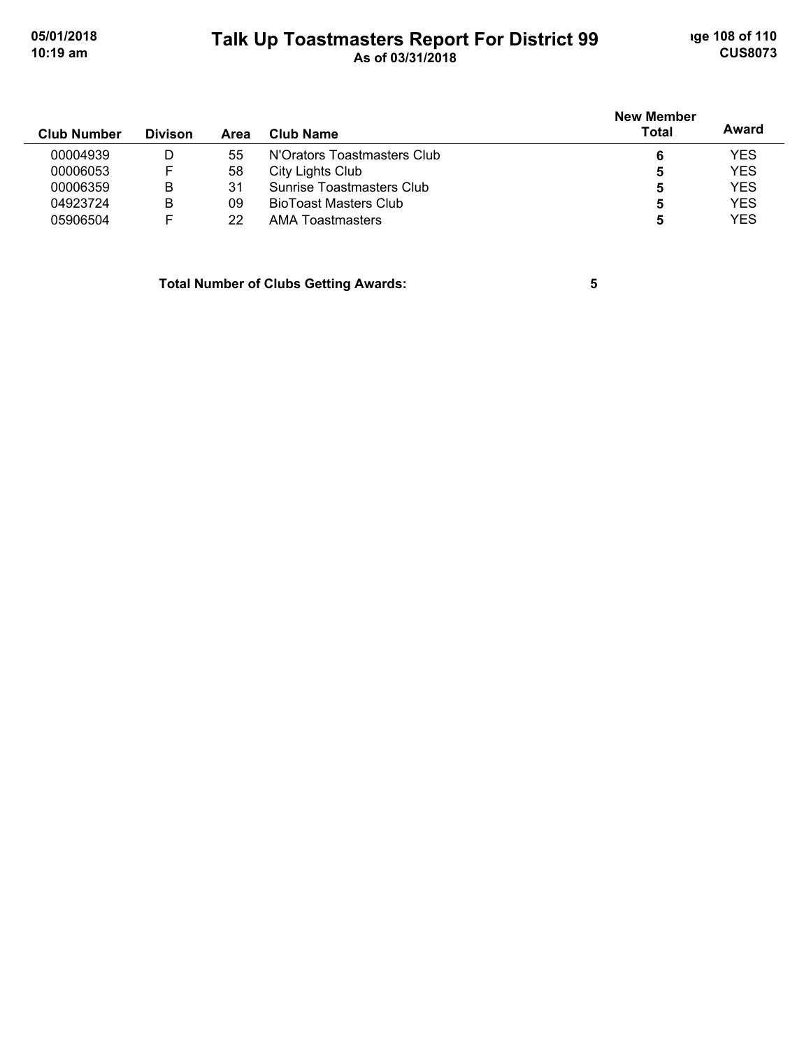# **Talk Up Toastmasters Report For District 99** and the 108 of 110 **10:19 am As of 03/31/2018 CUS8073**

| <b>Club Number</b> | <b>Divison</b> | Area | Club Name                    | <b>New Member</b><br><b>Total</b> | Award      |
|--------------------|----------------|------|------------------------------|-----------------------------------|------------|
| 00004939           | D              | 55   | N'Orators Toastmasters Club  | 6                                 | <b>YES</b> |
| 00006053           |                | 58   | City Lights Club             | 5                                 | <b>YES</b> |
| 00006359           | В              | 31   | Sunrise Toastmasters Club    | 5                                 | <b>YES</b> |
| 04923724           | в              | 09   | <b>BioToast Masters Club</b> | 5                                 | <b>YES</b> |
| 05906504           |                | 22   | <b>AMA Toastmasters</b>      | b                                 | <b>YES</b> |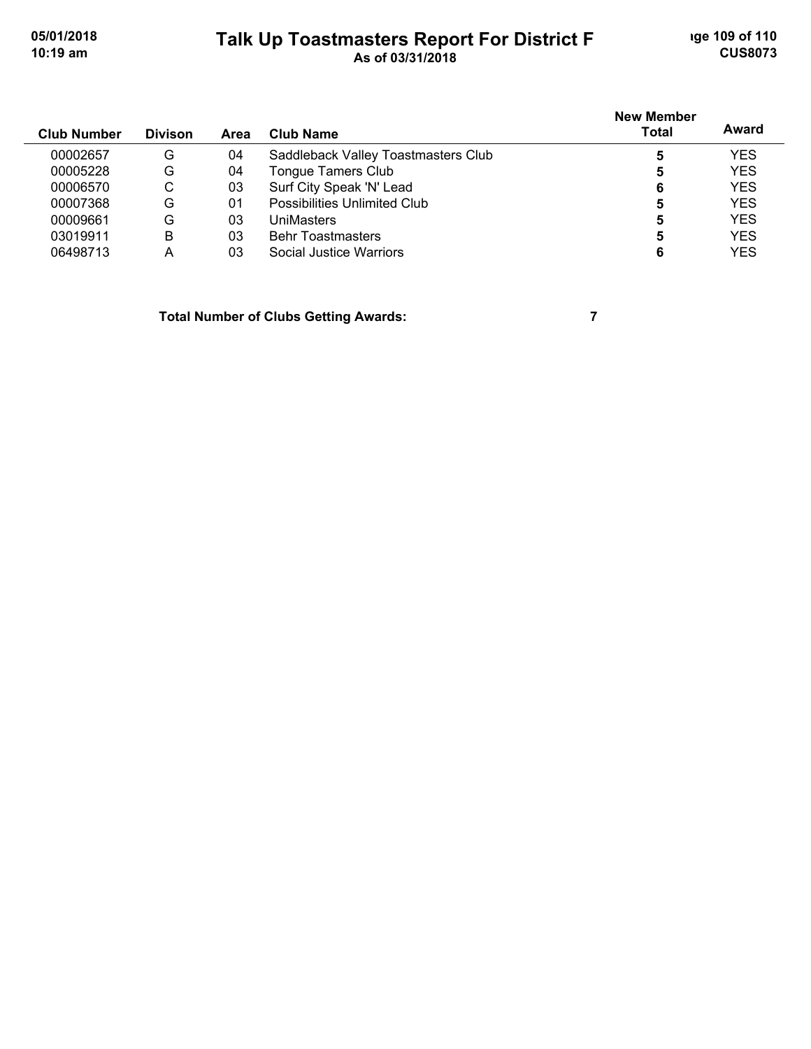## **Talk Up Toastmasters Report For District F** and the 109 of 110 **10:19 am As of 03/31/2018 CUS8073**

| <b>Club Number</b> | <b>Divison</b> | Area | Club Name                           | <b>New Member</b><br><b>Total</b> | Award      |
|--------------------|----------------|------|-------------------------------------|-----------------------------------|------------|
| 00002657           | G              | 04   | Saddleback Valley Toastmasters Club |                                   | <b>YES</b> |
| 00005228           | G              | 04   | <b>Tongue Tamers Club</b>           | 5                                 | <b>YES</b> |
| 00006570           | С              | 03   | Surf City Speak 'N' Lead            | 6                                 | <b>YES</b> |
| 00007368           | G              | 01   | <b>Possibilities Unlimited Club</b> | 5                                 | <b>YES</b> |
| 00009661           | G              | 03   | <b>UniMasters</b>                   | 5                                 | <b>YES</b> |
| 03019911           | В              | 03   | <b>Behr Toastmasters</b>            | 5                                 | <b>YES</b> |
| 06498713           | А              | 03   | Social Justice Warriors             |                                   | <b>YES</b> |

**Total Number of Clubs Getting Awards: 7**